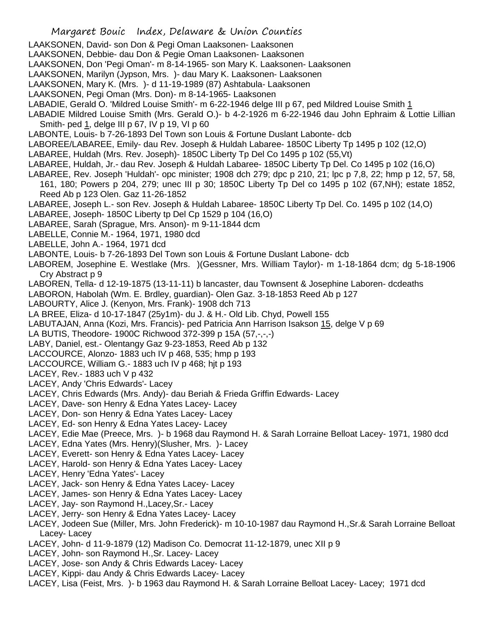LAAKSONEN, David- son Don & Pegi Oman Laaksonen- Laaksonen

LAAKSONEN, Debbie- dau Don & Pegie Oman Laaksonen- Laaksonen

LAAKSONEN, Don 'Pegi Oman'- m 8-14-1965- son Mary K. Laaksonen- Laaksonen

LAAKSONEN, Marilyn (Jypson, Mrs. )- dau Mary K. Laaksonen- Laaksonen

LAAKSONEN, Mary K. (Mrs. )- d 11-19-1989 (87) Ashtabula- Laaksonen

- LAAKSONEN, Pegi Oman (Mrs. Don)- m 8-14-1965- Laaksonen
- LABADIE, Gerald O. 'Mildred Louise Smith'- m 6-22-1946 delge III p 67, ped Mildred Louise Smith 1
- LABADIE Mildred Louise Smith (Mrs. Gerald O.)- b 4-2-1926 m 6-22-1946 dau John Ephraim & Lottie Lillian Smith- ped 1, delge III p 67, IV p 19, VI p 60
- LABONTE, Louis- b 7-26-1893 Del Town son Louis & Fortune Duslant Labonte- dcb
- LABOREE/LABAREE, Emily- dau Rev. Joseph & Huldah Labaree- 1850C Liberty Tp 1495 p 102 (12,O)
- LABAREE, Huldah (Mrs. Rev. Joseph)- 1850C Liberty Tp Del Co 1495 p 102 (55,Vt)
- LABAREE, Huldah, Jr.- dau Rev. Joseph & Huldah Labaree- 1850C Liberty Tp Del. Co 1495 p 102 (16,O)
- LABAREE, Rev. Joseph 'Huldah'- opc minister; 1908 dch 279; dpc p 210, 21; lpc p 7,8, 22; hmp p 12, 57, 58,
- 161, 180; Powers p 204, 279; unec III p 30; 1850C Liberty Tp Del co 1495 p 102 (67,NH); estate 1852, Reed Ab p 123 Olen. Gaz 11-26-1852
- LABAREE, Joseph L.- son Rev. Joseph & Huldah Labaree- 1850C Liberty Tp Del. Co. 1495 p 102 (14,O)
- LABAREE, Joseph- 1850C Liberty tp Del Cp 1529 p 104 (16,O)
- LABAREE, Sarah (Sprague, Mrs. Anson)- m 9-11-1844 dcm
- LABELLE, Connie M.- 1964, 1971, 1980 dcd
- LABELLE, John A.- 1964, 1971 dcd
- LABONTE, Louis- b 7-26-1893 Del Town son Louis & Fortune Duslant Labone- dcb
- LABOREM, Josephine E. Westlake (Mrs. )(Gessner, Mrs. William Taylor)- m 1-18-1864 dcm; dg 5-18-1906 Cry Abstract p 9
- LABOREN, Tella- d 12-19-1875 (13-11-11) b lancaster, dau Townsent & Josephine Laboren- dcdeaths
- LABORON, Habolah (Wm. E. Brdley, guardian)- Olen Gaz. 3-18-1853 Reed Ab p 127
- LABOURTY, Alice J. (Kenyon, Mrs. Frank)- 1908 dch 713
- LA BREE, Eliza- d 10-17-1847 (25y1m)- du J. & H.- Old Lib. Chyd, Powell 155
- LABUTAJAN, Anna (Kozi, Mrs. Francis)- ped Patricia Ann Harrison Isakson 15, delge V p 69
- LA BUTIS, Theodore- 1900C Richwood 372-399 p 15A (57,-,-,-)
- LABY, Daniel, est.- Olentangy Gaz 9-23-1853, Reed Ab p 132
- LACCOURCE, Alonzo- 1883 uch IV p 468, 535; hmp p 193
- LACCOURCE, William G.- 1883 uch IV p 468; hjt p 193
- LACEY, Rev.- 1883 uch V p 432
- LACEY, Andy 'Chris Edwards'- Lacey
- LACEY, Chris Edwards (Mrs. Andy)- dau Beriah & Frieda Griffin Edwards- Lacey
- LACEY, Dave- son Henry & Edna Yates Lacey- Lacey
- LACEY, Don- son Henry & Edna Yates Lacey- Lacey
- LACEY, Ed- son Henry & Edna Yates Lacey- Lacey
- LACEY, Edie Mae (Preece, Mrs. )- b 1968 dau Raymond H. & Sarah Lorraine Belloat Lacey- 1971, 1980 dcd
- LACEY, Edna Yates (Mrs. Henry)(Slusher, Mrs. )- Lacey
- LACEY, Everett- son Henry & Edna Yates Lacey- Lacey
- LACEY, Harold- son Henry & Edna Yates Lacey- Lacey
- LACEY, Henry 'Edna Yates'- Lacey
- LACEY, Jack- son Henry & Edna Yates Lacey- Lacey
- LACEY, James- son Henry & Edna Yates Lacey- Lacey
- LACEY, Jay- son Raymond H.,Lacey,Sr.- Lacey
- LACEY, Jerry- son Henry & Edna Yates Lacey- Lacey
- LACEY, Jodeen Sue (Miller, Mrs. John Frederick)- m 10-10-1987 dau Raymond H.,Sr.& Sarah Lorraine Belloat Lacey- Lacey
- LACEY, John- d 11-9-1879 (12) Madison Co. Democrat 11-12-1879, unec XII p 9
- LACEY, John- son Raymond H.,Sr. Lacey- Lacey
- LACEY, Jose- son Andy & Chris Edwards Lacey- Lacey
- LACEY, Kippi- dau Andy & Chris Edwards Lacey- Lacey
- LACEY, Lisa (Feist, Mrs. )- b 1963 dau Raymond H. & Sarah Lorraine Belloat Lacey- Lacey; 1971 dcd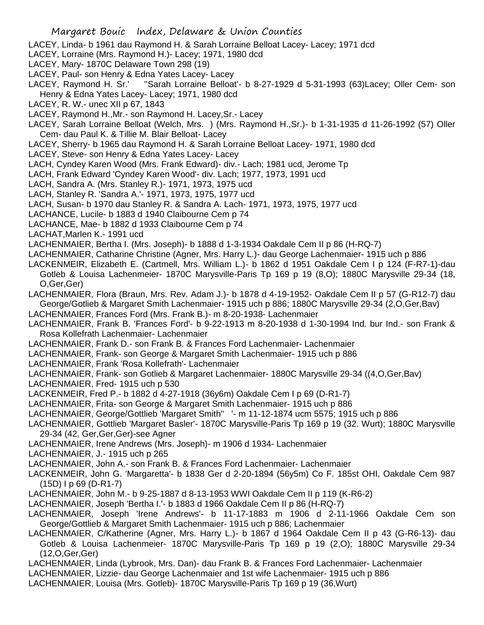- LACEY, Linda- b 1961 dau Raymond H. & Sarah Lorraine Belloat Lacey- Lacey; 1971 dcd
- LACEY, Lorraine (Mrs. Raymond H.)- Lacey; 1971, 1980 dcd
- LACEY, Mary- 1870C Delaware Town 298 (19)
- LACEY, Paul- son Henry & Edna Yates Lacey- Lacey
- LACEY, Raymond H. Sr.' ''Sarah Lorraine Belloat'- b 8-27-1929 d 5-31-1993 (63)Lacey; Oller Cem- son Henry & Edna Yates Lacey- Lacey; 1971, 1980 dcd
- LACEY, R. W.- unec XII p 67, 1843
- LACEY, Raymond H.,Mr.- son Raymond H. Lacey,Sr.- Lacey
- LACEY, Sarah Lorraine Belloat (Welch, Mrs. ) (Mrs. Raymond H.,Sr.)- b 1-31-1935 d 11-26-1992 (57) Oller Cem- dau Paul K. & Tillie M. Blair Belloat- Lacey
- LACEY, Sherry- b 1965 dau Raymond H. & Sarah Lorraine Belloat Lacey- 1971, 1980 dcd
- LACEY, Steve- son Henry & Edna Yates Lacey- Lacey
- LACH, Cyndey Karen Wood (Mrs. Frank Edward)- div.- Lach; 1981 ucd, Jerome Tp
- LACH, Frank Edward 'Cyndey Karen Wood'- div. Lach; 1977, 1973, 1991 ucd
- LACH, Sandra A. (Mrs. Stanley R.)- 1971, 1973, 1975 ucd
- LACH, Stanley R. 'Sandra A.'- 1971, 1973, 1975, 1977 ucd
- LACH, Susan- b 1970 dau Stanley R. & Sandra A. Lach- 1971, 1973, 1975, 1977 ucd
- LACHANCE, Lucile- b 1883 d 1940 Claibourne Cem p 74
- LACHANCE, Mae- b 1882 d 1933 Claibourne Cem p 74
- LACHAT,Marlen K.- 1991 ucd
- LACHENMAIER, Bertha I. (Mrs. Joseph)- b 1888 d 1-3-1934 Oakdale Cem II p 86 (H-RQ-7)
- LACHENMAIER, Catharine Christine (Agner, Mrs. Harry L.)- dau George Lachenmaier- 1915 uch p 886
- LACKENMEIR, Elizabeth E. (Cartmell, Mrs. William L.)- b 1862 d 1951 Oakdale Cem I p 124 (F-R7-1)-dau Gotleb & Louisa Lachenmeier- 1870C Marysville-Paris Tp 169 p 19 (8,O); 1880C Marysville 29-34 (18, O,Ger,Ger)
- LACHENMAIER, Flora (Braun, Mrs. Rev. Adam J.)- b 1878 d 4-19-1952- Oakdale Cem II p 57 (G-R12-7) dau George/Gotlieb & Margaret Smith Lachenmaier- 1915 uch p 886; 1880C Marysville 29-34 (2,O,Ger,Bav)
- LACHENMAIER, Frances Ford (Mrs. Frank B.)- m 8-20-1938- Lachenmaier
- LACHENMAIER, Frank B. 'Frances Ford'- b 9-22-1913 m 8-20-1938 d 1-30-1994 Ind. bur Ind.- son Frank & Rosa Kollefrath Lachenmaier- Lachenmaier
- LACHENMAIER, Frank D.- son Frank B. & Frances Ford Lachenmaier- Lachenmaier
- LACHENMAIER, Frank- son George & Margaret Smith Lachenmaier- 1915 uch p 886
- LACHENMAIER, Frank 'Rosa Kollefrath'- Lachenmaier
- LACHENMAIER, Frank- son Gotlieb & Margaret Lachenmaier- 1880C Marysville 29-34 ((4,O,Ger,Bav)
- LACHENMAIER, Fred- 1915 uch p 530
- LACKENMEIR, Fred P.- b 1882 d 4-27-1918 (36y6m) Oakdale Cem I p 69 (D-R1-7)
- LACHENMAIER, Frita- son George & Margaret Smith Lachenmaier- 1915 uch p 886
- LACHENMAIER, George/Gottlieb 'Margaret Smith'' '- m 11-12-1874 ucm 5575; 1915 uch p 886
- LACHENMAIER, Gottlieb 'Margaret Basler'- 1870C Marysville-Paris Tp 169 p 19 (32. Wurt); 1880C Marysville 29-34 (42, Ger,Ger,Ger)-see Agner
- LACHENMAIER, Irene Andrews (Mrs. Joseph)- m 1906 d 1934- Lachenmaier
- LACHENMAIER, J.- 1915 uch p 265
- LACHENMAIER, John A.- son Frank B. & Frances Ford Lachenmaier- Lachenmaier
- LACKENMEIR, John G. 'Margaretta'- b 1838 Ger d 2-20-1894 (56y5m) Co F. 185st OHI, Oakdale Cem 987 (15D) I p 69 (D-R1-7)
- LACHENMAIER, John M.- b 9-25-1887 d 8-13-1953 WWI Oakdale Cem II p 119 (K-R6-2)
- LACHENMAIER, Joseph 'Bertha I.'- b 1883 d 1966 Oakdale Cem II p 86 (H-RQ-7)
- LACHENMAIER, Joseph 'Irene Andrews'- b 11-17-1883 m 1906 d 2-11-1966 Oakdale Cem son George/Gottlieb & Margaret Smith Lachenmaier- 1915 uch p 886; Lachenmaier
- LACHENMAIER, C/Katherine (Agner, Mrs. Harry L.)- b 1867 d 1964 Oakdale Cem II p 43 (G-R6-13)- dau Gotleb & Louisa Lachenmeier- 1870C Marysville-Paris Tp 169 p 19 (2,O); 1880C Marysville 29-34 (12,O,Ger,Ger)
- LACHENMAIER, Linda (Lybrook, Mrs. Dan)- dau Frank B. & Frances Ford Lachenmaier- Lachenmaier
- LACHENMAIER, Lizzie- dau George Lachenmaier and 1st wife Lachenmaier- 1915 uch p 886
- LACHENMAIER, Louisa (Mrs. Gotleb)- 1870C Marysville-Paris Tp 169 p 19 (36,Wurt)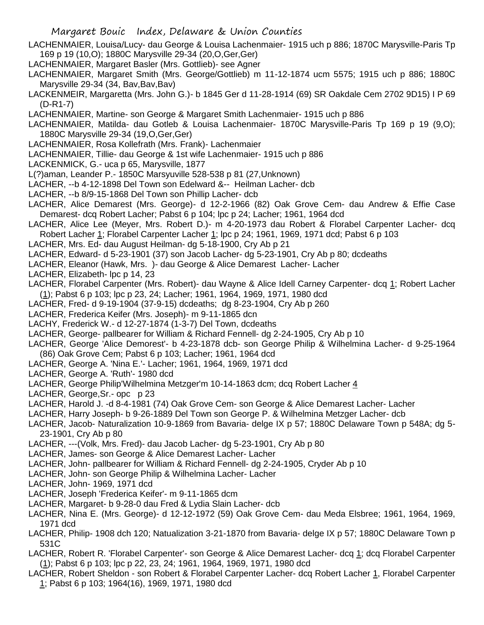LACHENMAIER, Louisa/Lucy- dau George & Louisa Lachenmaier- 1915 uch p 886; 1870C Marysville-Paris Tp 169 p 19 (10,O); 1880C Marysville 29-34 (20,O,Ger,Ger)

LACHENMAIER, Margaret Basler (Mrs. Gottlieb)- see Agner

- LACHENMAIER, Margaret Smith (Mrs. George/Gottlieb) m 11-12-1874 ucm 5575; 1915 uch p 886; 1880C Marysville 29-34 (34, Bav, Bav, Bav)
- LACKENMEIR, Margaretta (Mrs. John G.)- b 1845 Ger d 11-28-1914 (69) SR Oakdale Cem 2702 9D15) I P 69 (D-R1-7)
- LACHENMAIER, Martine- son George & Margaret Smith Lachenmaier- 1915 uch p 886
- LACHENMAIER, Matilda- dau Gotleb & Louisa Lachenmaier- 1870C Marysville-Paris Tp 169 p 19 (9,O); 1880C Marysville 29-34 (19,O,Ger,Ger)
- LACHENMAIER, Rosa Kollefrath (Mrs. Frank)- Lachenmaier
- LACHENMAIER, Tillie- dau George & 1st wife Lachenmaier- 1915 uch p 886
- LACKENMICK, G.- uca p 65, Marysville, 1877
- L(?)aman, Leander P.- 1850C Marsyuville 528-538 p 81 (27,Unknown)
- LACHER, --b 4-12-1898 Del Town son Edelward &-- Heilman Lacher- dcb
- LACHER, --b 8/9-15-1868 Del Town son Phillip Lacher- dcb
- LACHER, Alice Demarest (Mrs. George)- d 12-2-1966 (82) Oak Grove Cem- dau Andrew & Effie Case Demarest- dcq Robert Lacher; Pabst 6 p 104; lpc p 24; Lacher; 1961, 1964 dcd
- LACHER, Alice Lee (Meyer, Mrs. Robert D.)- m 4-20-1973 dau Robert & Florabel Carpenter Lacher- dcq Robert Lacher 1; Florabel Carpenter Lacher 1; lpc p 24; 1961, 1969, 1971 dcd; Pabst 6 p 103
- LACHER, Mrs. Ed- dau August Heilman- dg 5-18-1900, Cry Ab p 21
- LACHER, Edward- d 5-23-1901 (37) son Jacob Lacher- dg 5-23-1901, Cry Ab p 80; dcdeaths
- LACHER, Eleanor (Hawk, Mrs. )- dau George & Alice Demarest Lacher- Lacher
- LACHER, Elizabeth- lpc p 14, 23
- LACHER, Florabel Carpenter (Mrs. Robert)- dau Wayne & Alice Idell Carney Carpenter- dcq 1; Robert Lacher (1); Pabst 6 p 103; lpc p 23, 24; Lacher; 1961, 1964, 1969, 1971, 1980 dcd
- LACHER, Fred- d 9-19-1904 (37-9-15) dcdeaths; dg 8-23-1904, Cry Ab p 260
- LACHER, Frederica Keifer (Mrs. Joseph)- m 9-11-1865 dcn
- LACHY, Frederick W.- d 12-27-1874 (1-3-7) Del Town, dcdeaths
- LACHER, George- pallbearer for William & Richard Fennell- dg 2-24-1905, Cry Ab p 10
- LACHER, George 'Alice Demorest'- b 4-23-1878 dcb- son George Philip & Wilhelmina Lacher- d 9-25-1964 (86) Oak Grove Cem; Pabst 6 p 103; Lacher; 1961, 1964 dcd
- LACHER, George A. 'Nina E.'- Lacher; 1961, 1964, 1969, 1971 dcd
- LACHER, George A. 'Ruth'- 1980 dcd
- LACHER, George Philip'Wilhelmina Metzger'm 10-14-1863 dcm; dcq Robert Lacher 4
- LACHER, George, Sr. opc p 23
- LACHER, Harold J. -d 8-4-1981 (74) Oak Grove Cem- son George & Alice Demarest Lacher- Lacher
- LACHER, Harry Joseph- b 9-26-1889 Del Town son George P. & Wilhelmina Metzger Lacher- dcb
- LACHER, Jacob- Naturalization 10-9-1869 from Bavaria- delge IX p 57; 1880C Delaware Town p 548A; dg 5- 23-1901, Cry Ab p 80
- LACHER, ---(Volk, Mrs. Fred)- dau Jacob Lacher- dg 5-23-1901, Cry Ab p 80
- LACHER, James- son George & Alice Demarest Lacher- Lacher
- LACHER, John- pallbearer for William & Richard Fennell- dg 2-24-1905, Cryder Ab p 10
- LACHER, John- son George Philip & Wilhelmina Lacher- Lacher
- LACHER, John- 1969, 1971 dcd
- LACHER, Joseph 'Frederica Keifer'- m 9-11-1865 dcm
- LACHER, Margaret- b 9-28-0 dau Fred & Lydia Slain Lacher- dcb
- LACHER, Nina E. (Mrs. George)- d 12-12-1972 (59) Oak Grove Cem- dau Meda Elsbree; 1961, 1964, 1969, 1971 dcd
- LACHER, Philip- 1908 dch 120; Natualization 3-21-1870 from Bavaria- delge IX p 57; 1880C Delaware Town p 531C
- LACHER, Robert R. 'Florabel Carpenter'- son George & Alice Demarest Lacher- dcq 1; dcq Florabel Carpenter (1); Pabst 6 p 103; lpc p 22, 23, 24; 1961, 1964, 1969, 1971, 1980 dcd
- LACHER, Robert Sheldon son Robert & Florabel Carpenter Lacher- dcq Robert Lacher 1, Florabel Carpenter 1; Pabst 6 p 103; 1964(16), 1969, 1971, 1980 dcd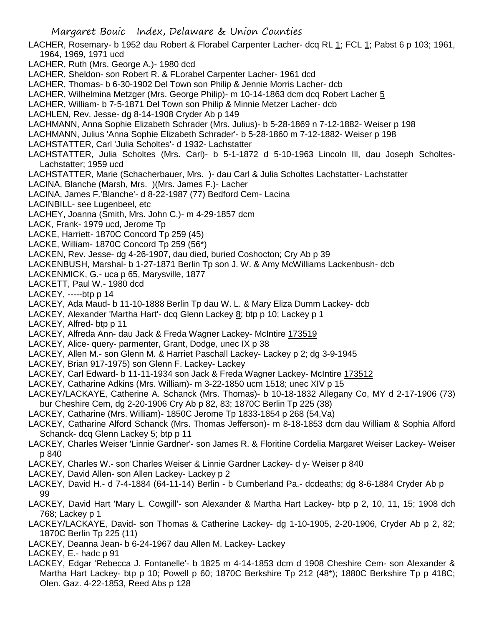LACHER, Rosemary- b 1952 dau Robert & Florabel Carpenter Lacher- dcq RL 1; FCL 1; Pabst 6 p 103; 1961, 1964, 1969, 1971 ucd

LACHER, Ruth (Mrs. George A.)- 1980 dcd

LACHER, Sheldon- son Robert R. & FLorabel Carpenter Lacher- 1961 dcd

LACHER, Thomas- b 6-30-1902 Del Town son Philip & Jennie Morris Lacher- dcb

LACHER, Wilhelmina Metzger (Mrs. George Philip)- m 10-14-1863 dcm dcq Robert Lacher 5

LACHER, William- b 7-5-1871 Del Town son Philip & Minnie Metzer Lacher- dcb

LACHLEN, Rev. Jesse- dg 8-14-1908 Cryder Ab p 149

LACHMANN, Anna Sophie Elizabeth Schrader (Mrs. Julius)- b 5-28-1869 n 7-12-1882- Weiser p 198

LACHMANN, Julius 'Anna Sophie Elizabeth Schrader'- b 5-28-1860 m 7-12-1882- Weiser p 198

LACHSTATTER, Carl 'Julia Scholtes'- d 1932- Lachstatter

LACHSTATTER, Julia Scholtes (Mrs. Carl)- b 5-1-1872 d 5-10-1963 Lincoln Ill, dau Joseph Scholtes-Lachstatter; 1959 ucd

LACHSTATTER, Marie (Schacherbauer, Mrs. )- dau Carl & Julia Scholtes Lachstatter- Lachstatter

LACINA, Blanche (Marsh, Mrs. )(Mrs. James F.)- Lacher

LACINA, James F.'Blanche'- d 8-22-1987 (77) Bedford Cem- Lacina

LACINBILL- see Lugenbeel, etc

LACHEY, Joanna (Smith, Mrs. John C.)- m 4-29-1857 dcm

LACK, Frank- 1979 ucd, Jerome Tp

LACKE, Harriett- 1870C Concord Tp 259 (45)

LACKE, William- 1870C Concord Tp 259 (56\*)

LACKEN, Rev. Jesse- dg 4-26-1907, dau died, buried Coshocton; Cry Ab p 39

LACKENBUSH, Marshal- b 1-27-1871 Berlin Tp son J. W. & Amy McWilliams Lackenbush- dcb

LACKENMICK, G.- uca p 65, Marysville, 1877

LACKETT, Paul W.- 1980 dcd

LACKEY, -----btp p 14

LACKEY, Ada Maud- b 11-10-1888 Berlin Tp dau W. L. & Mary Eliza Dumm Lackey- dcb

LACKEY, Alexander 'Martha Hart'- dcq Glenn Lackey 8; btp p 10; Lackey p 1

LACKEY, Alfred- btp p 11

LACKEY, Alfreda Ann- dau Jack & Freda Wagner Lackey- McIntire 173519

LACKEY, Alice- query- parmenter, Grant, Dodge, unec IX p 38

LACKEY, Allen M.- son Glenn M. & Harriet Paschall Lackey- Lackey p 2; dg 3-9-1945

LACKEY, Brian 917-1975) son Glenn F. Lackey- Lackey

LACKEY, Carl Edward- b 11-11-1934 son Jack & Freda Wagner Lackey- McIntire 173512

LACKEY, Catharine Adkins (Mrs. William)- m 3-22-1850 ucm 1518; unec XIV p 15

LACKEY/LACKAYE, Catherine A. Schanck (Mrs. Thomas)- b 10-18-1832 Allegany Co, MY d 2-17-1906 (73) bur Cheshire Cem, dg 2-20-1906 Cry Ab p 82, 83; 1870C Berlin Tp 225 (38)

LACKEY, Catharine (Mrs. William)- 1850C Jerome Tp 1833-1854 p 268 (54,Va)

LACKEY, Catharine Alford Schanck (Mrs. Thomas Jefferson)- m 8-18-1853 dcm dau William & Sophia Alford Schanck- dcq Glenn Lackey 5; btp p 11

LACKEY, Charles Weiser 'Linnie Gardner'- son James R. & Floritine Cordelia Margaret Weiser Lackey- Weiser p 840

LACKEY, Charles W.- son Charles Weiser & Linnie Gardner Lackey- d y- Weiser p 840

LACKEY, David Allen- son Allen Lackey- Lackey p 2

LACKEY, David H.- d 7-4-1884 (64-11-14) Berlin - b Cumberland Pa.- dcdeaths; dg 8-6-1884 Cryder Ab p 99

LACKEY, David Hart 'Mary L. Cowgill'- son Alexander & Martha Hart Lackey- btp p 2, 10, 11, 15; 1908 dch 768; Lackey p 1

LACKEY/LACKAYE, David- son Thomas & Catherine Lackey- dg 1-10-1905, 2-20-1906, Cryder Ab p 2, 82; 1870C Berlin Tp 225 (11)

LACKEY, Deanna Jean- b 6-24-1967 dau Allen M. Lackey- Lackey

LACKEY, E.- hadc p 91

LACKEY, Edgar 'Rebecca J. Fontanelle'- b 1825 m 4-14-1853 dcm d 1908 Cheshire Cem- son Alexander & Martha Hart Lackey- btp p 10; Powell p 60; 1870C Berkshire Tp 212 (48<sup>\*</sup>); 1880C Berkshire Tp p 418C; Olen. Gaz. 4-22-1853, Reed Abs p 128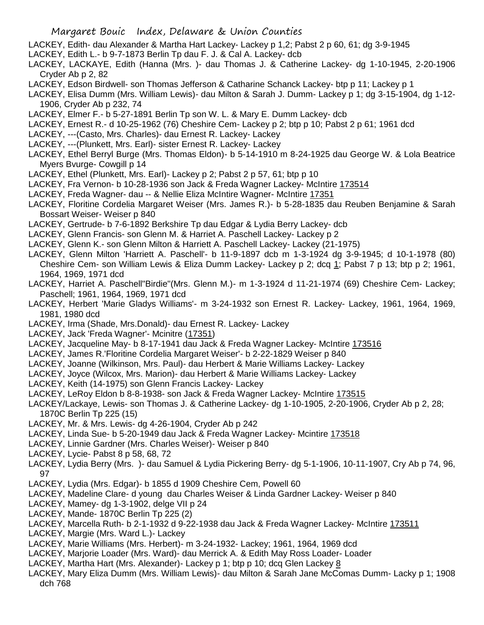- LACKEY, Edith- dau Alexander & Martha Hart Lackey- Lackey p 1,2; Pabst 2 p 60, 61; dg 3-9-1945
- LACKEY, Edith L.- b 9-7-1873 Berlin Tp dau F. J. & Cal A. Lackey- dcb
- LACKEY, LACKAYE, Edith (Hanna (Mrs. )- dau Thomas J. & Catherine Lackey- dg 1-10-1945, 2-20-1906 Cryder Ab p 2, 82
- LACKEY, Edson Birdwell- son Thomas Jefferson & Catharine Schanck Lackey- btp p 11; Lackey p 1
- LACKEY, Elisa Dumm (Mrs. William Lewis)- dau Milton & Sarah J. Dumm- Lackey p 1; dg 3-15-1904, dg 1-12- 1906, Cryder Ab p 232, 74
- LACKEY, Elmer F.- b 5-27-1891 Berlin Tp son W. L. & Mary E. Dumm Lackey- dcb
- LACKEY, Ernest R.- d 10-25-1962 (76) Cheshire Cem- Lackey p 2; btp p 10; Pabst 2 p 61; 1961 dcd
- LACKEY, ---(Casto, Mrs. Charles)- dau Ernest R. Lackey- Lackey
- LACKEY, ---(Plunkett, Mrs. Earl)- sister Ernest R. Lackey- Lackey
- LACKEY, Ethel Berryl Burge (Mrs. Thomas Eldon)- b 5-14-1910 m 8-24-1925 dau George W. & Lola Beatrice Myers Bvurge- Cowgill p 14
- LACKEY, Ethel (Plunkett, Mrs. Earl)- Lackey p 2; Pabst 2 p 57, 61; btp p 10
- LACKEY, Fra Vernon- b 10-28-1936 son Jack & Freda Wagner Lackey- McIntire 173514
- LACKEY, Freda Wagner- dau -- & Nellie Eliza McIntire Wagner- McIntire 17351
- LACKEY, Floritine Cordelia Margaret Weiser (Mrs. James R.)- b 5-28-1835 dau Reuben Benjamine & Sarah Bossart Weiser- Weiser p 840
- LACKEY, Gertrude- b 7-6-1892 Berkshire Tp dau Edgar & Lydia Berry Lackey- dcb
- LACKEY, Glenn Francis- son Glenn M. & Harriet A. Paschell Lackey- Lackey p 2
- LACKEY, Glenn K.- son Glenn Milton & Harriett A. Paschell Lackey- Lackey (21-1975)
- LACKEY, Glenn Milton 'Harriett A. Paschell'- b 11-9-1897 dcb m 1-3-1924 dg 3-9-1945; d 10-1-1978 (80) Cheshire Cem- son William Lewis & Eliza Dumm Lackey- Lackey p 2; dcq 1; Pabst 7 p 13; btp p 2; 1961, 1964, 1969, 1971 dcd
- LACKEY, Harriet A. Paschell"Birdie"(Mrs. Glenn M.)- m 1-3-1924 d 11-21-1974 (69) Cheshire Cem- Lackey; Paschell; 1961, 1964, 1969, 1971 dcd
- LACKEY, Herbert 'Marie Gladys Williams'- m 3-24-1932 son Ernest R. Lackey- Lackey, 1961, 1964, 1969, 1981, 1980 dcd
- LACKEY, Irma (Shade, Mrs.Donald)- dau Ernest R. Lackey- Lackey
- LACKEY, Jack 'Freda Wagner'- Mcinitre (17351)
- LACKEY, Jacqueline May- b 8-17-1941 dau Jack & Freda Wagner Lackey- McIntire 173516
- LACKEY, James R.'Floritine Cordelia Margaret Weiser'- b 2-22-1829 Weiser p 840
- LACKEY, Joanne (Wilkinson, Mrs. Paul)- dau Herbert & Marie Williams Lackey- Lackey
- LACKEY, Joyce (Wilcox, Mrs. Marion)- dau Herbert & Marie Williams Lackey- Lackey
- LACKEY, Keith (14-1975) son Glenn Francis Lackey- Lackey
- LACKEY, LeRoy Eldon b 8-8-1938- son Jack & Freda Wagner Lackey- McIntire 173515
- LACKEY/Lackaye, Lewis- son Thomas J. & Catherine Lackey- dg 1-10-1905, 2-20-1906, Cryder Ab p 2, 28; 1870C Berlin Tp 225 (15)
- LACKEY, Mr. & Mrs. Lewis- dg 4-26-1904, Cryder Ab p 242
- LACKEY, Linda Sue- b 5-20-1949 dau Jack & Freda Wagner Lackey- Mcintire 173518
- LACKEY, Linnie Gardner (Mrs. Charles Weiser)- Weiser p 840
- LACKEY, Lycie- Pabst 8 p 58, 68, 72
- LACKEY, Lydia Berry (Mrs. )- dau Samuel & Lydia Pickering Berry- dg 5-1-1906, 10-11-1907, Cry Ab p 74, 96, 97
- LACKEY, Lydia (Mrs. Edgar)- b 1855 d 1909 Cheshire Cem, Powell 60
- LACKEY, Madeline Clare- d young dau Charles Weiser & Linda Gardner Lackey- Weiser p 840
- LACKEY, Mamey- dg 1-3-1902, delge VII p 24
- LACKEY, Mande- 1870C Berlin Tp 225 (2)
- LACKEY, Marcella Ruth- b 2-1-1932 d 9-22-1938 dau Jack & Freda Wagner Lackey- McIntire 173511
- LACKEY, Margie (Mrs. Ward L.)- Lackey
- LACKEY, Marie Williams (Mrs. Herbert)- m 3-24-1932- Lackey; 1961, 1964, 1969 dcd
- LACKEY, Marjorie Loader (Mrs. Ward)- dau Merrick A. & Edith May Ross Loader- Loader
- LACKEY, Martha Hart (Mrs. Alexander)- Lackey p 1; btp p 10; dcq Glen Lackey 8
- LACKEY, Mary Eliza Dumm (Mrs. William Lewis)- dau Milton & Sarah Jane McComas Dumm- Lacky p 1; 1908 dch 768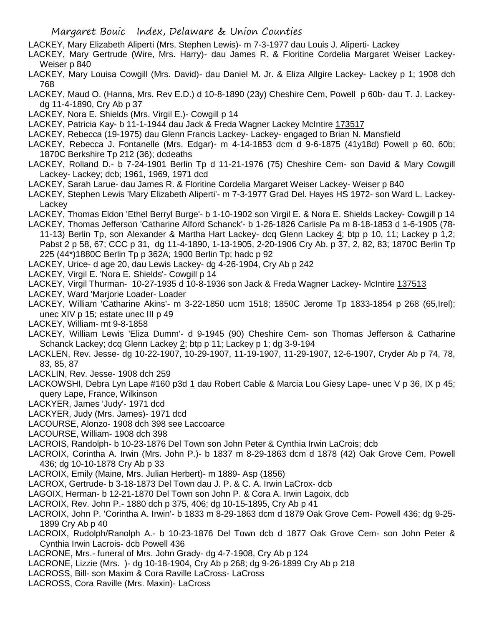- LACKEY, Mary Elizabeth Aliperti (Mrs. Stephen Lewis)- m 7-3-1977 dau Louis J. Aliperti- Lackey
- LACKEY, Mary Gertrude (Wire, Mrs. Harry)- dau James R. & Floritine Cordelia Margaret Weiser Lackey-Weiser p 840
- LACKEY, Mary Louisa Cowgill (Mrs. David)- dau Daniel M. Jr. & Eliza Allgire Lackey- Lackey p 1; 1908 dch 768
- LACKEY, Maud O. (Hanna, Mrs. Rev E.D.) d 10-8-1890 (23y) Cheshire Cem, Powell p 60b- dau T. J. Lackeydg 11-4-1890, Cry Ab p 37
- LACKEY, Nora E. Shields (Mrs. Virgil E.)- Cowgill p 14
- LACKEY, Patricia Kay- b 11-1-1944 dau Jack & Freda Wagner Lackey McIntire 173517
- LACKEY, Rebecca (19-1975) dau Glenn Francis Lackey- Lackey- engaged to Brian N. Mansfield
- LACKEY, Rebecca J. Fontanelle (Mrs. Edgar)- m 4-14-1853 dcm d 9-6-1875 (41y18d) Powell p 60, 60b; 1870C Berkshire Tp 212 (36); dcdeaths
- LACKEY, Rolland D.- b 7-24-1901 Berlin Tp d 11-21-1976 (75) Cheshire Cem- son David & Mary Cowgill Lackey- Lackey; dcb; 1961, 1969, 1971 dcd
- LACKEY, Sarah Larue- dau James R. & Floritine Cordelia Margaret Weiser Lackey- Weiser p 840
- LACKEY, Stephen Lewis 'Mary Elizabeth Aliperti'- m 7-3-1977 Grad Del. Hayes HS 1972- son Ward L. Lackey-Lackey
- LACKEY, Thomas Eldon 'Ethel Berryl Burge'- b 1-10-1902 son Virgil E. & Nora E. Shields Lackey- Cowgill p 14
- LACKEY, Thomas Jefferson 'Catharine Alford Schanck'- b 1-26-1826 Carlisle Pa m 8-18-1853 d 1-6-1905 (78- 11-13) Berlin Tp, son Alexander & Martha Hart Lackey- dcq Glenn Lackey 4; btp p 10, 11; Lackey p 1,2; Pabst 2 p 58, 67; CCC p 31, dg 11-4-1890, 1-13-1905, 2-20-1906 Cry Ab. p 37, 2, 82, 83; 1870C Berlin Tp 225 (44\*)1880C Berlin Tp p 362A; 1900 Berlin Tp; hadc p 92
- LACKEY, Urice- d age 20, dau Lewis Lackey- dg 4-26-1904, Cry Ab p 242
- LACKEY, Virgil E. 'Nora E. Shields'- Cowgill p 14
- LACKEY, Virgil Thurman- 10-27-1935 d 10-8-1936 son Jack & Freda Wagner Lackey- McIntire 137513
- LACKEY, Ward 'Marjorie Loader- Loader
- LACKEY, William 'Catharine Akins'- m 3-22-1850 ucm 1518; 1850C Jerome Tp 1833-1854 p 268 (65,Irel); unec XIV p 15; estate unec III p 49
- LACKEY, William- mt 9-8-1858
- LACKEY, William Lewis 'Eliza Dumm'- d 9-1945 (90) Cheshire Cem- son Thomas Jefferson & Catharine Schanck Lackey; dcq Glenn Lackey 2; btp p 11; Lackey p 1; dg 3-9-194
- LACKLEN, Rev. Jesse- dg 10-22-1907, 10-29-1907, 11-19-1907, 11-29-1907, 12-6-1907, Cryder Ab p 74, 78, 83, 85, 87
- LACKLIN, Rev. Jesse- 1908 dch 259
- LACKOWSHI, Debra Lyn Lape #160 p3d 1 dau Robert Cable & Marcia Lou Giesy Lape- unec V p 36, IX p 45; query Lape, France, Wilkinson
- LACKYER, James 'Judy'- 1971 dcd
- LACKYER, Judy (Mrs. James)- 1971 dcd
- LACOURSE, Alonzo- 1908 dch 398 see Laccoarce
- LACOURSE, William- 1908 dch 398
- LACROIS, Randolph- b 10-23-1876 Del Town son John Peter & Cynthia Irwin LaCrois; dcb
- LACROIX, Corintha A. Irwin (Mrs. John P.)- b 1837 m 8-29-1863 dcm d 1878 (42) Oak Grove Cem, Powell 436; dg 10-10-1878 Cry Ab p 33
- LACROIX, Emily (Maine, Mrs. Julian Herbert)- m 1889- Asp (1856)
- LACROX, Gertrude- b 3-18-1873 Del Town dau J. P. & C. A. Irwin LaCrox- dcb
- LAGOIX, Herman- b 12-21-1870 Del Town son John P. & Cora A. Irwin Lagoix, dcb
- LACROIX, Rev. John P.- 1880 dch p 375, 406; dg 10-15-1895, Cry Ab p 41
- LACROIX, John P. 'Corintha A. Irwin'- b 1833 m 8-29-1863 dcm d 1879 Oak Grove Cem- Powell 436; dg 9-25- 1899 Cry Ab p 40
- LACROIX, Rudolph/Ranolph A.- b 10-23-1876 Del Town dcb d 1877 Oak Grove Cem- son John Peter & Cynthia Irwin Lacrois- dcb Powell 436
- LACRONE, Mrs.- funeral of Mrs. John Grady- dg 4-7-1908, Cry Ab p 124
- LACRONE, Lizzie (Mrs. )- dg 10-18-1904, Cry Ab p 268; dg 9-26-1899 Cry Ab p 218
- LACROSS, Bill- son Maxim & Cora Raville LaCross- LaCross
- LACROSS, Cora Raville (Mrs. Maxin)- LaCross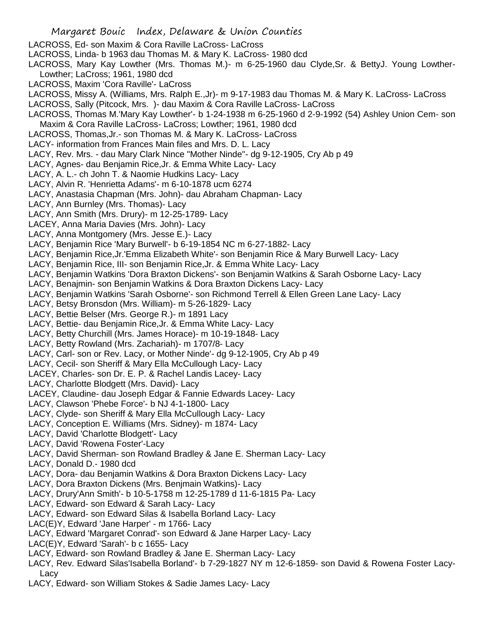- LACROSS, Ed- son Maxim & Cora Raville LaCross- LaCross
- LACROSS, Linda- b 1963 dau Thomas M. & Mary K. LaCross- 1980 dcd

LACROSS, Mary Kay Lowther (Mrs. Thomas M.)- m 6-25-1960 dau Clyde,Sr. & BettyJ. Young Lowther-Lowther; LaCross; 1961, 1980 dcd

- LACROSS, Maxim 'Cora Raville'- LaCross
- LACROSS, Missy A. (Williams, Mrs. Ralph E.,Jr)- m 9-17-1983 dau Thomas M. & Mary K. LaCross- LaCross
- LACROSS, Sally (Pitcock, Mrs. )- dau Maxim & Cora Raville LaCross- LaCross
- LACROSS, Thomas M.'Mary Kay Lowther'- b 1-24-1938 m 6-25-1960 d 2-9-1992 (54) Ashley Union Cem- son Maxim & Cora Raville LaCross- LaCross; Lowther; 1961, 1980 dcd
- LACROSS, Thomas,Jr.- son Thomas M. & Mary K. LaCross- LaCross
- LACY- information from Frances Main files and Mrs. D. L. Lacy
- LACY, Rev. Mrs. dau Mary Clark Nince "Mother Ninde"- dg 9-12-1905, Cry Ab p 49
- LACY, Agnes- dau Benjamin Rice,Jr. & Emma White Lacy- Lacy
- LACY, A. L.- ch John T. & Naomie Hudkins Lacy- Lacy
- LACY, Alvin R. 'Henrietta Adams'- m 6-10-1878 ucm 6274
- LACY, Anastasia Chapman (Mrs. John)- dau Abraham Chapman- Lacy
- LACY, Ann Burnley (Mrs. Thomas)- Lacy
- LACY, Ann Smith (Mrs. Drury)- m 12-25-1789- Lacy
- LACEY, Anna Maria Davies (Mrs. John)- Lacy
- LACY, Anna Montgomery (Mrs. Jesse E.)- Lacy
- LACY, Benjamin Rice 'Mary Burwell'- b 6-19-1854 NC m 6-27-1882- Lacy
- LACY, Benjamin Rice,Jr.'Emma Elizabeth White'- son Benjamin Rice & Mary Burwell Lacy- Lacy
- LACY, Benjamin Rice, III- son Benjamin Rice,Jr. & Emma White Lacy- Lacy
- LACY, Benjamin Watkins 'Dora Braxton Dickens'- son Benjamin Watkins & Sarah Osborne Lacy- Lacy
- LACY, Benajmin- son Benjamin Watkins & Dora Braxton Dickens Lacy- Lacy
- LACY, Benjamin Watkins 'Sarah Osborne'- son Richmond Terrell & Ellen Green Lane Lacy- Lacy
- LACY, Betsy Bronsdon (Mrs. William)- m 5-26-1829- Lacy
- LACY, Bettie Belser (Mrs. George R.)- m 1891 Lacy
- LACY, Bettie- dau Benjamin Rice,Jr. & Emma White Lacy- Lacy
- LACY, Betty Churchill (Mrs. James Horace)- m 10-19-1848- Lacy
- LACY, Betty Rowland (Mrs. Zachariah)- m 1707/8- Lacy
- LACY, Carl- son or Rev. Lacy, or Mother Ninde'- dg 9-12-1905, Cry Ab p 49
- LACY, Cecil- son Sheriff & Mary Ella McCullough Lacy- Lacy
- LACEY, Charles- son Dr. E. P. & Rachel Landis Lacey- Lacy
- LACY, Charlotte Blodgett (Mrs. David)- Lacy
- LACEY, Claudine- dau Joseph Edgar & Fannie Edwards Lacey- Lacy
- LACY, Clawson 'Phebe Force'- b NJ 4-1-1800- Lacy
- LACY, Clyde- son Sheriff & Mary Ella McCullough Lacy- Lacy
- LACY, Conception E. Williams (Mrs. Sidney)- m 1874- Lacy
- LACY, David 'Charlotte Blodgett'- Lacy
- LACY, David 'Rowena Foster'-Lacy
- LACY, David Sherman- son Rowland Bradley & Jane E. Sherman Lacy- Lacy
- LACY, Donald D.- 1980 dcd
- LACY, Dora- dau Benjamin Watkins & Dora Braxton Dickens Lacy- Lacy
- LACY, Dora Braxton Dickens (Mrs. Benjmain Watkins)- Lacy
- LACY, Drury'Ann Smith'- b 10-5-1758 m 12-25-1789 d 11-6-1815 Pa- Lacy
- LACY, Edward- son Edward & Sarah Lacy- Lacy
- LACY, Edward- son Edward Silas & Isabella Borland Lacy- Lacy
- LAC(E)Y, Edward 'Jane Harper' m 1766- Lacy
- LACY, Edward 'Margaret Conrad'- son Edward & Jane Harper Lacy- Lacy
- LAC(E)Y, Edward 'Sarah'- b c 1655- Lacy
- LACY, Edward- son Rowland Bradley & Jane E. Sherman Lacy- Lacy
- LACY, Rev. Edward Silas'Isabella Borland'- b 7-29-1827 NY m 12-6-1859- son David & Rowena Foster Lacy-Lacy
- LACY, Edward- son William Stokes & Sadie James Lacy- Lacy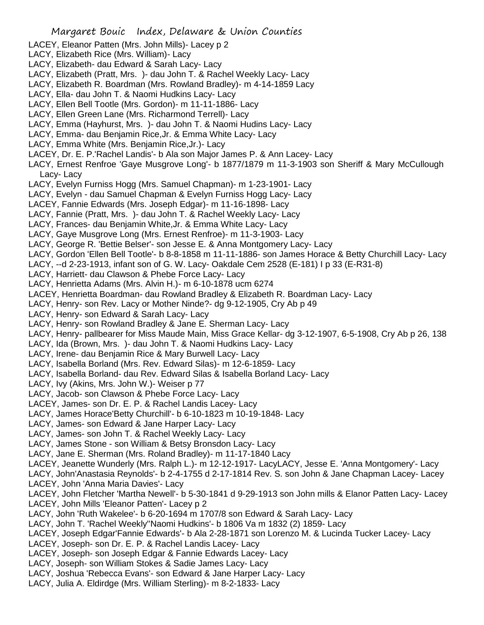- LACEY, Eleanor Patten (Mrs. John Mills)- Lacey p 2
- LACY, Elizabeth Rice (Mrs. William)- Lacy
- LACY, Elizabeth- dau Edward & Sarah Lacy- Lacy
- LACY, Elizabeth (Pratt, Mrs. )- dau John T. & Rachel Weekly Lacy- Lacy
- LACY, Elizabeth R. Boardman (Mrs. Rowland Bradley)- m 4-14-1859 Lacy
- LACY, Ella- dau John T. & Naomi Hudkins Lacy- Lacy
- LACY, Ellen Bell Tootle (Mrs. Gordon)- m 11-11-1886- Lacy
- LACY, Ellen Green Lane (Mrs. Richarmond Terrell)- Lacy
- LACY, Emma (Hayhurst, Mrs. )- dau John T. & Naomi Hudins Lacy- Lacy
- LACY, Emma- dau Benjamin Rice,Jr. & Emma White Lacy- Lacy
- LACY, Emma White (Mrs. Benjamin Rice,Jr.)- Lacy
- LACEY, Dr. E. P.'Rachel Landis'- b Ala son Major James P. & Ann Lacey- Lacy
- LACY, Ernest Renfroe 'Gaye Musgrove Long'- b 1877/1879 m 11-3-1903 son Sheriff & Mary McCullough Lacy- Lacy
- LACY, Evelyn Furniss Hogg (Mrs. Samuel Chapman)- m 1-23-1901- Lacy
- LACY, Evelyn dau Samuel Chapman & Evelyn Furniss Hogg Lacy- Lacy
- LACEY, Fannie Edwards (Mrs. Joseph Edgar)- m 11-16-1898- Lacy
- LACY, Fannie (Pratt, Mrs. )- dau John T. & Rachel Weekly Lacy- Lacy
- LACY, Frances- dau Benjamin White,Jr. & Emma White Lacy- Lacy
- LACY, Gaye Musgrove Long (Mrs. Ernest Renfroe)- m 11-3-1903- Lacy
- LACY, George R. 'Bettie Belser'- son Jesse E. & Anna Montgomery Lacy- Lacy
- LACY, Gordon 'Ellen Bell Tootle'- b 8-8-1858 m 11-11-1886- son James Horace & Betty Churchill Lacy- Lacy
- LACY, --d 2-23-1913, infant son of G. W. Lacy- Oakdale Cem 2528 (E-181) I p 33 (E-R31-8)
- LACY, Harriett- dau Clawson & Phebe Force Lacy- Lacy
- LACY, Henrietta Adams (Mrs. Alvin H.)- m 6-10-1878 ucm 6274
- LACEY, Henrietta Boardman- dau Rowland Bradley & Elizabeth R. Boardman Lacy- Lacy
- LACY, Henry- son Rev. Lacy or Mother Ninde?- dg 9-12-1905, Cry Ab p 49
- LACY, Henry- son Edward & Sarah Lacy- Lacy
- LACY, Henry- son Rowland Bradley & Jane E. Sherman Lacy- Lacy
- LACY, Henry- pallbearer for Miss Maude Main, Miss Grace Kellar- dg 3-12-1907, 6-5-1908, Cry Ab p 26, 138
- LACY, Ida (Brown, Mrs. )- dau John T. & Naomi Hudkins Lacy- Lacy
- LACY, Irene- dau Benjamin Rice & Mary Burwell Lacy- Lacy
- LACY, Isabella Borland (Mrs. Rev. Edward Silas)- m 12-6-1859- Lacy
- LACY, Isabella Borland- dau Rev. Edward Silas & Isabella Borland Lacy- Lacy
- LACY, Ivy (Akins, Mrs. John W.)- Weiser p 77
- LACY, Jacob- son Clawson & Phebe Force Lacy- Lacy
- LACEY, James- son Dr. E. P. & Rachel Landis Lacey- Lacy
- LACY, James Horace'Betty Churchill'- b 6-10-1823 m 10-19-1848- Lacy
- LACY, James- son Edward & Jane Harper Lacy- Lacy
- LACY, James- son John T. & Rachel Weekly Lacy- Lacy
- LACY, James Stone son William & Betsy Bronsdon Lacy- Lacy
- LACY, Jane E. Sherman (Mrs. Roland Bradley)- m 11-17-1840 Lacy
- LACEY, Jeanette Wunderly (Mrs. Ralph L.)- m 12-12-1917- LacyLACY, Jesse E. 'Anna Montgomery'- Lacy
- LACY, John'Anastasia Reynolds'- b 2-4-1755 d 2-17-1814 Rev. S. son John & Jane Chapman Lacey- Lacey LACEY, John 'Anna Maria Davies'- Lacy
- LACEY, John Fletcher 'Martha Newell'- b 5-30-1841 d 9-29-1913 son John mills & Elanor Patten Lacy- Lacey LACEY, John Mills 'Eleanor Patten'- Lacey p 2
- LACY, John 'Ruth Wakelee'- b 6-20-1694 m 1707/8 son Edward & Sarah Lacy- Lacy
- LACY, John T. 'Rachel Weekly''Naomi Hudkins'- b 1806 Va m 1832 (2) 1859- Lacy
- LACEY, Joseph Edgar'Fannie Edwards'- b Ala 2-28-1871 son Lorenzo M. & Lucinda Tucker Lacey- Lacy
- LACEY, Joseph- son Dr. E. P. & Rachel Landis Lacey- Lacy
- LACEY, Joseph- son Joseph Edgar & Fannie Edwards Lacey- Lacy
- LACY, Joseph- son William Stokes & Sadie James Lacy- Lacy
- LACY, Joshua 'Rebecca Evans'- son Edward & Jane Harper Lacy- Lacy
- LACY, Julia A. Eldirdge (Mrs. William Sterling)- m 8-2-1833- Lacy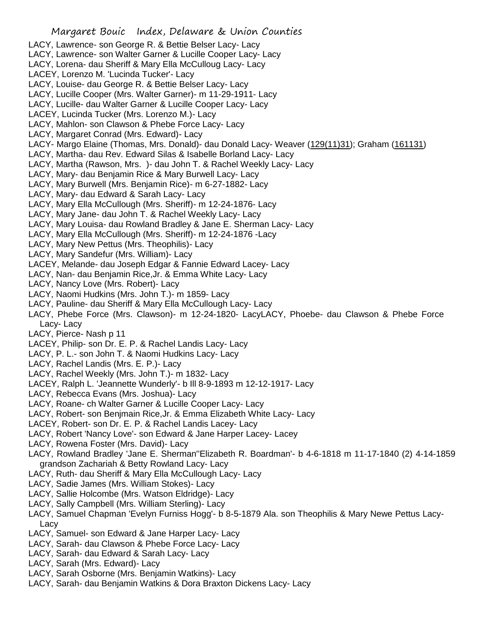- LACY, Lawrence- son George R. & Bettie Belser Lacy- Lacy
- LACY, Lawrence- son Walter Garner & Lucille Cooper Lacy- Lacy
- LACY, Lorena- dau Sheriff & Mary Ella McCulloug Lacy- Lacy
- LACEY, Lorenzo M. 'Lucinda Tucker'- Lacy
- LACY, Louise- dau George R. & Bettie Belser Lacy- Lacy
- LACY, Lucille Cooper (Mrs. Walter Garner)- m 11-29-1911- Lacy
- LACY, Lucille- dau Walter Garner & Lucille Cooper Lacy- Lacy
- LACEY, Lucinda Tucker (Mrs. Lorenzo M.)- Lacy
- LACY, Mahlon- son Clawson & Phebe Force Lacy- Lacy
- LACY, Margaret Conrad (Mrs. Edward)- Lacy
- LACY- Margo Elaine (Thomas, Mrs. Donald)- dau Donald Lacy- Weaver (129(11)31); Graham (161131)
- LACY, Martha- dau Rev. Edward Silas & Isabelle Borland Lacy- Lacy
- LACY, Martha (Rawson, Mrs. )- dau John T. & Rachel Weekly Lacy- Lacy
- LACY, Mary- dau Benjamin Rice & Mary Burwell Lacy- Lacy
- LACY, Mary Burwell (Mrs. Benjamin Rice)- m 6-27-1882- Lacy
- LACY, Mary- dau Edward & Sarah Lacy- Lacy
- LACY, Mary Ella McCullough (Mrs. Sheriff)- m 12-24-1876- Lacy
- LACY, Mary Jane- dau John T. & Rachel Weekly Lacy- Lacy
- LACY, Mary Louisa- dau Rowland Bradley & Jane E. Sherman Lacy- Lacy
- LACY, Mary Ella McCullough (Mrs. Sheriff)- m 12-24-1876 -Lacy
- LACY, Mary New Pettus (Mrs. Theophilis)- Lacy
- LACY, Mary Sandefur (Mrs. William)- Lacy
- LACEY, Melande- dau Joseph Edgar & Fannie Edward Lacey- Lacy
- LACY, Nan- dau Benjamin Rice,Jr. & Emma White Lacy- Lacy
- LACY, Nancy Love (Mrs. Robert)- Lacy
- LACY, Naomi Hudkins (Mrs. John T.)- m 1859- Lacy
- LACY, Pauline- dau Sheriff & Mary Ella McCullough Lacy- Lacy
- LACY, Phebe Force (Mrs. Clawson)- m 12-24-1820- LacyLACY, Phoebe- dau Clawson & Phebe Force Lacy- Lacy
- LACY, Pierce- Nash p 11
- LACEY, Philip- son Dr. E. P. & Rachel Landis Lacy- Lacy
- LACY, P. L.- son John T. & Naomi Hudkins Lacy- Lacy
- LACY, Rachel Landis (Mrs. E. P.)- Lacy
- LACY, Rachel Weekly (Mrs. John T.)- m 1832- Lacy
- LACEY, Ralph L. 'Jeannette Wunderly'- b Ill 8-9-1893 m 12-12-1917- Lacy
- LACY, Rebecca Evans (Mrs. Joshua)- Lacy
- LACY, Roane- ch Walter Garner & Lucille Cooper Lacy- Lacy
- LACY, Robert- son Benjmain Rice,Jr. & Emma Elizabeth White Lacy- Lacy
- LACEY, Robert- son Dr. E. P. & Rachel Landis Lacey- Lacy
- LACY, Robert 'Nancy Love'- son Edward & Jane Harper Lacey- Lacey
- LACY, Rowena Foster (Mrs. David)- Lacy
- LACY, Rowland Bradley 'Jane E. Sherman''Elizabeth R. Boardman'- b 4-6-1818 m 11-17-1840 (2) 4-14-1859 grandson Zachariah & Betty Rowland Lacy- Lacy
- LACY, Ruth- dau Sheriff & Mary Ella McCullough Lacy- Lacy
- LACY, Sadie James (Mrs. William Stokes)- Lacy
- LACY, Sallie Holcombe (Mrs. Watson Eldridge)- Lacy
- LACY, Sally Campbell (Mrs. William Sterling)- Lacy
- LACY, Samuel Chapman 'Evelyn Furniss Hogg'- b 8-5-1879 Ala. son Theophilis & Mary Newe Pettus Lacy-Lacy
- LACY, Samuel- son Edward & Jane Harper Lacy- Lacy
- LACY, Sarah- dau Clawson & Phebe Force Lacy- Lacy
- LACY, Sarah- dau Edward & Sarah Lacy- Lacy
- LACY, Sarah (Mrs. Edward)- Lacy
- LACY, Sarah Osborne (Mrs. Benjamin Watkins)- Lacy
- LACY, Sarah- dau Benjamin Watkins & Dora Braxton Dickens Lacy- Lacy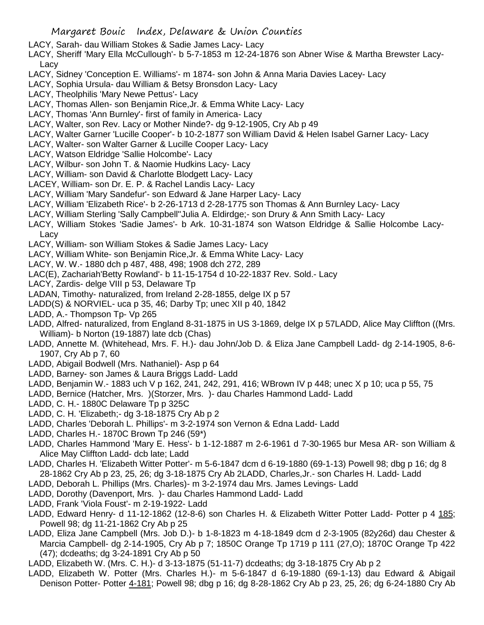- LACY, Sarah- dau William Stokes & Sadie James Lacy- Lacy
- LACY, Sheriff 'Mary Ella McCullough'- b 5-7-1853 m 12-24-1876 son Abner Wise & Martha Brewster Lacy-Lacy
- LACY, Sidney 'Conception E. Williams'- m 1874- son John & Anna Maria Davies Lacey- Lacy
- LACY, Sophia Ursula- dau William & Betsy Bronsdon Lacy- Lacy
- LACY, Theolphilis 'Mary Newe Pettus'- Lacy
- LACY, Thomas Allen- son Benjamin Rice,Jr. & Emma White Lacy- Lacy
- LACY, Thomas 'Ann Burnley'- first of family in America- Lacy
- LACY, Walter, son Rev. Lacy or Mother Ninde?- dg 9-12-1905, Cry Ab p 49
- LACY, Walter Garner 'Lucille Cooper'- b 10-2-1877 son William David & Helen Isabel Garner Lacy- Lacy
- LACY, Walter- son Walter Garner & Lucille Cooper Lacy- Lacy
- LACY, Watson Eldridge 'Sallie Holcombe'- Lacy
- LACY, Wilbur- son John T. & Naomie Hudkins Lacy- Lacy
- LACY, William- son David & Charlotte Blodgett Lacy- Lacy
- LACEY, William- son Dr. E. P. & Rachel Landis Lacy- Lacy
- LACY, William 'Mary Sandefur'- son Edward & Jane Harper Lacy- Lacy
- LACY, William 'Elizabeth Rice'- b 2-26-1713 d 2-28-1775 son Thomas & Ann Burnley Lacy- Lacy
- LACY, William Sterling 'Sally Campbell''Julia A. Eldirdge;- son Drury & Ann Smith Lacy- Lacy
- LACY, William Stokes 'Sadie James'- b Ark. 10-31-1874 son Watson Eldridge & Sallie Holcombe Lacy-Lacy
- LACY, William- son William Stokes & Sadie James Lacy- Lacy
- LACY, William White- son Benjamin Rice,Jr. & Emma White Lacy- Lacy
- LACY, W. W.- 1880 dch p 487, 488, 498; 1908 dch 272, 289
- LAC(E), Zachariah'Betty Rowland'- b 11-15-1754 d 10-22-1837 Rev. Sold.- Lacy
- LACY, Zardis- delge VIII p 53, Delaware Tp
- LADAN, Timothy- naturalized, from Ireland 2-28-1855, delge IX p 57
- LADD(S) & NORVIEL- uca p 35, 46; Darby Tp; unec XII p 40, 1842
- LADD, A.- Thompson Tp- Vp 265
- LADD, Alfred- naturalized, from England 8-31-1875 in US 3-1869, delge IX p 57LADD, Alice May Cliffton ((Mrs. William)- b Norton (19-1887) late dcb (Chas)
- LADD, Annette M. (Whitehead, Mrs. F. H.)- dau John/Job D. & Eliza Jane Campbell Ladd- dg 2-14-1905, 8-6- 1907, Cry Ab p 7, 60
- LADD, Abigail Bodwell (Mrs. Nathaniel)- Asp p 64
- LADD, Barney- son James & Laura Briggs Ladd- Ladd
- LADD, Benjamin W.- 1883 uch V p 162, 241, 242, 291, 416; WBrown IV p 448; unec X p 10; uca p 55, 75
- LADD, Bernice (Hatcher, Mrs. )(Storzer, Mrs. )- dau Charles Hammond Ladd- Ladd
- LADD, C. H.- 1880C Delaware Tp p 325C
- LADD, C. H. 'Elizabeth;- dg 3-18-1875 Cry Ab p 2
- LADD, Charles 'Deborah L. Phillips'- m 3-2-1974 son Vernon & Edna Ladd- Ladd
- LADD, Charles H.- 1870C Brown Tp 246 (59\*)
- LADD, Charles Hammond 'Mary E. Hess'- b 1-12-1887 m 2-6-1961 d 7-30-1965 bur Mesa AR- son William & Alice May Cliffton Ladd- dcb late; Ladd
- LADD, Charles H. 'Elizabeth Witter Potter'- m 5-6-1847 dcm d 6-19-1880 (69-1-13) Powell 98; dbg p 16; dg 8 28-1862 Cry Ab p 23, 25, 26; dg 3-18-1875 Cry Ab 2LADD, Charles,Jr.- son Charles H. Ladd- Ladd
- LADD, Deborah L. Phillips (Mrs. Charles)- m 3-2-1974 dau Mrs. James Levings- Ladd
- LADD, Dorothy (Davenport, Mrs. )- dau Charles Hammond Ladd- Ladd
- LADD, Frank 'Viola Foust'- m 2-19-1922- Ladd
- LADD, Edward Henry- d 11-12-1862 (12-8-6) son Charles H. & Elizabeth Witter Potter Ladd- Potter p 4 185; Powell 98; dg 11-21-1862 Cry Ab p 25
- LADD, Eliza Jane Campbell (Mrs. Job D.)- b 1-8-1823 m 4-18-1849 dcm d 2-3-1905 (82y26d) dau Chester & Marcia Campbell- dg 2-14-1905, Cry Ab p 7; 1850C Orange Tp 1719 p 111 (27,O); 1870C Orange Tp 422 (47); dcdeaths; dg 3-24-1891 Cry Ab p 50
- LADD, Elizabeth W. (Mrs. C. H.)- d 3-13-1875 (51-11-7) dcdeaths; dg 3-18-1875 Cry Ab p 2
- LADD, Elizabeth W. Potter (Mrs. Charles H.)- m 5-6-1847 d 6-19-1880 (69-1-13) dau Edward & Abigail Denison Potter- Potter 4-181; Powell 98; dbg p 16; dg 8-28-1862 Cry Ab p 23, 25, 26; dg 6-24-1880 Cry Ab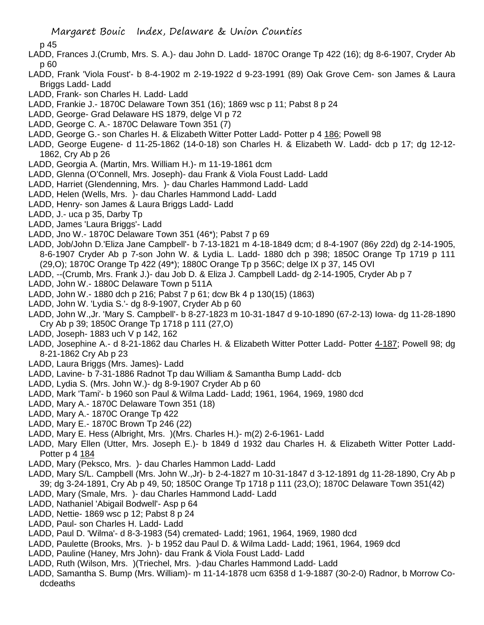p 45

- LADD, Frances J.(Crumb, Mrs. S. A.)- dau John D. Ladd- 1870C Orange Tp 422 (16); dg 8-6-1907, Cryder Ab p 60
- LADD, Frank 'Viola Foust'- b 8-4-1902 m 2-19-1922 d 9-23-1991 (89) Oak Grove Cem- son James & Laura Briggs Ladd- Ladd
- LADD, Frank- son Charles H. Ladd- Ladd
- LADD, Frankie J.- 1870C Delaware Town 351 (16); 1869 wsc p 11; Pabst 8 p 24
- LADD, George- Grad Delaware HS 1879, delge VI p 72
- LADD, George C. A.- 1870C Delaware Town 351 (7)
- LADD, George G.- son Charles H. & Elizabeth Witter Potter Ladd- Potter p 4 186; Powell 98
- LADD, George Eugene- d 11-25-1862 (14-0-18) son Charles H. & Elizabeth W. Ladd- dcb p 17; dg 12-12- 1862, Cry Ab p 26
- LADD, Georgia A. (Martin, Mrs. William H.)- m 11-19-1861 dcm
- LADD, Glenna (O'Connell, Mrs. Joseph)- dau Frank & Viola Foust Ladd- Ladd
- LADD, Harriet (Glendenning, Mrs. )- dau Charles Hammond Ladd- Ladd
- LADD, Helen (Wells, Mrs. )- dau Charles Hammond Ladd- Ladd
- LADD, Henry- son James & Laura Briggs Ladd- Ladd
- LADD, J.- uca p 35, Darby Tp
- LADD, James 'Laura Briggs'- Ladd
- LADD, Jno W.- 1870C Delaware Town 351 (46\*); Pabst 7 p 69
- LADD, Job/John D.'Eliza Jane Campbell'- b 7-13-1821 m 4-18-1849 dcm; d 8-4-1907 (86y 22d) dg 2-14-1905, 8-6-1907 Cryder Ab p 7-son John W. & Lydia L. Ladd- 1880 dch p 398; 1850C Orange Tp 1719 p 111 (29,O); 1870C Orange Tp 422 (49\*); 1880C Orange Tp p 356C; delge IX p 37, 145 OVI
- LADD, --(Crumb, Mrs. Frank J.)- dau Job D. & Eliza J. Campbell Ladd- dg 2-14-1905, Cryder Ab p 7
- LADD, John W.- 1880C Delaware Town p 511A
- LADD, John W.- 1880 dch p 216; Pabst 7 p 61; dcw Bk 4 p 130(15) (1863)
- LADD, John W. 'Lydia S.'- dg 8-9-1907, Cryder Ab p 60
- LADD, John W.,Jr. 'Mary S. Campbell'- b 8-27-1823 m 10-31-1847 d 9-10-1890 (67-2-13) Iowa- dg 11-28-1890 Cry Ab p 39; 1850C Orange Tp 1718 p 111 (27,O)
- LADD, Joseph- 1883 uch V p 142, 162
- LADD, Josephine A.- d 8-21-1862 dau Charles H. & Elizabeth Witter Potter Ladd- Potter 4-187; Powell 98; dg 8-21-1862 Cry Ab p 23
- LADD, Laura Briggs (Mrs. James)- Ladd
- LADD, Lavine- b 7-31-1886 Radnot Tp dau William & Samantha Bump Ladd- dcb
- LADD, Lydia S. (Mrs. John W.)- dg 8-9-1907 Cryder Ab p 60
- LADD, Mark 'Tami'- b 1960 son Paul & Wilma Ladd- Ladd; 1961, 1964, 1969, 1980 dcd
- LADD, Mary A.- 1870C Delaware Town 351 (18)
- LADD, Mary A.- 1870C Orange Tp 422
- LADD, Mary E.- 1870C Brown Tp 246 (22)
- LADD, Mary E. Hess (Albright, Mrs. )(Mrs. Charles H.)- m(2) 2-6-1961- Ladd
- LADD, Mary Ellen (Utter, Mrs. Joseph E.)- b 1849 d 1932 dau Charles H. & Elizabeth Witter Potter Ladd-Potter p 4 184
- LADD, Mary (Peksco, Mrs. )- dau Charles Hammon Ladd- Ladd
- LADD, Mary S/L. Campbell (Mrs. John W.,Jr)- b 2-4-1827 m 10-31-1847 d 3-12-1891 dg 11-28-1890, Cry Ab p 39; dg 3-24-1891, Cry Ab p 49, 50; 1850C Orange Tp 1718 p 111 (23,O); 1870C Delaware Town 351(42)
- LADD, Mary (Smale, Mrs. )- dau Charles Hammond Ladd- Ladd
- LADD, Nathaniel 'Abigail Bodwell'- Asp p 64
- LADD, Nettie- 1869 wsc p 12; Pabst 8 p 24
- LADD, Paul- son Charles H. Ladd- Ladd
- LADD, Paul D. 'Wilma'- d 8-3-1983 (54) cremated- Ladd; 1961, 1964, 1969, 1980 dcd
- LADD, Paulette (Brooks, Mrs. )- b 1952 dau Paul D. & Wilma Ladd- Ladd; 1961, 1964, 1969 dcd
- LADD, Pauline (Haney, Mrs John)- dau Frank & Viola Foust Ladd- Ladd
- LADD, Ruth (Wilson, Mrs. )(Triechel, Mrs. )-dau Charles Hammond Ladd- Ladd
- LADD, Samantha S. Bump (Mrs. William)- m 11-14-1878 ucm 6358 d 1-9-1887 (30-2-0) Radnor, b Morrow Codcdeaths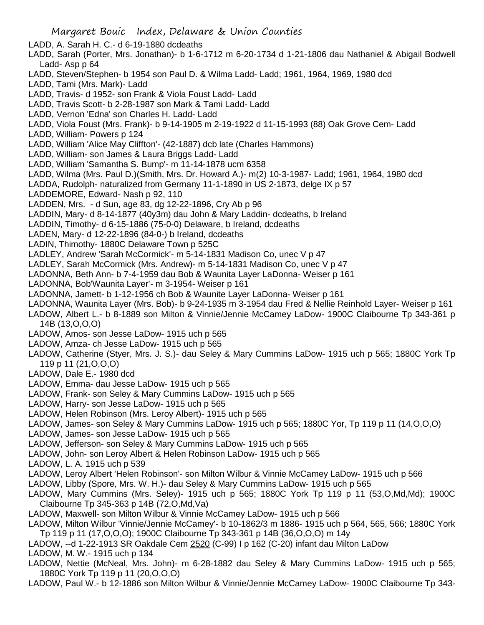- LADD, A. Sarah H. C.- d 6-19-1880 dcdeaths
- LADD, Sarah (Porter, Mrs. Jonathan)- b 1-6-1712 m 6-20-1734 d 1-21-1806 dau Nathaniel & Abigail Bodwell Ladd- Asp p 64
- LADD, Steven/Stephen- b 1954 son Paul D. & Wilma Ladd- Ladd; 1961, 1964, 1969, 1980 dcd
- LADD, Tami (Mrs. Mark)- Ladd
- LADD, Travis- d 1952- son Frank & Viola Foust Ladd- Ladd
- LADD, Travis Scott- b 2-28-1987 son Mark & Tami Ladd- Ladd
- LADD, Vernon 'Edna' son Charles H. Ladd- Ladd
- LADD, Viola Foust (Mrs. Frank)- b 9-14-1905 m 2-19-1922 d 11-15-1993 (88) Oak Grove Cem- Ladd
- LADD, William- Powers p 124
- LADD, William 'Alice May Cliffton'- (42-1887) dcb late (Charles Hammons)
- LADD, William- son James & Laura Briggs Ladd- Ladd
- LADD, William 'Samantha S. Bump'- m 11-14-1878 ucm 6358
- LADD, Wilma (Mrs. Paul D.)(Smith, Mrs. Dr. Howard A.)- m(2) 10-3-1987- Ladd; 1961, 1964, 1980 dcd
- LADDA, Rudolph- naturalized from Germany 11-1-1890 in US 2-1873, delge IX p 57
- LADDEMORE, Edward- Nash p 92, 110
- LADDEN, Mrs. d Sun, age 83, dg 12-22-1896, Cry Ab p 96
- LADDIN, Mary- d 8-14-1877 (40y3m) dau John & Mary Laddin- dcdeaths, b Ireland
- LADDIN, Timothy- d 6-15-1886 (75-0-0) Delaware, b Ireland, dcdeaths
- LADEN, Mary- d 12-22-1896 (84-0-) b Ireland, dcdeaths
- LADIN, Thimothy- 1880C Delaware Town p 525C
- LADLEY, Andrew 'Sarah McCormick'- m 5-14-1831 Madison Co, unec V p 47
- LADLEY, Sarah McCormick (Mrs. Andrew)- m 5-14-1831 Madison Co, unec V p 47
- LADONNA, Beth Ann- b 7-4-1959 dau Bob & Waunita Layer LaDonna- Weiser p 161
- LADONNA, Bob'Waunita Layer'- m 3-1954- Weiser p 161
- LADONNA, Jamett- b 1-12-1956 ch Bob & Waunite Layer LaDonna- Weiser p 161
- LADONNA, Waunita Layer (Mrs. Bob)- b 9-24-1935 m 3-1954 dau Fred & Nellie Reinhold Layer- Weiser p 161
- LADOW, Albert L.- b 8-1889 son Milton & Vinnie/Jennie McCamey LaDow- 1900C Claibourne Tp 343-361 p 14B (13,O,O,O)
- LADOW, Amos- son Jesse LaDow- 1915 uch p 565
- LADOW, Amza- ch Jesse LaDow- 1915 uch p 565
- LADOW, Catherine (Styer, Mrs. J. S.)- dau Seley & Mary Cummins LaDow- 1915 uch p 565; 1880C York Tp 119 p 11 (21,O,O,O)
- LADOW, Dale E.- 1980 dcd
- LADOW, Emma- dau Jesse LaDow- 1915 uch p 565
- LADOW, Frank- son Seley & Mary Cummins LaDow- 1915 uch p 565
- LADOW, Harry- son Jesse LaDow- 1915 uch p 565
- LADOW, Helen Robinson (Mrs. Leroy Albert)- 1915 uch p 565
- LADOW, James- son Seley & Mary Cummins LaDow- 1915 uch p 565; 1880C Yor, Tp 119 p 11 (14,O,O,O)
- LADOW, James- son Jesse LaDow- 1915 uch p 565
- LADOW, Jefferson- son Seley & Mary Cummins LaDow- 1915 uch p 565
- LADOW, John- son Leroy Albert & Helen Robinson LaDow- 1915 uch p 565
- LADOW, L. A. 1915 uch p 539
- LADOW, Leroy Albert 'Helen Robinson'- son Milton Wilbur & Vinnie McCamey LaDow- 1915 uch p 566
- LADOW, Libby (Spore, Mrs. W. H.)- dau Seley & Mary Cummins LaDow- 1915 uch p 565
- LADOW, Mary Cummins (Mrs. Seley)- 1915 uch p 565; 1880C York Tp 119 p 11 (53,O,Md,Md); 1900C Claibourne Tp 345-363 p 14B (72,O,Md,Va)
- LADOW, Maxwell- son Milton Wilbur & Vinnie McCamey LaDow- 1915 uch p 566
- LADOW, Milton Wilbur 'Vinnie/Jennie McCamey'- b 10-1862/3 m 1886- 1915 uch p 564, 565, 566; 1880C York Tp 119 p 11 (17,O,O,O); 1900C Claibourne Tp 343-361 p 14B (36,O,O,O) m 14y
- LADOW, --d 1-22-1913 SR Oakdale Cem 2520 (C-99) I p 162 (C-20) infant dau Milton LaDow
- LADOW, M. W.- 1915 uch p 134
- LADOW, Nettie (McNeal, Mrs. John)- m 6-28-1882 dau Seley & Mary Cummins LaDow- 1915 uch p 565; 1880C York Tp 119 p 11 (20,O,O,O)
- LADOW, Paul W.- b 12-1886 son Milton Wilbur & Vinnie/Jennie McCamey LaDow- 1900C Claibourne Tp 343-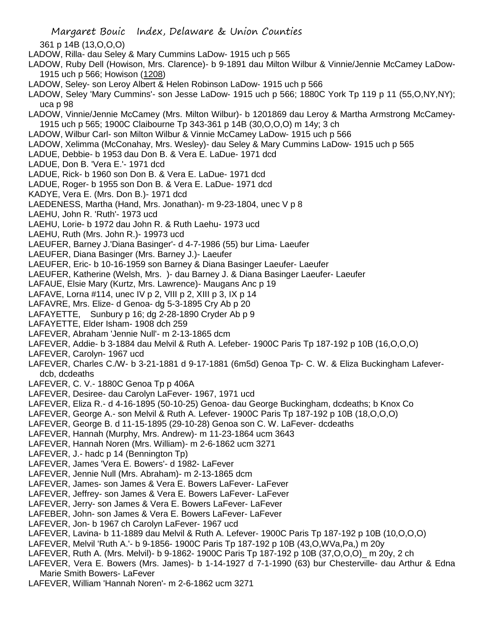Margaret Bouic Index, Delaware & Union Counties 361 p 14B (13,O,O,O) LADOW, Rilla- dau Seley & Mary Cummins LaDow- 1915 uch p 565 LADOW, Ruby Dell (Howison, Mrs. Clarence)- b 9-1891 dau Milton Wilbur & Vinnie/Jennie McCamey LaDow-1915 uch p 566; Howison (1208) LADOW, Seley- son Leroy Albert & Helen Robinson LaDow- 1915 uch p 566 LADOW, Seley 'Mary Cummins'- son Jesse LaDow- 1915 uch p 566; 1880C York Tp 119 p 11 (55,O,NY,NY); uca p 98 LADOW, Vinnie/Jennie McCamey (Mrs. Milton Wilbur)- b 1201869 dau Leroy & Martha Armstrong McCamey-1915 uch p 565; 1900C Claibourne Tp 343-361 p 14B (30,O,O,O) m 14y; 3 ch LADOW, Wilbur Carl- son Milton Wilbur & Vinnie McCamey LaDow- 1915 uch p 566 LADOW, Xelimma (McConahay, Mrs. Wesley)- dau Seley & Mary Cummins LaDow- 1915 uch p 565 LADUE, Debbie- b 1953 dau Don B. & Vera E. LaDue- 1971 dcd LADUE, Don B. 'Vera E.'- 1971 dcd LADUE, Rick- b 1960 son Don B. & Vera E. LaDue- 1971 dcd LADUE, Roger- b 1955 son Don B. & Vera E. LaDue- 1971 dcd KADYE, Vera E. (Mrs. Don B.)- 1971 dcd LAEDENESS, Martha (Hand, Mrs. Jonathan)- m 9-23-1804, unec V p 8 LAEHU, John R. 'Ruth'- 1973 ucd LAEHU, Lorie- b 1972 dau John R. & Ruth Laehu- 1973 ucd LAEHU, Ruth (Mrs. John R.)- 19973 ucd LAEUFER, Barney J.'Diana Basinger'- d 4-7-1986 (55) bur Lima- Laeufer LAEUFER, Diana Basinger (Mrs. Barney J.)- Laeufer LAEUFER, Eric- b 10-16-1959 son Barney & Diana Basinger Laeufer- Laeufer LAEUFER, Katherine (Welsh, Mrs. )- dau Barney J. & Diana Basinger Laeufer- Laeufer LAFAUE, Elsie Mary (Kurtz, Mrs. Lawrence)- Maugans Anc p 19 LAFAVE, Lorna #114, unec IV p 2, VIII p 2, XIII p 3, IX p 14 LAFAVRE, Mrs. Elize- d Genoa- dg 5-3-1895 Cry Ab p 20 LAFAYETTE, Sunbury p 16; dg 2-28-1890 Cryder Ab p 9 LAFAYETTE, Elder Isham- 1908 dch 259 LAFEVER, Abraham 'Jennie Null'- m 2-13-1865 dcm LAFEVER, Addie- b 3-1884 dau Melvil & Ruth A. Lefeber- 1900C Paris Tp 187-192 p 10B (16,O,O,O) LAFEVER, Carolyn- 1967 ucd LAFEVER, Charles C./W- b 3-21-1881 d 9-17-1881 (6m5d) Genoa Tp- C. W. & Eliza Buckingham Lafeverdcb, dcdeaths LAFEVER, C. V.- 1880C Genoa Tp p 406A LAFEVER, Desiree- dau Carolyn LaFever- 1967, 1971 ucd LAFEVER, Eliza R.- d 4-16-1895 (50-10-25) Genoa- dau George Buckingham, dcdeaths; b Knox Co LAFEVER, George A.- son Melvil & Ruth A. Lefever- 1900C Paris Tp 187-192 p 10B (18,O,O,O) LAFEVER, George B. d 11-15-1895 (29-10-28) Genoa son C. W. LaFever- dcdeaths LAFEVER, Hannah (Murphy, Mrs. Andrew)- m 11-23-1864 ucm 3643 LAFEVER, Hannah Noren (Mrs. William)- m 2-6-1862 ucm 3271 LAFEVER, J.- hadc p 14 (Bennington Tp) LAFEVER, James 'Vera E. Bowers'- d 1982- LaFever LAFEVER, Jennie Null (Mrs. Abraham)- m 2-13-1865 dcm LAFEVER, James- son James & Vera E. Bowers LaFever- LaFever

- LAFEVER, Jeffrey- son James & Vera E. Bowers LaFever- LaFever
- LAFEVER, Jerry- son James & Vera E. Bowers LaFever- LaFever
- LAFEBER, John- son James & Vera E. Bowers LaFever- LaFever
- LAFEVER, Jon- b 1967 ch Carolyn LaFever- 1967 ucd
- LAFEVER, Lavina- b 11-1889 dau Melvil & Ruth A. Lefever- 1900C Paris Tp 187-192 p 10B (10,O,O,O)
- LAFEVER, Melvil 'Ruth A.'- b 9-1856- 1900C Paris Tp 187-192 p 10B (43,O,WVa,Pa,) m 20y
- LAFEVER, Ruth A. (Mrs. Melvil)- b 9-1862- 1900C Paris Tp 187-192 p 10B (37,O,O,O)\_ m 20y, 2 ch
- LAFEVER, Vera E. Bowers (Mrs. James)- b 1-14-1927 d 7-1-1990 (63) bur Chesterville- dau Arthur & Edna Marie Smith Bowers- LaFever
- LAFEVER, William 'Hannah Noren'- m 2-6-1862 ucm 3271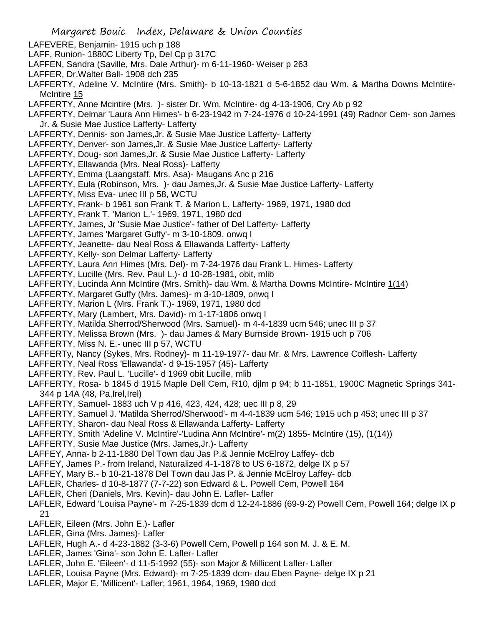- Margaret Bouic Index, Delaware & Union Counties LAFEVERE, Benjamin- 1915 uch p 188 LAFF, Runion- 1880C Liberty Tp, Del Cp p 317C LAFFEN, Sandra (Saville, Mrs. Dale Arthur)- m 6-11-1960- Weiser p 263 LAFFER, Dr.Walter Ball- 1908 dch 235 LAFFERTY, Adeline V. McIntire (Mrs. Smith)- b 10-13-1821 d 5-6-1852 dau Wm. & Martha Downs McIntire-McIntire 15 LAFFERTY, Anne Mcintire (Mrs. )- sister Dr. Wm. McIntire- dg 4-13-1906, Cry Ab p 92 LAFFERTY, Delmar 'Laura Ann Himes'- b 6-23-1942 m 7-24-1976 d 10-24-1991 (49) Radnor Cem- son James Jr. & Susie Mae Justice Lafferty- Lafferty LAFFERTY, Dennis- son James,Jr. & Susie Mae Justice Lafferty- Lafferty LAFFERTY, Denver- son James,Jr. & Susie Mae Justice Lafferty- Lafferty LAFFERTY, Doug- son James,Jr. & Susie Mae Justice Lafferty- Lafferty LAFFERTY, Ellawanda (Mrs. Neal Ross)- Lafferty LAFFERTY, Emma (Laangstaff, Mrs. Asa)- Maugans Anc p 216 LAFFERTY, Eula (Robinson, Mrs. )- dau James,Jr. & Susie Mae Justice Lafferty- Lafferty LAFFERTY, Miss Eva- unec III p 58, WCTU LAFFERTY, Frank- b 1961 son Frank T. & Marion L. Lafferty- 1969, 1971, 1980 dcd LAFFERTY, Frank T. 'Marion L.'- 1969, 1971, 1980 dcd LAFFERTY, James, Jr 'Susie Mae Justice'- father of Del Lafferty- Lafferty LAFFERTY, James 'Margaret Guffy'- m 3-10-1809, onwq I LAFFERTY, Jeanette- dau Neal Ross & Ellawanda Lafferty- Lafferty LAFFERTY, Kelly- son Delmar Lafferty- Lafferty LAFFERTY, Laura Ann Himes (Mrs. Del)- m 7-24-1976 dau Frank L. Himes- Lafferty LAFFERTY, Lucille (Mrs. Rev. Paul L.)- d 10-28-1981, obit, mlib LAFFERTY, Lucinda Ann McIntire (Mrs. Smith)- dau Wm. & Martha Downs McIntire- McIntire 1(14) LAFFERTY, Margaret Guffy (Mrs. James)- m 3-10-1809, onwq I LAFFERTY, Marion L (Mrs. Frank T.)- 1969, 1971, 1980 dcd LAFFERTY, Mary (Lambert, Mrs. David)- m 1-17-1806 onwq I LAFFERTY, Matilda Sherrod/Sherwood (Mrs. Samuel)- m 4-4-1839 ucm 546; unec III p 37 LAFFERTY, Melissa Brown (Mrs. )- dau James & Mary Burnside Brown- 1915 uch p 706 LAFFERTY, Miss N. E.- unec III p 57, WCTU LAFFERTy, Nancy (Sykes, Mrs. Rodney)- m 11-19-1977- dau Mr. & Mrs. Lawrence Colflesh- Lafferty LAFFERTY, Neal Ross 'Ellawanda'- d 9-15-1957 (45)- Lafferty LAFFERTY, Rev. Paul L. 'Lucille'- d 1969 obit Lucille, mlib LAFFERTY, Rosa- b 1845 d 1915 Maple Dell Cem, R10, djlm p 94; b 11-1851, 1900C Magnetic Springs 341- 344 p 14A (48, Pa,Irel,Irel) LAFFERTY, Samuel- 1883 uch V p 416, 423, 424, 428; uec III p 8, 29 LAFFERTY, Samuel J. 'Matilda Sherrod/Sherwood'- m 4-4-1839 ucm 546; 1915 uch p 453; unec III p 37 LAFFERTY, Sharon- dau Neal Ross & Ellawanda Lafferty- Lafferty LAFFERTY, Smith 'Adeline V. McIntire'-'Ludina Ann McIntire'- m(2) 1855- McIntire (15), (1(14)) LAFFERTY, Susie Mae Justice (Mrs. James,Jr.)- Lafferty LAFFEY, Anna- b 2-11-1880 Del Town dau Jas P.& Jennie McElroy Laffey- dcb LAFFEY, James P.- from Ireland, Naturalized 4-1-1878 to US 6-1872, delge IX p 57 LAFFEY, Mary B.- b 10-21-1878 Del Town dau Jas P. & Jennie McElroy Laffey- dcb LAFLER, Charles- d 10-8-1877 (7-7-22) son Edward & L. Powell Cem, Powell 164 LAFLER, Cheri (Daniels, Mrs. Kevin)- dau John E. Lafler- Lafler LAFLER, Edward 'Louisa Payne'- m 7-25-1839 dcm d 12-24-1886 (69-9-2) Powell Cem, Powell 164; delge IX p 21 LAFLER, Eileen (Mrs. John E.)- Lafler LAFLER, Gina (Mrs. James)- Lafler LAFLER, Hugh A.- d 4-23-1882 (3-3-6) Powell Cem, Powell p 164 son M. J. & E. M. LAFLER, James 'Gina'- son John E. Lafler- Lafler LAFLER, John E. 'Eileen'- d 11-5-1992 (55)- son Major & Millicent Lafler- Lafler
- LAFLER, Louisa Payne (Mrs. Edward)- m 7-25-1839 dcm- dau Eben Payne- delge IX p 21
- LAFLER, Major E. 'Millicent'- Lafler; 1961, 1964, 1969, 1980 dcd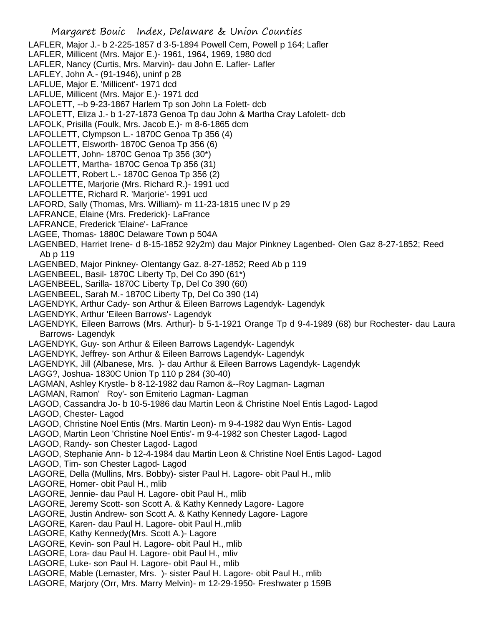Margaret Bouic Index, Delaware & Union Counties LAFLER, Major J.- b 2-225-1857 d 3-5-1894 Powell Cem, Powell p 164; Lafler LAFLER, Millicent (Mrs. Major E.)- 1961, 1964, 1969, 1980 dcd LAFLER, Nancy (Curtis, Mrs. Marvin)- dau John E. Lafler- Lafler LAFLEY, John A.- (91-1946), uninf p 28 LAFLUE, Major E. 'Millicent'- 1971 dcd LAFLUE, Millicent (Mrs. Major E.)- 1971 dcd LAFOLETT, --b 9-23-1867 Harlem Tp son John La Folett- dcb LAFOLETT, Eliza J.- b 1-27-1873 Genoa Tp dau John & Martha Cray Lafolett- dcb LAFOLK, Prisilla (Foulk, Mrs. Jacob E.)- m 8-6-1865 dcm LAFOLLETT, Clympson L.- 1870C Genoa Tp 356 (4) LAFOLLETT, Elsworth- 1870C Genoa Tp 356 (6) LAFOLLETT, John- 1870C Genoa Tp 356 (30\*) LAFOLLETT, Martha- 1870C Genoa Tp 356 (31) LAFOLLETT, Robert L.- 1870C Genoa Tp 356 (2) LAFOLLETTE, Marjorie (Mrs. Richard R.)- 1991 ucd LAFOLLETTE, Richard R. 'Marjorie'- 1991 ucd LAFORD, Sally (Thomas, Mrs. William)- m 11-23-1815 unec IV p 29 LAFRANCE, Elaine (Mrs. Frederick)- LaFrance LAFRANCE, Frederick 'Elaine'- LaFrance LAGEE, Thomas- 1880C Delaware Town p 504A LAGENBED, Harriet Irene- d 8-15-1852 92y2m) dau Major Pinkney Lagenbed- Olen Gaz 8-27-1852; Reed Ab p 119 LAGENBED, Major Pinkney- Olentangy Gaz. 8-27-1852; Reed Ab p 119 LAGENBEEL, Basil- 1870C Liberty Tp, Del Co 390 (61\*) LAGENBEEL, Sarilla- 1870C Liberty Tp, Del Co 390 (60) LAGENBEEL, Sarah M.- 1870C Liberty Tp, Del Co 390 (14) LAGENDYK, Arthur Cady- son Arthur & Eileen Barrows Lagendyk- Lagendyk LAGENDYK, Arthur 'Eileen Barrows'- Lagendyk LAGENDYK, Eileen Barrows (Mrs. Arthur)- b 5-1-1921 Orange Tp d 9-4-1989 (68) bur Rochester- dau Laura Barrows- Lagendyk LAGENDYK, Guy- son Arthur & Eileen Barrows Lagendyk- Lagendyk LAGENDYK, Jeffrey- son Arthur & Eileen Barrows Lagendyk- Lagendyk LAGENDYK, Jill (Albanese, Mrs. )- dau Arthur & Eileen Barrows Lagendyk- Lagendyk LAGG?, Joshua- 1830C Union Tp 110 p 284 (30-40) LAGMAN, Ashley Krystle- b 8-12-1982 dau Ramon &--Roy Lagman- Lagman LAGMAN, Ramon' Roy'- son Emiterio Lagman- Lagman LAGOD, Cassandra Jo- b 10-5-1986 dau Martin Leon & Christine Noel Entis Lagod- Lagod LAGOD, Chester- Lagod LAGOD, Christine Noel Entis (Mrs. Martin Leon)- m 9-4-1982 dau Wyn Entis- Lagod LAGOD, Martin Leon 'Christine Noel Entis'- m 9-4-1982 son Chester Lagod- Lagod LAGOD, Randy- son Chester Lagod- Lagod LAGOD, Stephanie Ann- b 12-4-1984 dau Martin Leon & Christine Noel Entis Lagod- Lagod LAGOD, Tim- son Chester Lagod- Lagod LAGORE, Della (Mullins, Mrs. Bobby)- sister Paul H. Lagore- obit Paul H., mlib LAGORE, Homer- obit Paul H., mlib LAGORE, Jennie- dau Paul H. Lagore- obit Paul H., mlib LAGORE, Jeremy Scott- son Scott A. & Kathy Kennedy Lagore- Lagore LAGORE, Justin Andrew- son Scott A. & Kathy Kennedy Lagore- Lagore LAGORE, Karen- dau Paul H. Lagore- obit Paul H.,mlib LAGORE, Kathy Kennedy(Mrs. Scott A.)- Lagore LAGORE, Kevin- son Paul H. Lagore- obit Paul H., mlib LAGORE, Lora- dau Paul H. Lagore- obit Paul H., mliv LAGORE, Luke- son Paul H. Lagore- obit Paul H., mlib LAGORE, Mable (Lemaster, Mrs. )- sister Paul H. Lagore- obit Paul H., mlib LAGORE, Marjory (Orr, Mrs. Marry Melvin)- m 12-29-1950- Freshwater p 159B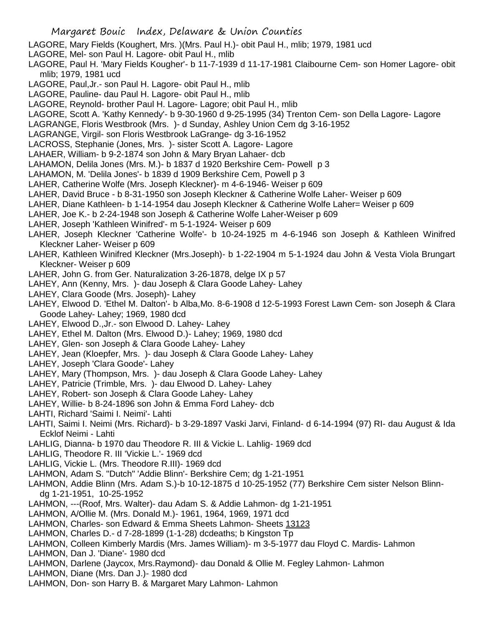LAGORE, Mary Fields (Koughert, Mrs. )(Mrs. Paul H.)- obit Paul H., mlib; 1979, 1981 ucd

- LAGORE, Mel- son Paul H. Lagore- obit Paul H., mlib
- LAGORE, Paul H. 'Mary Fields Kougher'- b 11-7-1939 d 11-17-1981 Claibourne Cem- son Homer Lagore- obit mlib; 1979, 1981 ucd
- LAGORE, Paul,Jr.- son Paul H. Lagore- obit Paul H., mlib
- LAGORE, Pauline- dau Paul H. Lagore- obit Paul H., mlib
- LAGORE, Reynold- brother Paul H. Lagore- Lagore; obit Paul H., mlib
- LAGORE, Scott A. 'Kathy Kennedy'- b 9-30-1960 d 9-25-1995 (34) Trenton Cem- son Della Lagore- Lagore
- LAGRANGE, Floris Westbrook (Mrs. )- d Sunday, Ashley Union Cem dg 3-16-1952
- LAGRANGE, Virgil- son Floris Westbrook LaGrange- dg 3-16-1952
- LACROSS, Stephanie (Jones, Mrs. )- sister Scott A. Lagore- Lagore
- LAHAER, William- b 9-2-1874 son John & Mary Bryan Lahaer- dcb
- LAHAMON, Delila Jones (Mrs. M.)- b 1837 d 1920 Berkshire Cem- Powell p 3
- LAHAMON, M. 'Delila Jones'- b 1839 d 1909 Berkshire Cem, Powell p 3
- LAHER, Catherine Wolfe (Mrs. Joseph Kleckner)- m 4-6-1946- Weiser p 609
- LAHER, David Bruce b 8-31-1950 son Joseph Kleckner & Catherine Wolfe Laher- Weiser p 609
- LAHER, Diane Kathleen- b 1-14-1954 dau Joseph Kleckner & Catherine Wolfe Laher= Weiser p 609
- LAHER, Joe K.- b 2-24-1948 son Joseph & Catherine Wolfe Laher-Weiser p 609
- LAHER, Joseph 'Kathleen Winifred'- m 5-1-1924- Weiser p 609
- LAHER, Joseph Kleckner 'Catherine Wolfe'- b 10-24-1925 m 4-6-1946 son Joseph & Kathleen Winifred Kleckner Laher- Weiser p 609
- LAHER, Kathleen Winifred Kleckner (Mrs.Joseph)- b 1-22-1904 m 5-1-1924 dau John & Vesta Viola Brungart Kleckner- Weiser p 609
- LAHER, John G. from Ger. Naturalization 3-26-1878, delge IX p 57
- LAHEY, Ann (Kenny, Mrs. )- dau Joseph & Clara Goode Lahey- Lahey
- LAHEY, Clara Goode (Mrs. Joseph)- Lahey
- LAHEY, Elwood D. 'Ethel M. Dalton'- b Alba,Mo. 8-6-1908 d 12-5-1993 Forest Lawn Cem- son Joseph & Clara Goode Lahey- Lahey; 1969, 1980 dcd
- LAHEY, Elwood D.,Jr.- son Elwood D. Lahey- Lahey
- LAHEY, Ethel M. Dalton (Mrs. Elwood D.)- Lahey; 1969, 1980 dcd
- LAHEY, Glen- son Joseph & Clara Goode Lahey- Lahey
- LAHEY, Jean (Kloepfer, Mrs. )- dau Joseph & Clara Goode Lahey- Lahey
- LAHEY, Joseph 'Clara Goode'- Lahey
- LAHEY, Mary (Thompson, Mrs. )- dau Joseph & Clara Goode Lahey- Lahey
- LAHEY, Patricie (Trimble, Mrs. )- dau Elwood D. Lahey- Lahey
- LAHEY, Robert- son Joseph & Clara Goode Lahey- Lahey
- LAHEY, Willie- b 8-24-1896 son John & Emma Ford Lahey- dcb
- LAHTI, Richard 'Saimi I. Neimi'- Lahti
- LAHTI, Saimi I. Neimi (Mrs. Richard)- b 3-29-1897 Vaski Jarvi, Finland- d 6-14-1994 (97) RI- dau August & Ida Ecklof Neimi - Lahti
- LAHLIG, Dianna- b 1970 dau Theodore R. III & Vickie L. Lahlig- 1969 dcd
- LAHLIG, Theodore R. III 'Vickie L.'- 1969 dcd
- LAHLIG, Vickie L. (Mrs. Theodore R.III)- 1969 dcd
- LAHMON, Adam S. "Dutch" 'Addie Blinn'- Berkshire Cem; dg 1-21-1951
- LAHMON, Addie Blinn (Mrs. Adam S.)-b 10-12-1875 d 10-25-1952 (77) Berkshire Cem sister Nelson Blinndg 1-21-1951, 10-25-1952
- LAHMON, ---(Roof, Mrs. Walter)- dau Adam S. & Addie Lahmon- dg 1-21-1951
- LAHMON, A/Ollie M. (Mrs. Donald M.)- 1961, 1964, 1969, 1971 dcd
- LAHMON, Charles- son Edward & Emma Sheets Lahmon- Sheets 13123
- LAHMON, Charles D.- d 7-28-1899 (1-1-28) dcdeaths; b Kingston Tp
- LAHMON, Colleen Kimberly Mardis (Mrs. James William)- m 3-5-1977 dau Floyd C. Mardis- Lahmon
- LAHMON, Dan J. 'Diane'- 1980 dcd
- LAHMON, Darlene (Jaycox, Mrs.Raymond)- dau Donald & Ollie M. Fegley Lahmon- Lahmon
- LAHMON, Diane (Mrs. Dan J.)- 1980 dcd
- LAHMON, Don- son Harry B. & Margaret Mary Lahmon- Lahmon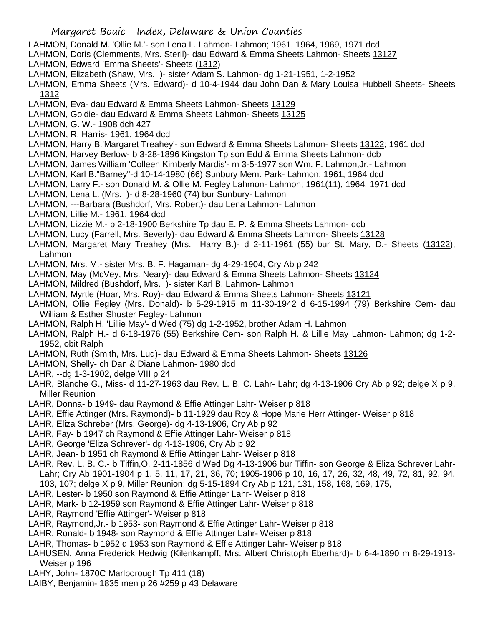- LAHMON, Donald M. 'Ollie M.'- son Lena L. Lahmon- Lahmon; 1961, 1964, 1969, 1971 dcd
- LAHMON, Doris (Clemments, Mrs. Steril)- dau Edward & Emma Sheets Lahmon- Sheets 13127
- LAHMON, Edward 'Emma Sheets'- Sheets (1312)
- LAHMON, Elizabeth (Shaw, Mrs. )- sister Adam S. Lahmon- dg 1-21-1951, 1-2-1952
- LAHMON, Emma Sheets (Mrs. Edward)- d 10-4-1944 dau John Dan & Mary Louisa Hubbell Sheets- Sheets 1312
- LAHMON, Eva- dau Edward & Emma Sheets Lahmon- Sheets 13129
- LAHMON, Goldie- dau Edward & Emma Sheets Lahmon- Sheets 13125
- LAHMON, G. W.- 1908 dch 427
- LAHMON, R. Harris- 1961, 1964 dcd
- LAHMON, Harry B.'Margaret Treahey'- son Edward & Emma Sheets Lahmon- Sheets 13122; 1961 dcd
- LAHMON, Harvey Berlow- b 3-28-1896 Kingston Tp son Edd & Emma Sheets Lahmon- dcb
- LAHMON, James William 'Colleen Kimberly Mardis'- m 3-5-1977 son Wm. F. Lahmon,Jr.- Lahmon
- LAHMON, Karl B."Barney"-d 10-14-1980 (66) Sunbury Mem. Park- Lahmon; 1961, 1964 dcd
- LAHMON, Larry F.- son Donald M. & Ollie M. Fegley Lahmon- Lahmon; 1961(11), 1964, 1971 dcd
- LAHMON, Lena L. (Mrs. )- d 8-28-1960 (74) bur Sunbury- Lahmon
- LAHMON, ---Barbara (Bushdorf, Mrs. Robert)- dau Lena Lahmon- Lahmon
- LAHMON, Lillie M.- 1961, 1964 dcd
- LAHMON, Lizzie M.- b 2-18-1900 Berkshire Tp dau E. P. & Emma Sheets Lahmon- dcb
- LAHMON, Lucy (Farrell, Mrs. Beverly)- dau Edward & Emma Sheets Lahmon- Sheets 13128
- LAHMON, Margaret Mary Treahey (Mrs. Harry B.)- d 2-11-1961 (55) bur St. Mary, D.- Sheets (13122); Lahmon
- LAHMON, Mrs. M.- sister Mrs. B. F. Hagaman- dg 4-29-1904, Cry Ab p 242
- LAHMON, May (McVey, Mrs. Neary)- dau Edward & Emma Sheets Lahmon- Sheets 13124
- LAHMON, Mildred (Bushdorf, Mrs. )- sister Karl B. Lahmon- Lahmon
- LAHMON, Myrtle (Hoar, Mrs. Roy)- dau Edward & Emma Sheets Lahmon- Sheets 13121
- LAHMON, Ollie Fegley (Mrs. Donald)- b 5-29-1915 m 11-30-1942 d 6-15-1994 (79) Berkshire Cem- dau William & Esther Shuster Fegley- Lahmon
- LAHMON, Ralph H. 'Lillie May'- d Wed (75) dg 1-2-1952, brother Adam H. Lahmon
- LAHMON, Ralph H.- d 6-18-1976 (55) Berkshire Cem- son Ralph H. & Lillie May Lahmon- Lahmon; dg 1-2- 1952, obit Ralph
- LAHMON, Ruth (Smith, Mrs. Lud)- dau Edward & Emma Sheets Lahmon- Sheets 13126
- LAHMON, Shelly- ch Dan & Diane Lahmon- 1980 dcd
- LAHR, --dg 1-3-1902, delge VIII p 24
- LAHR, Blanche G., Miss- d 11-27-1963 dau Rev. L. B. C. Lahr- Lahr; dg 4-13-1906 Cry Ab p 92; delge X p 9, Miller Reunion
- LAHR, Donna- b 1949- dau Raymond & Effie Attinger Lahr- Weiser p 818
- LAHR, Effie Attinger (Mrs. Raymond)- b 11-1929 dau Roy & Hope Marie Herr Attinger- Weiser p 818
- LAHR, Eliza Schreber (Mrs. George)- dg 4-13-1906, Cry Ab p 92
- LAHR, Fay- b 1947 ch Raymond & Effie Attinger Lahr- Weiser p 818
- LAHR, George 'Eliza Schrever'- dg 4-13-1906, Cry Ab p 92
- LAHR, Jean- b 1951 ch Raymond & Effie Attinger Lahr- Weiser p 818
- LAHR, Rev. L. B. C.- b Tiffin,O. 2-11-1856 d Wed Dg 4-13-1906 bur Tiffin- son George & Eliza Schrever Lahr-Lahr; Cry Ab 1901-1904 p 1, 5, 11, 17, 21, 36, 70; 1905-1906 p 10, 16, 17, 26, 32, 48, 49, 72, 81, 92, 94, 103, 107; delge X p 9, Miller Reunion; dg 5-15-1894 Cry Ab p 121, 131, 158, 168, 169, 175,
- LAHR, Lester- b 1950 son Raymond & Effie Attinger Lahr- Weiser p 818
- LAHR, Mark- b 12-1959 son Raymond & Effie Attinger Lahr- Weiser p 818
- LAHR, Raymond 'Effie Attinger'- Weiser p 818
- LAHR, Raymond,Jr.- b 1953- son Raymond & Effie Attinger Lahr- Weiser p 818
- LAHR, Ronald- b 1948- son Raymond & Effie Attinger Lahr- Weiser p 818
- LAHR, Thomas- b 1952 d 1953 son Raymond & Effie Attinger Lahr- Weiser p 818
- LAHUSEN, Anna Frederick Hedwig (Kilenkampff, Mrs. Albert Christoph Eberhard)- b 6-4-1890 m 8-29-1913- Weiser p 196
- LAHY, John- 1870C Marlborough Tp 411 (18)
- LAIBY, Benjamin- 1835 men p 26 #259 p 43 Delaware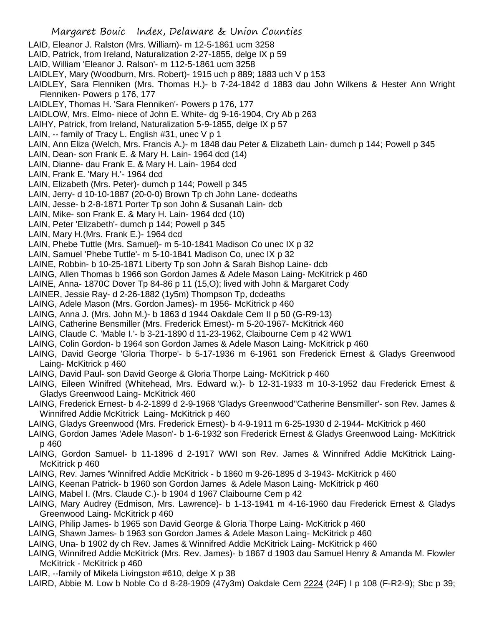- LAID, Eleanor J. Ralston (Mrs. William)- m 12-5-1861 ucm 3258
- LAID, Patrick, from Ireland, Naturalization 2-27-1855, delge IX p 59
- LAID, William 'Eleanor J. Ralson'- m 112-5-1861 ucm 3258
- LAIDLEY, Mary (Woodburn, Mrs. Robert)- 1915 uch p 889; 1883 uch V p 153
- LAIDLEY, Sara Flenniken (Mrs. Thomas H.)- b 7-24-1842 d 1883 dau John Wilkens & Hester Ann Wright Flenniken- Powers p 176, 177
- LAIDLEY, Thomas H. 'Sara Flenniken'- Powers p 176, 177
- LAIDLOW, Mrs. Elmo- niece of John E. White- dg 9-16-1904, Cry Ab p 263
- LAIHY, Patrick, from Ireland, Naturalization 5-9-1855, delge IX p 57
- LAIN, -- family of Tracy L. English #31, unec V p 1
- LAIN, Ann Eliza (Welch, Mrs. Francis A.)- m 1848 dau Peter & Elizabeth Lain- dumch p 144; Powell p 345
- LAIN, Dean- son Frank E. & Mary H. Lain- 1964 dcd (14)
- LAIN, Dianne- dau Frank E. & Mary H. Lain- 1964 dcd
- LAIN, Frank E. 'Mary H.'- 1964 dcd
- LAIN, Elizabeth (Mrs. Peter)- dumch p 144; Powell p 345
- LAIN, Jerry- d 10-10-1887 (20-0-0) Brown Tp ch John Lane- dcdeaths
- LAIN, Jesse- b 2-8-1871 Porter Tp son John & Susanah Lain- dcb
- LAIN, Mike- son Frank E. & Mary H. Lain- 1964 dcd (10)
- LAIN, Peter 'Elizabeth'- dumch p 144; Powell p 345
- LAIN, Mary H.(Mrs. Frank E.)- 1964 dcd
- LAIN, Phebe Tuttle (Mrs. Samuel)- m 5-10-1841 Madison Co unec IX p 32
- LAIN, Samuel 'Phebe Tuttle'- m 5-10-1841 Madison Co, unec IX p 32
- LAINE, Robbin- b 10-25-1871 Liberty Tp son John & Sarah Bishop Laine- dcb
- LAING, Allen Thomas b 1966 son Gordon James & Adele Mason Laing- McKitrick p 460
- LAINE, Anna- 1870C Dover Tp 84-86 p 11 (15,O); lived with John & Margaret Cody
- LAINER, Jessie Ray- d 2-26-1882 (1y5m) Thompson Tp, dcdeaths
- LAING, Adele Mason (Mrs. Gordon James)- m 1956- McKitrick p 460
- LAING, Anna J. (Mrs. John M.)- b 1863 d 1944 Oakdale Cem II p 50 (G-R9-13)
- LAING, Catherine Bensmiller (Mrs. Frederick Ernest)- m 5-20-1967- McKitrick 460
- LAING, Claude C. 'Mable I.'- b 3-21-1890 d 11-23-1962, Claibourne Cem p 42 WW1
- LAING, Colin Gordon- b 1964 son Gordon James & Adele Mason Laing- McKitrick p 460
- LAING, David George 'Gloria Thorpe'- b 5-17-1936 m 6-1961 son Frederick Ernest & Gladys Greenwood Laing- McKitrick p 460
- LAING, David Paul- son David George & Gloria Thorpe Laing- McKitrick p 460
- LAING, Eileen Winifred (Whitehead, Mrs. Edward w.)- b 12-31-1933 m 10-3-1952 dau Frederick Ernest & Gladys Greenwood Laing- McKitrick 460
- LAING, Frederick Ernest- b 4-2-1899 d 2-9-1968 'Gladys Greenwood''Catherine Bensmiller'- son Rev. James & Winnifred Addie McKitrick Laing- McKitrick p 460
- LAING, Gladys Greenwood (Mrs. Frederick Ernest)- b 4-9-1911 m 6-25-1930 d 2-1944- McKitrick p 460
- LAING, Gordon James 'Adele Mason'- b 1-6-1932 son Frederick Ernest & Gladys Greenwood Laing- McKitrick p 460
- LAING, Gordon Samuel- b 11-1896 d 2-1917 WWI son Rev. James & Winnifred Addie McKitrick Laing-McKitrick p 460
- LAING, Rev. James 'Winnifred Addie McKitrick b 1860 m 9-26-1895 d 3-1943- McKitrick p 460
- LAING, Keenan Patrick- b 1960 son Gordon James & Adele Mason Laing- McKitrick p 460
- LAING, Mabel I. (Mrs. Claude C.)- b 1904 d 1967 Claibourne Cem p 42
- LAING, Mary Audrey (Edmison, Mrs. Lawrence)- b 1-13-1941 m 4-16-1960 dau Frederick Ernest & Gladys Greenwood Laing- McKitrick p 460
- LAING, Philip James- b 1965 son David George & Gloria Thorpe Laing- McKitrick p 460
- LAING, Shawn James- b 1963 son Gordon James & Adele Mason Laing- McKitrick p 460
- LAING, Una- b 1902 dy ch Rev. James & Winnifred Addie McKitrick Laing- McKitrick p 460
- LAING, Winnifred Addie McKitrick (Mrs. Rev. James)- b 1867 d 1903 dau Samuel Henry & Amanda M. Flowler McKitrick - McKitrick p 460
- LAIR, --family of Mikela Livingston #610, delge X p 38
- LAIRD, Abbie M. Low b Noble Co d 8-28-1909 (47y3m) Oakdale Cem 2224 (24F) I p 108 (F-R2-9); Sbc p 39;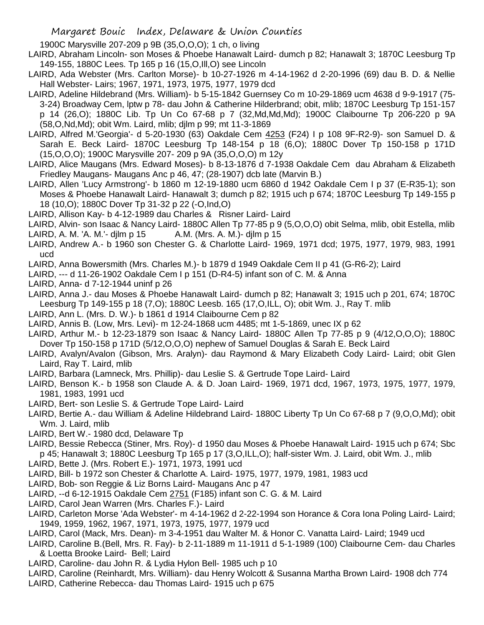1900C Marysville 207-209 p 9B (35,O,O,O); 1 ch, o living

- LAIRD, Abraham Lincoln- son Moses & Phoebe Hanawalt Laird- dumch p 82; Hanawalt 3; 1870C Leesburg Tp 149-155, 1880C Lees. Tp 165 p 16 (15,O,Ill,O) see Lincoln
- LAIRD, Ada Webster (Mrs. Carlton Morse)- b 10-27-1926 m 4-14-1962 d 2-20-1996 (69) dau B. D. & Nellie Hall Webster- Lairs; 1967, 1971, 1973, 1975, 1977, 1979 dcd
- LAIRD, Adeline Hildebrand (Mrs. William)- b 5-15-1842 Guernsey Co m 10-29-1869 ucm 4638 d 9-9-1917 (75- 3-24) Broadway Cem, lptw p 78- dau John & Catherine Hilderbrand; obit, mlib; 1870C Leesburg Tp 151-157 p 14 (26,O); 1880C Lib. Tp Un Co 67-68 p 7 (32,Md,Md,Md); 1900C Claibourne Tp 206-220 p 9A (58,O,Nd,Md); obit Wm. Laird, mlib; djlm p 99; mt 11-3-1869
- LAIRD, Alfred M.'Georgia'- d 5-20-1930 (63) Oakdale Cem 4253 (F24) I p 108 9F-R2-9)- son Samuel D. & Sarah E. Beck Laird- 1870C Leesburg Tp 148-154 p 18 (6,O); 1880C Dover Tp 150-158 p 171D (15,O,O,O); 1900C Marysville 207- 209 p 9A (35,O,O,O) m 12y
- LAIRD, Alice Maugans (Mrs. Edward Moses)- b 8-13-1876 d 7-1938 Oakdale Cem dau Abraham & Elizabeth Friedley Maugans- Maugans Anc p 46, 47; (28-1907) dcb late (Marvin B.)
- LAIRD, Allen 'Lucy Armstrong'- b 1860 m 12-19-1880 ucm 6860 d 1942 Oakdale Cem I p 37 (E-R35-1); son Moses & Phoebe Hanawalt Laird- Hanawalt 3; dumch p 82; 1915 uch p 674; 1870C Leesburg Tp 149-155 p 18 (10,O); 1880C Dover Tp 31-32 p 22 (-O,Ind,O)
- LAIRD, Allison Kay- b 4-12-1989 dau Charles & Risner Laird- Laird
- LAIRD, Alvin- son Isaac & Nancy Laird- 1880C Allen Tp 77-85 p 9 (5,O,O,O) obit Selma, mlib, obit Estella, mlib
- LAIRD, A. M. 'A. M.'- djlm p 15 A.M. (Mrs. A. M.)- djlm p 15
- LAIRD, Andrew A.- b 1960 son Chester G. & Charlotte Laird- 1969, 1971 dcd; 1975, 1977, 1979, 983, 1991 ucd
- LAIRD, Anna Bowersmith (Mrs. Charles M.)- b 1879 d 1949 Oakdale Cem II p 41 (G-R6-2); Laird
- LAIRD, --- d 11-26-1902 Oakdale Cem I p 151 (D-R4-5) infant son of C. M. & Anna
- LAIRD, Anna- d 7-12-1944 uninf p 26
- LAIRD, Anna J.- dau Moses & Phoebe Hanawalt Laird- dumch p 82; Hanawalt 3; 1915 uch p 201, 674; 1870C Leesburg Tp 149-155 p 18 (7,O); 1880C Leesb. 165 (17,O,ILL, O); obit Wm. J., Ray T. mlib
- LAIRD, Ann L. (Mrs. D. W.)- b 1861 d 1914 Claibourne Cem p 82
- LAIRD, Annis B. (Low, Mrs. Levi)- m 12-24-1868 ucm 4485; mt 1-5-1869, unec IX p 62
- LAIRD, Arthur M.- b 12-23-1879 son Isaac & Nancy Laird- 1880C Allen Tp 77-85 p 9 (4/12,O,O,O); 1880C Dover Tp 150-158 p 171D (5/12,O,O,O) nephew of Samuel Douglas & Sarah E. Beck Laird
- LAIRD, Avalyn/Avalon (Gibson, Mrs. Aralyn)- dau Raymond & Mary Elizabeth Cody Laird- Laird; obit Glen Laird, Ray T. Laird, mlib
- LAIRD, Barbara (Lamneck, Mrs. Phillip)- dau Leslie S. & Gertrude Tope Laird- Laird
- LAIRD, Benson K.- b 1958 son Claude A. & D. Joan Laird- 1969, 1971 dcd, 1967, 1973, 1975, 1977, 1979, 1981, 1983, 1991 ucd
- LAIRD, Bert- son Leslie S. & Gertrude Tope Laird- Laird
- LAIRD, Bertie A.- dau William & Adeline Hildebrand Laird- 1880C Liberty Tp Un Co 67-68 p 7 (9,O,O,Md); obit Wm. J. Laird, mlib
- LAIRD, Bert W.- 1980 dcd, Delaware Tp
- LAIRD, Bessie Rebecca (Stiner, Mrs. Roy)- d 1950 dau Moses & Phoebe Hanawalt Laird- 1915 uch p 674; Sbc p 45; Hanawalt 3; 1880C Leesburg Tp 165 p 17 (3,O,ILL,O); half-sister Wm. J. Laird, obit Wm. J., mlib
- LAIRD, Bette J. (Mrs. Robert E.)- 1971, 1973, 1991 ucd
- LAIRD, Bill- b 1972 son Chester & Charlotte A. Laird- 1975, 1977, 1979, 1981, 1983 ucd
- LAIRD, Bob- son Reggie & Liz Borns Laird- Maugans Anc p 47
- LAIRD, --d 6-12-1915 Oakdale Cem 2751 (F185) infant son C. G. & M. Laird
- LAIRD, Carol Jean Warren (Mrs. Charles F.)- Laird
- LAIRD, Carleton Morse 'Ada Webster'- m 4-14-1962 d 2-22-1994 son Horance & Cora Iona Poling Laird- Laird; 1949, 1959, 1962, 1967, 1971, 1973, 1975, 1977, 1979 ucd
- LAIRD, Carol (Mack, Mrs. Dean)- m 3-4-1951 dau Walter M. & Honor C. Vanatta Laird- Laird; 1949 ucd
- LAIRD, Caroline B.(Bell, Mrs. R. Fay)- b 2-11-1889 m 11-1911 d 5-1-1989 (100) Claibourne Cem- dau Charles & Loetta Brooke Laird- Bell; Laird
- LAIRD, Caroline- dau John R. & Lydia Hylon Bell- 1985 uch p 10
- LAIRD, Caroline (Reinhardt, Mrs. William)- dau Henry Wolcott & Susanna Martha Brown Laird- 1908 dch 774
- LAIRD, Catherine Rebecca- dau Thomas Laird- 1915 uch p 675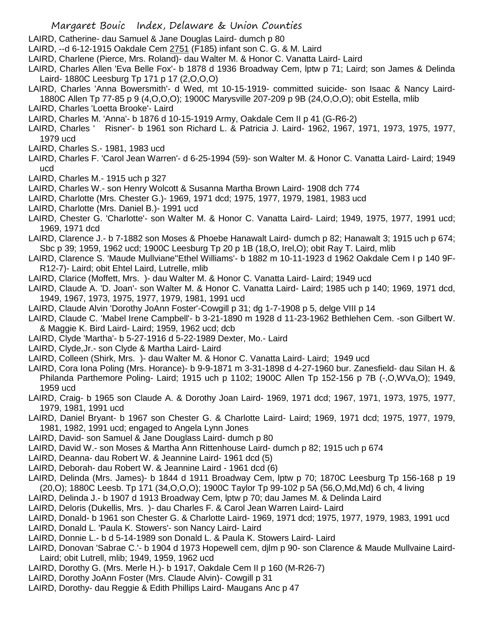- LAIRD, Catherine- dau Samuel & Jane Douglas Laird- dumch p 80
- LAIRD, --d 6-12-1915 Oakdale Cem 2751 (F185) infant son C. G. & M. Laird
- LAIRD, Charlene (Pierce, Mrs. Roland)- dau Walter M. & Honor C. Vanatta Laird- Laird
- LAIRD, Charles Allen 'Eva Belle Fox'- b 1878 d 1936 Broadway Cem, lptw p 71; Laird; son James & Delinda Laird- 1880C Leesburg Tp 171 p 17 (2,O,O,O)
- LAIRD, Charles 'Anna Bowersmith'- d Wed, mt 10-15-1919- committed suicide- son Isaac & Nancy Laird-1880C Allen Tp 77-85 p 9 (4,O,O,O); 1900C Marysville 207-209 p 9B (24,O,O,O); obit Estella, mlib
- LAIRD, Charles 'Loetta Brooke'- Laird
- LAIRD, Charles M. 'Anna'- b 1876 d 10-15-1919 Army, Oakdale Cem II p 41 (G-R6-2)
- LAIRD, Charles ' Risner'- b 1961 son Richard L. & Patricia J. Laird- 1962, 1967, 1971, 1973, 1975, 1977, 1979 ucd
- LAIRD, Charles S.- 1981, 1983 ucd
- LAIRD, Charles F. 'Carol Jean Warren'- d 6-25-1994 (59)- son Walter M. & Honor C. Vanatta Laird- Laird; 1949 ucd
- LAIRD, Charles M.- 1915 uch p 327
- LAIRD, Charles W.- son Henry Wolcott & Susanna Martha Brown Laird- 1908 dch 774
- LAIRD, Charlotte (Mrs. Chester G.)- 1969, 1971 dcd; 1975, 1977, 1979, 1981, 1983 ucd
- LAIRD, Charlotte (Mrs. Daniel B.)- 1991 ucd
- LAIRD, Chester G. 'Charlotte'- son Walter M. & Honor C. Vanatta Laird- Laird; 1949, 1975, 1977, 1991 ucd; 1969, 1971 dcd
- LAIRD, Clarence J.- b 7-1882 son Moses & Phoebe Hanawalt Laird- dumch p 82; Hanawalt 3; 1915 uch p 674; Sbc p 39; 1959, 1962 ucd; 1900C Leesburg Tp 20 p 1B (18,O, Irel,O); obit Ray T. Laird, mlib
- LAIRD, Clarence S. 'Maude Mullviane''Ethel Williams'- b 1882 m 10-11-1923 d 1962 Oakdale Cem I p 140 9F-R12-7)- Laird; obit Ehtel Laird, Lutrelle, mlib
- LAIRD, Clarice (Moffett, Mrs. )- dau Walter M. & Honor C. Vanatta Laird- Laird; 1949 ucd
- LAIRD, Claude A. 'D. Joan'- son Walter M. & Honor C. Vanatta Laird- Laird; 1985 uch p 140; 1969, 1971 dcd, 1949, 1967, 1973, 1975, 1977, 1979, 1981, 1991 ucd
- LAIRD, Claude Alvin 'Dorothy JoAnn Foster'-Cowgill p 31; dg 1-7-1908 p 5, delge VIII p 14
- LAIRD, Claude C. 'Mabel Irene Campbell'- b 3-21-1890 m 1928 d 11-23-1962 Bethlehen Cem. -son Gilbert W. & Maggie K. Bird Laird- Laird; 1959, 1962 ucd; dcb
- LAIRD, Clyde 'Martha'- b 5-27-1916 d 5-22-1989 Dexter, Mo.- Laird
- LAIRD, Clyde,Jr.- son Clyde & Martha Laird- Laird
- LAIRD, Colleen (Shirk, Mrs. )- dau Walter M. & Honor C. Vanatta Laird- Laird; 1949 ucd
- LAIRD, Cora Iona Poling (Mrs. Horance)- b 9-9-1871 m 3-31-1898 d 4-27-1960 bur. Zanesfield- dau Silan H. & Philanda Parthemore Poling- Laird; 1915 uch p 1102; 1900C Allen Tp 152-156 p 7B (-,O,WVa,O); 1949, 1959 ucd
- LAIRD, Craig- b 1965 son Claude A. & Dorothy Joan Laird- 1969, 1971 dcd; 1967, 1971, 1973, 1975, 1977, 1979, 1981, 1991 ucd
- LAIRD, Daniel Bryant- b 1967 son Chester G. & Charlotte Laird- Laird; 1969, 1971 dcd; 1975, 1977, 1979, 1981, 1982, 1991 ucd; engaged to Angela Lynn Jones
- LAIRD, David- son Samuel & Jane Douglass Laird- dumch p 80
- LAIRD, David W.- son Moses & Martha Ann Rittenhouse Laird- dumch p 82; 1915 uch p 674
- LAIRD, Deanna- dau Robert W. & Jeannine Laird- 1961 dcd (5)
- LAIRD, Deborah- dau Robert W. & Jeannine Laird 1961 dcd (6)
- LAIRD, Delinda (Mrs. James)- b 1844 d 1911 Broadway Cem, lptw p 70; 1870C Leesburg Tp 156-168 p 19 (20,O); 1880C Leesb. Tp 171 (34,O,O,O); 1900C Taylor Tp 99-102 p 5A (56,O,Md,Md) 6 ch, 4 living
- LAIRD, Delinda J.- b 1907 d 1913 Broadway Cem, lptw p 70; dau James M. & Delinda Laird
- LAIRD, Deloris (Dukellis, Mrs. )- dau Charles F. & Carol Jean Warren Laird- Laird
- LAIRD, Donald- b 1961 son Chester G. & Charlotte Laird- 1969, 1971 dcd; 1975, 1977, 1979, 1983, 1991 ucd
- LAIRD, Donald L. 'Paula K. Stowers'- son Nancy Laird- Laird
- LAIRD, Donnie L.- b d 5-14-1989 son Donald L. & Paula K. Stowers Laird- Laird
- LAIRD, Donovan 'Sabrae C.'- b 1904 d 1973 Hopewell cem, djlm p 90- son Clarence & Maude Mullvaine Laird-Laird; obit Lutrell, mlib; 1949, 1959, 1962 ucd
- LAIRD, Dorothy G. (Mrs. Merle H.)- b 1917, Oakdale Cem II p 160 (M-R26-7)
- LAIRD, Dorothy JoAnn Foster (Mrs. Claude Alvin)- Cowgill p 31
- LAIRD, Dorothy- dau Reggie & Edith Phillips Laird- Maugans Anc p 47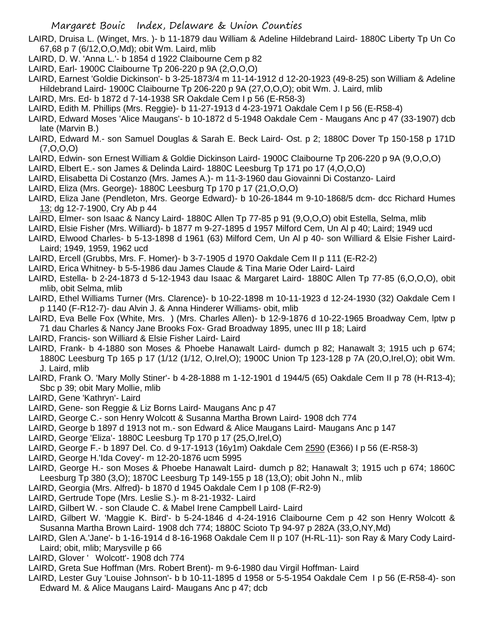LAIRD, Druisa L. (Winget, Mrs. )- b 11-1879 dau William & Adeline Hildebrand Laird- 1880C Liberty Tp Un Co 67,68 p 7 (6/12,O,O,Md); obit Wm. Laird, mlib

- LAIRD, D. W. 'Anna L.'- b 1854 d 1922 Claibourne Cem p 82
- LAIRD, Earl- 1900C Claibourne Tp 206-220 p 9A (2,O,O,O)
- LAIRD, Earnest 'Goldie Dickinson'- b 3-25-1873/4 m 11-14-1912 d 12-20-1923 (49-8-25) son William & Adeline Hildebrand Laird- 1900C Claibourne Tp 206-220 p 9A (27,O,O,O); obit Wm. J. Laird, mlib
- LAIRD, Mrs. Ed- b 1872 d 7-14-1938 SR Oakdale Cem I p 56 (E-R58-3)
- LAIRD, Edith M. Phillips (Mrs. Reggie)- b 11-27-1913 d 4-23-1971 Oakdale Cem I p 56 (E-R58-4)
- LAIRD, Edward Moses 'Alice Maugans'- b 10-1872 d 5-1948 Oakdale Cem Maugans Anc p 47 (33-1907) dcb late (Marvin B.)
- LAIRD, Edward M.- son Samuel Douglas & Sarah E. Beck Laird- Ost. p 2; 1880C Dover Tp 150-158 p 171D (7,O,O,O)
- LAIRD, Edwin- son Ernest William & Goldie Dickinson Laird- 1900C Claibourne Tp 206-220 p 9A (9,O,O,O)
- LAIRD, Elbert E.- son James & Delinda Laird- 1880C Leesburg Tp 171 po 17 (4,O,O,O)
- LAIRD, Elisabetta Di Costanzo (Mrs. James A.)- m 11-3-1960 dau Giovainni Di Costanzo- Laird
- LAIRD, Eliza (Mrs. George)- 1880C Leesburg Tp 170 p 17 (21,O,O,O)
- LAIRD, Eliza Jane (Pendleton, Mrs. George Edward)- b 10-26-1844 m 9-10-1868/5 dcm- dcc Richard Humes 13; dg 12-7-1900, Cry Ab p 44
- LAIRD, Elmer- son Isaac & Nancy Laird- 1880C Allen Tp 77-85 p 91 (9,O,O,O) obit Estella, Selma, mlib
- LAIRD, Elsie Fisher (Mrs. Williard)- b 1877 m 9-27-1895 d 1957 Milford Cem, Un Al p 40; Laird; 1949 ucd
- LAIRD, Elwood Charles- b 5-13-1898 d 1961 (63) Milford Cem, Un Al p 40- son Williard & Elsie Fisher Laird-Laird; 1949, 1959, 1962 ucd
- LAIRD, Ercell (Grubbs, Mrs. F. Homer)- b 3-7-1905 d 1970 Oakdale Cem II p 111 (E-R2-2)
- LAIRD, Erica Whitney- b 5-5-1986 dau James Claude & Tina Marie Oder Laird- Laird
- LAIRD, Estella- b 2-24-1873 d 5-12-1943 dau Isaac & Margaret Laird- 1880C Allen Tp 77-85 (6,O,O,O), obit mlib, obit Selma, mlib
- LAIRD, Ethel Williams Turner (Mrs. Clarence)- b 10-22-1898 m 10-11-1923 d 12-24-1930 (32) Oakdale Cem I p 1140 (F-R12-7)- dau Alvin J. & Anna Hinderer Williams- obit, mlib
- LAIRD, Eva Belle Fox (White, Mrs. ) (Mrs. Charles Allen)- b 12-9-1876 d 10-22-1965 Broadway Cem, lptw p 71 dau Charles & Nancy Jane Brooks Fox- Grad Broadway 1895, unec III p 18; Laird
- LAIRD, Francis- son Williard & Elsie Fisher Laird- Laird
- LAIRD, Frank- b 4-1880 son Moses & Phoebe Hanawalt Laird- dumch p 82; Hanawalt 3; 1915 uch p 674; 1880C Leesburg Tp 165 p 17 (1/12 (1/12, O,Irel,O); 1900C Union Tp 123-128 p 7A (20,O,Irel,O); obit Wm. J. Laird, mlib
- LAIRD, Frank O. 'Mary Molly Stiner'- b 4-28-1888 m 1-12-1901 d 1944/5 (65) Oakdale Cem II p 78 (H-R13-4); Sbc p 39; obit Mary Mollie, mlib
- LAIRD, Gene 'Kathryn'- Laird
- LAIRD, Gene- son Reggie & Liz Borns Laird- Maugans Anc p 47
- LAIRD, George C.- son Henry Wolcott & Susanna Martha Brown Laird- 1908 dch 774
- LAIRD, George b 1897 d 1913 not m.- son Edward & Alice Maugans Laird- Maugans Anc p 147
- LAIRD, George 'Eliza'- 1880C Leesburg Tp 170 p 17 (25,O,Irel,O)
- LAIRD, George F.- b 1897 Del. Co. d 9-17-1913 (16y1m) Oakdale Cem 2590 (E366) I p 56 (E-R58-3)
- LAIRD, George H.'Ida Covey'- m 12-20-1876 ucm 5995
- LAIRD, George H.- son Moses & Phoebe Hanawalt Laird- dumch p 82; Hanawalt 3; 1915 uch p 674; 1860C Leesburg Tp 380 (3,O); 1870C Leesburg Tp 149-155 p 18 (13,O); obit John N., mlib
- LAIRD, Georgia (Mrs. Alfred)- b 1870 d 1945 Oakdale Cem I p 108 (F-R2-9)
- LAIRD, Gertrude Tope (Mrs. Leslie S.)- m 8-21-1932- Laird
- LAIRD, Gilbert W. son Claude C. & Mabel Irene Campbell Laird- Laird
- LAIRD, Gilbert W. 'Maggie K. Bird'- b 5-24-1846 d 4-24-1916 Claibourne Cem p 42 son Henry Wolcott & Susanna Martha Brown Laird- 1908 dch 774; 1880C Scioto Tp 94-97 p 282A (33,O,NY,Md)
- LAIRD, Glen A.'Jane'- b 1-16-1914 d 8-16-1968 Oakdale Cem II p 107 (H-RL-11)- son Ray & Mary Cody Laird-Laird; obit, mlib; Marysville p 66
- LAIRD, Glover ' Wolcott'- 1908 dch 774
- LAIRD, Greta Sue Hoffman (Mrs. Robert Brent)- m 9-6-1980 dau Virgil Hoffman- Laird
- LAIRD, Lester Guy 'Louise Johnson'- b b 10-11-1895 d 1958 or 5-5-1954 Oakdale Cem I p 56 (E-R58-4)- son Edward M. & Alice Maugans Laird- Maugans Anc p 47; dcb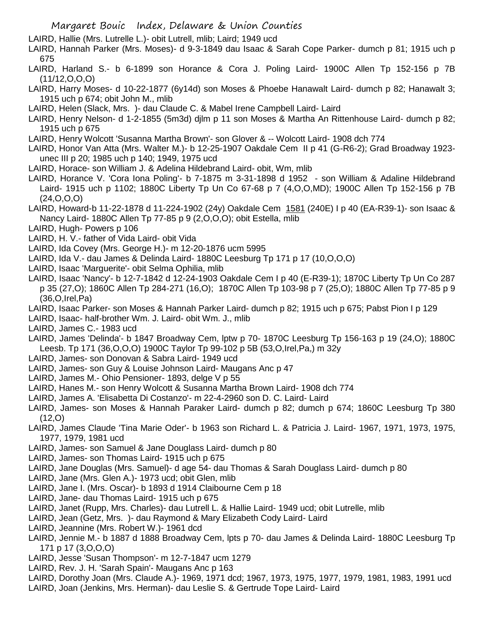LAIRD, Hallie (Mrs. Lutrelle L.)- obit Lutrell, mlib; Laird; 1949 ucd

LAIRD, Hannah Parker (Mrs. Moses)- d 9-3-1849 dau Isaac & Sarah Cope Parker- dumch p 81; 1915 uch p 675

- LAIRD, Harland S.- b 6-1899 son Horance & Cora J. Poling Laird- 1900C Allen Tp 152-156 p 7B (11/12,O,O,O)
- LAIRD, Harry Moses- d 10-22-1877 (6y14d) son Moses & Phoebe Hanawalt Laird- dumch p 82; Hanawalt 3; 1915 uch p 674; obit John M., mlib
- LAIRD, Helen (Slack, Mrs. )- dau Claude C. & Mabel Irene Campbell Laird- Laird
- LAIRD, Henry Nelson- d 1-2-1855 (5m3d) djlm p 11 son Moses & Martha An Rittenhouse Laird- dumch p 82; 1915 uch p 675
- LAIRD, Henry Wolcott 'Susanna Martha Brown'- son Glover & -- Wolcott Laird- 1908 dch 774
- LAIRD, Honor Van Atta (Mrs. Walter M.)- b 12-25-1907 Oakdale Cem II p 41 (G-R6-2); Grad Broadway 1923 unec III p 20; 1985 uch p 140; 1949, 1975 ucd
- LAIRD, Horace- son William J. & Adelina Hildebrand Laird- obit, Wm, mlib
- LAIRD, Horance V. 'Cora Iona Poling'- b 7-1875 m 3-31-1898 d 1952 son William & Adaline Hildebrand Laird- 1915 uch p 1102; 1880C Liberty Tp Un Co 67-68 p 7 (4,O,O,MD); 1900C Allen Tp 152-156 p 7B (24,O,O,O)
- LAIRD, Howard-b 11-22-1878 d 11-224-1902 (24y) Oakdale Cem 1581 (240E) I p 40 (EA-R39-1)- son Isaac & Nancy Laird- 1880C Allen Tp 77-85 p 9 (2,O,O,O); obit Estella, mlib
- LAIRD, Hugh- Powers p 106
- LAIRD, H. V.- father of Vida Laird- obit Vida
- LAIRD, Ida Covey (Mrs. George H.)- m 12-20-1876 ucm 5995
- LAIRD, Ida V.- dau James & Delinda Laird- 1880C Leesburg Tp 171 p 17 (10,O,O,O)
- LAIRD, Isaac 'Marguerite'- obit Selma Ophilia, mlib
- LAIRD, Isaac 'Nancy'- b 12-7-1842 d 12-24-1903 Oakdale Cem I p 40 (E-R39-1); 1870C Liberty Tp Un Co 287 p 35 (27,O); 1860C Allen Tp 284-271 (16,O); 1870C Allen Tp 103-98 p 7 (25,O); 1880C Allen Tp 77-85 p 9 (36,O,Irel,Pa)
- LAIRD, Isaac Parker- son Moses & Hannah Parker Laird- dumch p 82; 1915 uch p 675; Pabst Pion I p 129
- LAIRD, Isaac- half-brother Wm. J. Laird- obit Wm. J., mlib
- LAIRD, James C.- 1983 ucd
- LAIRD, James 'Delinda'- b 1847 Broadway Cem, lptw p 70- 1870C Leesburg Tp 156-163 p 19 (24,O); 1880C Leesb. Tp 171 (36,O,O,O) 1900C Taylor Tp 99-102 p 5B (53,O,Irel,Pa,) m 32y
- LAIRD, James- son Donovan & Sabra Laird- 1949 ucd
- LAIRD, James- son Guy & Louise Johnson Laird- Maugans Anc p 47
- LAIRD, James M.- Ohio Pensioner- 1893, delge V p 55
- LAIRD, Hanes M.- son Henry Wolcott & Susanna Martha Brown Laird- 1908 dch 774
- LAIRD, James A. 'Elisabetta Di Costanzo'- m 22-4-2960 son D. C. Laird- Laird
- LAIRD, James- son Moses & Hannah Paraker Laird- dumch p 82; dumch p 674; 1860C Leesburg Tp 380 (12,O)
- LAIRD, James Claude 'Tina Marie Oder'- b 1963 son Richard L. & Patricia J. Laird- 1967, 1971, 1973, 1975, 1977, 1979, 1981 ucd
- LAIRD, James- son Samuel & Jane Douglass Laird- dumch p 80
- LAIRD, James- son Thomas Laird- 1915 uch p 675
- LAIRD, Jane Douglas (Mrs. Samuel)- d age 54- dau Thomas & Sarah Douglass Laird- dumch p 80
- LAIRD, Jane (Mrs. Glen A.)- 1973 ucd; obit Glen, mlib
- LAIRD, Jane I. (Mrs. Oscar)- b 1893 d 1914 Claibourne Cem p 18
- LAIRD, Jane- dau Thomas Laird- 1915 uch p 675
- LAIRD, Janet (Rupp, Mrs. Charles)- dau Lutrell L. & Hallie Laird- 1949 ucd; obit Lutrelle, mlib
- LAIRD, Jean (Getz, Mrs. )- dau Raymond & Mary Elizabeth Cody Laird- Laird
- LAIRD, Jeannine (Mrs. Robert W.)- 1961 dcd
- LAIRD, Jennie M.- b 1887 d 1888 Broadway Cem, lpts p 70- dau James & Delinda Laird- 1880C Leesburg Tp 171 p 17 (3,O,O,O)
- LAIRD, Jesse 'Susan Thompson'- m 12-7-1847 ucm 1279
- LAIRD, Rev. J. H. 'Sarah Spain'- Maugans Anc p 163
- LAIRD, Dorothy Joan (Mrs. Claude A.)- 1969, 1971 dcd; 1967, 1973, 1975, 1977, 1979, 1981, 1983, 1991 ucd
- LAIRD, Joan (Jenkins, Mrs. Herman)- dau Leslie S. & Gertrude Tope Laird- Laird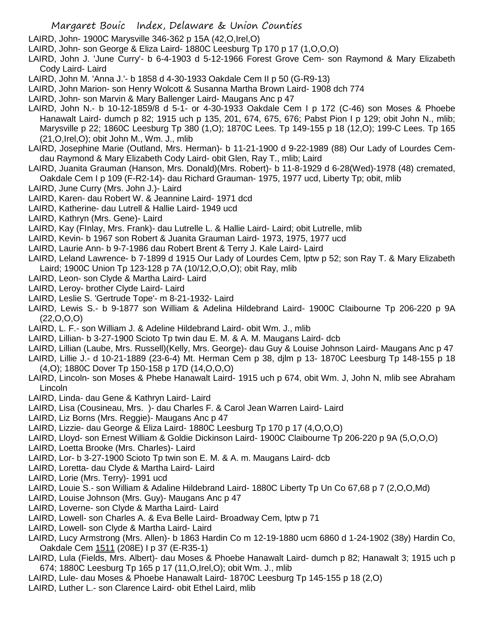- LAIRD, John- 1900C Marysville 346-362 p 15A (42,O,Irel,O)
- LAIRD, John- son George & Eliza Laird- 1880C Leesburg Tp 170 p 17 (1,O,O,O)
- LAIRD, John J. 'June Curry'- b 6-4-1903 d 5-12-1966 Forest Grove Cem- son Raymond & Mary Elizabeth Cody Laird- Laird
- LAIRD, John M. 'Anna J.'- b 1858 d 4-30-1933 Oakdale Cem II p 50 (G-R9-13)
- LAIRD, John Marion- son Henry Wolcott & Susanna Martha Brown Laird- 1908 dch 774
- LAIRD, John- son Marvin & Mary Ballenger Laird- Maugans Anc p 47
- LAIRD, John N.- b 10-12-1859/8 d 5-1- or 4-30-1933 Oakdale Cem I p 172 (C-46) son Moses & Phoebe Hanawalt Laird- dumch p 82; 1915 uch p 135, 201, 674, 675, 676; Pabst Pion I p 129; obit John N., mlib; Marysville p 22; 1860C Leesburg Tp 380 (1,O); 1870C Lees. Tp 149-155 p 18 (12,O); 199-C Lees. Tp 165 (21,O,Irel,O); obit John M., Wm. J., mlib
- LAIRD, Josephine Marie (Outland, Mrs. Herman)- b 11-21-1900 d 9-22-1989 (88) Our Lady of Lourdes Cemdau Raymond & Mary Elizabeth Cody Laird- obit Glen, Ray T., mlib; Laird
- LAIRD, Juanita Grauman (Hanson, Mrs. Donald)(Mrs. Robert)- b 11-8-1929 d 6-28(Wed)-1978 (48) cremated, Oakdale Cem I p 109 (F-R2-14)- dau Richard Grauman- 1975, 1977 ucd, Liberty Tp; obit, mlib
- LAIRD, June Curry (Mrs. John J.)- Laird
- LAIRD, Karen- dau Robert W. & Jeannine Laird- 1971 dcd
- LAIRD, Katherine- dau Lutrell & Hallie Laird- 1949 ucd
- LAIRD, Kathryn (Mrs. Gene)- Laird
- LAIRD, Kay (FInlay, Mrs. Frank)- dau Lutrelle L. & Hallie Laird- Laird; obit Lutrelle, mlib
- LAIRD, Kevin- b 1967 son Robert & Juanita Grauman Laird- 1973, 1975, 1977 ucd
- LAIRD, Laurie Ann- b 9-7-1986 dau Robert Brent & Terry J. Kale Laird- Laird
- LAIRD, Leland Lawrence- b 7-1899 d 1915 Our Lady of Lourdes Cem, lptw p 52; son Ray T. & Mary Elizabeth Laird; 1900C Union Tp 123-128 p 7A (10/12,O,O,O); obit Ray, mlib
- LAIRD, Leon- son Clyde & Martha Laird- Laird
- LAIRD, Leroy- brother Clyde Laird- Laird
- LAIRD, Leslie S. 'Gertrude Tope'- m 8-21-1932- Laird
- LAIRD, Lewis S.- b 9-1877 son William & Adelina Hildebrand Laird- 1900C Claibourne Tp 206-220 p 9A  $(22,0,0,0)$
- LAIRD, L. F.- son William J. & Adeline Hildebrand Laird- obit Wm. J., mlib
- LAIRD, Lillian- b 3-27-1900 Scioto Tp twin dau E. M. & A. M. Maugans Laird- dcb
- LAIRD, Lillian (Laube, Mrs. Russell)(Kelly, Mrs. George)- dau Guy & Louise Johnson Laird- Maugans Anc p 47
- LAIRD, Lillie J.- d 10-21-1889 (23-6-4) Mt. Herman Cem p 38, djlm p 13- 1870C Leesburg Tp 148-155 p 18 (4,O); 1880C Dover Tp 150-158 p 17D (14,O,O,O)
- LAIRD, Lincoln- son Moses & Phebe Hanawalt Laird- 1915 uch p 674, obit Wm. J, John N, mlib see Abraham Lincoln
- LAIRD, Linda- dau Gene & Kathryn Laird- Laird
- LAIRD, Lisa (Cousineau, Mrs. )- dau Charles F. & Carol Jean Warren Laird- Laird
- LAIRD, Liz Borns (Mrs. Reggie)- Maugans Anc p 47
- LAIRD, Lizzie- dau George & Eliza Laird- 1880C Leesburg Tp 170 p 17 (4,O,O,O)
- LAIRD, Lloyd- son Ernest William & Goldie Dickinson Laird- 1900C Claibourne Tp 206-220 p 9A (5,O,O,O)
- LAIRD, Loetta Brooke (Mrs. Charles)- Laird
- LAIRD, Lor- b 3-27-1900 Scioto Tp twin son E. M. & A. m. Maugans Laird- dcb
- LAIRD, Loretta- dau Clyde & Martha Laird- Laird
- LAIRD, Lorie (Mrs. Terry)- 1991 ucd
- LAIRD, Louie S.- son William & Adaline Hildebrand Laird- 1880C Liberty Tp Un Co 67,68 p 7 (2,O,O,Md)
- LAIRD, Louise Johnson (Mrs. Guy)- Maugans Anc p 47
- LAIRD, Loverne- son Clyde & Martha Laird- Laird
- LAIRD, Lowell- son Charles A. & Eva Belle Laird- Broadway Cem, lptw p 71
- LAIRD, Lowell- son Clyde & Martha Laird- Laird
- LAIRD, Lucy Armstrong (Mrs. Allen)- b 1863 Hardin Co m 12-19-1880 ucm 6860 d 1-24-1902 (38y) Hardin Co, Oakdale Cem 1511 (208E) I p 37 (E-R35-1)
- LAIRD, Lula (Fields, Mrs. Albert)- dau Moses & Phoebe Hanawalt Laird- dumch p 82; Hanawalt 3; 1915 uch p 674; 1880C Leesburg Tp 165 p 17 (11,O,Irel,O); obit Wm. J., mlib
- LAIRD, Lule- dau Moses & Phoebe Hanawalt Laird- 1870C Leesburg Tp 145-155 p 18 (2,O)
- LAIRD, Luther L.- son Clarence Laird- obit Ethel Laird, mlib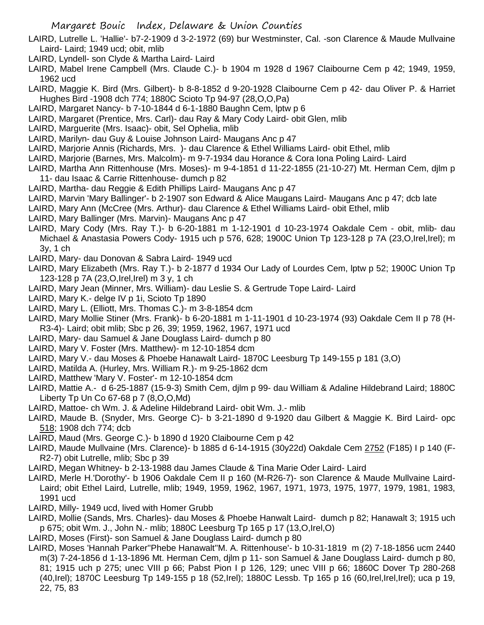- LAIRD, Lutrelle L. 'Hallie'- b7-2-1909 d 3-2-1972 (69) bur Westminster, Cal. -son Clarence & Maude Mullvaine Laird- Laird; 1949 ucd; obit, mlib
- LAIRD, Lyndell- son Clyde & Martha Laird- Laird
- LAIRD, Mabel Irene Campbell (Mrs. Claude C.)- b 1904 m 1928 d 1967 Claibourne Cem p 42; 1949, 1959, 1962 ucd
- LAIRD, Maggie K. Bird (Mrs. Gilbert)- b 8-8-1852 d 9-20-1928 Claibourne Cem p 42- dau Oliver P. & Harriet Hughes Bird -1908 dch 774; 1880C Scioto Tp 94-97 (28,O,O,Pa)
- LAIRD, Margaret Nancy- b 7-10-1844 d 6-1-1880 Baughn Cem, lptw p 6
- LAIRD, Margaret (Prentice, Mrs. Carl)- dau Ray & Mary Cody Laird- obit Glen, mlib
- LAIRD, Marguerite (Mrs. Isaac)- obit, Sel Ophelia, mlib
- LAIRD, Marilyn- dau Guy & Louise Johnson Laird- Maugans Anc p 47
- LAIRD, Marjorie Annis (Richards, Mrs. )- dau Clarence & Ethel Williams Laird- obit Ethel, mlib
- LAIRD, Marjorie (Barnes, Mrs. Malcolm)- m 9-7-1934 dau Horance & Cora Iona Poling Laird- Laird
- LAIRD, Martha Ann Rittenhouse (Mrs. Moses)- m 9-4-1851 d 11-22-1855 (21-10-27) Mt. Herman Cem, djlm p 11- dau Isaac & Carrie Rittenhouse- dumch p 82
- LAIRD, Martha- dau Reggie & Edith Phillips Laird- Maugans Anc p 47
- LAIRD, Marvin 'Mary Ballinger'- b 2-1907 son Edward & Alice Maugans Laird- Maugans Anc p 47; dcb late
- LAIRD, Mary Ann (McCree (Mrs. Arthur)- dau Clarence & Ethel Williams Laird- obit Ethel, mlib
- LAIRD, Mary Ballinger (Mrs. Marvin)- Maugans Anc p 47
- LAIRD, Mary Cody (Mrs. Ray T.)- b 6-20-1881 m 1-12-1901 d 10-23-1974 Oakdale Cem obit, mlib- dau Michael & Anastasia Powers Cody- 1915 uch p 576, 628; 1900C Union Tp 123-128 p 7A (23,O,Irel,Irel); m 3y, 1 ch
- LAIRD, Mary- dau Donovan & Sabra Laird- 1949 ucd
- LAIRD, Mary Elizabeth (Mrs. Ray T.)- b 2-1877 d 1934 Our Lady of Lourdes Cem, lptw p 52; 1900C Union Tp 123-128 p 7A (23,O,Irel,Irel) m 3 y, 1 ch
- LAIRD, Mary Jean (Minner, Mrs. William)- dau Leslie S. & Gertrude Tope Laird- Laird
- LAIRD, Mary K.- delge IV p 1i, Scioto Tp 1890
- LAIRD, Mary L. (Elliott, Mrs. Thomas C.)- m 3-8-1854 dcm
- LAIRD, Mary Mollie Stiner (Mrs. Frank)- b 6-20-1881 m 1-11-1901 d 10-23-1974 (93) Oakdale Cem II p 78 (H-R3-4)- Laird; obit mlib; Sbc p 26, 39; 1959, 1962, 1967, 1971 ucd
- LAIRD, Mary- dau Samuel & Jane Douglass Laird- dumch p 80
- LAIRD, Mary V. Foster (Mrs. Matthew)- m 12-10-1854 dcm
- LAIRD, Mary V.- dau Moses & Phoebe Hanawalt Laird- 1870C Leesburg Tp 149-155 p 181 (3,O)
- LAIRD, Matilda A. (Hurley, Mrs. William R.)- m 9-25-1862 dcm
- LAIRD, Matthew 'Mary V. Foster'- m 12-10-1854 dcm
- LAIRD, Mattie A.- d 6-25-1887 (15-9-3) Smith Cem, djlm p 99- dau William & Adaline Hildebrand Laird; 1880C Liberty Tp Un Co 67-68 p 7 (8,O,O,Md)
- LAIRD, Mattoe- ch Wm. J. & Adeline Hildebrand Laird- obit Wm. J.- mlib
- LAIRD, Maude B. (Snyder, Mrs. George C)- b 3-21-1890 d 9-1920 dau Gilbert & Maggie K. Bird Laird- opc 518; 1908 dch 774; dcb
- LAIRD, Maud (Mrs. George C.)- b 1890 d 1920 Claibourne Cem p 42
- LAIRD, Maude Mullvaine (Mrs. Clarence)- b 1885 d 6-14-1915 (30y22d) Oakdale Cem 2752 (F185) I p 140 (F-R2-7) obit Lutrelle, mlib; Sbc p 39
- LAIRD, Megan Whitney- b 2-13-1988 dau James Claude & Tina Marie Oder Laird- Laird
- LAIRD, Merle H.'Dorothy'- b 1906 Oakdale Cem II p 160 (M-R26-7)- son Clarence & Maude Mullvaine Laird-Laird; obit Ethel Laird, Lutrelle, mlib; 1949, 1959, 1962, 1967, 1971, 1973, 1975, 1977, 1979, 1981, 1983, 1991 ucd
- LAIRD, Milly- 1949 ucd, lived with Homer Grubb
- LAIRD, Mollie (Sands, Mrs. Charles)- dau Moses & Phoebe Hanwalt Laird- dumch p 82; Hanawalt 3; 1915 uch p 675; obit Wm. J., John N.- mlib; 1880C Leesburg Tp 165 p 17 (13,O,Irel,O)
- LAIRD, Moses (First)- son Samuel & Jane Douglass Laird- dumch p 80
- LAIRD, Moses 'Hannah Parker''Phebe Hanawalt''M. A. Rittenhouse'- b 10-31-1819 m (2) 7-18-1856 ucm 2440 m(3) 7-24-1856 d 1-13-1896 Mt. Herman Cem, djlm p 11- son Samuel & Jane Douglass Laird- dumch p 80, 81; 1915 uch p 275; unec VIII p 66; Pabst Pion I p 126, 129; unec VIII p 66; 1860C Dover Tp 280-268 (40,Irel); 1870C Leesburg Tp 149-155 p 18 (52,Irel); 1880C Lessb. Tp 165 p 16 (60,Irel,Irel,Irel); uca p 19, 22, 75, 83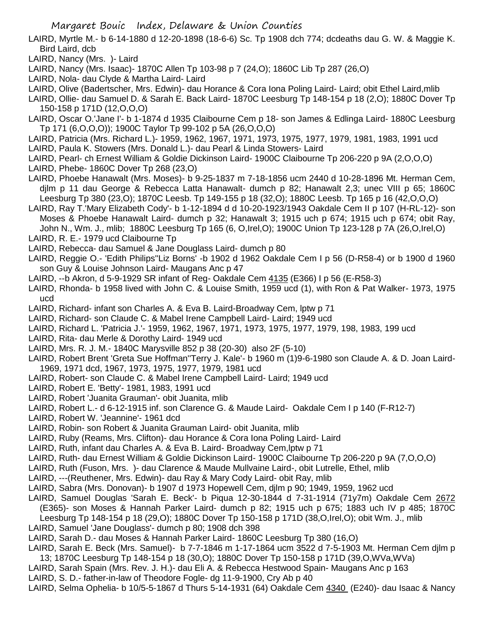- LAIRD, Myrtle M.- b 6-14-1880 d 12-20-1898 (18-6-6) Sc. Tp 1908 dch 774; dcdeaths dau G. W. & Maggie K. Bird Laird, dcb
- LAIRD, Nancy (Mrs. )- Laird
- LAIRD, Nancy (Mrs. Isaac)- 1870C Allen Tp 103-98 p 7 (24,O); 1860C Lib Tp 287 (26,O)
- LAIRD, Nola- dau Clyde & Martha Laird- Laird
- LAIRD, Olive (Badertscher, Mrs. Edwin)- dau Horance & Cora Iona Poling Laird- Laird; obit Ethel Laird,mlib
- LAIRD, Ollie- dau Samuel D. & Sarah E. Back Laird- 1870C Leesburg Tp 148-154 p 18 (2,O); 1880C Dover Tp 150-158 p 171D (12,O,O,O)
- LAIRD, Oscar O.'Jane I'- b 1-1874 d 1935 Claibourne Cem p 18- son James & Edlinga Laird- 1880C Leesburg Tp 171 (6,O,O,O)); 1900C Taylor Tp 99-102 p 5A (26,O,O,O)
- LAIRD, Patricia (Mrs. Richard L.)- 1959, 1962, 1967, 1971, 1973, 1975, 1977, 1979, 1981, 1983, 1991 ucd
- LAIRD, Paula K. Stowers (Mrs. Donald L.)- dau Pearl & Linda Stowers- Laird
- LAIRD, Pearl- ch Ernest William & Goldie Dickinson Laird- 1900C Claibourne Tp 206-220 p 9A (2,O,O,O)
- LAIRD, Phebe- 1860C Dover Tp 268 (23,O)
- LAIRD, Phoebe Hanawalt (Mrs. Moses)- b 9-25-1837 m 7-18-1856 ucm 2440 d 10-28-1896 Mt. Herman Cem, djlm p 11 dau George & Rebecca Latta Hanawalt- dumch p 82; Hanawalt 2,3; unec VIII p 65; 1860C Leesburg Tp 380 (23,O); 1870C Leesb. Tp 149-155 p 18 (32,O); 1880C Leesb. Tp 165 p 16 (42,O,O,O)
- LAIRD, Ray T.'Mary Elizabeth Cody'- b 1-12-1894 d d 10-20-1923/1943 Oakdale Cem II p 107 (H-RL-12)- son Moses & Phoebe Hanawalt Laird- dumch p 32; Hanawalt 3; 1915 uch p 674; 1915 uch p 674; obit Ray, John N., Wm. J., mlib; 1880C Leesburg Tp 165 (6, O,Irel,O); 1900C Union Tp 123-128 p 7A (26,O,Irel,O)
- LAIRD, R. E.- 1979 ucd Claibourne Tp
- LAIRD, Rebecca- dau Samuel & Jane Douglass Laird- dumch p 80
- LAIRD, Reggie O.- 'Edith Philips''Liz Borns' -b 1902 d 1962 Oakdale Cem I p 56 (D-R58-4) or b 1900 d 1960 son Guy & Louise Johnson Laird- Maugans Anc p 47
- LAIRD, --b Akron, d 5-9-1929 SR infant of Reg- Oakdale Cem 4135 (E366) I p 56 (E-R58-3)
- LAIRD, Rhonda- b 1958 lived with John C. & Louise Smith, 1959 ucd (1), with Ron & Pat Walker- 1973, 1975 ucd
- LAIRD, Richard- infant son Charles A. & Eva B. Laird-Broadway Cem, lptw p 71
- LAIRD, Richard- son Claude C. & Mabel Irene Campbell Laird- Laird; 1949 ucd
- LAIRD, Richard L. 'Patricia J.'- 1959, 1962, 1967, 1971, 1973, 1975, 1977, 1979, 198, 1983, 199 ucd
- LAIRD, Rita- dau Merle & Dorothy Laird- 1949 ucd
- LAIRD, Mrs. R. J. M.- 1840C Marysville 852 p 38 (20-30) also 2F (5-10)
- LAIRD, Robert Brent 'Greta Sue Hoffman''Terry J. Kale'- b 1960 m (1)9-6-1980 son Claude A. & D. Joan Laird-1969, 1971 dcd, 1967, 1973, 1975, 1977, 1979, 1981 ucd
- LAIRD, Robert- son Claude C. & Mabel Irene Campbell Laird- Laird; 1949 ucd
- LAIRD, Robert E. 'Betty'- 1981, 1983, 1991 ucd
- LAIRD, Robert 'Juanita Grauman'- obit Juanita, mlib
- LAIRD, Robert L.- d 6-12-1915 inf. son Clarence G. & Maude Laird- Oakdale Cem I p 140 (F-R12-7)
- LAIRD, Robert W. 'Jeannine'- 1961 dcd
- LAIRD, Robin- son Robert & Juanita Grauman Laird- obit Juanita, mlib
- LAIRD, Ruby (Reams, Mrs. Clifton)- dau Horance & Cora Iona Poling Laird- Laird
- LAIRD, Ruth, infant dau Charles A. & Eva B. Laird- Broadway Cem,lptw p 71
- LAIRD, Ruth- dau Ernest William & Goldie Dickinson Laird- 1900C Claibourne Tp 206-220 p 9A (7,O,O,O)
- LAIRD, Ruth (Fuson, Mrs. )- dau Clarence & Maude Mullvaine Laird-, obit Lutrelle, Ethel, mlib
- LAIRD, ---(Reuthener, Mrs. Edwin)- dau Ray & Mary Cody Laird- obit Ray, mlib
- LAIRD, Sabra (Mrs. Donovan)- b 1907 d 1973 Hopewell Cem, djlm p 90; 1949, 1959, 1962 ucd
- LAIRD, Samuel Douglas 'Sarah E. Beck'- b Piqua 12-30-1844 d 7-31-1914 (71y7m) Oakdale Cem 2672 (E365)- son Moses & Hannah Parker Laird- dumch p 82; 1915 uch p 675; 1883 uch IV p 485; 1870C Leesburg Tp 148-154 p 18 (29,O); 1880C Dover Tp 150-158 p 171D (38,O,Irel,O); obit Wm. J., mlib
- LAIRD, Samuel 'Jane Douglass'- dumch p 80; 1908 dch 398
- LAIRD, Sarah D.- dau Moses & Hannah Parker Laird- 1860C Leesburg Tp 380 (16,O)
- LAIRD, Sarah E. Beck (Mrs. Samuel)- b 7-7-1846 m 1-17-1864 ucm 3522 d 7-5-1903 Mt. Herman Cem djlm p 13; 1870C Leesburg Tp 148-154 p 18 (30,O); 1880C Dover Tp 150-158 p 171D (39,O,WVa,WVa)
- LAIRD, Sarah Spain (Mrs. Rev. J. H.)- dau Eli A. & Rebecca Hestwood Spain- Maugans Anc p 163
- LAIRD, S. D.- father-in-law of Theodore Fogle- dg 11-9-1900, Cry Ab p 40
- LAIRD, Selma Ophelia- b 10/5-5-1867 d Thurs 5-14-1931 (64) Oakdale Cem 4340 (E240)- dau Isaac & Nancy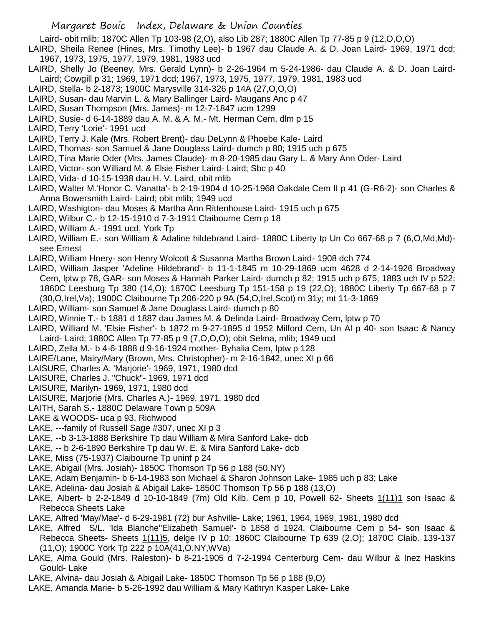Laird- obit mlib; 1870C Allen Tp 103-98 (2,O), also Lib 287; 1880C Allen Tp 77-85 p 9 (12,O,O,O)

- LAIRD, Sheila Renee (Hines, Mrs. Timothy Lee)- b 1967 dau Claude A. & D. Joan Laird- 1969, 1971 dcd; 1967, 1973, 1975, 1977, 1979, 1981, 1983 ucd
- LAIRD, Shelly Jo (Beeney, Mrs. Gerald Lynn)- b 2-26-1964 m 5-24-1986- dau Claude A. & D. Joan Laird-Laird; Cowgill p 31; 1969, 1971 dcd; 1967, 1973, 1975, 1977, 1979, 1981, 1983 ucd
- LAIRD, Stella- b 2-1873; 1900C Marysville 314-326 p 14A (27,O,O,O)
- LAIRD, Susan- dau Marvin L. & Mary Ballinger Laird- Maugans Anc p 47
- LAIRD, Susan Thompson (Mrs. James)- m 12-7-1847 ucm 1299
- LAIRD, Susie- d 6-14-1889 dau A. M. & A. M.- Mt. Herman Cem, dlm p 15
- LAIRD, Terry 'Lorie'- 1991 ucd
- LAIRD, Terry J. Kale (Mrs. Robert Brent)- dau DeLynn & Phoebe Kale- Laird
- LAIRD, Thomas- son Samuel & Jane Douglass Laird- dumch p 80; 1915 uch p 675
- LAIRD, Tina Marie Oder (Mrs. James Claude)- m 8-20-1985 dau Gary L. & Mary Ann Oder- Laird
- LAIRD, Victor- son Williard M. & Elsie Fisher Laird- Laird; Sbc p 40
- LAIRD, Vida- d 10-15-1938 dau H. V. Laird, obit mlib
- LAIRD, Walter M.'Honor C. Vanatta'- b 2-19-1904 d 10-25-1968 Oakdale Cem II p 41 (G-R6-2)- son Charles & Anna Bowersmith Laird- Laird; obit mlib; 1949 ucd
- LAIRD, Washigton- dau Moses & Martha Ann Rittenhouse Laird- 1915 uch p 675
- LAIRD, Wilbur C.- b 12-15-1910 d 7-3-1911 Claibourne Cem p 18
- LAIRD, William A.- 1991 ucd, York Tp
- LAIRD, William E.- son William & Adaline hildebrand Laird- 1880C Liberty tp Un Co 667-68 p 7 (6,O,Md,Md) see Ernest
- LAIRD, William Hnery- son Henry Wolcott & Susanna Martha Brown Laird- 1908 dch 774
- LAIRD, William Jasper 'Adeline Hildebrand'- b 11-1-1845 m 10-29-1869 ucm 4628 d 2-14-1926 Broadway Cem, lptw p 78, GAR- son Moses & Hannah Parker Laird- dumch p 82; 1915 uch p 675; 1883 uch IV p 522; 1860C Leesburg Tp 380 (14,O); 1870C Leesburg Tp 151-158 p 19 (22,O); 1880C Liberty Tp 667-68 p 7 (30,O,Irel,Va); 1900C Claibourne Tp 206-220 p 9A (54,O,Irel,Scot) m 31y; mt 11-3-1869
- LAIRD, William- son Samuel & Jane Douglass Laird- dumch p 80
- LAIRD, Winnie T.- b 1881 d 1887 dau James M. & Delinda Laird- Broadway Cem, lptw p 70
- LAIRD, Williard M. 'Elsie Fisher'- b 1872 m 9-27-1895 d 1952 Milford Cem, Un Al p 40- son Isaac & Nancy Laird- Laird; 1880C Allen Tp 77-85 p 9 (7,O,O,O); obit Selma, mlib; 1949 ucd
- LAIRD, Zella M.- b 4-6-1888 d 9-16-1924 mother- Byhalia Cem, lptw p 128
- LAIRE/Lane, Mairy/Mary (Brown, Mrs. Christopher)- m 2-16-1842, unec XI p 66
- LAISURE, Charles A. 'Marjorie'- 1969, 1971, 1980 dcd
- LAISURE, Charles J. "Chuck"- 1969, 1971 dcd
- LAISURE, Marilyn- 1969, 1971, 1980 dcd
- LAISURE, Marjorie (Mrs. Charles A.)- 1969, 1971, 1980 dcd
- LAITH, Sarah S.- 1880C Delaware Town p 509A
- LAKE & WOODS- uca p 93, Richwood
- LAKE, ---family of Russell Sage #307, unec XI p 3
- LAKE, --b 3-13-1888 Berkshire Tp dau William & Mira Sanford Lake- dcb
- LAKE, -- b 2-6-1890 Berkshire Tp dau W. E. & Mira Sanford Lake- dcb
- LAKE, Miss (75-1937) Claibourne Tp uninf p 24
- LAKE, Abigail (Mrs. Josiah)- 1850C Thomson Tp 56 p 188 (50,NY)
- LAKE, Adam Benjamin- b 6-14-1983 son Michael & Sharon Johnson Lake- 1985 uch p 83; Lake
- LAKE, Adelina- dau Josiah & Abigail Lake- 1850C Thomson Tp 56 p 188 (13,O)
- LAKE, Albert- b 2-2-1849 d 10-10-1849 (7m) Old Kilb. Cem p 10, Powell 62- Sheets 1(11)1 son Isaac & Rebecca Sheets Lake
- LAKE, Alfred 'May/Mae'- d 6-29-1981 (72) bur Ashville- Lake; 1961, 1964, 1969, 1981, 1980 dcd
- LAKE, Alfred S/L. 'Ida Blanche''Elizabeth Samuel'- b 1858 d 1924, Claibourne Cem p 54- son Isaac & Rebecca Sheets- Sheets 1(11)5, delge IV p 10; 1860C Claibourne Tp 639 (2,O); 1870C Claib. 139-137 (11,O); 1900C York Tp 222 p 10A(41,O.NY,WVa)
- LAKE, Alma Gould (Mrs. Raleston)- b 8-21-1905 d 7-2-1994 Centerburg Cem- dau Wilbur & Inez Haskins Gould- Lake
- LAKE, Alvina- dau Josiah & Abigail Lake- 1850C Thomson Tp 56 p 188 (9,O)
- LAKE, Amanda Marie- b 5-26-1992 dau William & Mary Kathryn Kasper Lake- Lake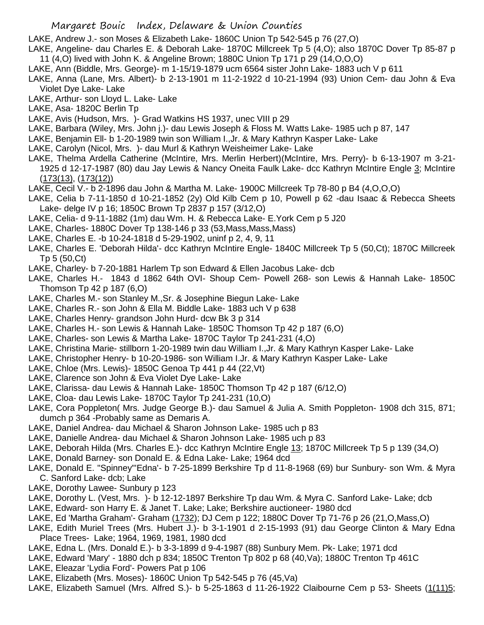LAKE, Andrew J.- son Moses & Elizabeth Lake- 1860C Union Tp 542-545 p 76 (27,O)

- LAKE, Angeline- dau Charles E. & Deborah Lake- 1870C Millcreek Tp 5 (4,O); also 1870C Dover Tp 85-87 p 11 (4,O) lived with John K. & Angeline Brown; 1880C Union Tp 171 p 29 (14,O,O,O)
- LAKE, Ann (Biddle, Mrs. George)- m 1-15/19-1879 ucm 6564 sister John Lake- 1883 uch V p 611
- LAKE, Anna (Lane, Mrs. Albert)- b 2-13-1901 m 11-2-1922 d 10-21-1994 (93) Union Cem- dau John & Eva Violet Dye Lake- Lake
- LAKE, Arthur- son Lloyd L. Lake- Lake
- LAKE, Asa- 1820C Berlin Tp
- LAKE, Avis (Hudson, Mrs. )- Grad Watkins HS 1937, unec VIII p 29
- LAKE, Barbara (Wiley, Mrs. John j.)- dau Lewis Joseph & Floss M. Watts Lake- 1985 uch p 87, 147
- LAKE, Benjamin Ell- b 1-20-1989 twin son William I.,Jr. & Mary Kathryn Kasper Lake- Lake
- LAKE, Carolyn (Nicol, Mrs. )- dau Murl & Kathryn Weisheimer Lake- Lake
- LAKE, Thelma Ardella Catherine (McIntire, Mrs. Merlin Herbert)(McIntire, Mrs. Perry)- b 6-13-1907 m 3-21- 1925 d 12-17-1987 (80) dau Jay Lewis & Nancy Oneita Faulk Lake- dcc Kathryn McIntire Engle 3; McIntire (173(13), (173(12))
- LAKE, Cecil V.- b 2-1896 dau John & Martha M. Lake- 1900C Millcreek Tp 78-80 p B4 (4,O,O,O)
- LAKE, Celia b 7-11-1850 d 10-21-1852 (2y) Old Kilb Cem p 10, Powell p 62 -dau Isaac & Rebecca Sheets Lake- delge IV p 16; 1850C Brown Tp 2837 p 157 (3/12,O)
- LAKE, Celia- d 9-11-1882 (1m) dau Wm. H. & Rebecca Lake- E.York Cem p 5 J20
- LAKE, Charles- 1880C Dover Tp 138-146 p 33 (53,Mass,Mass,Mass)
- LAKE, Charles E. -b 10-24-1818 d 5-29-1902, uninf p 2, 4, 9, 11
- LAKE, Charles E. 'Deborah Hilda'- dcc Kathryn McIntire Engle- 1840C Millcreek Tp 5 (50,Ct); 1870C Millcreek Tp 5 (50,Ct)
- LAKE, Charley- b 7-20-1881 Harlem Tp son Edward & Ellen Jacobus Lake- dcb
- LAKE, Charles H.- 1843 d 1862 64th OVI- Shoup Cem- Powell 268- son Lewis & Hannah Lake- 1850C Thomson Tp 42 p 187 (6,O)
- LAKE, Charles M.- son Stanley M.,Sr. & Josephine Biegun Lake- Lake
- LAKE, Charles R.- son John & Ella M. Biddle Lake- 1883 uch V p 638
- LAKE, Charles Henry- grandson John Hurd- dcw Bk 3 p 314
- LAKE, Charles H.- son Lewis & Hannah Lake- 1850C Thomson Tp 42 p 187 (6,O)
- LAKE, Charles- son Lewis & Martha Lake- 1870C Taylor Tp 241-231 (4,O)
- LAKE, Christina Marie- stillborn 1-20-1989 twin dau William I.,Jr. & Mary Kathryn Kasper Lake- Lake
- LAKE, Christopher Henry- b 10-20-1986- son William I.Jr. & Mary Kathryn Kasper Lake- Lake
- LAKE, Chloe (Mrs. Lewis)- 1850C Genoa Tp 441 p 44 (22,Vt)
- LAKE, Clarence son John & Eva Violet Dye Lake- Lake
- LAKE, Clarissa- dau Lewis & Hannah Lake- 1850C Thomson Tp 42 p 187 (6/12,O)
- LAKE, Cloa- dau Lewis Lake- 1870C Taylor Tp 241-231 (10,O)
- LAKE, Cora Poppleton( Mrs. Judge George B.)- dau Samuel & Julia A. Smith Poppleton- 1908 dch 315, 871; dumch p 364 -Probably same as Demaris A.
- LAKE, Daniel Andrea- dau Michael & Sharon Johnson Lake- 1985 uch p 83
- LAKE, Danielle Andrea- dau Michael & Sharon Johnson Lake- 1985 uch p 83
- LAKE, Deborah Hilda (Mrs. Charles E.)- dcc Kathryn McIntire Engle 13; 1870C Millcreek Tp 5 p 139 (34,O)
- LAKE, Donald Barney- son Donald E. & Edna Lake- Lake; 1964 dcd
- LAKE, Donald E. "Spinney"'Edna'- b 7-25-1899 Berkshire Tp d 11-8-1968 (69) bur Sunbury- son Wm. & Myra C. Sanford Lake- dcb; Lake
- LAKE, Dorothy Lawee- Sunbury p 123
- LAKE, Dorothy L. (Vest, Mrs. )- b 12-12-1897 Berkshire Tp dau Wm. & Myra C. Sanford Lake- Lake; dcb
- LAKE, Edward- son Harry E. & Janet T. Lake; Lake; Berkshire auctioneer- 1980 dcd
- LAKE, Ed 'Martha Graham'- Graham (1732); DJ Cem p 122; 1880C Dover Tp 71-76 p 26 (21,O,Mass,O)
- LAKE, Edith Muriel Trees (Mrs. Hubert J.)- b 3-1-1901 d 2-15-1993 (91) dau George Clinton & Mary Edna Place Trees- Lake; 1964, 1969, 1981, 1980 dcd
- LAKE, Edna L. (Mrs. Donald E.)- b 3-3-1899 d 9-4-1987 (88) Sunbury Mem. Pk- Lake; 1971 dcd
- LAKE, Edward 'Mary' 1880 dch p 834; 1850C Trenton Tp 802 p 68 (40,Va); 1880C Trenton Tp 461C
- LAKE, Eleazar 'Lydia Ford'- Powers Pat p 106
- LAKE, Elizabeth (Mrs. Moses)- 1860C Union Tp 542-545 p 76 (45,Va)
- LAKE, Elizabeth Samuel (Mrs. Alfred S.)- b 5-25-1863 d 11-26-1922 Claibourne Cem p 53- Sheets (1(11)5;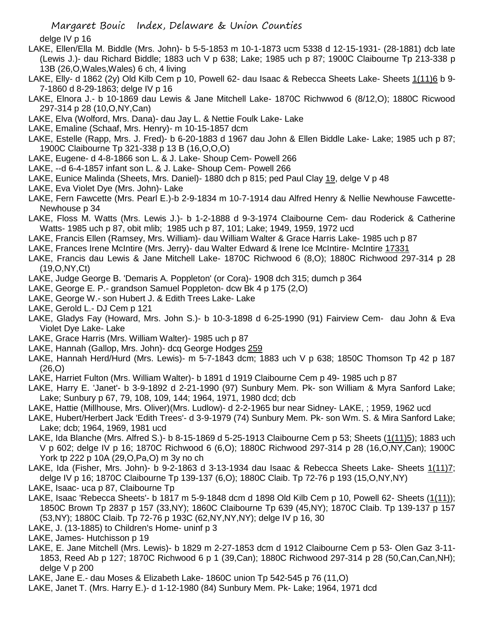delge IV p 16

- LAKE, Ellen/Ella M. Biddle (Mrs. John)- b 5-5-1853 m 10-1-1873 ucm 5338 d 12-15-1931- (28-1881) dcb late (Lewis J.)- dau Richard Biddle; 1883 uch V p 638; Lake; 1985 uch p 87; 1900C Claibourne Tp 213-338 p 13B (26,O,Wales,Wales) 6 ch, 4 living
- LAKE, Elly- d 1862 (2y) Old Kilb Cem p 10, Powell 62- dau Isaac & Rebecca Sheets Lake- Sheets 1(11)6 b 9- 7-1860 d 8-29-1863; delge IV p 16
- LAKE, Elnora J.- b 10-1869 dau Lewis & Jane Mitchell Lake- 1870C Richwwod 6 (8/12,O); 1880C Ricwood 297-314 p 28 (10,O,NY,Can)
- LAKE, Elva (Wolford, Mrs. Dana)- dau Jay L. & Nettie Foulk Lake- Lake
- LAKE, Emaline (Schaaf, Mrs. Henry)- m 10-15-1857 dcm
- LAKE, Estelle (Rapp, Mrs. J. Fred)- b 6-20-1883 d 1967 dau John & Ellen Biddle Lake- Lake; 1985 uch p 87; 1900C Claibourne Tp 321-338 p 13 B (16,O,O,O)
- LAKE, Eugene- d 4-8-1866 son L. & J. Lake- Shoup Cem- Powell 266
- LAKE, --d 6-4-1857 infant son L. & J. Lake- Shoup Cem- Powell 266
- LAKE, Eunice Malinda (Sheets, Mrs. Daniel)- 1880 dch p 815; ped Paul Clay 19, delge V p 48
- LAKE, Eva Violet Dye (Mrs. John)- Lake
- LAKE, Fern Fawcette (Mrs. Pearl E.)-b 2-9-1834 m 10-7-1914 dau Alfred Henry & Nellie Newhouse Fawcette-Newhouse p 34
- LAKE, Floss M. Watts (Mrs. Lewis J.)- b 1-2-1888 d 9-3-1974 Claibourne Cem- dau Roderick & Catherine Watts- 1985 uch p 87, obit mlib; 1985 uch p 87, 101; Lake; 1949, 1959, 1972 ucd
- LAKE, Francis Ellen (Ramsey, Mrs. William)- dau William Walter & Grace Harris Lake- 1985 uch p 87
- LAKE, Frances Irene McIntire (Mrs. Jerry)- dau Walter Edward & Irene Ice McIntire- McIntire 17331
- LAKE, Francis dau Lewis & Jane Mitchell Lake- 1870C Richwood 6 (8,O); 1880C Richwood 297-314 p 28 (19,O,NY,Ct)
- LAKE, Judge George B. 'Demaris A. Poppleton' (or Cora)- 1908 dch 315; dumch p 364
- LAKE, George E. P.- grandson Samuel Poppleton- dcw Bk 4 p 175 (2,O)
- LAKE, George W.- son Hubert J. & Edith Trees Lake- Lake
- LAKE, Gerold L.- DJ Cem p 121
- LAKE, Gladys Fay (Howard, Mrs. John S.)- b 10-3-1898 d 6-25-1990 (91) Fairview Cem- dau John & Eva Violet Dye Lake- Lake
- LAKE, Grace Harris (Mrs. William Walter)- 1985 uch p 87
- LAKE, Hannah (Gallop, Mrs. John)- dcq George Hodges 259
- LAKE, Hannah Herd/Hurd (Mrs. Lewis)- m 5-7-1843 dcm; 1883 uch V p 638; 1850C Thomson Tp 42 p 187 (26,O)
- LAKE, Harriet Fulton (Mrs. William Walter)- b 1891 d 1919 Claibourne Cem p 49- 1985 uch p 87
- LAKE, Harry E. 'Janet'- b 3-9-1892 d 2-21-1990 (97) Sunbury Mem. Pk- son William & Myra Sanford Lake; Lake; Sunbury p 67, 79, 108, 109, 144; 1964, 1971, 1980 dcd; dcb
- LAKE, Hattie (Millhouse, Mrs. Oliver)(Mrs. Ludlow)- d 2-2-1965 bur near Sidney- LAKE, ; 1959, 1962 ucd
- LAKE, Hubert/Herbert Jack 'Edith Trees'- d 3-9-1979 (74) Sunbury Mem. Pk- son Wm. S. & Mira Sanford Lake; Lake; dcb; 1964, 1969, 1981 ucd
- LAKE, Ida Blanche (Mrs. Alfred S.)- b 8-15-1869 d 5-25-1913 Claibourne Cem p 53; Sheets (1(11)5); 1883 uch V p 602; delge IV p 16; 1870C Richwood 6 (6,O); 1880C Richwood 297-314 p 28 (16,O,NY,Can); 1900C York tp 222 p 10A (29,O,Pa,O) m 3y no ch
- LAKE, Ida (Fisher, Mrs. John)- b 9-2-1863 d 3-13-1934 dau Isaac & Rebecca Sheets Lake- Sheets 1(11)7; delge IV p 16; 1870C Claibourne Tp 139-137 (6,O); 1880C Claib. Tp 72-76 p 193 (15,O,NY,NY)
- LAKE, Isaac- uca p 87, Claibourne Tp
- LAKE, Isaac 'Rebecca Sheets'- b 1817 m 5-9-1848 dcm d 1898 Old Kilb Cem p 10, Powell 62- Sheets (1(11)); 1850C Brown Tp 2837 p 157 (33,NY); 1860C Claibourne Tp 639 (45,NY); 1870C Claib. Tp 139-137 p 157 (53,NY); 1880C Claib. Tp 72-76 p 193C (62,NY,NY,NY); delge IV p 16, 30
- LAKE, J. (13-1885) to Children's Home- uninf p 3
- LAKE, James- Hutchisson p 19
- LAKE, E. Jane Mitchell (Mrs. Lewis)- b 1829 m 2-27-1853 dcm d 1912 Claibourne Cem p 53- Olen Gaz 3-11- 1853, Reed Ab p 127; 1870C Richwood 6 p 1 (39,Can); 1880C Richwood 297-314 p 28 (50,Can,Can,NH); delge V p 200
- LAKE, Jane E.- dau Moses & Elizabeth Lake- 1860C union Tp 542-545 p 76 (11,O)
- LAKE, Janet T. (Mrs. Harry E.)- d 1-12-1980 (84) Sunbury Mem. Pk- Lake; 1964, 1971 dcd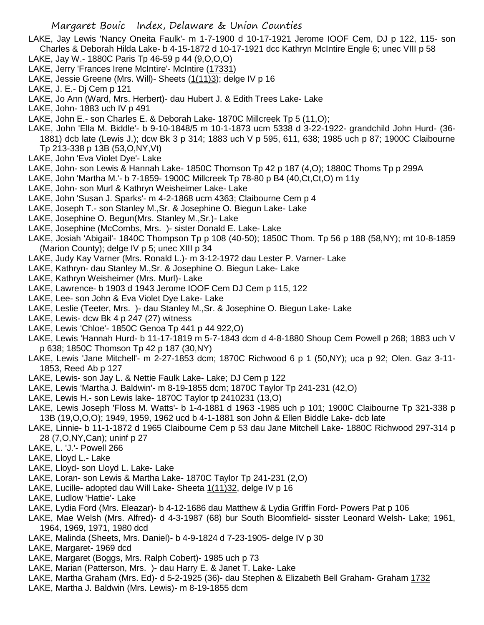- LAKE, Jay Lewis 'Nancy Oneita Faulk'- m 1-7-1900 d 10-17-1921 Jerome IOOF Cem, DJ p 122, 115- son Charles & Deborah Hilda Lake- b 4-15-1872 d 10-17-1921 dcc Kathryn McIntire Engle 6; unec VIII p 58
- LAKE, Jay W.- 1880C Paris Tp 46-59 p 44 (9,O,O,O)
- LAKE, Jerry 'Frances Irene McIntire'- McIntire (17331)
- LAKE, Jessie Greene (Mrs. Will)- Sheets (1(11)3); delge IV p 16
- LAKE, J. E.- Dj Cem p 121
- LAKE, Jo Ann (Ward, Mrs. Herbert)- dau Hubert J. & Edith Trees Lake- Lake
- LAKE, John- 1883 uch IV p 491
- LAKE, John E.- son Charles E. & Deborah Lake- 1870C Millcreek Tp 5 (11,O);
- LAKE, John 'Ella M. Biddle'- b 9-10-1848/5 m 10-1-1873 ucm 5338 d 3-22-1922- grandchild John Hurd- (36- 1881) dcb late (Lewis J.); dcw Bk 3 p 314; 1883 uch V p 595, 611, 638; 1985 uch p 87; 1900C Claibourne Tp 213-338 p 13B (53,O,NY,Vt)
- LAKE, John 'Eva Violet Dye'- Lake
- LAKE, John- son Lewis & Hannah Lake- 1850C Thomson Tp 42 p 187 (4,O); 1880C Thoms Tp p 299A
- LAKE, John 'Martha M.'- b 7-1859- 1900C Millcreek Tp 78-80 p B4 (40,Ct,Ct,O) m 11y
- LAKE, John- son Murl & Kathryn Weisheimer Lake- Lake
- LAKE, John 'Susan J. Sparks'- m 4-2-1868 ucm 4363; Claibourne Cem p 4
- LAKE, Joseph T.- son Stanley M.,Sr. & Josephine O. Biegun Lake- Lake
- LAKE, Josephine O. Begun(Mrs. Stanley M.,Sr.)- Lake
- LAKE, Josephine (McCombs, Mrs. )- sister Donald E. Lake- Lake
- LAKE, Josiah 'Abigail'- 1840C Thompson Tp p 108 (40-50); 1850C Thom. Tp 56 p 188 (58,NY); mt 10-8-1859 (Marion County); delge IV p 5; unec XIII p 34
- LAKE, Judy Kay Varner (Mrs. Ronald L.)- m 3-12-1972 dau Lester P. Varner- Lake
- LAKE, Kathryn- dau Stanley M.,Sr. & Josephine O. Biegun Lake- Lake
- LAKE, Kathryn Weisheimer (Mrs. Murl)- Lake
- LAKE, Lawrence- b 1903 d 1943 Jerome IOOF Cem DJ Cem p 115, 122
- LAKE, Lee- son John & Eva Violet Dye Lake- Lake
- LAKE, Leslie (Teeter, Mrs. )- dau Stanley M.,Sr. & Josephine O. Biegun Lake- Lake
- LAKE, Lewis- dcw Bk 4 p 247 (27) witness
- LAKE, Lewis 'Chloe'- 1850C Genoa Tp 441 p 44 922,O)
- LAKE, Lewis 'Hannah Hurd- b 11-17-1819 m 5-7-1843 dcm d 4-8-1880 Shoup Cem Powell p 268; 1883 uch V p 638; 1850C Thomson Tp 42 p 187 (30,NY)
- LAKE, Lewis 'Jane Mitchell'- m 2-27-1853 dcm; 1870C Richwood 6 p 1 (50,NY); uca p 92; Olen. Gaz 3-11- 1853, Reed Ab p 127
- LAKE, Lewis- son Jay L. & Nettie Faulk Lake- Lake; DJ Cem p 122
- LAKE, Lewis 'Martha J. Baldwin'- m 8-19-1855 dcm; 1870C Taylor Tp 241-231 (42,O)
- LAKE, Lewis H.- son Lewis lake- 1870C Taylor tp 2410231 (13,O)
- LAKE, Lewis Joseph 'Floss M. Watts'- b 1-4-1881 d 1963 -1985 uch p 101; 1900C Claibourne Tp 321-338 p 13B (19,O,O,O); 1949, 1959, 1962 ucd b 4-1-1881 son John & Ellen Biddle Lake- dcb late
- LAKE, Linnie- b 11-1-1872 d 1965 Claibourne Cem p 53 dau Jane Mitchell Lake- 1880C Richwood 297-314 p 28 (7,O,NY,Can); uninf p 27
- LAKE, L. 'J.'- Powell 266
- LAKE, Lloyd L.- Lake
- LAKE, Lloyd- son Lloyd L. Lake- Lake
- LAKE, Loran- son Lewis & Martha Lake- 1870C Taylor Tp 241-231 (2,O)
- LAKE, Lucille- adopted dau Will Lake- Sheeta 1(11)32, delge IV p 16
- LAKE, Ludlow 'Hattie'- Lake
- LAKE, Lydia Ford (Mrs. Eleazar)- b 4-12-1686 dau Matthew & Lydia Griffin Ford- Powers Pat p 106
- LAKE, Mae Welsh (Mrs. Alfred)- d 4-3-1987 (68) bur South Bloomfield- sisster Leonard Welsh- Lake; 1961, 1964, 1969, 1971, 1980 dcd
- LAKE, Malinda (Sheets, Mrs. Daniel)- b 4-9-1824 d 7-23-1905- delge IV p 30
- LAKE, Margaret- 1969 dcd
- LAKE, Margaret (Boggs, Mrs. Ralph Cobert)- 1985 uch p 73
- LAKE, Marian (Patterson, Mrs. )- dau Harry E. & Janet T. Lake- Lake
- LAKE, Martha Graham (Mrs. Ed)- d 5-2-1925 (36)- dau Stephen & Elizabeth Bell Graham- Graham 1732
- LAKE, Martha J. Baldwin (Mrs. Lewis)- m 8-19-1855 dcm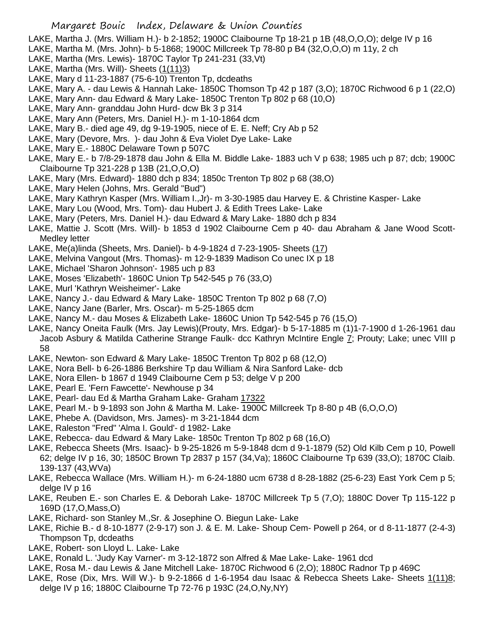LAKE, Martha J. (Mrs. William H.)- b 2-1852; 1900C Claibourne Tp 18-21 p 1B (48,O,O,O); delge IV p 16

- LAKE, Martha M. (Mrs. John)- b 5-1868; 1900C Millcreek Tp 78-80 p B4 (32,O,O,O) m 11y, 2 ch
- LAKE, Martha (Mrs. Lewis)- 1870C Taylor Tp 241-231 (33,Vt)
- LAKE, Martha (Mrs. Will)- Sheets (1(11)3)
- LAKE, Mary d 11-23-1887 (75-6-10) Trenton Tp, dcdeaths
- LAKE, Mary A. dau Lewis & Hannah Lake- 1850C Thomson Tp 42 p 187 (3,O); 1870C Richwood 6 p 1 (22,O)
- LAKE, Mary Ann- dau Edward & Mary Lake- 1850C Trenton Tp 802 p 68 (10,O)
- LAKE, Mary Ann- granddau John Hurd- dcw Bk 3 p 314
- LAKE, Mary Ann (Peters, Mrs. Daniel H.)- m 1-10-1864 dcm
- LAKE, Mary B.- died age 49, dg 9-19-1905, niece of E. E. Neff; Cry Ab p 52
- LAKE, Mary (Devore, Mrs. )- dau John & Eva Violet Dye Lake- Lake
- LAKE, Mary E.- 1880C Delaware Town p 507C
- LAKE, Mary E.- b 7/8-29-1878 dau John & Ella M. Biddle Lake- 1883 uch V p 638; 1985 uch p 87; dcb; 1900C Claibourne Tp 321-228 p 13B (21,O,O,O)
- LAKE, Mary (Mrs. Edward)- 1880 dch p 834; 1850c Trenton Tp 802 p 68 (38,O)
- LAKE, Mary Helen (Johns, Mrs. Gerald "Bud")
- LAKE, Mary Kathryn Kasper (Mrs. William I.,Jr)- m 3-30-1985 dau Harvey E. & Christine Kasper- Lake
- LAKE, Mary Lou (Wood, Mrs. Tom)- dau Hubert J. & Edith Trees Lake- Lake
- LAKE, Mary (Peters, Mrs. Daniel H.)- dau Edward & Mary Lake- 1880 dch p 834
- LAKE, Mattie J. Scott (Mrs. Will)- b 1853 d 1902 Claibourne Cem p 40- dau Abraham & Jane Wood Scott-Medley letter
- LAKE, Me(a)linda (Sheets, Mrs. Daniel)- b 4-9-1824 d 7-23-1905- Sheets (17)
- LAKE, Melvina Vangout (Mrs. Thomas)- m 12-9-1839 Madison Co unec IX p 18
- LAKE, Michael 'Sharon Johnson'- 1985 uch p 83
- LAKE, Moses 'Elizabeth'- 1860C Union Tp 542-545 p 76 (33,O)
- LAKE, Murl 'Kathryn Weisheimer'- Lake
- LAKE, Nancy J.- dau Edward & Mary Lake- 1850C Trenton Tp 802 p 68 (7,O)
- LAKE, Nancy Jane (Barler, Mrs. Oscar)- m 5-25-1865 dcm
- LAKE, Nancy M.- dau Moses & Elizabeth Lake- 1860C Union Tp 542-545 p 76 (15,O)
- LAKE, Nancy Oneita Faulk (Mrs. Jay Lewis)(Prouty, Mrs. Edgar)- b 5-17-1885 m (1)1-7-1900 d 1-26-1961 dau Jacob Asbury & Matilda Catherine Strange Faulk- dcc Kathryn McIntire Engle 7; Prouty; Lake; unec VIII p 58
- LAKE, Newton- son Edward & Mary Lake- 1850C Trenton Tp 802 p 68 (12,O)
- LAKE, Nora Bell- b 6-26-1886 Berkshire Tp dau William & Nira Sanford Lake- dcb
- LAKE, Nora Ellen- b 1867 d 1949 Claibourne Cem p 53; delge V p 200
- LAKE, Pearl E. 'Fern Fawcette'- Newhouse p 34
- LAKE, Pearl- dau Ed & Martha Graham Lake- Graham 17322
- LAKE, Pearl M.- b 9-1893 son John & Martha M. Lake- 1900C Millcreek Tp 8-80 p 4B (6,O,O,O)
- LAKE, Phebe A. (Davidson, Mrs. James)- m 3-21-1844 dcm
- LAKE, Raleston "Fred" 'Alma I. Gould'- d 1982- Lake
- LAKE, Rebecca- dau Edward & Mary Lake- 1850c Trenton Tp 802 p 68 (16,O)
- LAKE, Rebecca Sheets (Mrs. Isaac)- b 9-25-1826 m 5-9-1848 dcm d 9-1-1879 (52) Old Kilb Cem p 10, Powell 62; delge IV p 16, 30; 1850C Brown Tp 2837 p 157 (34,Va); 1860C Claibourne Tp 639 (33,O); 1870C Claib. 139-137 (43,WVa)
- LAKE, Rebecca Wallace (Mrs. William H.)- m 6-24-1880 ucm 6738 d 8-28-1882 (25-6-23) East York Cem p 5; delge IV p 16
- LAKE, Reuben E.- son Charles E. & Deborah Lake- 1870C Millcreek Tp 5 (7,O); 1880C Dover Tp 115-122 p 169D (17,O,Mass,O)
- LAKE, Richard- son Stanley M.,Sr. & Josephine O. Biegun Lake- Lake
- LAKE, Richie B.- d 8-10-1877 (2-9-17) son J. & E. M. Lake- Shoup Cem- Powell p 264, or d 8-11-1877 (2-4-3) Thompson Tp, dcdeaths
- LAKE, Robert- son Lloyd L. Lake- Lake
- LAKE, Ronald L. 'Judy Kay Varner'- m 3-12-1872 son Alfred & Mae Lake- Lake- 1961 dcd
- LAKE, Rosa M.- dau Lewis & Jane Mitchell Lake- 1870C Richwood 6 (2,O); 1880C Radnor Tp p 469C
- LAKE, Rose (Dix, Mrs. Will W.)- b 9-2-1866 d 1-6-1954 dau Isaac & Rebecca Sheets Lake- Sheets 1(11)8; delge IV p 16; 1880C Claibourne Tp 72-76 p 193C (24,O,Ny,NY)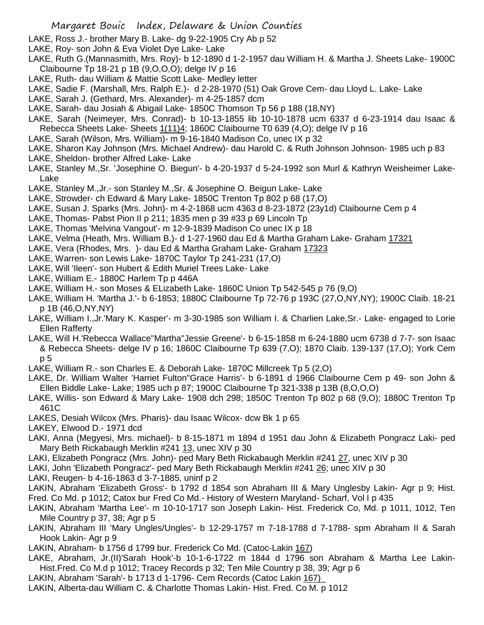- LAKE, Ross J.- brother Mary B. Lake- dg 9-22-1905 Cry Ab p 52
- LAKE, Roy- son John & Eva Violet Dye Lake- Lake
- LAKE, Ruth G.(Mannasmith, Mrs. Roy)- b 12-1890 d 1-2-1957 dau William H. & Martha J. Sheets Lake- 1900C Claibourne Tp 18-21 p 1B (9,O,O,O); delge IV p 16
- LAKE, Ruth- dau William & Mattie Scott Lake- Medley letter
- LAKE, Sadie F. (Marshall, Mrs. Ralph E.)- d 2-28-1970 (51) Oak Grove Cem- dau Lloyd L. Lake- Lake
- LAKE, Sarah J. (Gethard, Mrs. Alexander)- m 4-25-1857 dcm
- LAKE, Sarah- dau Josiah & Abigail Lake- 1850C Thomson Tp 56 p 188 (18,NY)
- LAKE, Sarah (Neimeyer, Mrs. Conrad)- b 10-13-1855 lib 10-10-1878 ucm 6337 d 6-23-1914 dau Isaac & Rebecca Sheets Lake- Sheets 1(11)4; 1860C Claibourne T0 639 (4,O); delge IV p 16
- LAKE, Sarah (Wilson, Mrs. William)- m 9-16-1840 Madison Co, unec IX p 32
- LAKE, Sharon Kay Johnson (Mrs. Michael Andrew)- dau Harold C. & Ruth Johnson Johnson- 1985 uch p 83
- LAKE, Sheldon- brother Alfred Lake- Lake
- LAKE, Stanley M.,Sr. 'Josephine O. Biegun'- b 4-20-1937 d 5-24-1992 son Murl & Kathryn Weisheimer Lake-Lake
- LAKE, Stanley M.,Jr.- son Stanley M.,Sr. & Josephine O. Beigun Lake- Lake
- LAKE, Strowder- ch Edward & Mary Lake- 1850C Trenton Tp 802 p 68 (17,O)
- LAKE, Susan J. Sparks (Mrs. John)- m 4-2-1868 ucm 4363 d 8-23-1872 (23y1d) Claibourne Cem p 4
- LAKE, Thomas- Pabst Pion II p 211; 1835 men p 39 #33 p 69 Lincoln Tp
- LAKE, Thomas 'Melvina Vangout'- m 12-9-1839 Madison Co unec IX p 18
- LAKE, Velma (Heath, Mrs. William B.)- d 1-27-1960 dau Ed & Martha Graham Lake- Graham 17321
- LAKE, Vera (Rhodes, Mrs. )- dau Ed & Martha Graham Lake- Graham 17323
- LAKE, Warren- son Lewis Lake- 1870C Taylor Tp 241-231 (17,O)
- LAKE, Will 'Ileen'- son Hubert & Edith Muriel Trees Lake- Lake
- LAKE, William E.- 1880C Harlem Tp p 446A
- LAKE, William H.- son Moses & ELizabeth Lake- 1860C Union Tp 542-545 p 76 (9,O)
- LAKE, William H. 'Martha J.'- b 6-1853; 1880C Claibourne Tp 72-76 p 193C (27,O,NY,NY); 1900C Claib. 18-21 p 1B (46,O,NY,NY)
- LAKE, William I.,Jr.'Mary K. Kasper'- m 3-30-1985 son William I. & Charlien Lake,Sr.- Lake- engaged to Lorie Ellen Rafferty
- LAKE, Will H.'Rebecca Wallace''Martha''Jessie Greene'- b 6-15-1858 m 6-24-1880 ucm 6738 d 7-7- son Isaac & Rebecca Sheets- delge IV p 16; 1860C Claibourne Tp 639 (7,O); 1870 Claib. 139-137 (17,O); York Cem p 5
- LAKE, William R.- son Charles E. & Deborah Lake- 1870C Millcreek Tp 5 (2,O)
- LAKE, Dr. William Walter 'Harriet Fulton''Grace Harris'- b 6-1891 d 1966 Claibourne Cem p 49- son John & Ellen Biddle Lake- Lake; 1985 uch p 87; 1900C Claibourne Tp 321-338 p 13B (8,O,O,O)
- LAKE, Willis- son Edward & Mary Lake- 1908 dch 298; 1850C Trenton Tp 802 p 68 (9,O); 1880C Trenton Tp 461C
- LAKES, Desiah Wilcox (Mrs. Pharis)- dau Isaac Wilcox- dcw Bk 1 p 65
- LAKEY, Elwood D.- 1971 dcd
- LAKI, Anna (Megyesi, Mrs. michael)- b 8-15-1871 m 1894 d 1951 dau John & Elizabeth Pongracz Laki- ped Mary Beth Rickabaugh Merklin #241 13, unec XIV p 30
- LAKI, Elizabeth Pongracz (Mrs. John)- ped Mary Beth Rickabaugh Merklin #241 27, unec XIV p 30
- LAKI, John 'Elizabeth Pongracz'- ped Mary Beth Rickabaugh Merklin #241 26; unec XIV p 30
- LAKI, Reugen- b 4-16-1863 d 3-7-1885, uninf p 2
- LAKIN, Abraham 'Elizabeth Gross'- b 1792 d 1854 son Abraham III & Mary Unglesby Lakin- Agr p 9; Hist. Fred. Co Md. p 1012; Catox bur Fred Co Md.- History of Western Maryland- Scharf, Vol I p 435
- LAKIN, Abraham 'Martha Lee'- m 10-10-1717 son Joseph Lakin- Hist. Frederick Co, Md. p 1011, 1012, Ten Mile Country p 37, 38; Agr p 5
- LAKIN, Abraham III 'Mary Ungles/Ungles'- b 12-29-1757 m 7-18-1788 d 7-1788- spm Abraham II & Sarah Hook Lakin- Agr p 9
- LAKIN, Abraham- b 1756 d 1799 bur. Frederick Co Md. (Catoc-Lakin 167)
- LAKE, Abraham, Jr.(II)'Sarah Hook'-b 10-1-6-1722 m 1844 d 1796 son Abraham & Martha Lee Lakin-Hist.Fred. Co M.d p 1012; Tracey Records p 32; Ten Mile Country p 38, 39; Agr p 6
- LAKIN, Abraham 'Sarah'- b 1713 d 1-1796- Cem Records (Catoc Lakin 167)\_
- LAKIN, Alberta-dau William C. & Charlotte Thomas Lakin- Hist. Fred. Co M. p 1012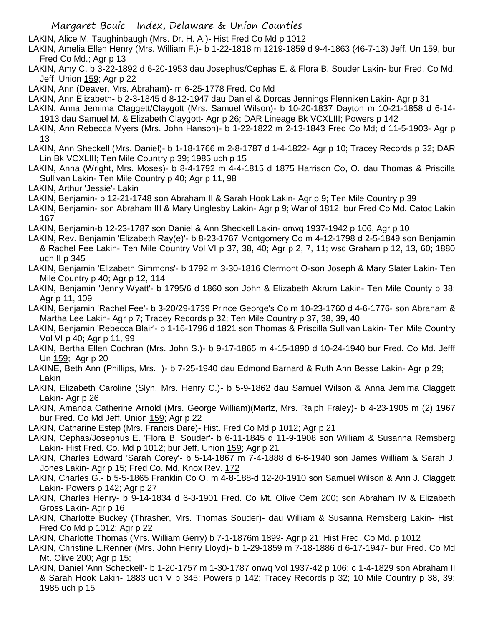LAKIN, Alice M. Taughinbaugh (Mrs. Dr. H. A.)- Hist Fred Co Md p 1012

LAKIN, Amelia Ellen Henry (Mrs. William F.)- b 1-22-1818 m 1219-1859 d 9-4-1863 (46-7-13) Jeff. Un 159, bur Fred Co Md.; Agr p 13

LAKIN, Amy C. b 3-22-1892 d 6-20-1953 dau Josephus/Cephas E. & Flora B. Souder Lakin- bur Fred. Co Md. Jeff. Union 159; Agr p 22

LAKIN, Ann (Deaver, Mrs. Abraham)- m 6-25-1778 Fred. Co Md

- LAKIN, Ann Elizabeth- b 2-3-1845 d 8-12-1947 dau Daniel & Dorcas Jennings Flenniken Lakin- Agr p 31
- LAKIN, Anna Jemima Claggett/Claygott (Mrs. Samuel Wilson)- b 10-20-1837 Dayton m 10-21-1858 d 6-14- 1913 dau Samuel M. & Elizabeth Claygott- Agr p 26; DAR Lineage Bk VCXLIII; Powers p 142
- LAKIN, Ann Rebecca Myers (Mrs. John Hanson)- b 1-22-1822 m 2-13-1843 Fred Co Md; d 11-5-1903- Agr p 13
- LAKIN, Ann Sheckell (Mrs. Daniel)- b 1-18-1766 m 2-8-1787 d 1-4-1822- Agr p 10; Tracey Records p 32; DAR Lin Bk VCXLIII; Ten Mile Country p 39; 1985 uch p 15
- LAKIN, Anna (Wright, Mrs. Moses)- b 8-4-1792 m 4-4-1815 d 1875 Harrison Co, O. dau Thomas & Priscilla Sullivan Lakin- Ten Mile Country p 40; Agr p 11, 98
- LAKIN, Arthur 'Jessie'- Lakin
- LAKIN, Benjamin- b 12-21-1748 son Abraham II & Sarah Hook Lakin- Agr p 9; Ten Mile Country p 39
- LAKIN, Benjamin- son Abraham III & Mary Unglesby Lakin- Agr p 9; War of 1812; bur Fred Co Md. Catoc Lakin 167
- LAKIN, Benjamin-b 12-23-1787 son Daniel & Ann Sheckell Lakin- onwq 1937-1942 p 106, Agr p 10
- LAKIN, Rev. Benjamin 'Elizabeth Ray(e)'- b 8-23-1767 Montgomery Co m 4-12-1798 d 2-5-1849 son Benjamin & Rachel Fee Lakin- Ten Mile Country Vol VI p 37, 38, 40; Agr p 2, 7, 11; wsc Graham p 12, 13, 60; 1880 uch II p 345
- LAKIN, Benjamin 'Elizabeth Simmons'- b 1792 m 3-30-1816 Clermont O-son Joseph & Mary Slater Lakin- Ten Mile Country p 40; Agr p 12, 114
- LAKIN, Benjamin 'Jenny Wyatt'- b 1795/6 d 1860 son John & Elizabeth Akrum Lakin- Ten Mile County p 38; Agr p 11, 109
- LAKIN, Benjamin 'Rachel Fee'- b 3-20/29-1739 Prince George's Co m 10-23-1760 d 4-6-1776- son Abraham & Martha Lee Lakin- Agr p 7; Tracey Records p 32; Ten Mile Country p 37, 38, 39, 40
- LAKIN, Benjamin 'Rebecca Blair'- b 1-16-1796 d 1821 son Thomas & Priscilla Sullivan Lakin- Ten Mile Country Vol VI p 40; Agr p 11, 99
- LAKIN, Bertha Ellen Cochran (Mrs. John S.)- b 9-17-1865 m 4-15-1890 d 10-24-1940 bur Fred. Co Md. Jefff Un 159; Agr p 20
- LAKINE, Beth Ann (Phillips, Mrs. )- b 7-25-1940 dau Edmond Barnard & Ruth Ann Besse Lakin- Agr p 29; Lakin
- LAKIN, Elizabeth Caroline (Slyh, Mrs. Henry C.)- b 5-9-1862 dau Samuel Wilson & Anna Jemima Claggett Lakin- Agr p 26
- LAKIN, Amanda Catherine Arnold (Mrs. George William)(Martz, Mrs. Ralph Fraley)- b 4-23-1905 m (2) 1967 bur Fred. Co Md Jeff. Union 159; Agr p 22
- LAKIN, Catharine Estep (Mrs. Francis Dare)- Hist. Fred Co Md p 1012; Agr p 21
- LAKIN, Cephas/Josephus E. 'Flora B. Souder'- b 6-11-1845 d 11-9-1908 son William & Susanna Remsberg Lakin- Hist Fred. Co. Md p 1012; bur Jeff. Union 159; Agr p 21
- LAKIN, Charles Edward 'Sarah Corey'- b 5-14-1867 m 7-4-1888 d 6-6-1940 son James William & Sarah J. Jones Lakin- Agr p 15; Fred Co. Md, Knox Rev. 172
- LAKIN, Charles G.- b 5-5-1865 Franklin Co O. m 4-8-188-d 12-20-1910 son Samuel Wilson & Ann J. Claggett Lakin- Powers p 142; Agr p 27
- LAKIN, Charles Henry- b 9-14-1834 d 6-3-1901 Fred. Co Mt. Olive Cem 200; son Abraham IV & Elizabeth Gross Lakin- Agr p 16
- LAKIN, Charlotte Buckey (Thrasher, Mrs. Thomas Souder)- dau William & Susanna Remsberg Lakin- Hist. Fred Co Md p 1012; Agr p 22
- LAKIN, Charlotte Thomas (Mrs. William Gerry) b 7-1-1876m 1899- Agr p 21; Hist Fred. Co Md. p 1012
- LAKIN, Christine L.Renner (Mrs. John Henry Lloyd)- b 1-29-1859 m 7-18-1886 d 6-17-1947- bur Fred. Co Md Mt. Olive 200; Agr p 15;
- LAKIN, Daniel 'Ann Scheckell'- b 1-20-1757 m 1-30-1787 onwq Vol 1937-42 p 106; c 1-4-1829 son Abraham II & Sarah Hook Lakin- 1883 uch V p 345; Powers p 142; Tracey Records p 32; 10 Mile Country p 38, 39; 1985 uch p 15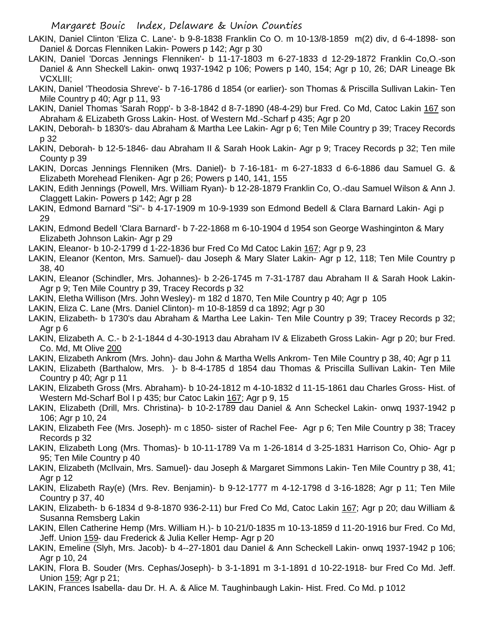- LAKIN, Daniel Clinton 'Eliza C. Lane'- b 9-8-1838 Franklin Co O. m 10-13/8-1859 m(2) div, d 6-4-1898- son Daniel & Dorcas Flenniken Lakin- Powers p 142; Agr p 30
- LAKIN, Daniel 'Dorcas Jennings Flenniken'- b 11-17-1803 m 6-27-1833 d 12-29-1872 Franklin Co,O.-son Daniel & Ann Sheckell Lakin- onwq 1937-1942 p 106; Powers p 140, 154; Agr p 10, 26; DAR Lineage Bk VCXLIII;
- LAKIN, Daniel 'Theodosia Shreve'- b 7-16-1786 d 1854 (or earlier)- son Thomas & Priscilla Sullivan Lakin- Ten Mile Country p 40; Agr p 11, 93
- LAKIN, Daniel Thomas 'Sarah Ropp'- b 3-8-1842 d 8-7-1890 (48-4-29) bur Fred. Co Md, Catoc Lakin 167 son Abraham & ELizabeth Gross Lakin- Host. of Western Md.-Scharf p 435; Agr p 20
- LAKIN, Deborah- b 1830's- dau Abraham & Martha Lee Lakin- Agr p 6; Ten Mile Country p 39; Tracey Records p 32
- LAKIN, Deborah- b 12-5-1846- dau Abraham II & Sarah Hook Lakin- Agr p 9; Tracey Records p 32; Ten mile County p 39
- LAKIN, Dorcas Jennings Flenniken (Mrs. Daniel)- b 7-16-181- m 6-27-1833 d 6-6-1886 dau Samuel G. & Elizabeth Morehead Fleniken- Agr p 26; Powers p 140, 141, 155
- LAKIN, Edith Jennings (Powell, Mrs. William Ryan)- b 12-28-1879 Franklin Co, O.-dau Samuel Wilson & Ann J. Claggett Lakin- Powers p 142; Agr p 28
- LAKIN, Edmond Barnard "Si"- b 4-17-1909 m 10-9-1939 son Edmond Bedell & Clara Barnard Lakin- Agi p 29
- LAKIN, Edmond Bedell 'Clara Barnard'- b 7-22-1868 m 6-10-1904 d 1954 son George Washinginton & Mary Elizabeth Johnson Lakin- Agr p 29
- LAKIN, Eleanor- b 10-2-1799 d 1-22-1836 bur Fred Co Md Catoc Lakin 167; Agr p 9, 23
- LAKIN, Eleanor (Kenton, Mrs. Samuel)- dau Joseph & Mary Slater Lakin- Agr p 12, 118; Ten Mile Country p 38, 40
- LAKIN, Eleanor (Schindler, Mrs. Johannes)- b 2-26-1745 m 7-31-1787 dau Abraham II & Sarah Hook Lakin-Agr p 9; Ten Mile Country p 39, Tracey Records p 32
- LAKIN, Eletha Willison (Mrs. John Wesley)- m 182 d 1870, Ten Mile Country p 40; Agr p 105
- LAKIN, Eliza C. Lane (Mrs. Daniel Clinton)- m 10-8-1859 d ca 1892; Agr p 30
- LAKIN, Elizabeth- b 1730's dau Abraham & Martha Lee Lakin- Ten Mile Country p 39; Tracey Records p 32; Agr p 6
- LAKIN, Elizabeth A. C.- b 2-1-1844 d 4-30-1913 dau Abraham IV & Elizabeth Gross Lakin- Agr p 20; bur Fred. Co. Md, Mt Olive 200
- LAKIN, Elizabeth Ankrom (Mrs. John)- dau John & Martha Wells Ankrom- Ten Mile Country p 38, 40; Agr p 11
- LAKIN, Elizabeth (Barthalow, Mrs. )- b 8-4-1785 d 1854 dau Thomas & Priscilla Sullivan Lakin- Ten Mile Country p 40; Agr p 11
- LAKIN, Elizabeth Gross (Mrs. Abraham)- b 10-24-1812 m 4-10-1832 d 11-15-1861 dau Charles Gross- Hist. of Western Md-Scharf Bol I p 435; bur Catoc Lakin 167; Agr p 9, 15
- LAKIN, Elizabeth (Drill, Mrs. Christina)- b 10-2-1789 dau Daniel & Ann Scheckel Lakin- onwq 1937-1942 p 106; Agr p 10, 24
- LAKIN, Elizabeth Fee (Mrs. Joseph)- m c 1850- sister of Rachel Fee- Agr p 6; Ten Mile Country p 38; Tracey Records p 32
- LAKIN, Elizabeth Long (Mrs. Thomas)- b 10-11-1789 Va m 1-26-1814 d 3-25-1831 Harrison Co, Ohio- Agr p 95; Ten Mile Country p 40
- LAKIN, Elizabeth (McIlvain, Mrs. Samuel)- dau Joseph & Margaret Simmons Lakin- Ten Mile Country p 38, 41; Agr p 12
- LAKIN, Elizabeth Ray(e) (Mrs. Rev. Benjamin)- b 9-12-1777 m 4-12-1798 d 3-16-1828; Agr p 11; Ten Mile Country p 37, 40
- LAKIN, Elizabeth- b 6-1834 d 9-8-1870 936-2-11) bur Fred Co Md, Catoc Lakin 167; Agr p 20; dau William & Susanna Remsberg Lakin
- LAKIN, Ellen Catherine Hemp (Mrs. William H.)- b 10-21/0-1835 m 10-13-1859 d 11-20-1916 bur Fred. Co Md, Jeff. Union 159- dau Frederick & Julia Keller Hemp- Agr p 20
- LAKIN, Emeline (Slyh, Mrs. Jacob)- b 4--27-1801 dau Daniel & Ann Scheckell Lakin- onwq 1937-1942 p 106; Agr p 10, 24
- LAKIN, Flora B. Souder (Mrs. Cephas/Joseph)- b 3-1-1891 m 3-1-1891 d 10-22-1918- bur Fred Co Md. Jeff. Union 159; Agr p 21;
- LAKIN, Frances Isabella- dau Dr. H. A. & Alice M. Taughinbaugh Lakin- Hist. Fred. Co Md. p 1012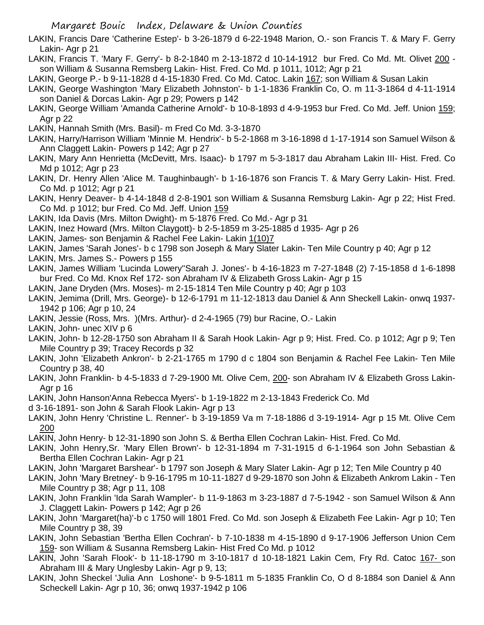LAKIN, Francis Dare 'Catherine Estep'- b 3-26-1879 d 6-22-1948 Marion, O.- son Francis T. & Mary F. Gerry Lakin- Agr p 21

LAKIN, Francis T. 'Mary F. Gerry'- b 8-2-1840 m 2-13-1872 d 10-14-1912 bur Fred. Co Md. Mt. Olivet 200 son William & Susanna Remsberg Lakin- Hist. Fred. Co Md. p 1011, 1012; Agr p 21

LAKIN, George P.- b 9-11-1828 d 4-15-1830 Fred. Co Md. Catoc. Lakin 167; son William & Susan Lakin

- LAKIN, George Washington 'Mary Elizabeth Johnston'- b 1-1-1836 Franklin Co, O. m 11-3-1864 d 4-11-1914 son Daniel & Dorcas Lakin- Agr p 29; Powers p 142
- LAKIN, George William 'Amanda Catherine Arnold'- b 10-8-1893 d 4-9-1953 bur Fred. Co Md. Jeff. Union 159; Agr p 22
- LAKIN, Hannah Smith (Mrs. Basil)- m Fred Co Md. 3-3-1870
- LAKIN, Harry/Harrison William 'Minnie M. Hendrix'- b 5-2-1868 m 3-16-1898 d 1-17-1914 son Samuel Wilson & Ann Claggett Lakin- Powers p 142; Agr p 27
- LAKIN, Mary Ann Henrietta (McDevitt, Mrs. Isaac)- b 1797 m 5-3-1817 dau Abraham Lakin III- Hist. Fred. Co Md p 1012; Agr p 23
- LAKIN, Dr. Henry Allen 'Alice M. Taughinbaugh'- b 1-16-1876 son Francis T. & Mary Gerry Lakin- Hist. Fred. Co Md. p 1012; Agr p 21
- LAKIN, Henry Deaver- b 4-14-1848 d 2-8-1901 son William & Susanna Remsburg Lakin- Agr p 22; Hist Fred. Co Md. p 1012; bur Fred. Co Md. Jeff. Union 159
- LAKIN, Ida Davis (Mrs. Milton Dwight)- m 5-1876 Fred. Co Md.- Agr p 31
- LAKIN, Inez Howard (Mrs. Milton Claygott)- b 2-5-1859 m 3-25-1885 d 1935- Agr p 26
- LAKIN, James- son Benjamin & Rachel Fee Lakin- Lakin 1(10)7
- LAKIN, James 'Sarah Jones'- b c 1798 son Joseph & Mary Slater Lakin- Ten Mile Country p 40; Agr p 12
- LAKIN, Mrs. James S.- Powers p 155
- LAKIN, James William 'Lucinda Lowery''Sarah J. Jones'- b 4-16-1823 m 7-27-1848 (2) 7-15-1858 d 1-6-1898 bur Fred. Co Md. Knox Ref 172- son Abraham IV & Elizabeth Gross Lakin- Agr p 15
- LAKIN, Jane Dryden (Mrs. Moses)- m 2-15-1814 Ten Mile Country p 40; Agr p 103
- LAKIN, Jemima (Drill, Mrs. George)- b 12-6-1791 m 11-12-1813 dau Daniel & Ann Sheckell Lakin- onwq 1937- 1942 p 106; Agr p 10, 24
- LAKIN, Jessie (Ross, Mrs. )(Mrs. Arthur)- d 2-4-1965 (79) bur Racine, O.- Lakin

LAKIN, John- unec XIV p 6

- LAKIN, John- b 12-28-1750 son Abraham II & Sarah Hook Lakin- Agr p 9; Hist. Fred. Co. p 1012; Agr p 9; Ten Mile Country p 39; Tracey Records p 32
- LAKIN, John 'Elizabeth Ankron'- b 2-21-1765 m 1790 d c 1804 son Benjamin & Rachel Fee Lakin- Ten Mile Country p 38, 40
- LAKIN, John Franklin- b 4-5-1833 d 7-29-1900 Mt. Olive Cem, 200- son Abraham IV & Elizabeth Gross Lakin-Agr p 16
- LAKIN, John Hanson'Anna Rebecca Myers'- b 1-19-1822 m 2-13-1843 Frederick Co. Md
- d 3-16-1891- son John & Sarah Flook Lakin- Agr p 13
- LAKIN, John Henry 'Christine L. Renner'- b 3-19-1859 Va m 7-18-1886 d 3-19-1914- Agr p 15 Mt. Olive Cem 200
- LAKIN, John Henry- b 12-31-1890 son John S. & Bertha Ellen Cochran Lakin- Hist. Fred. Co Md.
- LAKIN, John Henry,Sr. 'Mary Ellen Brown'- b 12-31-1894 m 7-31-1915 d 6-1-1964 son John Sebastian & Bertha Ellen Cochran Lakin- Agr p 21
- LAKIN, John 'Margaret Barshear'- b 1797 son Joseph & Mary Slater Lakin- Agr p 12; Ten Mile Country p 40
- LAKIN, John 'Mary Bretney'- b 9-16-1795 m 10-11-1827 d 9-29-1870 son John & Elizabeth Ankrom Lakin Ten Mile Country p 38; Agr p 11, 108
- LAKIN, John Franklin 'Ida Sarah Wampler'- b 11-9-1863 m 3-23-1887 d 7-5-1942 son Samuel Wilson & Ann J. Claggett Lakin- Powers p 142; Agr p 26
- LAKIN, John 'Margaret(ha)'-b c 1750 will 1801 Fred. Co Md. son Joseph & Elizabeth Fee Lakin- Agr p 10; Ten Mile Country p 38, 39
- LAKIN, John Sebastian 'Bertha Ellen Cochran'- b 7-10-1838 m 4-15-1890 d 9-17-1906 Jefferson Union Cem 159- son William & Susanna Remsberg Lakin- Hist Fred Co Md. p 1012
- LAKIN, John 'Sarah Flook'- b 11-18-1790 m 3-10-1817 d 10-18-1821 Lakin Cem, Fry Rd. Catoc 167- son Abraham III & Mary Unglesby Lakin- Agr p 9, 13;
- LAKIN, John Sheckel 'Julia Ann Loshone'- b 9-5-1811 m 5-1835 Franklin Co, O d 8-1884 son Daniel & Ann Scheckell Lakin- Agr p 10, 36; onwq 1937-1942 p 106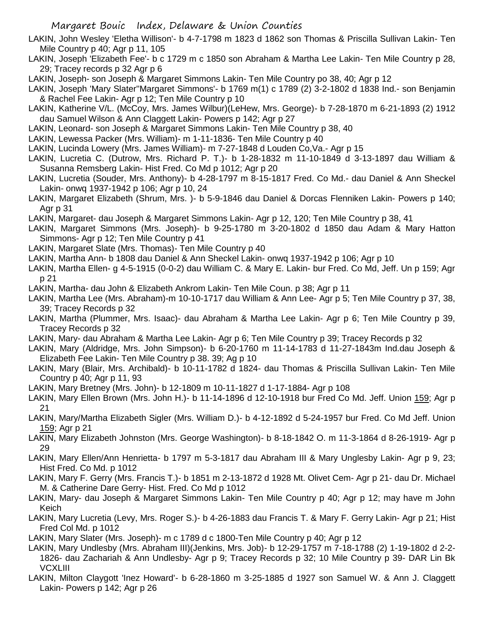LAKIN, John Wesley 'Eletha Willison'- b 4-7-1798 m 1823 d 1862 son Thomas & Priscilla Sullivan Lakin- Ten Mile Country p 40; Agr p 11, 105

LAKIN, Joseph 'Elizabeth Fee'- b c 1729 m c 1850 son Abraham & Martha Lee Lakin- Ten Mile Country p 28, 29; Tracey records p 32 Agr p 6

LAKIN, Joseph- son Joseph & Margaret Simmons Lakin- Ten Mile Country po 38, 40; Agr p 12

LAKIN, Joseph 'Mary Slater''Margaret Simmons'- b 1769 m(1) c 1789 (2) 3-2-1802 d 1838 Ind.- son Benjamin & Rachel Fee Lakin- Agr p 12; Ten Mile Country p 10

LAKIN, Katherine V/L. (McCoy, Mrs. James Wilbur)(LeHew, Mrs. George)- b 7-28-1870 m 6-21-1893 (2) 1912 dau Samuel Wilson & Ann Claggett Lakin- Powers p 142; Agr p 27

LAKIN, Leonard- son Joseph & Margaret Simmons Lakin- Ten Mile Country p 38, 40

LAKIN, Lewessa Packer (Mrs. William)- m 1-11-1836- Ten Mile Country p 40

LAKIN, Lucinda Lowery (Mrs. James William)- m 7-27-1848 d Louden Co,Va.- Agr p 15

- LAKIN, Lucretia C. (Dutrow, Mrs. Richard P. T.)- b 1-28-1832 m 11-10-1849 d 3-13-1897 dau William & Susanna Remsberg Lakin- Hist Fred. Co Md p 1012; Agr p 20
- LAKIN, Lucretia (Souder, Mrs. Anthony)- b 4-28-1797 m 8-15-1817 Fred. Co Md.- dau Daniel & Ann Sheckel Lakin- onwq 1937-1942 p 106; Agr p 10, 24
- LAKIN, Margaret Elizabeth (Shrum, Mrs. )- b 5-9-1846 dau Daniel & Dorcas Flenniken Lakin- Powers p 140; Agr p 31

LAKIN, Margaret- dau Joseph & Margaret Simmons Lakin- Agr p 12, 120; Ten Mile Country p 38, 41

- LAKIN, Margaret Simmons (Mrs. Joseph)- b 9-25-1780 m 3-20-1802 d 1850 dau Adam & Mary Hatton Simmons- Agr p 12; Ten Mile Country p 41
- LAKIN, Margaret Slate (Mrs. Thomas)- Ten Mile Country p 40
- LAKIN, Martha Ann- b 1808 dau Daniel & Ann Sheckel Lakin- onwq 1937-1942 p 106; Agr p 10
- LAKIN, Martha Ellen- g 4-5-1915 (0-0-2) dau William C. & Mary E. Lakin- bur Fred. Co Md, Jeff. Un p 159; Agr p 21

LAKIN, Martha- dau John & Elizabeth Ankrom Lakin- Ten Mile Coun. p 38; Agr p 11

- LAKIN, Martha Lee (Mrs. Abraham)-m 10-10-1717 dau William & Ann Lee- Agr p 5; Ten Mile Country p 37, 38, 39; Tracey Records p 32
- LAKIN, Martha (Plummer, Mrs. Isaac)- dau Abraham & Martha Lee Lakin- Agr p 6; Ten Mile Country p 39, Tracey Records p 32
- LAKIN, Mary- dau Abraham & Martha Lee Lakin- Agr p 6; Ten Mile Country p 39; Tracey Records p 32

LAKIN, Mary (Aldridge, Mrs. John Simpson)- b 6-20-1760 m 11-14-1783 d 11-27-1843m Ind.dau Joseph & Elizabeth Fee Lakin- Ten Mile Country p 38. 39; Ag p 10

LAKIN, Mary (Blair, Mrs. Archibald)- b 10-11-1782 d 1824- dau Thomas & Priscilla Sullivan Lakin- Ten Mile Country p 40; Agr p 11, 93

LAKIN, Mary Bretney (Mrs. John)- b 12-1809 m 10-11-1827 d 1-17-1884- Agr p 108

- LAKIN, Mary Ellen Brown (Mrs. John H.)- b 11-14-1896 d 12-10-1918 bur Fred Co Md. Jeff. Union 159; Agr p 21
- LAKIN, Mary/Martha Elizabeth Sigler (Mrs. William D.)- b 4-12-1892 d 5-24-1957 bur Fred. Co Md Jeff. Union 159; Agr p 21
- LAKIN, Mary Elizabeth Johnston (Mrs. George Washington)- b 8-18-1842 O. m 11-3-1864 d 8-26-1919- Agr p 29
- LAKIN, Mary Ellen/Ann Henrietta- b 1797 m 5-3-1817 dau Abraham III & Mary Unglesby Lakin- Agr p 9, 23; Hist Fred. Co Md. p 1012
- LAKIN, Mary F. Gerry (Mrs. Francis T.)- b 1851 m 2-13-1872 d 1928 Mt. Olivet Cem- Agr p 21- dau Dr. Michael M. & Catherine Dare Gerry- Hist. Fred. Co Md p 1012
- LAKIN, Mary- dau Joseph & Margaret Simmons Lakin- Ten Mile Country p 40; Agr p 12; may have m John Keich
- LAKIN, Mary Lucretia (Levy, Mrs. Roger S.)- b 4-26-1883 dau Francis T. & Mary F. Gerry Lakin- Agr p 21; Hist Fred Col Md. p 1012

LAKIN, Mary Slater (Mrs. Joseph)- m c 1789 d c 1800-Ten Mile Country p 40; Agr p 12

- LAKIN, Mary Undlesby (Mrs. Abraham III)(Jenkins, Mrs. Job)- b 12-29-1757 m 7-18-1788 (2) 1-19-1802 d 2-2- 1826- dau Zachariah & Ann Undlesby- Agr p 9; Tracey Records p 32; 10 Mile Country p 39- DAR Lin Bk **VCXLIII**
- LAKIN, Milton Claygott 'Inez Howard'- b 6-28-1860 m 3-25-1885 d 1927 son Samuel W. & Ann J. Claggett Lakin- Powers p 142; Agr p 26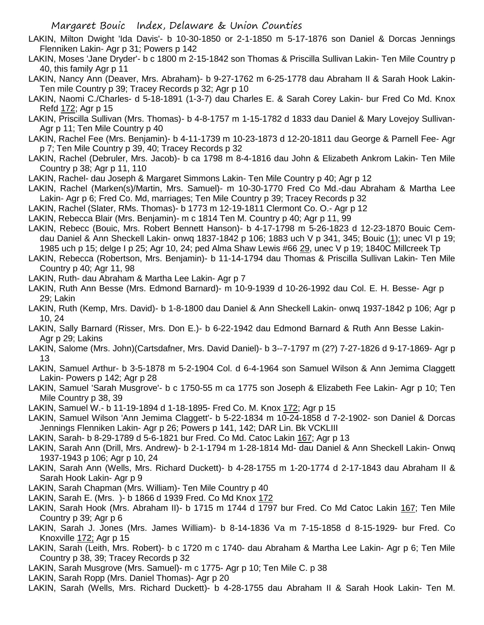- LAKIN, Milton Dwight 'Ida Davis'- b 10-30-1850 or 2-1-1850 m 5-17-1876 son Daniel & Dorcas Jennings Flenniken Lakin- Agr p 31; Powers p 142
- LAKIN, Moses 'Jane Dryder'- b c 1800 m 2-15-1842 son Thomas & Priscilla Sullivan Lakin- Ten Mile Country p 40, this family Agr p 11
- LAKIN, Nancy Ann (Deaver, Mrs. Abraham)- b 9-27-1762 m 6-25-1778 dau Abraham II & Sarah Hook Lakin-Ten mile Country p 39; Tracey Records p 32; Agr p 10
- LAKIN, Naomi C./Charles- d 5-18-1891 (1-3-7) dau Charles E. & Sarah Corey Lakin- bur Fred Co Md. Knox Refd 172; Agr p 15
- LAKIN, Priscilla Sullivan (Mrs. Thomas)- b 4-8-1757 m 1-15-1782 d 1833 dau Daniel & Mary Lovejoy Sullivan-Agr p 11; Ten Mile Country p 40
- LAKIN, Rachel Fee (Mrs. Benjamin)- b 4-11-1739 m 10-23-1873 d 12-20-1811 dau George & Parnell Fee- Agr p 7; Ten Mile Country p 39, 40; Tracey Records p 32
- LAKIN, Rachel (Debruler, Mrs. Jacob)- b ca 1798 m 8-4-1816 dau John & Elizabeth Ankrom Lakin- Ten Mile Country p 38; Agr p 11, 110
- LAKIN, Rachel- dau Joseph & Margaret Simmons Lakin- Ten Mile Country p 40; Agr p 12
- LAKIN, Rachel (Marken(s)/Martin, Mrs. Samuel)- m 10-30-1770 Fred Co Md.-dau Abraham & Martha Lee Lakin- Agr p 6; Fred Co. Md, marriages; Ten Mile Country p 39; Tracey Records p 32

LAKIN, Rachel (Slater, RMs. Thomas)- b 1773 m 12-19-1811 Clermont Co. O.- Agr p 12

- LAKIN, Rebecca Blair (Mrs. Benjamin)- m c 1814 Ten M. Country p 40; Agr p 11, 99
- LAKIN, Rebecc (Bouic, Mrs. Robert Bennett Hanson)- b 4-17-1798 m 5-26-1823 d 12-23-1870 Bouic Cemdau Daniel & Ann Sheckell Lakin- onwq 1837-1842 p 106; 1883 uch V p 341, 345; Bouic (1); unec VI p 19; 1985 uch p 15; delge I p 25; Agr 10, 24; ped Alma Shaw Lewis #66 29, unec V p 19; 1840C Millcreek Tp
- LAKIN, Rebecca (Robertson, Mrs. Benjamin)- b 11-14-1794 dau Thomas & Priscilla Sullivan Lakin- Ten Mile Country p 40; Agr 11, 98
- LAKIN, Ruth- dau Abraham & Martha Lee Lakin- Agr p 7
- LAKIN, Ruth Ann Besse (Mrs. Edmond Barnard)- m 10-9-1939 d 10-26-1992 dau Col. E. H. Besse- Agr p 29; Lakin
- LAKIN, Ruth (Kemp, Mrs. David)- b 1-8-1800 dau Daniel & Ann Sheckell Lakin- onwq 1937-1842 p 106; Agr p 10, 24
- LAKIN, Sally Barnard (Risser, Mrs. Don E.)- b 6-22-1942 dau Edmond Barnard & Ruth Ann Besse Lakin-Agr p 29; Lakins
- LAKIN, Salome (Mrs. John)(Cartsdafner, Mrs. David Daniel)- b 3--7-1797 m (2?) 7-27-1826 d 9-17-1869- Agr p 13
- LAKIN, Samuel Arthur- b 3-5-1878 m 5-2-1904 Col. d 6-4-1964 son Samuel Wilson & Ann Jemima Claggett Lakin- Powers p 142; Agr p 28
- LAKIN, Samuel 'Sarah Musgrove'- b c 1750-55 m ca 1775 son Joseph & Elizabeth Fee Lakin- Agr p 10; Ten Mile Country p 38, 39
- LAKIN, Samuel W.- b 11-19-1894 d 1-18-1895- Fred Co. M. Knox 172; Agr p 15
- LAKIN, Samuel Wilson 'Ann Jemima Claggett'- b 5-22-1834 m 10-24-1858 d 7-2-1902- son Daniel & Dorcas Jennings Flenniken Lakin- Agr p 26; Powers p 141, 142; DAR Lin. Bk VCKLIII
- LAKIN, Sarah- b 8-29-1789 d 5-6-1821 bur Fred. Co Md. Catoc Lakin 167; Agr p 13
- LAKIN, Sarah Ann (Drill, Mrs. Andrew)- b 2-1-1794 m 1-28-1814 Md- dau Daniel & Ann Sheckell Lakin- Onwq 1937-1943 p 106; Agr p 10, 24
- LAKIN, Sarah Ann (Wells, Mrs. Richard Duckett)- b 4-28-1755 m 1-20-1774 d 2-17-1843 dau Abraham II & Sarah Hook Lakin- Agr p 9
- LAKIN, Sarah Chapman (Mrs. William)- Ten Mile Country p 40
- LAKIN, Sarah E. (Mrs. )- b 1866 d 1939 Fred. Co Md Knox 172
- LAKIN, Sarah Hook (Mrs. Abraham II)- b 1715 m 1744 d 1797 bur Fred. Co Md Catoc Lakin 167; Ten Mile Country p 39; Agr p 6
- LAKIN, Sarah J. Jones (Mrs. James William)- b 8-14-1836 Va m 7-15-1858 d 8-15-1929- bur Fred. Co Knoxville 172; Agr p 15
- LAKIN, Sarah (Leith, Mrs. Robert)- b c 1720 m c 1740- dau Abraham & Martha Lee Lakin- Agr p 6; Ten Mile Country p 38, 39; Tracey Records p 32
- LAKIN, Sarah Musgrove (Mrs. Samuel)- m c 1775- Agr p 10; Ten Mile C. p 38
- LAKIN, Sarah Ropp (Mrs. Daniel Thomas)- Agr p 20
- LAKIN, Sarah (Wells, Mrs. Richard Duckett)- b 4-28-1755 dau Abraham II & Sarah Hook Lakin- Ten M.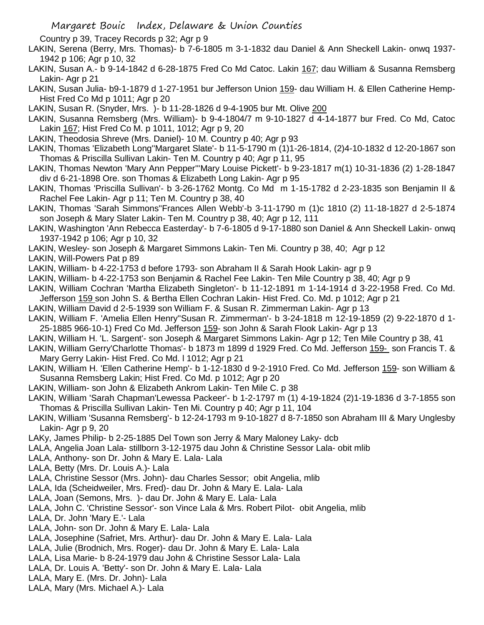Country p 39, Tracey Records p 32; Agr p 9

- LAKIN, Serena (Berry, Mrs. Thomas)- b 7-6-1805 m 3-1-1832 dau Daniel & Ann Sheckell Lakin- onwq 1937- 1942 p 106; Agr p 10, 32
- LAKIN, Susan A.- b 9-14-1842 d 6-28-1875 Fred Co Md Catoc. Lakin 167; dau William & Susanna Remsberg Lakin- Agr p 21
- LAKIN, Susan Julia- b9-1-1879 d 1-27-1951 bur Jefferson Union 159- dau William H. & Ellen Catherine Hemp-Hist Fred Co Md p 1011; Agr p 20
- LAKIN, Susan R. (Snyder, Mrs. )- b 11-28-1826 d 9-4-1905 bur Mt. Olive 200
- LAKIN, Susanna Remsberg (Mrs. William)- b 9-4-1804/7 m 9-10-1827 d 4-14-1877 bur Fred. Co Md, Catoc Lakin 167; Hist Fred Co M. p 1011, 1012; Agr p 9, 20
- LAKIN, Theodosia Shreve (Mrs. Daniel)- 10 M. Country p 40; Agr p 93
- LAKIN, Thomas 'Elizabeth Long''Margaret Slate'- b 11-5-1790 m (1)1-26-1814, (2)4-10-1832 d 12-20-1867 son Thomas & Priscilla Sullivan Lakin- Ten M. Country p 40; Agr p 11, 95
- LAKIN, Thomas Newton 'Mary Ann Pepper'''Mary Louise Pickett'- b 9-23-1817 m(1) 10-31-1836 (2) 1-28-1847 div d 6-21-1898 Ore. son Thomas & Elizabeth Long Lakin- Agr p 95
- LAKIN, Thomas 'Priscilla Sullivan'- b 3-26-1762 Montg. Co Md m 1-15-1782 d 2-23-1835 son Benjamin II & Rachel Fee Lakin- Agr p 11; Ten M. Country p 38, 40
- LAKIN, Thomas 'Sarah Simmons''Frances Allen Webb'-b 3-11-1790 m (1)c 1810 (2) 11-18-1827 d 2-5-1874 son Joseph & Mary Slater Lakin- Ten M. Country p 38, 40; Agr p 12, 111
- LAKIN, Washington 'Ann Rebecca Easterday'- b 7-6-1805 d 9-17-1880 son Daniel & Ann Sheckell Lakin- onwq 1937-1942 p 106; Agr p 10, 32
- LAKIN, Wesley- son Joseph & Margaret Simmons Lakin- Ten Mi. Country p 38, 40; Agr p 12
- LAKIN, Will-Powers Pat p 89
- LAKIN, William- b 4-22-1753 d before 1793- son Abraham II & Sarah Hook Lakin- agr p 9
- LAKIN, William- b 4-22-1753 son Benjamin & Rachel Fee Lakin- Ten Mile Country p 38, 40; Agr p 9
- LAKIN, William Cochran 'Martha Elizabeth Singleton'- b 11-12-1891 m 1-14-1914 d 3-22-1958 Fred. Co Md. Jefferson 159 son John S. & Bertha Ellen Cochran Lakin- Hist Fred. Co. Md. p 1012; Agr p 21
- LAKIN, William David d 2-5-1939 son William F. & Susan R. Zimmerman Lakin- Agr p 13
- LAKIN, William F. 'Amelia Ellen Henry''Susan R. Zimmerman'- b 3-24-1818 m 12-19-1859 (2) 9-22-1870 d 1- 25-1885 966-10-1) Fred Co Md. Jefferson 159- son John & Sarah Flook Lakin- Agr p 13
- LAKIN, William H. 'L. Sargent'- son Joseph & Margaret Simmons Lakin- Agr p 12; Ten Mile Country p 38, 41
- LAKIN, William Gerry'Charlotte Thomas'- b 1873 m 1899 d 1929 Fred. Co Md. Jefferson 159- son Francis T. & Mary Gerry Lakin- Hist Fred. Co Md. l 1012; Agr p 21
- LAKIN, William H. 'Ellen Catherine Hemp'- b 1-12-1830 d 9-2-1910 Fred. Co Md. Jefferson 159- son William & Susanna Remsberg Lakin; Hist Fred. Co Md. p 1012; Agr p 20
- LAKIN, William- son John & Elizabeth Ankrom Lakin- Ten Mile C. p 38
- LAKIN, William 'Sarah Chapman'Lewessa Packeer'- b 1-2-1797 m (1) 4-19-1824 (2)1-19-1836 d 3-7-1855 son Thomas & Priscilla Sullivan Lakin- Ten Mi. Country p 40; Agr p 11, 104
- LAKIN, William 'Susanna Remsberg'- b 12-24-1793 m 9-10-1827 d 8-7-1850 son Abraham III & Mary Unglesby Lakin- Agr p 9, 20
- LAKy, James Philip- b 2-25-1885 Del Town son Jerry & Mary Maloney Laky- dcb
- LALA, Angelia Joan Lala- stillborn 3-12-1975 dau John & Christine Sessor Lala- obit mlib
- LALA, Anthony- son Dr. John & Mary E. Lala- Lala
- LALA, Betty (Mrs. Dr. Louis A.)- Lala
- LALA, Christine Sessor (Mrs. John)- dau Charles Sessor; obit Angelia, mlib
- LALA, Ida (Scheidweiler, Mrs. Fred)- dau Dr. John & Mary E. Lala- Lala
- LALA, Joan (Semons, Mrs. )- dau Dr. John & Mary E. Lala- Lala
- LALA, John C. 'Christine Sessor'- son Vince Lala & Mrs. Robert Pilot- obit Angelia, mlib
- LALA, Dr. John 'Mary E.'- Lala
- LALA, John- son Dr. John & Mary E. Lala- Lala
- LALA, Josephine (Safriet, Mrs. Arthur)- dau Dr. John & Mary E. Lala- Lala
- LALA, Julie (Brodnich, Mrs. Roger)- dau Dr. John & Mary E. Lala- Lala
- LALA, Lisa Marie- b 8-24-1979 dau John & Christine Sessor Lala- Lala
- LALA, Dr. Louis A. 'Betty'- son Dr. John & Mary E. Lala- Lala
- LALA, Mary E. (Mrs. Dr. John)- Lala
- LALA, Mary (Mrs. Michael A.)- Lala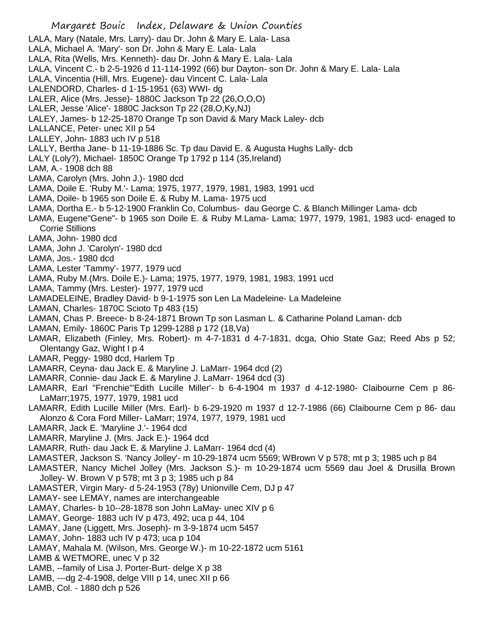LALA, Mary (Natale, Mrs. Larry)- dau Dr. John & Mary E. Lala- Lasa LALA, Michael A. 'Mary'- son Dr. John & Mary E. Lala- Lala LALA, Rita (Wells, Mrs. Kenneth)- dau Dr. John & Mary E. Lala- Lala LALA, Vincent C.- b 2-5-1926 d 11-114-1992 (66) bur Dayton- son Dr. John & Mary E. Lala- Lala LALA, Vincentia (Hill, Mrs. Eugene)- dau Vincent C. Lala- Lala LALENDORD, Charles- d 1-15-1951 (63) WWI- dg LALER, Alice (Mrs. Jesse)- 1880C Jackson Tp 22 (26,O,O,O) LALER, Jesse 'Alice'- 1880C Jackson Tp 22 (28,O,Ky,NJ) LALEY, James- b 12-25-1870 Orange Tp son David & Mary Mack Laley- dcb LALLANCE, Peter- unec XII p 54 LALLEY, John- 1883 uch IV p 518 LALLY, Bertha Jane- b 11-19-1886 Sc. Tp dau David E. & Augusta Hughs Lally- dcb LALY (Loly?), Michael- 1850C Orange Tp 1792 p 114 (35,Ireland) LAM, A.- 1908 dch 88 LAMA, Carolyn (Mrs. John J.)- 1980 dcd LAMA, Doile E. 'Ruby M.'- Lama; 1975, 1977, 1979, 1981, 1983, 1991 ucd LAMA, Doile- b 1965 son Doile E. & Ruby M. Lama- 1975 ucd LAMA, Dortha E.- b 5-12-1900 Franklin Co, Columbus- dau George C. & Blanch Millinger Lama- dcb LAMA, Eugene"Gene"- b 1965 son Doile E. & Ruby M.Lama- Lama; 1977, 1979, 1981, 1983 ucd- enaged to Corrie Stillions LAMA, John- 1980 dcd LAMA, John J. 'Carolyn'- 1980 dcd LAMA, Jos.- 1980 dcd LAMA, Lester 'Tammy'- 1977, 1979 ucd LAMA, Ruby M.(Mrs. Doile E.)- Lama; 1975, 1977, 1979, 1981, 1983, 1991 ucd LAMA, Tammy (Mrs. Lester)- 1977, 1979 ucd LAMADELEINE, Bradley David- b 9-1-1975 son Len La Madeleine- La Madeleine LAMAN, Charles- 1870C Scioto Tp 483 (15) LAMAN, Chas P. Breece- b 8-24-1871 Brown Tp son Lasman L. & Catharine Poland Laman- dcb LAMAN, Emily- 1860C Paris Tp 1299-1288 p 172 (18,Va) LAMAR, Elizabeth (Finley, Mrs. Robert)- m 4-7-1831 d 4-7-1831, dcga, Ohio State Gaz; Reed Abs p 52; Olentangy Gaz, Wight I p 4 LAMAR, Peggy- 1980 dcd, Harlem Tp LAMARR, Ceyna- dau Jack E. & Maryline J. LaMarr- 1964 dcd (2) LAMARR, Connie- dau Jack E. & Maryline J. LaMarr- 1964 dcd (3) LAMARR, Earl "Frenchie"'Edith Lucille Miller'- b 6-4-1904 m 1937 d 4-12-1980- Claibourne Cem p 86- LaMarr;1975, 1977, 1979, 1981 ucd LAMARR, Edith Lucille Miller (Mrs. Earl)- b 6-29-1920 m 1937 d 12-7-1986 (66) Claibourne Cem p 86- dau Alonzo & Cora Ford Miller- LaMarr; 1974, 1977, 1979, 1981 ucd LAMARR, Jack E. 'Maryline J.'- 1964 dcd LAMARR, Maryline J. (Mrs. Jack E.)- 1964 dcd LAMARR, Ruth- dau Jack E. & Maryline J. LaMarr- 1964 dcd (4) LAMASTER, Jackson S. 'Nancy Jolley'- m 10-29-1874 ucm 5569; WBrown V p 578; mt p 3; 1985 uch p 84 LAMASTER, Nancy Michel Jolley (Mrs. Jackson S.)- m 10-29-1874 ucm 5569 dau Joel & Drusilla Brown Jolley- W. Brown V p 578; mt 3 p 3; 1985 uch p 84 LAMASTER, Virgin Mary- d 5-24-1953 (78y) Unionville Cem, DJ p 47 LAMAY- see LEMAY, names are interchangeable LAMAY, Charles- b 10--28-1878 son John LaMay- unec XIV p 6 LAMAY, George- 1883 uch IV p 473, 492; uca p 44, 104 LAMAY, Jane (Liggett, Mrs. Joseph)- m 3-9-1874 ucm 5457 LAMAY, John- 1883 uch IV p 473; uca p 104

- LAMAY, Mahala M. (Wilson, Mrs. George W.)- m 10-22-1872 ucm 5161
- LAMB & WETMORE, unec V p 32
- LAMB, --family of Lisa J. Porter-Burt- delge X p 38
- LAMB, ---dg 2-4-1908, delge VIII p 14, unec XII p 66
- LAMB, Col. 1880 dch p 526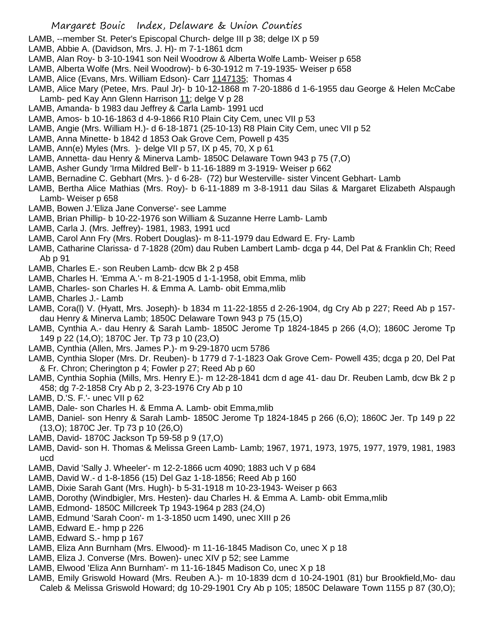LAMB, --member St. Peter's Episcopal Church- delge III p 38; delge IX p 59

- LAMB, Abbie A. (Davidson, Mrs. J. H)- m 7-1-1861 dcm
- LAMB, Alan Roy- b 3-10-1941 son Neil Woodrow & Alberta Wolfe Lamb- Weiser p 658
- LAMB, Alberta Wolfe (Mrs. Neil Woodrow)- b 6-30-1912 m 7-19-1935- Weiser p 658
- LAMB, Alice (Evans, Mrs. William Edson) Carr 1147135; Thomas 4
- LAMB, Alice Mary (Petee, Mrs. Paul Jr)- b 10-12-1868 m 7-20-1886 d 1-6-1955 dau George & Helen McCabe Lamb- ped Kay Ann Glenn Harrison 11; delge V p 28
- LAMB, Amanda- b 1983 dau Jeffrey & Carla Lamb- 1991 ucd
- LAMB, Amos- b 10-16-1863 d 4-9-1866 R10 Plain City Cem, unec VII p 53
- LAMB, Angie (Mrs. William H.)- d 6-18-1871 (25-10-13) R8 Plain City Cem, unec VII p 52
- LAMB, Anna Minette- b 1842 d 1853 Oak Grove Cem, Powell p 435
- LAMB, Ann(e) Myles (Mrs. )- delge VII p 57, IX p 45, 70, X p 61
- LAMB, Annetta- dau Henry & Minerva Lamb- 1850C Delaware Town 943 p 75 (7,O)
- LAMB, Asher Gundy 'Irma Mildred Bell'- b 11-16-1889 m 3-1919- Weiser p 662
- LAMB, Bernadine C. Gebhart (Mrs. )- d 6-28- (72) bur Westerville- sister Vincent Gebhart- Lamb
- LAMB, Bertha Alice Mathias (Mrs. Roy)- b 6-11-1889 m 3-8-1911 dau Silas & Margaret Elizabeth Alspaugh Lamb- Weiser p 658
- LAMB, Bowen J.'Eliza Jane Converse'- see Lamme
- LAMB, Brian Phillip- b 10-22-1976 son William & Suzanne Herre Lamb- Lamb
- LAMB, Carla J. (Mrs. Jeffrey)- 1981, 1983, 1991 ucd
- LAMB, Carol Ann Fry (Mrs. Robert Douglas)- m 8-11-1979 dau Edward E. Fry- Lamb
- LAMB, Catharine Clarissa- d 7-1828 (20m) dau Ruben Lambert Lamb- dcga p 44, Del Pat & Franklin Ch; Reed Ab p 91
- LAMB, Charles E.- son Reuben Lamb- dcw Bk 2 p 458
- LAMB, Charles H. 'Emma A.'- m 8-21-1905 d 1-1-1958, obit Emma, mlib
- LAMB, Charles- son Charles H. & Emma A. Lamb- obit Emma,mlib
- LAMB, Charles J.- Lamb
- LAMB, Cora(l) V. (Hyatt, Mrs. Joseph)- b 1834 m 11-22-1855 d 2-26-1904, dg Cry Ab p 227; Reed Ab p 157 dau Henry & Minerva Lamb; 1850C Delaware Town 943 p 75 (15,O)
- LAMB, Cynthia A.- dau Henry & Sarah Lamb- 1850C Jerome Tp 1824-1845 p 266 (4,O); 1860C Jerome Tp 149 p 22 (14,O); 1870C Jer. Tp 73 p 10 (23,O)
- LAMB, Cynthia (Allen, Mrs. James P.)- m 9-29-1870 ucm 5786
- LAMB, Cynthia Sloper (Mrs. Dr. Reuben)- b 1779 d 7-1-1823 Oak Grove Cem- Powell 435; dcga p 20, Del Pat & Fr. Chron; Cherington p 4; Fowler p 27; Reed Ab p 60
- LAMB, Cynthia Sophia (Mills, Mrs. Henry E.)- m 12-28-1841 dcm d age 41- dau Dr. Reuben Lamb, dcw Bk 2 p 458; dg 7-2-1858 Cry Ab p 2, 3-23-1976 Cry Ab p 10
- LAMB, D.'S. F.'- unec VII p 62
- LAMB, Dale- son Charles H. & Emma A. Lamb- obit Emma,mlib
- LAMB, Daniel- son Henry & Sarah Lamb- 1850C Jerome Tp 1824-1845 p 266 (6,O); 1860C Jer. Tp 149 p 22 (13,O); 1870C Jer. Tp 73 p 10 (26,O)
- LAMB, David- 1870C Jackson Tp 59-58 p 9 (17,O)
- LAMB, David- son H. Thomas & Melissa Green Lamb- Lamb; 1967, 1971, 1973, 1975, 1977, 1979, 1981, 1983 ucd
- LAMB, David 'Sally J. Wheeler'- m 12-2-1866 ucm 4090; 1883 uch V p 684
- LAMB, David W.- d 1-8-1856 (15) Del Gaz 1-18-1856; Reed Ab p 160
- LAMB, Dixie Sarah Gant (Mrs. Hugh)- b 5-31-1918 m 10-23-1943- Weiser p 663
- LAMB, Dorothy (Windbigler, Mrs. Hesten)- dau Charles H. & Emma A. Lamb- obit Emma,mlib
- LAMB, Edmond- 1850C Millcreek Tp 1943-1964 p 283 (24,O)
- LAMB, Edmund 'Sarah Coon'- m 1-3-1850 ucm 1490, unec XIII p 26
- LAMB, Edward E.- hmp p 226
- LAMB, Edward S.- hmp p 167
- LAMB, Eliza Ann Burnham (Mrs. Elwood)- m 11-16-1845 Madison Co, unec X p 18
- LAMB, Eliza J. Converse (Mrs. Bowen)- unec XIV p 52; see Lamme
- LAMB, Elwood 'Eliza Ann Burnham'- m 11-16-1845 Madison Co, unec X p 18
- LAMB, Emily Griswold Howard (Mrs. Reuben A.)- m 10-1839 dcm d 10-24-1901 (81) bur Brookfield,Mo- dau Caleb & Melissa Griswold Howard; dg 10-29-1901 Cry Ab p 105; 1850C Delaware Town 1155 p 87 (30,O);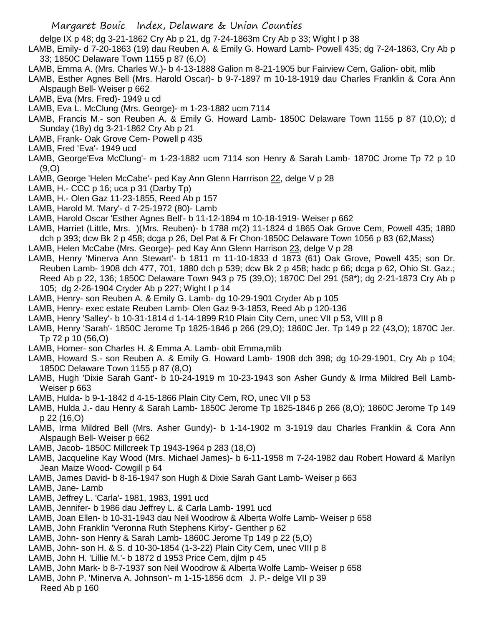delge IX p 48; dg 3-21-1862 Cry Ab p 21, dg 7-24-1863m Cry Ab p 33; Wight I p 38

- LAMB, Emily- d 7-20-1863 (19) dau Reuben A. & Emily G. Howard Lamb- Powell 435; dg 7-24-1863, Cry Ab p 33; 1850C Delaware Town 1155 p 87 (6,O)
- LAMB, Emma A. (Mrs. Charles W.)- b 4-13-1888 Galion m 8-21-1905 bur Fairview Cem, Galion- obit, mlib
- LAMB, Esther Agnes Bell (Mrs. Harold Oscar)- b 9-7-1897 m 10-18-1919 dau Charles Franklin & Cora Ann Alspaugh Bell- Weiser p 662
- LAMB, Eva (Mrs. Fred)- 1949 u cd
- LAMB, Eva L. McClung (Mrs. George)- m 1-23-1882 ucm 7114
- LAMB, Francis M.- son Reuben A. & Emily G. Howard Lamb- 1850C Delaware Town 1155 p 87 (10,O); d Sunday (18y) dg 3-21-1862 Cry Ab p 21
- LAMB, Frank- Oak Grove Cem- Powell p 435
- LAMB, Fred 'Eva'- 1949 ucd
- LAMB, George'Eva McClung'- m 1-23-1882 ucm 7114 son Henry & Sarah Lamb- 1870C Jrome Tp 72 p 10 (9,O)
- LAMB, George 'Helen McCabe'- ped Kay Ann Glenn Harrrison 22, delge V p 28
- LAMB, H.- CCC p 16; uca p 31 (Darby Tp)
- LAMB, H.- Olen Gaz 11-23-1855, Reed Ab p 157
- LAMB, Harold M. 'Mary'- d 7-25-1972 (80)- Lamb
- LAMB, Harold Oscar 'Esther Agnes Bell'- b 11-12-1894 m 10-18-1919- Weiser p 662
- LAMB, Harriet (Little, Mrs. )(Mrs. Reuben)- b 1788 m(2) 11-1824 d 1865 Oak Grove Cem, Powell 435; 1880 dch p 393; dcw Bk 2 p 458; dcga p 26, Del Pat & Fr Chon-1850C Delaware Town 1056 p 83 (62,Mass)
- LAMB, Helen McCabe (Mrs. George)- ped Kay Ann Glenn Harrison 23, delge V p 28
- LAMB, Henry 'Minerva Ann Stewart'- b 1811 m 11-10-1833 d 1873 (61) Oak Grove, Powell 435; son Dr. Reuben Lamb- 1908 dch 477, 701, 1880 dch p 539; dcw Bk 2 p 458; hadc p 66; dcga p 62, Ohio St. Gaz.; Reed Ab p 22, 136; 1850C Delaware Town 943 p 75 (39,O); 1870C Del 291 (58\*); dg 2-21-1873 Cry Ab p 105; dg 2-26-1904 Cryder Ab p 227; Wight I p 14
- LAMB, Henry- son Reuben A. & Emily G. Lamb- dg 10-29-1901 Cryder Ab p 105
- LAMB, Henry- exec estate Reuben Lamb- Olen Gaz 9-3-1853, Reed Ab p 120-136
- LAMB, Henry 'Salley'- b 10-31-1814 d 1-14-1899 R10 Plain City Cem, unec VII p 53, VIII p 8
- LAMB, Henry 'Sarah'- 1850C Jerome Tp 1825-1846 p 266 (29,O); 1860C Jer. Tp 149 p 22 (43,O); 1870C Jer. Tp 72 p 10 (56,O)
- LAMB, Homer- son Charles H. & Emma A. Lamb- obit Emma,mlib
- LAMB, Howard S.- son Reuben A. & Emily G. Howard Lamb- 1908 dch 398; dg 10-29-1901, Cry Ab p 104; 1850C Delaware Town 1155 p 87 (8,O)
- LAMB, Hugh 'Dixie Sarah Gant'- b 10-24-1919 m 10-23-1943 son Asher Gundy & Irma Mildred Bell Lamb-Weiser p 663
- LAMB, Hulda- b 9-1-1842 d 4-15-1866 Plain City Cem, RO, unec VII p 53
- LAMB, Hulda J.- dau Henry & Sarah Lamb- 1850C Jerome Tp 1825-1846 p 266 (8,O); 1860C Jerome Tp 149 p 22 (16,O)
- LAMB, Irma Mildred Bell (Mrs. Asher Gundy)- b 1-14-1902 m 3-1919 dau Charles Franklin & Cora Ann Alspaugh Bell- Weiser p 662
- LAMB, Jacob- 1850C Millcreek Tp 1943-1964 p 283 (18,O)
- LAMB, Jacqueline Kay Wood (Mrs. Michael James)- b 6-11-1958 m 7-24-1982 dau Robert Howard & Marilyn Jean Maize Wood- Cowgill p 64
- LAMB, James David- b 8-16-1947 son Hugh & Dixie Sarah Gant Lamb- Weiser p 663
- LAMB, Jane- Lamb
- LAMB, Jeffrey L. 'Carla'- 1981, 1983, 1991 ucd
- LAMB, Jennifer- b 1986 dau Jeffrey L. & Carla Lamb- 1991 ucd
- LAMB, Joan Ellen- b 10-31-1943 dau Neil Woodrow & Alberta Wolfe Lamb- Weiser p 658
- LAMB, John Franklin 'Veronna Ruth Stephens Kirby'- Genther p 62
- LAMB, John- son Henry & Sarah Lamb- 1860C Jerome Tp 149 p 22 (5,O)
- LAMB, John- son H. & S. d 10-30-1854 (1-3-22) Plain City Cem, unec VIII p 8
- LAMB, John H. 'Lillie M.'- b 1872 d 1953 Price Cem, djlm p 45
- LAMB, John Mark- b 8-7-1937 son Neil Woodrow & Alberta Wolfe Lamb- Weiser p 658
- LAMB, John P. 'Minerva A. Johnson'- m 1-15-1856 dcm J. P.- delge VII p 39 Reed Ab p 160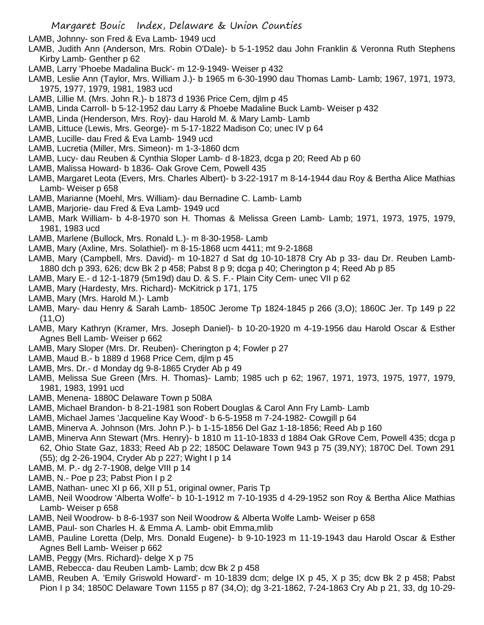LAMB, Johnny- son Fred & Eva Lamb- 1949 ucd

- LAMB, Judith Ann (Anderson, Mrs. Robin O'Dale)- b 5-1-1952 dau John Franklin & Veronna Ruth Stephens Kirby Lamb- Genther p 62
- LAMB, Larry 'Phoebe Madalina Buck'- m 12-9-1949- Weiser p 432
- LAMB, Leslie Ann (Taylor, Mrs. William J.)- b 1965 m 6-30-1990 dau Thomas Lamb- Lamb; 1967, 1971, 1973, 1975, 1977, 1979, 1981, 1983 ucd
- LAMB, Lillie M. (Mrs. John R.)- b 1873 d 1936 Price Cem, djlm p 45
- LAMB, Linda Carroll- b 5-12-1952 dau Larry & Phoebe Madaline Buck Lamb- Weiser p 432
- LAMB, Linda (Henderson, Mrs. Roy)- dau Harold M. & Mary Lamb- Lamb
- LAMB, Littuce (Lewis, Mrs. George)- m 5-17-1822 Madison Co; unec IV p 64
- LAMB, Lucille- dau Fred & Eva Lamb- 1949 ucd
- LAMB, Lucretia (Miller, Mrs. Simeon)- m 1-3-1860 dcm
- LAMB, Lucy- dau Reuben & Cynthia Sloper Lamb- d 8-1823, dcga p 20; Reed Ab p 60
- LAMB, Malissa Howard- b 1836- Oak Grove Cem, Powell 435
- LAMB, Margaret Leota (Evers, Mrs. Charles Albert)- b 3-22-1917 m 8-14-1944 dau Roy & Bertha Alice Mathias Lamb- Weiser p 658
- LAMB, Marianne (Moehl, Mrs. William)- dau Bernadine C. Lamb- Lamb
- LAMB, Marjorie- dau Fred & Eva Lamb- 1949 ucd
- LAMB, Mark William- b 4-8-1970 son H. Thomas & Melissa Green Lamb- Lamb; 1971, 1973, 1975, 1979, 1981, 1983 ucd
- LAMB, Marlene (Bullock, Mrs. Ronald L.)- m 8-30-1958- Lamb
- LAMB, Mary (Axline, Mrs. Solathiel)- m 8-15-1868 ucm 4411; mt 9-2-1868
- LAMB, Mary (Campbell, Mrs. David)- m 10-1827 d Sat dg 10-10-1878 Cry Ab p 33- dau Dr. Reuben Lamb-1880 dch p 393, 626; dcw Bk 2 p 458; Pabst 8 p 9; dcga p 40; Cherington p 4; Reed Ab p 85
- LAMB, Mary E.- d 12-1-1879 (5m19d) dau D. & S. F.- Plain City Cem- unec VII p 62
- LAMB, Mary (Hardesty, Mrs. Richard)- McKitrick p 171, 175
- LAMB, Mary (Mrs. Harold M.)- Lamb
- LAMB, Mary- dau Henry & Sarah Lamb- 1850C Jerome Tp 1824-1845 p 266 (3,O); 1860C Jer. Tp 149 p 22  $(11,0)$
- LAMB, Mary Kathryn (Kramer, Mrs. Joseph Daniel)- b 10-20-1920 m 4-19-1956 dau Harold Oscar & Esther Agnes Bell Lamb- Weiser p 662
- LAMB, Mary Sloper (Mrs. Dr. Reuben)- Cherington p 4; Fowler p 27
- LAMB, Maud B.- b 1889 d 1968 Price Cem, djlm p 45
- LAMB, Mrs. Dr.- d Monday dg 9-8-1865 Cryder Ab p 49
- LAMB, Melissa Sue Green (Mrs. H. Thomas)- Lamb; 1985 uch p 62; 1967, 1971, 1973, 1975, 1977, 1979, 1981, 1983, 1991 ucd
- LAMB, Menena- 1880C Delaware Town p 508A
- LAMB, Michael Brandon- b 8-21-1981 son Robert Douglas & Carol Ann Fry Lamb- Lamb
- LAMB, Michael James 'Jacqueline Kay Wood'- b 6-5-1958 m 7-24-1982- Cowgill p 64
- LAMB, Minerva A. Johnson (Mrs. John P.)- b 1-15-1856 Del Gaz 1-18-1856; Reed Ab p 160
- LAMB, Minerva Ann Stewart (Mrs. Henry)- b 1810 m 11-10-1833 d 1884 Oak GRove Cem, Powell 435; dcga p 62, Ohio State Gaz, 1833; Reed Ab p 22; 1850C Delaware Town 943 p 75 (39,NY); 1870C Del. Town 291 (55); dg 2-26-1904, Cryder Ab p 227; Wight I p 14
- LAMB, M. P.- dg 2-7-1908, delge VIII p 14
- LAMB, N.- Poe p 23; Pabst Pion I p 2
- LAMB, Nathan- unec XI p 66, XII p 51, original owner, Paris Tp
- LAMB, Neil Woodrow 'Alberta Wolfe'- b 10-1-1912 m 7-10-1935 d 4-29-1952 son Roy & Bertha Alice Mathias Lamb- Weiser p 658
- LAMB, Neil Woodrow- b 8-6-1937 son Neil Woodrow & Alberta Wolfe Lamb- Weiser p 658
- LAMB, Paul- son Charles H. & Emma A. Lamb- obit Emma,mlib
- LAMB, Pauline Loretta (Delp, Mrs. Donald Eugene)- b 9-10-1923 m 11-19-1943 dau Harold Oscar & Esther Agnes Bell Lamb- Weiser p 662
- LAMB, Peggy (Mrs. Richard)- delge X p 75
- LAMB, Rebecca- dau Reuben Lamb- Lamb; dcw Bk 2 p 458
- LAMB, Reuben A. 'Emily Griswold Howard'- m 10-1839 dcm; delge IX p 45, X p 35; dcw Bk 2 p 458; Pabst Pion I p 34; 1850C Delaware Town 1155 p 87 (34,O); dg 3-21-1862, 7-24-1863 Cry Ab p 21, 33, dg 10-29-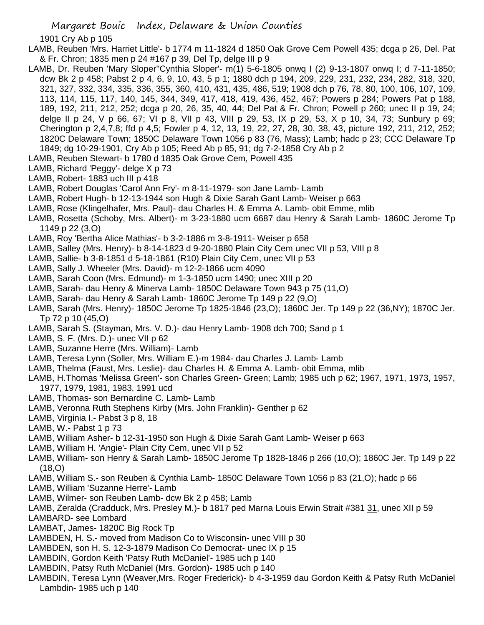1901 Cry Ab p 105

- LAMB, Reuben 'Mrs. Harriet Little'- b 1774 m 11-1824 d 1850 Oak Grove Cem Powell 435; dcga p 26, Del. Pat & Fr. Chron; 1835 men p 24 #167 p 39, Del Tp, delge III p 9
- LAMB, Dr. Reuben 'Mary Sloper''Cynthia Sloper'- m(1) 5-6-1805 onwq I (2) 9-13-1807 onwq I; d 7-11-1850; dcw Bk 2 p 458; Pabst 2 p 4, 6, 9, 10, 43, 5 p 1; 1880 dch p 194, 209, 229, 231, 232, 234, 282, 318, 320, 321, 327, 332, 334, 335, 336, 355, 360, 410, 431, 435, 486, 519; 1908 dch p 76, 78, 80, 100, 106, 107, 109, 113, 114, 115, 117, 140, 145, 344, 349, 417, 418, 419, 436, 452, 467; Powers p 284; Powers Pat p 188, 189, 192, 211, 212, 252; dcga p 20, 26, 35, 40, 44; Del Pat & Fr. Chron; Powell p 260; unec II p 19, 24; delge II p 24, V p 66, 67; VI p 8, VII p 43, VIII p 29, 53, IX p 29, 53, X p 10, 34, 73; Sunbury p 69; Cherington p 2,4,7,8; ffd p 4,5; Fowler p 4, 12, 13, 19, 22, 27, 28, 30, 38, 43, picture 192, 211, 212, 252; 1820C Delaware Town; 1850C Delaware Town 1056 p 83 (76, Mass); Lamb; hadc p 23; CCC Delaware Tp 1849; dg 10-29-1901, Cry Ab p 105; Reed Ab p 85, 91; dg 7-2-1858 Cry Ab p 2
- LAMB, Reuben Stewart- b 1780 d 1835 Oak Grove Cem, Powell 435
- LAMB, Richard 'Peggy'- delge X p 73
- LAMB, Robert- 1883 uch III p 418
- LAMB, Robert Douglas 'Carol Ann Fry'- m 8-11-1979- son Jane Lamb- Lamb
- LAMB, Robert Hugh- b 12-13-1944 son Hugh & Dixie Sarah Gant Lamb- Weiser p 663
- LAMB, Rose (Klingelhafer, Mrs. Paul)- dau Charles H. & Emma A. Lamb- obit Emme, mlib
- LAMB, Rosetta (Schoby, Mrs. Albert)- m 3-23-1880 ucm 6687 dau Henry & Sarah Lamb- 1860C Jerome Tp 1149 p 22 (3,O)
- LAMB, Roy 'Bertha Alice Mathias'- b 3-2-1886 m 3-8-1911- Weiser p 658
- LAMB, Salley (Mrs. Henry)- b 8-14-1823 d 9-20-1880 Plain City Cem unec VII p 53, VIII p 8
- LAMB, Sallie- b 3-8-1851 d 5-18-1861 (R10) Plain City Cem, unec VII p 53
- LAMB, Sally J. Wheeler (Mrs. David)- m 12-2-1866 ucm 4090
- LAMB, Sarah Coon (Mrs. Edmund)- m 1-3-1850 ucm 1490; unec XIII p 20
- LAMB, Sarah- dau Henry & Minerva Lamb- 1850C Delaware Town 943 p 75 (11,O)
- LAMB, Sarah- dau Henry & Sarah Lamb- 1860C Jerome Tp 149 p 22 (9,O)
- LAMB, Sarah (Mrs. Henry)- 1850C Jerome Tp 1825-1846 (23,O); 1860C Jer. Tp 149 p 22 (36,NY); 1870C Jer. Tp 72 p 10 (45,O)
- LAMB, Sarah S. (Stayman, Mrs. V. D.)- dau Henry Lamb- 1908 dch 700; Sand p 1
- LAMB, S. F. (Mrs. D.)- unec VII p 62
- LAMB, Suzanne Herre (Mrs. William)- Lamb
- LAMB, Teresa Lynn (Soller, Mrs. William E.)-m 1984- dau Charles J. Lamb- Lamb
- LAMB, Thelma (Faust, Mrs. Leslie)- dau Charles H. & Emma A. Lamb- obit Emma, mlib
- LAMB, H.Thomas 'Melissa Green'- son Charles Green- Green; Lamb; 1985 uch p 62; 1967, 1971, 1973, 1957, 1977, 1979, 1981, 1983, 1991 ucd
- LAMB, Thomas- son Bernardine C. Lamb- Lamb
- LAMB, Veronna Ruth Stephens Kirby (Mrs. John Franklin)- Genther p 62
- LAMB, Virginia I.- Pabst 3 p 8, 18
- LAMB, W.- Pabst 1 p 73
- LAMB, William Asher- b 12-31-1950 son Hugh & Dixie Sarah Gant Lamb- Weiser p 663
- LAMB, William H. 'Angie'- Plain City Cem, unec VII p 52
- LAMB, William- son Henry & Sarah Lamb- 1850C Jerome Tp 1828-1846 p 266 (10,O); 1860C Jer. Tp 149 p 22 (18,O)
- LAMB, William S.- son Reuben & Cynthia Lamb- 1850C Delaware Town 1056 p 83 (21,O); hadc p 66
- LAMB, William 'Suzanne Herre'- Lamb
- LAMB, Wilmer- son Reuben Lamb- dcw Bk 2 p 458; Lamb
- LAMB, Zeralda (Cradduck, Mrs. Presley M.)- b 1817 ped Marna Louis Erwin Strait #381 31, unec XII p 59 LAMBARD- see Lombard
- LAMBAT, James- 1820C Big Rock Tp
- LAMBDEN, H. S.- moved from Madison Co to Wisconsin- unec VIII p 30
- LAMBDEN, son H. S. 12-3-1879 Madison Co Democrat- unec IX p 15
- LAMBDIN, Gordon Keith 'Patsy Ruth McDaniel'- 1985 uch p 140
- LAMBDIN, Patsy Ruth McDaniel (Mrs. Gordon)- 1985 uch p 140
- LAMBDIN, Teresa Lynn (Weaver,Mrs. Roger Frederick)- b 4-3-1959 dau Gordon Keith & Patsy Ruth McDaniel Lambdin- 1985 uch p 140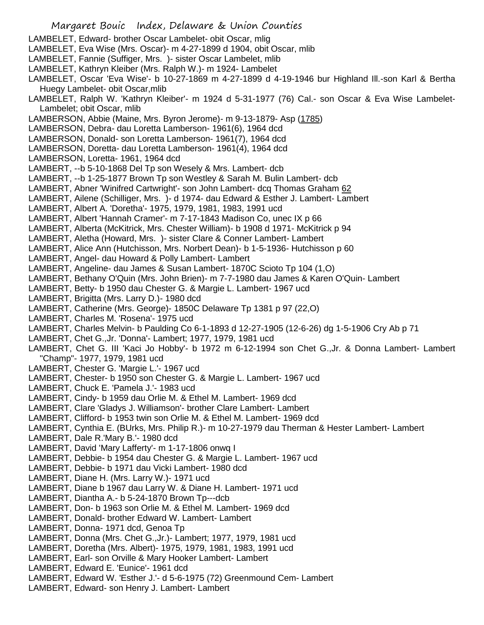- LAMBELET, Edward- brother Oscar Lambelet- obit Oscar, mlig
- LAMBELET, Eva Wise (Mrs. Oscar)- m 4-27-1899 d 1904, obit Oscar, mlib
- LAMBELET, Fannie (Suffiger, Mrs. )- sister Oscar Lambelet, mlib
- LAMBELET, Kathryn Kleiber (Mrs. Ralph W.)- m 1924- Lambelet
- LAMBELET, Oscar 'Eva Wise'- b 10-27-1869 m 4-27-1899 d 4-19-1946 bur Highland Ill.-son Karl & Bertha Huegy Lambelet- obit Oscar,mlib
- LAMBELET, Ralph W. 'Kathryn Kleiber'- m 1924 d 5-31-1977 (76) Cal.- son Oscar & Eva Wise Lambelet-Lambelet; obit Oscar, mlib
- LAMBERSON, Abbie (Maine, Mrs. Byron Jerome)- m 9-13-1879- Asp (1785)
- LAMBERSON, Debra- dau Loretta Lamberson- 1961(6), 1964 dcd
- LAMBERSON, Donald- son Loretta Lamberson- 1961(7), 1964 dcd
- LAMBERSON, Doretta- dau Loretta Lamberson- 1961(4), 1964 dcd
- LAMBERSON, Loretta- 1961, 1964 dcd
- LAMBERT, --b 5-10-1868 Del Tp son Wesely & Mrs. Lambert- dcb
- LAMBERT, --b 1-25-1877 Brown Tp son Westley & Sarah M. Bulin Lambert- dcb
- LAMBERT, Abner 'Winifred Cartwright'- son John Lambert- dcq Thomas Graham 62
- LAMBERT, Ailene (Schilliger, Mrs. )- d 1974- dau Edward & Esther J. Lambert- Lambert
- LAMBERT, Albert A. 'Doretha'- 1975, 1979, 1981, 1983, 1991 ucd
- LAMBERT, Albert 'Hannah Cramer'- m 7-17-1843 Madison Co, unec IX p 66
- LAMBERT, Alberta (McKitrick, Mrs. Chester William)- b 1908 d 1971- McKitrick p 94
- LAMBERT, Aletha (Howard, Mrs. )- sister Clare & Conner Lambert- Lambert
- LAMBERT, Alice Ann (Hutchisson, Mrs. Norbert Dean)- b 1-5-1936- Hutchisson p 60
- LAMBERT, Angel- dau Howard & Polly Lambert- Lambert
- LAMBERT, Angeline- dau James & Susan Lambert- 1870C Scioto Tp 104 (1,O)
- LAMBERT, Bethany O'Quin (Mrs. John Brien)- m 7-7-1980 dau James & Karen O'Quin- Lambert
- LAMBERT, Betty- b 1950 dau Chester G. & Margie L. Lambert- 1967 ucd
- LAMBERT, Brigitta (Mrs. Larry D.)- 1980 dcd
- LAMBERT, Catherine (Mrs. George)- 1850C Delaware Tp 1381 p 97 (22,O)
- LAMBERT, Charles M. 'Rosena'- 1975 ucd
- LAMBERT, Charles Melvin- b Paulding Co 6-1-1893 d 12-27-1905 (12-6-26) dg 1-5-1906 Cry Ab p 71
- LAMBERT, Chet G.,Jr. 'Donna'- Lambert; 1977, 1979, 1981 ucd
- LAMBERT, Chet G. III 'Kaci Jo Hobby'- b 1972 m 6-12-1994 son Chet G.,Jr. & Donna Lambert- Lambert "Champ"- 1977, 1979, 1981 ucd
- LAMBERT, Chester G. 'Margie L.'- 1967 ucd
- LAMBERT, Chester- b 1950 son Chester G. & Margie L. Lambert- 1967 ucd
- LAMBERT, Chuck E. 'Pamela J.'- 1983 ucd
- LAMBERT, Cindy- b 1959 dau Orlie M. & Ethel M. Lambert- 1969 dcd
- LAMBERT, Clare 'Gladys J. Williamson'- brother Clare Lambert- Lambert
- LAMBERT, Clifford- b 1953 twin son Orlie M. & Ethel M. Lambert- 1969 dcd
- LAMBERT, Cynthia E. (BUrks, Mrs. Philip R.)- m 10-27-1979 dau Therman & Hester Lambert- Lambert
- LAMBERT, Dale R.'Mary B.'- 1980 dcd
- LAMBERT, David 'Mary Lafferty'- m 1-17-1806 onwq I
- LAMBERT, Debbie- b 1954 dau Chester G. & Margie L. Lambert- 1967 ucd
- LAMBERT, Debbie- b 1971 dau Vicki Lambert- 1980 dcd
- LAMBERT, Diane H. (Mrs. Larry W.)- 1971 ucd
- LAMBERT, Diane b 1967 dau Larry W. & Diane H. Lambert- 1971 ucd
- LAMBERT, Diantha A.- b 5-24-1870 Brown Tp---dcb
- LAMBERT, Don- b 1963 son Orlie M. & Ethel M. Lambert- 1969 dcd
- LAMBERT, Donald- brother Edward W. Lambert- Lambert
- LAMBERT, Donna- 1971 dcd, Genoa Tp
- LAMBERT, Donna (Mrs. Chet G.,Jr.)- Lambert; 1977, 1979, 1981 ucd
- LAMBERT, Doretha (Mrs. Albert)- 1975, 1979, 1981, 1983, 1991 ucd
- LAMBERT, Earl- son Orville & Mary Hooker Lambert- Lambert
- LAMBERT, Edward E. 'Eunice'- 1961 dcd
- LAMBERT, Edward W. 'Esther J.'- d 5-6-1975 (72) Greenmound Cem- Lambert
- LAMBERT, Edward- son Henry J. Lambert- Lambert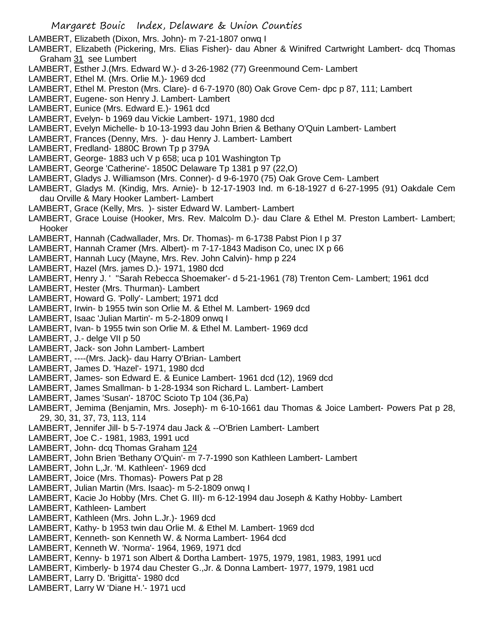LAMBERT, Elizabeth (Dixon, Mrs. John)- m 7-21-1807 onwq I

LAMBERT, Elizabeth (Pickering, Mrs. Elias Fisher)- dau Abner & Winifred Cartwright Lambert- dcq Thomas Graham 31 see Lumbert

- LAMBERT, Esther J.(Mrs. Edward W.)- d 3-26-1982 (77) Greenmound Cem- Lambert
- LAMBERT, Ethel M. (Mrs. Orlie M.)- 1969 dcd
- LAMBERT, Ethel M. Preston (Mrs. Clare)- d 6-7-1970 (80) Oak Grove Cem- dpc p 87, 111; Lambert
- LAMBERT, Eugene- son Henry J. Lambert- Lambert
- LAMBERT, Eunice (Mrs. Edward E.)- 1961 dcd
- LAMBERT, Evelyn- b 1969 dau Vickie Lambert- 1971, 1980 dcd
- LAMBERT, Evelyn Michelle- b 10-13-1993 dau John Brien & Bethany O'Quin Lambert- Lambert
- LAMBERT, Frances (Denny, Mrs. )- dau Henry J. Lambert- Lambert
- LAMBERT, Fredland- 1880C Brown Tp p 379A
- LAMBERT, George- 1883 uch V p 658; uca p 101 Washington Tp
- LAMBERT, George 'Catherine'- 1850C Delaware Tp 1381 p 97 (22,O)
- LAMBERT, Gladys J. Williamson (Mrs. Conner)- d 9-6-1970 (75) Oak Grove Cem- Lambert
- LAMBERT, Gladys M. (Kindig, Mrs. Arnie)- b 12-17-1903 Ind. m 6-18-1927 d 6-27-1995 (91) Oakdale Cem dau Orville & Mary Hooker Lambert- Lambert
- LAMBERT, Grace (Kelly, Mrs. )- sister Edward W. Lambert- Lambert
- LAMBERT, Grace Louise (Hooker, Mrs. Rev. Malcolm D.)- dau Clare & Ethel M. Preston Lambert- Lambert; Hooker
- LAMBERT, Hannah (Cadwallader, Mrs. Dr. Thomas)- m 6-1738 Pabst Pion I p 37
- LAMBERT, Hannah Cramer (Mrs. Albert)- m 7-17-1843 Madison Co, unec IX p 66
- LAMBERT, Hannah Lucy (Mayne, Mrs. Rev. John Calvin)- hmp p 224
- LAMBERT, Hazel (Mrs. james D.)- 1971, 1980 dcd
- LAMBERT, Henry J. ' ''Sarah Rebecca Shoemaker'- d 5-21-1961 (78) Trenton Cem- Lambert; 1961 dcd
- LAMBERT, Hester (Mrs. Thurman)- Lambert
- LAMBERT, Howard G. 'Polly'- Lambert; 1971 dcd
- LAMBERT, Irwin- b 1955 twin son Orlie M. & Ethel M. Lambert- 1969 dcd
- LAMBERT, Isaac 'Julian Martin'- m 5-2-1809 onwq I
- LAMBERT, Ivan- b 1955 twin son Orlie M. & Ethel M. Lambert- 1969 dcd
- LAMBERT, J.- delge VII p 50
- LAMBERT, Jack- son John Lambert- Lambert
- LAMBERT, ----(Mrs. Jack)- dau Harry O'Brian- Lambert
- LAMBERT, James D. 'Hazel'- 1971, 1980 dcd
- LAMBERT, James- son Edward E. & Eunice Lambert- 1961 dcd (12), 1969 dcd
- LAMBERT, James Smallman- b 1-28-1934 son Richard L. Lambert- Lambert
- LAMBERT, James 'Susan'- 1870C Scioto Tp 104 (36,Pa)
- LAMBERT, Jemima (Benjamin, Mrs. Joseph)- m 6-10-1661 dau Thomas & Joice Lambert- Powers Pat p 28, 29, 30, 31, 37, 73, 113, 114
- LAMBERT, Jennifer Jill- b 5-7-1974 dau Jack & --O'Brien Lambert- Lambert
- LAMBERT, Joe C.- 1981, 1983, 1991 ucd
- LAMBERT, John- dcq Thomas Graham 124
- LAMBERT, John Brien 'Bethany O'Quin'- m 7-7-1990 son Kathleen Lambert- Lambert
- LAMBERT, John L,Jr. 'M. Kathleen'- 1969 dcd
- LAMBERT, Joice (Mrs. Thomas)- Powers Pat p 28
- LAMBERT, Julian Martin (Mrs. Isaac)- m 5-2-1809 onwq I
- LAMBERT, Kacie Jo Hobby (Mrs. Chet G. III)- m 6-12-1994 dau Joseph & Kathy Hobby- Lambert
- LAMBERT, Kathleen- Lambert
- LAMBERT, Kathleen (Mrs. John L.Jr.)- 1969 dcd
- LAMBERT, Kathy- b 1953 twin dau Orlie M. & Ethel M. Lambert- 1969 dcd
- LAMBERT, Kenneth- son Kenneth W. & Norma Lambert- 1964 dcd
- LAMBERT, Kenneth W. 'Norma'- 1964, 1969, 1971 dcd
- LAMBERT, Kenny- b 1971 son Albert & Dortha Lambert- 1975, 1979, 1981, 1983, 1991 ucd
- LAMBERT, Kimberly- b 1974 dau Chester G.,Jr. & Donna Lambert- 1977, 1979, 1981 ucd
- LAMBERT, Larry D. 'Brigitta'- 1980 dcd
- LAMBERT, Larry W 'Diane H.'- 1971 ucd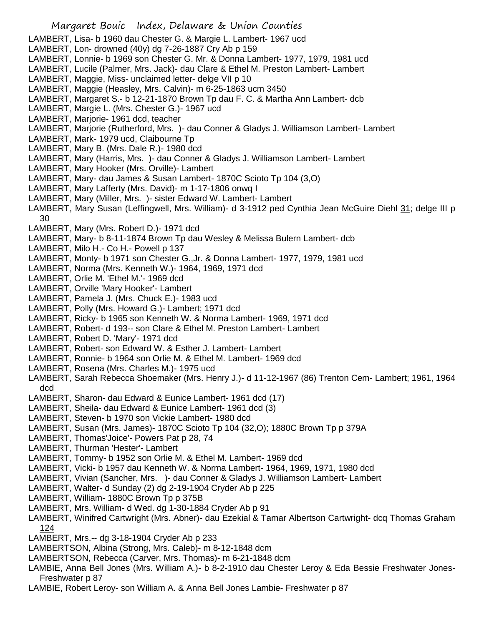LAMBERT, Lisa- b 1960 dau Chester G. & Margie L. Lambert- 1967 ucd

- LAMBERT, Lon- drowned (40y) dg 7-26-1887 Cry Ab p 159
- LAMBERT, Lonnie- b 1969 son Chester G. Mr. & Donna Lambert- 1977, 1979, 1981 ucd
- LAMBERT, Lucile (Palmer, Mrs. Jack)- dau Clare & Ethel M. Preston Lambert- Lambert
- LAMBERT, Maggie, Miss- unclaimed letter- delge VII p 10
- LAMBERT, Maggie (Heasley, Mrs. Calvin)- m 6-25-1863 ucm 3450
- LAMBERT, Margaret S.- b 12-21-1870 Brown Tp dau F. C. & Martha Ann Lambert- dcb
- LAMBERT, Margie L. (Mrs. Chester G.)- 1967 ucd
- LAMBERT, Marjorie- 1961 dcd, teacher
- LAMBERT, Marjorie (Rutherford, Mrs. )- dau Conner & Gladys J. Williamson Lambert- Lambert
- LAMBERT, Mark- 1979 ucd, Claibourne Tp
- LAMBERT, Mary B. (Mrs. Dale R.)- 1980 dcd
- LAMBERT, Mary (Harris, Mrs. )- dau Conner & Gladys J. Williamson Lambert- Lambert
- LAMBERT, Mary Hooker (Mrs. Orville)- Lambert
- LAMBERT, Mary- dau James & Susan Lambert- 1870C Scioto Tp 104 (3,O)
- LAMBERT, Mary Lafferty (Mrs. David)- m 1-17-1806 onwq I
- LAMBERT, Mary (Miller, Mrs. )- sister Edward W. Lambert- Lambert
- LAMBERT, Mary Susan (Leffingwell, Mrs. William)- d 3-1912 ped Cynthia Jean McGuire Diehl 31; delge III p 30
- LAMBERT, Mary (Mrs. Robert D.)- 1971 dcd
- LAMBERT, Mary- b 8-11-1874 Brown Tp dau Wesley & Melissa Bulern Lambert- dcb
- LAMBERT, Milo H.- Co H.- Powell p 137
- LAMBERT, Monty- b 1971 son Chester G.,Jr. & Donna Lambert- 1977, 1979, 1981 ucd
- LAMBERT, Norma (Mrs. Kenneth W.)- 1964, 1969, 1971 dcd
- LAMBERT, Orlie M. 'Ethel M.'- 1969 dcd
- LAMBERT, Orville 'Mary Hooker'- Lambert
- LAMBERT, Pamela J. (Mrs. Chuck E.)- 1983 ucd
- LAMBERT, Polly (Mrs. Howard G.)- Lambert; 1971 dcd
- LAMBERT, Ricky- b 1965 son Kenneth W. & Norma Lambert- 1969, 1971 dcd
- LAMBERT, Robert- d 193-- son Clare & Ethel M. Preston Lambert- Lambert
- LAMBERT, Robert D. 'Mary'- 1971 dcd
- LAMBERT, Robert- son Edward W. & Esther J. Lambert- Lambert
- LAMBERT, Ronnie- b 1964 son Orlie M. & Ethel M. Lambert- 1969 dcd
- LAMBERT, Rosena (Mrs. Charles M.)- 1975 ucd
- LAMBERT, Sarah Rebecca Shoemaker (Mrs. Henry J.)- d 11-12-1967 (86) Trenton Cem- Lambert; 1961, 1964 dcd
- LAMBERT, Sharon- dau Edward & Eunice Lambert- 1961 dcd (17)
- LAMBERT, Sheila- dau Edward & Eunice Lambert- 1961 dcd (3)
- LAMBERT, Steven- b 1970 son Vickie Lambert- 1980 dcd
- LAMBERT, Susan (Mrs. James)- 1870C Scioto Tp 104 (32,O); 1880C Brown Tp p 379A
- LAMBERT, Thomas'Joice'- Powers Pat p 28, 74
- LAMBERT, Thurman 'Hester'- Lambert
- LAMBERT, Tommy- b 1952 son Orlie M. & Ethel M. Lambert- 1969 dcd
- LAMBERT, Vicki- b 1957 dau Kenneth W. & Norma Lambert- 1964, 1969, 1971, 1980 dcd
- LAMBERT, Vivian (Sancher, Mrs. )- dau Conner & Gladys J. Williamson Lambert- Lambert
- LAMBERT, Walter- d Sunday (2) dg 2-19-1904 Cryder Ab p 225
- LAMBERT, William- 1880C Brown Tp p 375B
- LAMBERT, Mrs. William- d Wed. dg 1-30-1884 Cryder Ab p 91
- LAMBERT, Winifred Cartwright (Mrs. Abner)- dau Ezekial & Tamar Albertson Cartwright- dcq Thomas Graham 124
- LAMBERT, Mrs.-- dg 3-18-1904 Cryder Ab p 233
- LAMBERTSON, Albina (Strong, Mrs. Caleb)- m 8-12-1848 dcm
- LAMBERTSON, Rebecca (Carver, Mrs. Thomas)- m 6-21-1848 dcm
- LAMBIE, Anna Bell Jones (Mrs. William A.)- b 8-2-1910 dau Chester Leroy & Eda Bessie Freshwater Jones-Freshwater p 87
- LAMBIE, Robert Leroy- son William A. & Anna Bell Jones Lambie- Freshwater p 87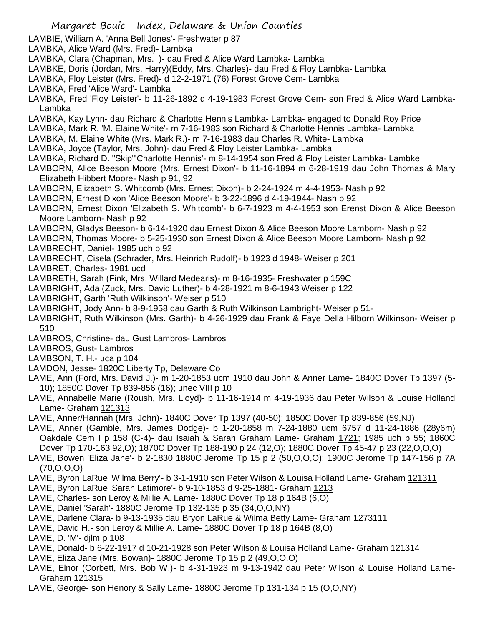- LAMBIE, William A. 'Anna Bell Jones'- Freshwater p 87
- LAMBKA, Alice Ward (Mrs. Fred)- Lambka
- LAMBKA, Clara (Chapman, Mrs. )- dau Fred & Alice Ward Lambka- Lambka
- LAMBKE, Doris (Jordan, Mrs. Harry)(Eddy, Mrs. Charles)- dau Fred & Floy Lambka- Lambka
- LAMBKA, Floy Leister (Mrs. Fred)- d 12-2-1971 (76) Forest Grove Cem- Lambka
- LAMBKA, Fred 'Alice Ward'- Lambka
- LAMBKA, Fred 'Floy Leister'- b 11-26-1892 d 4-19-1983 Forest Grove Cem- son Fred & Alice Ward Lambka-Lambka
- LAMBKA, Kay Lynn- dau Richard & Charlotte Hennis Lambka- Lambka- engaged to Donald Roy Price
- LAMBKA, Mark R. 'M. Elaine White'- m 7-16-1983 son Richard & Charlotte Hennis Lambka- Lambka
- LAMBKA, M. Elaine White (Mrs. Mark R.)- m 7-16-1983 dau Charles R. White- Lambka
- LAMBKA, Joyce (Taylor, Mrs. John)- dau Fred & Floy Leister Lambka- Lambka
- LAMBKA, Richard D. "Skip"'Charlotte Hennis'- m 8-14-1954 son Fred & Floy Leister Lambka- Lambke
- LAMBORN, Alice Beeson Moore (Mrs. Ernest Dixon'- b 11-16-1894 m 6-28-1919 dau John Thomas & Mary Elizabeth Hibbert Moore- Nash p 91, 92
- LAMBORN, Elizabeth S. Whitcomb (Mrs. Ernest Dixon)- b 2-24-1924 m 4-4-1953- Nash p 92
- LAMBORN, Ernest Dixon 'Alice Beeson Moore'- b 3-22-1896 d 4-19-1944- Nash p 92
- LAMBORN, Ernest Dixon 'Elizabeth S. Whitcomb'- b 6-7-1923 m 4-4-1953 son Erenst Dixon & Alice Beeson Moore Lamborn- Nash p 92
- LAMBORN, Gladys Beeson- b 6-14-1920 dau Ernest Dixon & Alice Beeson Moore Lamborn- Nash p 92
- LAMBORN, Thomas Moore- b 5-25-1930 son Ernest Dixon & Alice Beeson Moore Lamborn- Nash p 92
- LAMBRECHT, Daniel- 1985 uch p 92
- LAMBRECHT, Cisela (Schrader, Mrs. Heinrich Rudolf)- b 1923 d 1948- Weiser p 201
- LAMBRET, Charles- 1981 ucd
- LAMBRETH, Sarah (Fink, Mrs. Willard Medearis)- m 8-16-1935- Freshwater p 159C
- LAMBRIGHT, Ada (Zuck, Mrs. David Luther)- b 4-28-1921 m 8-6-1943 Weiser p 122
- LAMBRIGHT, Garth 'Ruth Wilkinson'- Weiser p 510
- LAMBRIGHT, Jody Ann- b 8-9-1958 dau Garth & Ruth Wilkinson Lambright- Weiser p 51-
- LAMBRIGHT, Ruth Wilkinson (Mrs. Garth)- b 4-26-1929 dau Frank & Faye Della Hilborn Wilkinson- Weiser p 510
- LAMBROS, Christine- dau Gust Lambros- Lambros
- LAMBROS, Gust- Lambros
- LAMBSON, T. H.- uca p 104
- LAMDON, Jesse- 1820C Liberty Tp, Delaware Co
- LAME, Ann (Ford, Mrs. David J.)- m 1-20-1853 ucm 1910 dau John & Anner Lame- 1840C Dover Tp 1397 (5- 10); 1850C Dover Tp 839-856 (16); unec VIII p 10
- LAME, Annabelle Marie (Roush, Mrs. Lloyd)- b 11-16-1914 m 4-19-1936 dau Peter Wilson & Louise Holland Lame- Graham 121313
- LAME, Anner/Hannah (Mrs. John)- 1840C Dover Tp 1397 (40-50); 1850C Dover Tp 839-856 (59,NJ)
- LAME, Anner (Gamble, Mrs. James Dodge)- b 1-20-1858 m 7-24-1880 ucm 6757 d 11-24-1886 (28y6m) Oakdale Cem I p 158 (C-4)- dau Isaiah & Sarah Graham Lame- Graham 1721; 1985 uch p 55; 1860C Dover Tp 170-163 92,O); 1870C Dover Tp 188-190 p 24 (12,O); 1880C Dover Tp 45-47 p 23 (22,O,O,O)
- LAME, Bowen 'Eliza Jane'- b 2-1830 1880C Jerome Tp 15 p 2 (50,O,O,O); 1900C Jerome Tp 147-156 p 7A (70,O,O,O)
- LAME, Byron LaRue 'Wilma Berry'- b 3-1-1910 son Peter Wilson & Louisa Holland Lame- Graham 121311
- LAME, Byron LaRue 'Sarah Latimore'- b 9-10-1853 d 9-25-1881- Graham 1213
- LAME, Charles- son Leroy & Millie A. Lame- 1880C Dover Tp 18 p 164B (6,O)
- LAME, Daniel 'Sarah'- 1880C Jerome Tp 132-135 p 35 (34,O,O,NY)
- LAME, Darlene Clara- b 9-13-1935 dau Bryon LaRue & Wilma Betty Lame- Graham 1273111
- LAME, David H.- son Leroy & Millie A. Lame- 1880C Dover Tp 18 p 164B (8,O)
- LAME, D. 'M'- djlm p 108
- LAME, Donald- b 6-22-1917 d 10-21-1928 son Peter Wilson & Louisa Holland Lame- Graham 121314
- LAME, Eliza Jane (Mrs. Bowan)- 1880C Jerome Tp 15 p 2 (49,O,O,O)
- LAME, Elnor (Corbett, Mrs. Bob W.)- b 4-31-1923 m 9-13-1942 dau Peter Wilson & Louise Holland Lame-Graham 121315
- LAME, George- son Henory & Sally Lame- 1880C Jerome Tp 131-134 p 15 (O,O,NY)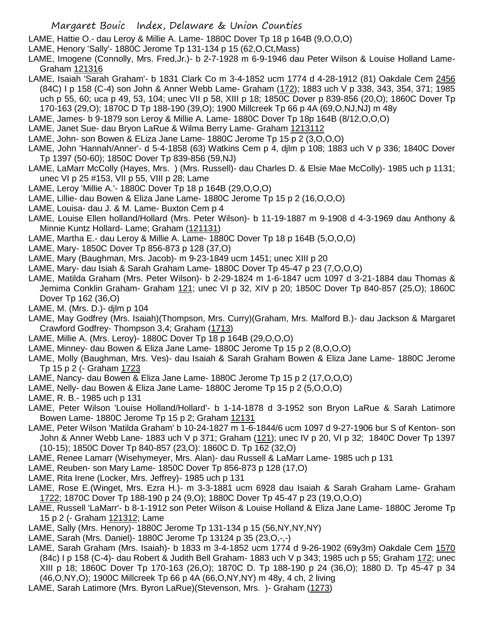LAME, Hattie O.- dau Leroy & Millie A. Lame- 1880C Dover Tp 18 p 164B (9,O,O,O)

LAME, Henory 'Sally'- 1880C Jerome Tp 131-134 p 15 (62,O,Ct,Mass)

LAME, Imogene (Connolly, Mrs. Fred,Jr.)- b 2-7-1928 m 6-9-1946 dau Peter Wilson & Louise Holland Lame-Graham 121316

- LAME, Isaiah 'Sarah Graham'- b 1831 Clark Co m 3-4-1852 ucm 1774 d 4-28-1912 (81) Oakdale Cem 2456 (84C) I p 158 (C-4) son John & Anner Webb Lame- Graham (172); 1883 uch V p 338, 343, 354, 371; 1985 uch p 55, 60; uca p 49, 53, 104; unec VII p 58, XIII p 18; 1850C Dover p 839-856 (20,O); 1860C Dover Tp 170-163 (29,O); 1870C D Tp 188-190 (39,O); 1900 Millcreek Tp 66 p 4A (69,O,NJ,NJ) m 48y
- LAME, James- b 9-1879 son Leroy & Millie A. Lame- 1880C Dover Tp 18p 164B (8/12,O,O,O)
- LAME, Janet Sue- dau Bryon LaRue & Wilma Berry Lame- Graham 1213112
- LAME, John- son Bowen & ELiza Jane Lame- 1880C Jerome Tp 15 p 2 (3,O,O,O)
- LAME, John 'Hannah/Anner'- d 5-4-1858 (63) Watkins Cem p 4, djlm p 108; 1883 uch V p 336; 1840C Dover Tp 1397 (50-60); 1850C Dover Tp 839-856 (59,NJ)
- LAME, LaMarr McColly (Hayes, Mrs. ) (Mrs. Russell)- dau Charles D. & Elsie Mae McColly)- 1985 uch p 1131; unec VI p 25 #153, VII p 55, VIII p 28; Lame
- LAME, Leroy 'Millie A.'- 1880C Dover Tp 18 p 164B (29,O,O,O)
- LAME, Lillie- dau Bowen & Eliza Jane Lame- 1880C Jerome Tp 15 p 2 (16,O,O,O)
- LAME, Louisa- dau J. & M. Lame- Buxton Cem p 4
- LAME, Louise Ellen holland/Hollard (Mrs. Peter Wilson)- b 11-19-1887 m 9-1908 d 4-3-1969 dau Anthony & Minnie Kuntz Hollard- Lame; Graham (121131)
- LAME, Martha E.- dau Leroy & Millie A. Lame- 1880C Dover Tp 18 p 164B (5,O,O,O)
- LAME, Mary- 1850C Dover Tp 856-873 p 128 (37,O)
- LAME, Mary (Baughman, Mrs. Jacob)- m 9-23-1849 ucm 1451; unec XIII p 20
- LAME, Mary- dau Isiah & Sarah Graham Lame- 1880C Dover Tp 45-47 p 23 (7,O,O,O)
- LAME, Matilda Graham (Mrs. Peter Wilson)- b 2-29-1824 m 1-6-1847 ucm 1097 d 3-21-1884 dau Thomas & Jemima Conklin Graham- Graham 121; unec VI p 32, XIV p 20; 1850C Dover Tp 840-857 (25,O); 1860C Dover Tp 162 (36,O)
- LAME, M. (Mrs. D.)- djlm p 104
- LAME, May Godfrey (Mrs. Isaiah)(Thompson, Mrs. Curry)(Graham, Mrs. Malford B.)- dau Jackson & Margaret Crawford Godfrey- Thompson 3,4; Graham (1713)
- LAME, Millie A. (Mrs. Leroy)- 1880C Dover Tp 18 p 164B (29,O,O,O)
- LAME, Minney- dau Bowen & Eliza Jane Lame- 1880C Jerome Tp 15 p 2 (8,O,O,O)
- LAME, Molly (Baughman, Mrs. Ves)- dau Isaiah & Sarah Graham Bowen & Eliza Jane Lame- 1880C Jerome Tp 15 p 2 (- Graham 1723
- LAME, Nancy- dau Bowen & Eliza Jane Lame- 1880C Jerome Tp 15 p 2 (17,O,O,O)
- LAME, Nelly- dau Bowen & Eliza Jane Lame- 1880C Jerome Tp 15 p 2 (5,O,O,O)
- LAME, R. B.- 1985 uch p 131
- LAME, Peter Wilson 'Louise Holland/Hollard'- b 1-14-1878 d 3-1952 son Bryon LaRue & Sarah Latimore Bowen Lame- 1880C Jerome Tp 15 p 2; Graham 12131
- LAME, Peter Wilson 'Matilda Graham' b 10-24-1827 m 1-6-1844/6 ucm 1097 d 9-27-1906 bur S of Kenton- son John & Anner Webb Lane- 1883 uch V p 371; Graham (121); unec IV p 20, VI p 32; 1840C Dover Tp 1397 (10-15); 1850C Dover Tp 840-857 (23,O): 1860C D. Tp 162 (32,O)
- LAME, Renee Lamarr (Wisehymeyer, Mrs. Alan)- dau Russell & LaMarr Lame- 1985 uch p 131
- LAME, Reuben- son Mary Lame- 1850C Dover Tp 856-873 p 128 (17,O)
- LAME, Rita Irene (Locker, Mrs. Jeffrey)- 1985 uch p 131
- LAME, Rose E.(Winget, Mrs. Ezra H.)- m 3-3-1881 ucm 6928 dau Isaiah & Sarah Graham Lame- Graham 1722; 1870C Dover Tp 188-190 p 24 (9,O); 1880C Dover Tp 45-47 p 23 (19,O,O,O)
- LAME, Russell 'LaMarr'- b 8-1-1912 son Peter Wilson & Louise Holland & Eliza Jane Lame- 1880C Jerome Tp 15 p 2 (- Graham 121312; Lame
- LAME, Sally (Mrs. Henory)- 1880C Jerome Tp 131-134 p 15 (56,NY,NY,NY)
- LAME, Sarah (Mrs. Daniel)- 1880C Jerome Tp 13124 p 35 (23,O,-,-)
- LAME, Sarah Graham (Mrs. Isaiah)- b 1833 m 3-4-1852 ucm 1774 d 9-26-1902 (69y3m) Oakdale Cem 1570 (84c) I p 158 (C-4)- dau Robert & Judith Bell Graham- 1883 uch V p 343; 1985 uch p 55; Graham 172; unec XIII p 18; 1860C Dover Tp 170-163 (26,O); 1870C D. Tp 188-190 p 24 (36,O); 1880 D. Tp 45-47 p 34 (46,O,NY,O); 1900C Millcreek Tp 66 p 4A (66,O,NY,NY) m 48y, 4 ch, 2 living
- LAME, Sarah Latimore (Mrs. Byron LaRue)(Stevenson, Mrs. )- Graham (1273)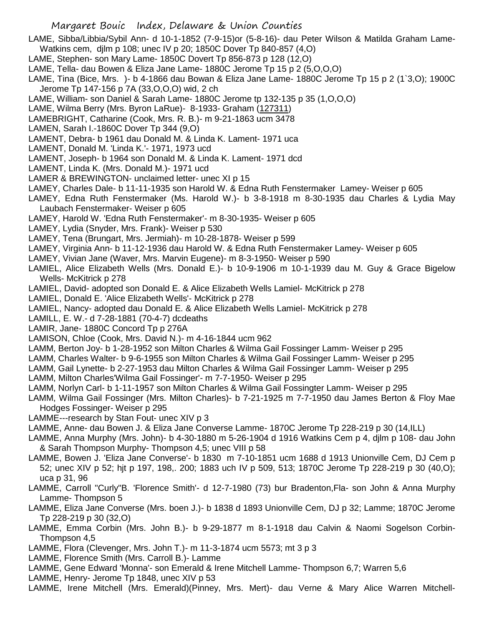- LAME, Sibba/Libbia/Sybil Ann- d 10-1-1852 (7-9-15)or (5-8-16)- dau Peter Wilson & Matilda Graham Lame-Watkins cem, djlm p 108; unec IV p 20; 1850C Dover Tp 840-857 (4,O)
- LAME, Stephen- son Mary Lame- 1850C Dovert Tp 856-873 p 128 (12,O)
- LAME, Tella- dau Bowen & Eliza Jane Lame- 1880C Jerome Tp 15 p 2 (5,O,O,O)
- LAME, Tina (Bice, Mrs. )- b 4-1866 dau Bowan & Eliza Jane Lame- 1880C Jerome Tp 15 p 2 (1`3,O); 1900C Jerome Tp 147-156 p 7A (33,O,O,O) wid, 2 ch
- LAME, William- son Daniel & Sarah Lame- 1880C Jerome tp 132-135 p 35 (1,O,O,O)
- LAME, Wilma Berry (Mrs. Byron LaRue)- 8-1933- Graham (127311)
- LAMEBRIGHT, Catharine (Cook, Mrs. R. B.)- m 9-21-1863 ucm 3478
- LAMEN, Sarah I.-1860C Dover Tp 344 (9,O)
- LAMENT, Debra- b 1961 dau Donald M. & Linda K. Lament- 1971 uca
- LAMENT, Donald M. 'Linda K.'- 1971, 1973 ucd
- LAMENT, Joseph- b 1964 son Donald M. & Linda K. Lament- 1971 dcd
- LAMENT, Linda K. (Mrs. Donald M.)- 1971 ucd
- LAMER & BREWINGTON- unclaimed letter- unec XI p 15
- LAMEY, Charles Dale- b 11-11-1935 son Harold W. & Edna Ruth Fenstermaker Lamey- Weiser p 605
- LAMEY, Edna Ruth Fenstermaker (Ms. Harold W.)- b 3-8-1918 m 8-30-1935 dau Charles & Lydia May Laubach Fenstermaker- Weiser p 605
- LAMEY, Harold W. 'Edna Ruth Fenstermaker'- m 8-30-1935- Weiser p 605
- LAMEY, Lydia (Snyder, Mrs. Frank)- Weiser p 530
- LAMEY, Tena (Brungart, Mrs. Jermiah)- m 10-28-1878- Weiser p 599
- LAMEY, Virginia Ann- b 11-12-1936 dau Harold W. & Edna Ruth Fenstermaker Lamey- Weiser p 605
- LAMEY, Vivian Jane (Waver, Mrs. Marvin Eugene)- m 8-3-1950- Weiser p 590
- LAMIEL, Alice Elizabeth Wells (Mrs. Donald E.)- b 10-9-1906 m 10-1-1939 dau M. Guy & Grace Bigelow Wells- McKitrick p 278
- LAMIEL, David- adopted son Donald E. & Alice Elizabeth Wells Lamiel- McKitrick p 278
- LAMIEL, Donald E. 'Alice Elizabeth Wells'- McKitrick p 278
- LAMIEL, Nancy- adopted dau Donald E. & Alice Elizabeth Wells Lamiel- McKitrick p 278
- LAMILL, E. W.- d 7-28-1881 (70-4-7) dcdeaths
- LAMIR, Jane- 1880C Concord Tp p 276A
- LAMISON, Chloe (Cook, Mrs. David N.)- m 4-16-1844 ucm 962
- LAMM, Berton Joy- b 1-28-1952 son Milton Charles & Wilma Gail Fossinger Lamm- Weiser p 295
- LAMM, Charles Walter- b 9-6-1955 son Milton Charles & Wilma Gail Fossinger Lamm- Weiser p 295
- LAMM, Gail Lynette- b 2-27-1953 dau Milton Charles & Wilma Gail Fossinger Lamm- Weiser p 295
- LAMM, Milton Charles'Wilma Gail Fossinger'- m 7-7-1950- Weiser p 295
- LAMM, Norlyn Carl- b 1-11-1957 son Milton Charles & Wilma Gail Fossingter Lamm- Weiser p 295
- LAMM, Wilma Gail Fossinger (Mrs. Milton Charles)- b 7-21-1925 m 7-7-1950 dau James Berton & Floy Mae Hodges Fossinger- Weiser p 295
- LAMME---research by Stan Fout- unec XIV p 3
- LAMME, Anne- dau Bowen J. & Eliza Jane Converse Lamme- 1870C Jerome Tp 228-219 p 30 (14,ILL)
- LAMME, Anna Murphy (Mrs. John)- b 4-30-1880 m 5-26-1904 d 1916 Watkins Cem p 4, djlm p 108- dau John & Sarah Thompson Murphy- Thompson 4,5; unec VIII p 58
- LAMME, Bowen J. 'Eliza Jane Converse'- b 1830 m 7-10-1851 ucm 1688 d 1913 Unionville Cem, DJ Cem p 52; unec XIV p 52; hjt p 197, 198,. 200; 1883 uch IV p 509, 513; 1870C Jerome Tp 228-219 p 30 (40,O); uca p 31, 96
- LAMME, Carroll "Curly"B. 'Florence Smith'- d 12-7-1980 (73) bur Bradenton,Fla- son John & Anna Murphy Lamme- Thompson 5
- LAMME, Eliza Jane Converse (Mrs. boen J.)- b 1838 d 1893 Unionville Cem, DJ p 32; Lamme; 1870C Jerome Tp 228-219 p 30 (32,O)
- LAMME, Emma Corbin (Mrs. John B.)- b 9-29-1877 m 8-1-1918 dau Calvin & Naomi Sogelson Corbin-Thompson 4,5
- LAMME, Flora (Clevenger, Mrs. John T.)- m 11-3-1874 ucm 5573; mt 3 p 3
- LAMME, Florence Smith (Mrs. Carroll B.)- Lamme
- LAMME, Gene Edward 'Monna'- son Emerald & Irene Mitchell Lamme- Thompson 6,7; Warren 5,6
- LAMME, Henry- Jerome Tp 1848, unec XIV p 53
- LAMME, Irene Mitchell (Mrs. Emerald)(Pinney, Mrs. Mert)- dau Verne & Mary Alice Warren Mitchell-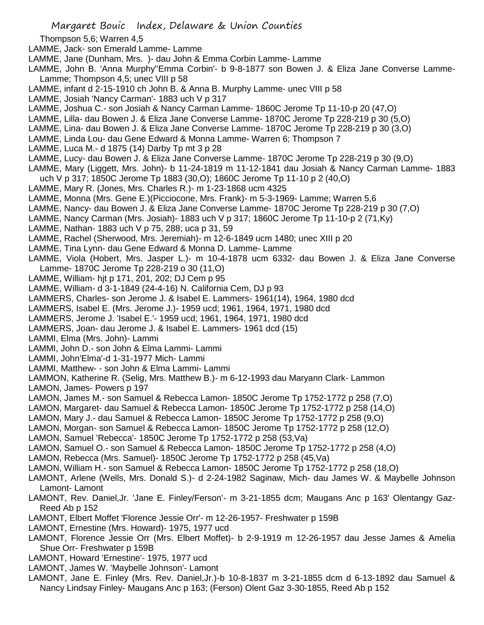- Thompson 5,6; Warren 4,5
- LAMME, Jack- son Emerald Lamme- Lamme
- LAMME, Jane (Dunham, Mrs. )- dau John & Emma Corbin Lamme- Lamme
- LAMME, John B. 'Anna Murphy''Emma Corbin'- b 9-8-1877 son Bowen J. & Eliza Jane Converse Lamme-Lamme; Thompson 4,5; unec VIII p 58
- LAMME, infant d 2-15-1910 ch John B. & Anna B. Murphy Lamme- unec VIII p 58
- LAMME, Josiah 'Nancy Carman'- 1883 uch V p 317
- LAMME, Joshua C.- son Josiah & Nancy Carman Lamme- 1860C Jerome Tp 11-10-p 20 (47,O)
- LAMME, Lilla- dau Bowen J. & Eliza Jane Converse Lamme- 1870C Jerome Tp 228-219 p 30 (5,O)
- LAMME, Lina- dau Bowen J. & Eliza Jane Converse Lamme- 1870C Jerome Tp 228-219 p 30 (3,O)
- LAMME, Linda Lou- dau Gene Edward & Monna Lamme- Warren 6; Thompson 7
- LAMME, Luca M.- d 1875 (14) Darby Tp mt 3 p 28
- LAMME, Lucy- dau Bowen J. & Eliza Jane Converse Lamme- 1870C Jerome Tp 228-219 p 30 (9,O)
- LAMME, Mary (Liggett, Mrs. John)- b 11-24-1819 m 11-12-1841 dau Josiah & Nancy Carman Lamme- 1883
- uch V p 317; 1850C Jerome Tp 1883 (30,O); 1860C Jerome Tp 11-10 p 2 (40,O)
- LAMME, Mary R. (Jones, Mrs. Charles R.)- m 1-23-1868 ucm 4325
- LAMME, Monna (Mrs. Gene E.)(Picciocone, Mrs. Frank)- m 5-3-1969- Lamme; Warren 5,6
- LAMME, Nancy- dau Bowen J. & Eliza Jane Converse Lamme- 1870C Jerome Tp 228-219 p 30 (7,O)
- LAMME, Nancy Carman (Mrs. Josiah)- 1883 uch V p 317; 1860C Jerome Tp 11-10-p 2 (71,Ky)
- LAMME, Nathan- 1883 uch V p 75, 288; uca p 31, 59
- LAMME, Rachel (Sherwood, Mrs. Jeremiah)- m 12-6-1849 ucm 1480; unec XIII p 20
- LAMME, Tina Lynn- dau Gene Edward & Monna D. Lamme- Lamme
- LAMME, Viola (Hobert, Mrs. Jasper L.)- m 10-4-1878 ucm 6332- dau Bowen J. & Eliza Jane Converse Lamme- 1870C Jerome Tp 228-219 o 30 (11,O)
- LAMME, William- hjt p 171, 201, 202; DJ Cem p 95
- LAMME, William- d 3-1-1849 (24-4-16) N. California Cem, DJ p 93
- LAMMERS, Charles- son Jerome J. & Isabel E. Lammers- 1961(14), 1964, 1980 dcd
- LAMMERS, Isabel E. (Mrs. Jerome J.)- 1959 ucd; 1961, 1964, 1971, 1980 dcd
- LAMMERS, Jerome J. 'Isabel E.'- 1959 ucd; 1961, 1964, 1971, 1980 dcd
- LAMMERS, Joan- dau Jerome J. & Isabel E. Lammers- 1961 dcd (15)
- LAMMI, Elma (Mrs. John)- Lammi
- LAMMI, John D.- son John & Elma Lammi- Lammi
- LAMMI, John'Elma'-d 1-31-1977 Mich- Lammi
- LAMMI, Matthew- son John & Elma Lammi- Lammi
- LAMMON, Katherine R. (Selig, Mrs. Matthew B.)- m 6-12-1993 dau Maryann Clark- Lammon
- LAMON, James- Powers p 197
- LAMON, James M.- son Samuel & Rebecca Lamon- 1850C Jerome Tp 1752-1772 p 258 (7,O)
- LAMON, Margaret- dau Samuel & Rebecca Lamon- 1850C Jerome Tp 1752-1772 p 258 (14,O)
- LAMON, Mary J.- dau Samuel & Rebecca Lamon- 1850C Jerome Tp 1752-1772 p 258 (9,O)
- LAMON, Morgan- son Samuel & Rebecca Lamon- 1850C Jerome Tp 1752-1772 p 258 (12,O)
- LAMON, Samuel 'Rebecca'- 1850C Jerome Tp 1752-1772 p 258 (53,Va)
- LAMON, Samuel O.- son Samuel & Rebecca Lamon- 1850C Jerome Tp 1752-1772 p 258 (4,O)
- LAMON, Rebecca (Mrs. Samuel)- 1850C Jerome Tp 1752-1772 p 258 (45,Va)
- LAMON, William H.- son Samuel & Rebecca Lamon- 1850C Jerome Tp 1752-1772 p 258 (18,O)
- LAMONT, Arlene (Wells, Mrs. Donald S.)- d 2-24-1982 Saginaw, Mich- dau James W. & Maybelle Johnson Lamont- Lamont
- LAMONT, Rev. Daniel,Jr. 'Jane E. Finley/Ferson'- m 3-21-1855 dcm; Maugans Anc p 163' Olentangy Gaz-Reed Ab p 152
- LAMONT, Elbert Moffet 'Florence Jessie Orr'- m 12-26-1957- Freshwater p 159B
- LAMONT, Ernestine (Mrs. Howard)- 1975, 1977 ucd
- LAMONT, Florence Jessie Orr (Mrs. Elbert Moffet)- b 2-9-1919 m 12-26-1957 dau Jesse James & Amelia Shue Orr- Freshwater p 159B
- LAMONT, Howard 'Ernestine'- 1975, 1977 ucd
- LAMONT, James W. 'Maybelle Johnson'- Lamont
- LAMONT, Jane E. Finley (Mrs. Rev. Daniel,Jr.)-b 10-8-1837 m 3-21-1855 dcm d 6-13-1892 dau Samuel & Nancy Lindsay Finley- Maugans Anc p 163; (Ferson) Olent Gaz 3-30-1855, Reed Ab p 152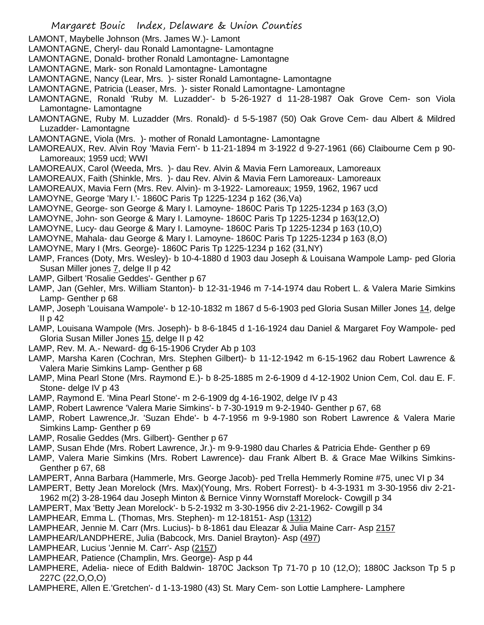- Margaret Bouic Index, Delaware & Union Counties LAMONT, Maybelle Johnson (Mrs. James W.)- Lamont LAMONTAGNE, Cheryl- dau Ronald Lamontagne- Lamontagne LAMONTAGNE, Donald- brother Ronald Lamontagne- Lamontagne LAMONTAGNE, Mark- son Ronald Lamontagne- Lamontagne LAMONTAGNE, Nancy (Lear, Mrs. )- sister Ronald Lamontagne- Lamontagne LAMONTAGNE, Patricia (Leaser, Mrs. )- sister Ronald Lamontagne- Lamontagne LAMONTAGNE, Ronald 'Ruby M. Luzadder'- b 5-26-1927 d 11-28-1987 Oak Grove Cem- son Viola Lamontagne- Lamontagne LAMONTAGNE, Ruby M. Luzadder (Mrs. Ronald)- d 5-5-1987 (50) Oak Grove Cem- dau Albert & Mildred Luzadder- Lamontagne LAMONTAGNE, Viola (Mrs. )- mother of Ronald Lamontagne- Lamontagne LAMOREAUX, Rev. Alvin Roy 'Mavia Fern'- b 11-21-1894 m 3-1922 d 9-27-1961 (66) Claibourne Cem p 90- Lamoreaux; 1959 ucd; WWI LAMOREAUX, Carol (Weeda, Mrs. )- dau Rev. Alvin & Mavia Fern Lamoreaux, Lamoreaux LAMOREAUX, Faith (Shinkle, Mrs. )- dau Rev. Alvin & Mavia Fern Lamoreaux- Lamoreaux LAMOREAUX, Mavia Fern (Mrs. Rev. Alvin)- m 3-1922- Lamoreaux; 1959, 1962, 1967 ucd LAMOYNE, George 'Mary I.'- 1860C Paris Tp 1225-1234 p 162 (36,Va) LAMOYNE, George- son George & Mary I. Lamoyne- 1860C Paris Tp 1225-1234 p 163 (3,O) LAMOYNE, John- son George & Mary I. Lamoyne- 1860C Paris Tp 1225-1234 p 163(12,O) LAMOYNE, Lucy- dau George & Mary I. Lamoyne- 1860C Paris Tp 1225-1234 p 163 (10,O) LAMOYNE, Mahala- dau George & Mary I. Lamoyne- 1860C Paris Tp 1225-1234 p 163 (8,O) LAMOYNE, Mary I (Mrs. George)- 1860C Paris Tp 1225-1234 p 162 (31,NY) LAMP, Frances (Doty, Mrs. Wesley)- b 10-4-1880 d 1903 dau Joseph & Louisana Wampole Lamp- ped Gloria Susan Miller jones 7, delge II p 42 LAMP, Gilbert 'Rosalie Geddes'- Genther p 67 LAMP, Jan (Gehler, Mrs. William Stanton)- b 12-31-1946 m 7-14-1974 dau Robert L. & Valera Marie Simkins Lamp- Genther p 68 LAMP, Joseph 'Louisana Wampole'- b 12-10-1832 m 1867 d 5-6-1903 ped Gloria Susan Miller Jones 14, delge II p 42 LAMP, Louisana Wampole (Mrs. Joseph)- b 8-6-1845 d 1-16-1924 dau Daniel & Margaret Foy Wampole- ped Gloria Susan Miller Jones 15, delge II p 42 LAMP, Rev. M. A.- Neward- dg 6-15-1906 Cryder Ab p 103 LAMP, Marsha Karen (Cochran, Mrs. Stephen Gilbert)- b 11-12-1942 m 6-15-1962 dau Robert Lawrence & Valera Marie Simkins Lamp- Genther p 68 LAMP, Mina Pearl Stone (Mrs. Raymond E.)- b 8-25-1885 m 2-6-1909 d 4-12-1902 Union Cem, Col. dau E. F. Stone- delge IV p 43 LAMP, Raymond E. 'Mina Pearl Stone'- m 2-6-1909 dg 4-16-1902, delge IV p 43 LAMP, Robert Lawrence 'Valera Marie Simkins'- b 7-30-1919 m 9-2-1940- Genther p 67, 68 LAMP, Robert Lawrence,Jr. 'Suzan Ehde'- b 4-7-1956 m 9-9-1980 son Robert Lawrence & Valera Marie Simkins Lamp- Genther p 69 LAMP, Rosalie Geddes (Mrs. Gilbert)- Genther p 67 LAMP, Susan Ehde (Mrs. Robert Lawrence, Jr.)- m 9-9-1980 dau Charles & Patricia Ehde- Genther p 69 LAMP, Valera Marie Simkins (Mrs. Robert Lawrence)- dau Frank Albert B. & Grace Mae Wilkins Simkins-Genther p 67, 68 LAMPERT, Anna Barbara (Hammerle, Mrs. George Jacob)- ped Trella Hemmerly Romine #75, unec VI p 34 LAMPERT, Betty Jean Morelock (Mrs. Max)(Young, Mrs. Robert Forrest)- b 4-3-1931 m 3-30-1956 div 2-21- 1962 m(2) 3-28-1964 dau Joseph Minton & Bernice Vinny Wornstaff Morelock- Cowgill p 34 LAMPERT, Max 'Betty Jean Morelock'- b 5-2-1932 m 3-30-1956 div 2-21-1962- Cowgill p 34 LAMPHEAR, Emma L. (Thomas, Mrs. Stephen)- m 12-18151- Asp (1312) LAMPHEAR, Jennie M. Carr (Mrs. Lucius)- b 8-1861 dau Eleazar & Julia Maine Carr- Asp 2157 LAMPHEAR/LANDPHERE, Julia (Babcock, Mrs. Daniel Brayton)- Asp (497) LAMPHEAR, Lucius 'Jennie M. Carr'- Asp (2157) LAMPHEAR, Patience (Champlin, Mrs. George)- Asp p 44 LAMPHERE, Adelia- niece of Edith Baldwin- 1870C Jackson Tp 71-70 p 10 (12,O); 1880C Jackson Tp 5 p 227C (22,O,O,O)
- LAMPHERE, Allen E.'Gretchen'- d 1-13-1980 (43) St. Mary Cem- son Lottie Lamphere- Lamphere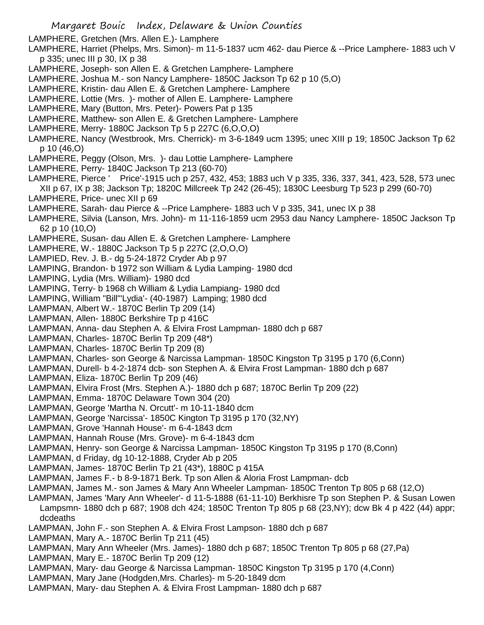LAMPHERE, Gretchen (Mrs. Allen E.)- Lamphere

- LAMPHERE, Harriet (Phelps, Mrs. Simon)- m 11-5-1837 ucm 462- dau Pierce & --Price Lamphere- 1883 uch V p 335; unec III p 30, IX p 38
- LAMPHERE, Joseph- son Allen E. & Gretchen Lamphere- Lamphere
- LAMPHERE, Joshua M.- son Nancy Lamphere- 1850C Jackson Tp 62 p 10 (5,O)
- LAMPHERE, Kristin- dau Allen E. & Gretchen Lamphere- Lamphere
- LAMPHERE, Lottie (Mrs. )- mother of Allen E. Lamphere- Lamphere
- LAMPHERE, Mary (Button, Mrs. Peter)- Powers Pat p 135
- LAMPHERE, Matthew- son Allen E. & Gretchen Lamphere- Lamphere
- LAMPHERE, Merry- 1880C Jackson Tp 5 p 227C (6,O,O,O)
- LAMPHERE, Nancy (Westbrook, Mrs. Cherrick)- m 3-6-1849 ucm 1395; unec XIII p 19; 1850C Jackson Tp 62 p 10 (46,O)
- LAMPHERE, Peggy (Olson, Mrs. )- dau Lottie Lamphere- Lamphere
- LAMPHERE, Perry- 1840C Jackson Tp 213 (60-70)
- LAMPHERE, Pierce ' Price'-1915 uch p 257, 432, 453; 1883 uch V p 335, 336, 337, 341, 423, 528, 573 unec XII p 67, IX p 38; Jackson Tp; 1820C Millcreek Tp 242 (26-45); 1830C Leesburg Tp 523 p 299 (60-70)
- LAMPHERE, Price- unec XII p 69
- LAMPHERE, Sarah- dau Pierce & --Price Lamphere- 1883 uch V p 335, 341, unec IX p 38
- LAMPHERE, Silvia (Lanson, Mrs. John)- m 11-116-1859 ucm 2953 dau Nancy Lamphere- 1850C Jackson Tp 62 p 10 (10,O)
- LAMPHERE, Susan- dau Allen E. & Gretchen Lamphere- Lamphere
- LAMPHERE, W.- 1880C Jackson Tp 5 p 227C (2,O,O,O)
- LAMPIED, Rev. J. B.- dg 5-24-1872 Cryder Ab p 97
- LAMPING, Brandon- b 1972 son William & Lydia Lamping- 1980 dcd
- LAMPING, Lydia (Mrs. William)- 1980 dcd
- LAMPING, Terry- b 1968 ch William & Lydia Lampiang- 1980 dcd
- LAMPING, William "Bill"'Lydia'- (40-1987) Lamping; 1980 dcd
- LAMPMAN, Albert W.- 1870C Berlin Tp 209 (14)
- LAMPMAN, Allen- 1880C Berkshire Tp p 416C
- LAMPMAN, Anna- dau Stephen A. & Elvira Frost Lampman- 1880 dch p 687
- LAMPMAN, Charles- 1870C Berlin Tp 209 (48\*)
- LAMPMAN, Charles- 1870C Berlin Tp 209 (8)
- LAMPMAN, Charles- son George & Narcissa Lampman- 1850C Kingston Tp 3195 p 170 (6,Conn)
- LAMPMAN, Durell- b 4-2-1874 dcb- son Stephen A. & Elvira Frost Lampman- 1880 dch p 687
- LAMPMAN, Eliza- 1870C Berlin Tp 209 (46)
- LAMPMAN, Elvira Frost (Mrs. Stephen A.)- 1880 dch p 687; 1870C Berlin Tp 209 (22)
- LAMPMAN, Emma- 1870C Delaware Town 304 (20)
- LAMPMAN, George 'Martha N. Orcutt'- m 10-11-1840 dcm
- LAMPMAN, George 'Narcissa'- 1850C Kington Tp 3195 p 170 (32,NY)
- LAMPMAN, Grove 'Hannah House'- m 6-4-1843 dcm
- LAMPMAN, Hannah Rouse (Mrs. Grove)- m 6-4-1843 dcm
- LAMPMAN, Henry- son George & Narcissa Lampman- 1850C Kingston Tp 3195 p 170 (8,Conn)
- LAMPMAN, d Friday, dg 10-12-1888, Cryder Ab p 205
- LAMPMAN, James- 1870C Berlin Tp 21 (43\*), 1880C p 415A
- LAMPMAN, James F.- b 8-9-1871 Berk. Tp son Allen & Aloria Frost Lampman- dcb
- LAMPMAN, James M.- son James & Mary Ann Wheeler Lampman- 1850C Trenton Tp 805 p 68 (12,O)
- LAMPMAN, James 'Mary Ann Wheeler'- d 11-5-1888 (61-11-10) Berkhisre Tp son Stephen P. & Susan Lowen Lampsmn- 1880 dch p 687; 1908 dch 424; 1850C Trenton Tp 805 p 68 (23,NY); dcw Bk 4 p 422 (44) appr; dcdeaths
- LAMPMAN, John F.- son Stephen A. & Elvira Frost Lampson- 1880 dch p 687
- LAMPMAN, Mary A.- 1870C Berlin Tp 211 (45)
- LAMPMAN, Mary Ann Wheeler (Mrs. James)- 1880 dch p 687; 1850C Trenton Tp 805 p 68 (27,Pa)
- LAMPMAN, Mary E.- 1870C Berlin Tp 209 (12)
- LAMPMAN, Mary- dau George & Narcissa Lampman- 1850C Kingston Tp 3195 p 170 (4,Conn)
- LAMPMAN, Mary Jane (Hodgden,Mrs. Charles)- m 5-20-1849 dcm
- LAMPMAN, Mary- dau Stephen A. & Elvira Frost Lampman- 1880 dch p 687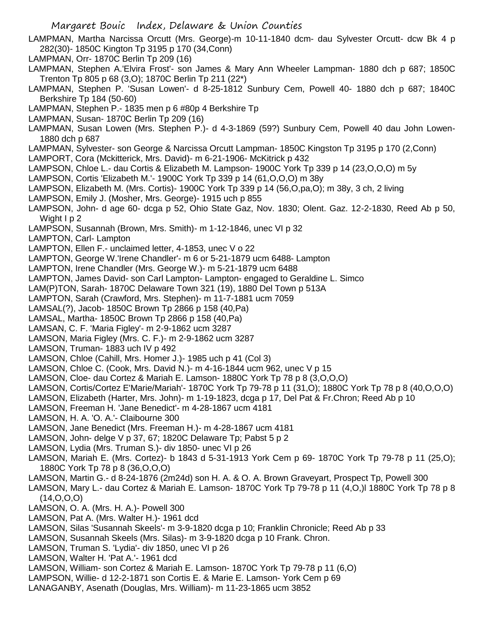- LAMPMAN, Martha Narcissa Orcutt (Mrs. George)-m 10-11-1840 dcm- dau Sylvester Orcutt- dcw Bk 4 p 282(30)- 1850C Kington Tp 3195 p 170 (34,Conn)
- LAMPMAN, Orr- 1870C Berlin Tp 209 (16)
- LAMPMAN, Stephen A.'Elvira Frost'- son James & Mary Ann Wheeler Lampman- 1880 dch p 687; 1850C Trenton Tp 805 p 68 (3,O); 1870C Berlin Tp 211 (22\*)
- LAMPMAN, Stephen P. 'Susan Lowen'- d 8-25-1812 Sunbury Cem, Powell 40- 1880 dch p 687; 1840C Berkshire Tp 184 (50-60)
- LAMPMAN, Stephen P.- 1835 men p 6 #80p 4 Berkshire Tp
- LAMPMAN, Susan- 1870C Berlin Tp 209 (16)
- LAMPMAN, Susan Lowen (Mrs. Stephen P.)- d 4-3-1869 (59?) Sunbury Cem, Powell 40 dau John Lowen-1880 dch p 687
- LAMPMAN, Sylvester- son George & Narcissa Orcutt Lampman- 1850C Kingston Tp 3195 p 170 (2,Conn)
- LAMPORT, Cora (Mckitterick, Mrs. David)- m 6-21-1906- McKitrick p 432
- LAMPSON, Chloe L.- dau Cortis & Elizabeth M. Lampson- 1900C York Tp 339 p 14 (23,O,O,O) m 5y
- LAMPSON, Cortis 'Elizabeth M.'- 1900C York Tp 339 p 14 (61,O,O,O) m 38y
- LAMPSON, Elizabeth M. (Mrs. Cortis)- 1900C York Tp 339 p 14 (56,O,pa,O); m 38y, 3 ch, 2 living
- LAMPSON, Emily J. (Mosher, Mrs. George)- 1915 uch p 855
- LAMPSON, John- d age 60- dcga p 52, Ohio State Gaz, Nov. 1830; Olent. Gaz. 12-2-1830, Reed Ab p 50, Wight I p 2
- LAMPSON, Susannah (Brown, Mrs. Smith)- m 1-12-1846, unec VI p 32
- LAMPTON, Carl- Lampton
- LAMPTON, Ellen F.- unclaimed letter, 4-1853, unec V o 22
- LAMPTON, George W.'Irene Chandler'- m 6 or 5-21-1879 ucm 6488- Lampton
- LAMPTON, Irene Chandler (Mrs. George W.)- m 5-21-1879 ucm 6488
- LAMPTON, James David- son Carl Lampton- Lampton- engaged to Geraldine L. Simco
- LAM(P)TON, Sarah- 1870C Delaware Town 321 (19), 1880 Del Town p 513A
- LAMPTON, Sarah (Crawford, Mrs. Stephen)- m 11-7-1881 ucm 7059
- LAMSAL(?), Jacob- 1850C Brown Tp 2866 p 158 (40,Pa)
- LAMSAL, Martha- 1850C Brown Tp 2866 p 158 (40,Pa)
- LAMSAN, C. F. 'Maria Figley'- m 2-9-1862 ucm 3287
- LAMSON, Maria Figley (Mrs. C. F.)- m 2-9-1862 ucm 3287
- LAMSON, Truman- 1883 uch IV p 492
- LAMSON, Chloe (Cahill, Mrs. Homer J.)- 1985 uch p 41 (Col 3)
- LAMSON, Chloe C. (Cook, Mrs. David N.)- m 4-16-1844 ucm 962, unec V p 15
- LAMSON, Cloe- dau Cortez & Mariah E. Lamson- 1880C York Tp 78 p 8 (3,O,O,O)
- LAMSON, Cortis/Cortez E'Marie/Mariah'- 1870C York Tp 79-78 p 11 (31,O); 1880C York Tp 78 p 8 (40,O,O,O)
- LAMSON, Elizabeth (Harter, Mrs. John)- m 1-19-1823, dcga p 17, Del Pat & Fr.Chron; Reed Ab p 10
- LAMSON, Freeman H. 'Jane Benedict'- m 4-28-1867 ucm 4181
- LAMSON, H. A. 'O. A.'- Claibourne 300
- LAMSON, Jane Benedict (Mrs. Freeman H.)- m 4-28-1867 ucm 4181
- LAMSON, John- delge V p 37, 67; 1820C Delaware Tp; Pabst 5 p 2
- LAMSON, Lydia (Mrs. Truman S.)- div 1850- unec VI p 26
- LAMSON, Mariah E. (Mrs. Cortez)- b 1843 d 5-31-1913 York Cem p 69- 1870C York Tp 79-78 p 11 (25,O); 1880C York Tp 78 p 8 (36,O,O,O)
- LAMSON, Martin G.- d 8-24-1876 (2m24d) son H. A. & O. A. Brown Graveyart, Prospect Tp, Powell 300
- LAMSON, Mary L.- dau Cortez & Mariah E. Lamson- 1870C York Tp 79-78 p 11 (4,O,)l 1880C York Tp 78 p 8 (14,O,O,O)
- LAMSON, O. A. (Mrs. H. A.)- Powell 300
- LAMSON, Pat A. (Mrs. Walter H.)- 1961 dcd
- LAMSON, Silas 'Susannah Skeels'- m 3-9-1820 dcga p 10; Franklin Chronicle; Reed Ab p 33
- LAMSON, Susannah Skeels (Mrs. Silas)- m 3-9-1820 dcga p 10 Frank. Chron.
- LAMSON, Truman S. 'Lydia'- div 1850, unec VI p 26
- LAMSON, Walter H. 'Pat A.'- 1961 dcd
- LAMSON, William- son Cortez & Mariah E. Lamson- 1870C York Tp 79-78 p 11 (6,O)
- LAMPSON, Willie- d 12-2-1871 son Cortis E. & Marie E. Lamson- York Cem p 69
- LANAGANBY, Asenath (Douglas, Mrs. William)- m 11-23-1865 ucm 3852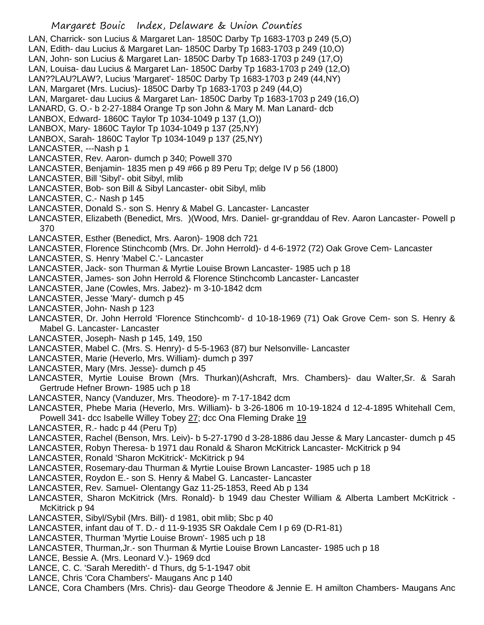LAN, Charrick- son Lucius & Margaret Lan- 1850C Darby Tp 1683-1703 p 249 (5,O) LAN, Edith- dau Lucius & Margaret Lan- 1850C Darby Tp 1683-1703 p 249 (10,O) LAN, John- son Lucius & Margaret Lan- 1850C Darby Tp 1683-1703 p 249 (17,O) LAN, Louisa- dau Lucius & Margaret Lan- 1850C Darby Tp 1683-1703 p 249 (12,O) LAN??LAU?LAW?, Lucius 'Margaret'- 1850C Darby Tp 1683-1703 p 249 (44,NY) LAN, Margaret (Mrs. Lucius)- 1850C Darby Tp 1683-1703 p 249 (44,O) LAN, Margaret- dau Lucius & Margaret Lan- 1850C Darby Tp 1683-1703 p 249 (16,O) LANARD, G. O.- b 2-27-1884 Orange Tp son John & Mary M. Man Lanard- dcb LANBOX, Edward- 1860C Taylor Tp 1034-1049 p 137 (1,O)) LANBOX, Mary- 1860C Taylor Tp 1034-1049 p 137 (25,NY) LANBOX, Sarah- 1860C Taylor Tp 1034-1049 p 137 (25,NY) LANCASTER, ---Nash p 1 LANCASTER, Rev. Aaron- dumch p 340; Powell 370 LANCASTER, Benjamin- 1835 men p 49 #66 p 89 Peru Tp; delge IV p 56 (1800) LANCASTER, Bill 'Sibyl'- obit Sibyl, mlib LANCASTER, Bob- son Bill & Sibyl Lancaster- obit Sibyl, mlib LANCASTER, C.- Nash p 145 LANCASTER, Donald S.- son S. Henry & Mabel G. Lancaster- Lancaster LANCASTER, Elizabeth (Benedict, Mrs. )(Wood, Mrs. Daniel- gr-granddau of Rev. Aaron Lancaster- Powell p 370 LANCASTER, Esther (Benedict, Mrs. Aaron)- 1908 dch 721 LANCASTER, Florence Stinchcomb (Mrs. Dr. John Herrold)- d 4-6-1972 (72) Oak Grove Cem- Lancaster LANCASTER, S. Henry 'Mabel C.'- Lancaster LANCASTER, Jack- son Thurman & Myrtie Louise Brown Lancaster- 1985 uch p 18 LANCASTER, James- son John Herrold & Florence Stinchcomb Lancaster- Lancaster LANCASTER, Jane (Cowles, Mrs. Jabez)- m 3-10-1842 dcm LANCASTER, Jesse 'Mary'- dumch p 45 LANCASTER, John- Nash p 123 LANCASTER, Dr. John Herrold 'Florence Stinchcomb'- d 10-18-1969 (71) Oak Grove Cem- son S. Henry & Mabel G. Lancaster- Lancaster LANCASTER, Joseph- Nash p 145, 149, 150 LANCASTER, Mabel C. (Mrs. S. Henry)- d 5-5-1963 (87) bur Nelsonville- Lancaster LANCASTER, Marie (Heverlo, Mrs. William)- dumch p 397 LANCASTER, Mary (Mrs. Jesse)- dumch p 45 LANCASTER, Myrtie Louise Brown (Mrs. Thurkan)(Ashcraft, Mrs. Chambers)- dau Walter,Sr. & Sarah Gertrude Hefner Brown- 1985 uch p 18 LANCASTER, Nancy (Vanduzer, Mrs. Theodore)- m 7-17-1842 dcm LANCASTER, Phebe Maria (Heverlo, Mrs. William)- b 3-26-1806 m 10-19-1824 d 12-4-1895 Whitehall Cem, Powell 341- dcc Isabelle Willey Tobey 27; dcc Ona Fleming Drake 19 LANCASTER, R.- hadc p 44 (Peru Tp) LANCASTER, Rachel (Benson, Mrs. Leiv)- b 5-27-1790 d 3-28-1886 dau Jesse & Mary Lancaster- dumch p 45

- LANCASTER, Robyn Theresa- b 1971 dau Ronald & Sharon McKitrick Lancaster- McKitrick p 94
- LANCASTER, Ronald 'Sharon McKitrick'- McKitrick p 94
- LANCASTER, Rosemary-dau Thurman & Myrtie Louise Brown Lancaster- 1985 uch p 18
- LANCASTER, Roydon E.- son S. Henry & Mabel G. Lancaster- Lancaster
- LANCASTER, Rev. Samuel- Olentangy Gaz 11-25-1853, Reed Ab p 134
- LANCASTER, Sharon McKitrick (Mrs. Ronald)- b 1949 dau Chester William & Alberta Lambert McKitrick McKitrick p 94
- LANCASTER, Sibyl/Sybil (Mrs. Bill)- d 1981, obit mlib; Sbc p 40
- LANCASTER, infant dau of T. D.- d 11-9-1935 SR Oakdale Cem I p 69 (D-R1-81)
- LANCASTER, Thurman 'Myrtie Louise Brown'- 1985 uch p 18
- LANCASTER, Thurman,Jr.- son Thurman & Myrtie Louise Brown Lancaster- 1985 uch p 18
- LANCE, Bessie A. (Mrs. Leonard V.)- 1969 dcd
- LANCE, C. C. 'Sarah Meredith'- d Thurs, dg 5-1-1947 obit
- LANCE, Chris 'Cora Chambers'- Maugans Anc p 140
- LANCE, Cora Chambers (Mrs. Chris)- dau George Theodore & Jennie E. H amilton Chambers- Maugans Anc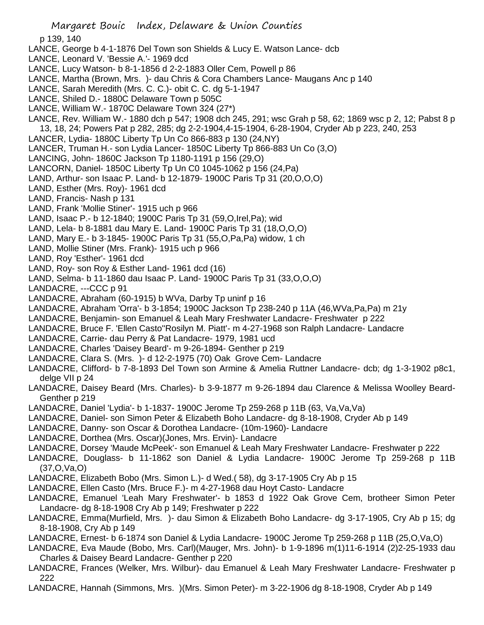p 139, 140

- LANCE, George b 4-1-1876 Del Town son Shields & Lucy E. Watson Lance- dcb
- LANCE, Leonard V. 'Bessie A.'- 1969 dcd
- LANCE, Lucy Watson- b 8-1-1856 d 2-2-1883 Oller Cem, Powell p 86
- LANCE, Martha (Brown, Mrs. )- dau Chris & Cora Chambers Lance- Maugans Anc p 140
- LANCE, Sarah Meredith (Mrs. C. C.)- obit C. C. dg 5-1-1947
- LANCE, Shiled D.- 1880C Delaware Town p 505C
- LANCE, William W.- 1870C Delaware Town 324 (27\*)
- LANCE, Rev. William W.- 1880 dch p 547; 1908 dch 245, 291; wsc Grah p 58, 62; 1869 wsc p 2, 12; Pabst 8 p 13, 18, 24; Powers Pat p 282, 285; dg 2-2-1904,4-15-1904, 6-28-1904, Cryder Ab p 223, 240, 253
- LANCER, Lydia- 1880C Liberty Tp Un Co 866-883 p 130 (24,NY)
- LANCER, Truman H.- son Lydia Lancer- 1850C Liberty Tp 866-883 Un Co (3,O)
- LANCING, John- 1860C Jackson Tp 1180-1191 p 156 (29,O)
- LANCORN, Daniel- 1850C Liberty Tp Un C0 1045-1062 p 156 (24,Pa)
- LAND, Arthur- son Isaac P. Land- b 12-1879- 1900C Paris Tp 31 (20,O,O,O)
- LAND, Esther (Mrs. Roy)- 1961 dcd
- LAND, Francis- Nash p 131
- LAND, Frank 'Mollie Stiner'- 1915 uch p 966
- LAND, Isaac P.- b 12-1840; 1900C Paris Tp 31 (59,O,Irel,Pa); wid
- LAND, Lela- b 8-1881 dau Mary E. Land- 1900C Paris Tp 31 (18,O,O,O)
- LAND, Mary E.- b 3-1845- 1900C Paris Tp 31 (55,O,Pa,Pa) widow, 1 ch
- LAND, Mollie Stiner (Mrs. Frank)- 1915 uch p 966
- LAND, Roy 'Esther'- 1961 dcd
- LAND, Roy- son Roy & Esther Land- 1961 dcd (16)
- LAND, Selma- b 11-1860 dau Isaac P. Land- 1900C Paris Tp 31 (33,O,O,O)
- LANDACRE, ---CCC p 91
- LANDACRE, Abraham (60-1915) b WVa, Darby Tp uninf p 16
- LANDACRE, Abraham 'Orra'- b 3-1854; 1900C Jackson Tp 238-240 p 11A (46,WVa,Pa,Pa) m 21y
- LANDACRE, Benjamin- son Emanuel & Leah Mary Freshwater Landacre- Freshwater p 222
- LANDACRE, Bruce F. 'Ellen Casto''Rosilyn M. Piatt'- m 4-27-1968 son Ralph Landacre- Landacre
- LANDACRE, Carrie- dau Perry & Pat Landacre- 1979, 1981 ucd
- LANDACRE, Charles 'Daisey Beard'- m 9-26-1894- Genther p 219
- LANDACRE, Clara S. (Mrs. )- d 12-2-1975 (70) Oak Grove Cem- Landacre
- LANDACRE, Clifford- b 7-8-1893 Del Town son Armine & Amelia Ruttner Landacre- dcb; dg 1-3-1902 p8c1, delge VII p 24
- LANDACRE, Daisey Beard (Mrs. Charles)- b 3-9-1877 m 9-26-1894 dau Clarence & Melissa Woolley Beard-Genther p 219
- LANDACRE, Daniel 'Lydia'- b 1-1837- 1900C Jerome Tp 259-268 p 11B (63, Va,Va,Va)
- LANDACRE, Daniel- son Simon Peter & Elizabeth Boho Landacre- dg 8-18-1908, Cryder Ab p 149
- LANDACRE, Danny- son Oscar & Dorothea Landacre- (10m-1960)- Landacre
- LANDACRE, Dorthea (Mrs. Oscar)(Jones, Mrs. Ervin)- Landacre
- LANDACRE, Dorsey 'Maude McPeek'- son Emanuel & Leah Mary Freshwater Landacre- Freshwater p 222
- LANDACRE, Douglass- b 11-1862 son Daniel & Lydia Landacre- 1900C Jerome Tp 259-268 p 11B (37,O,Va,O)
- LANDACRE, Elizabeth Bobo (Mrs. Simon L.)- d Wed.( 58), dg 3-17-1905 Cry Ab p 15
- LANDACRE, Ellen Casto (Mrs. Bruce F.)- m 4-27-1968 dau Hoyt Casto- Landacre
- LANDACRE, Emanuel 'Leah Mary Freshwater'- b 1853 d 1922 Oak Grove Cem, brotheer Simon Peter Landacre- dg 8-18-1908 Cry Ab p 149; Freshwater p 222
- LANDACRE, Emma(Murfield, Mrs. )- dau Simon & Elizabeth Boho Landacre- dg 3-17-1905, Cry Ab p 15; dg 8-18-1908, Cry Ab p 149
- LANDACRE, Ernest- b 6-1874 son Daniel & Lydia Landacre- 1900C Jerome Tp 259-268 p 11B (25,O,Va,O)
- LANDACRE, Eva Maude (Bobo, Mrs. Carl)(Mauger, Mrs. John)- b 1-9-1896 m(1)11-6-1914 (2)2-25-1933 dau Charles & Daisey Beard Landacre- Genther p 220
- LANDACRE, Frances (Welker, Mrs. Wilbur)- dau Emanuel & Leah Mary Freshwater Landacre- Freshwater p 222
- LANDACRE, Hannah (Simmons, Mrs. )(Mrs. Simon Peter)- m 3-22-1906 dg 8-18-1908, Cryder Ab p 149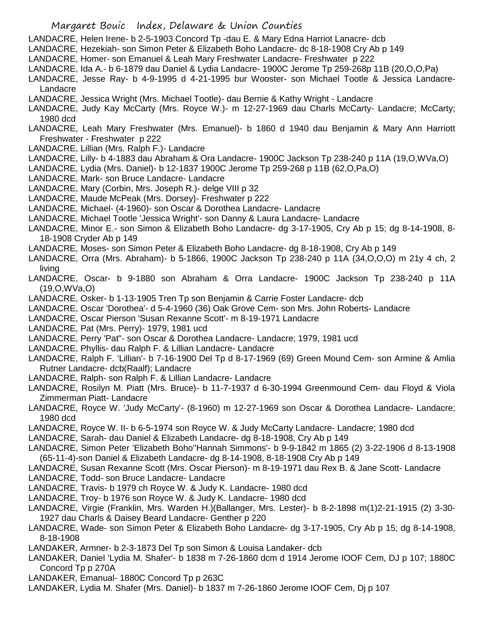- LANDACRE, Helen Irene- b 2-5-1903 Concord Tp -dau E. & Mary Edna Harriot Lanacre- dcb
- LANDACRE, Hezekiah- son Simon Peter & Elizabeth Boho Landacre- dc 8-18-1908 Cry Ab p 149
- LANDACRE, Homer- son Emanuel & Leah Mary Freshwater Landacre- Freshwater p 222
- LANDACRE, Ida A.- b 6-1879 dau Daniel & Lydia Landacre- 1900C Jerome Tp 259-268p 11B (20,O,O,Pa)
- LANDACRE, Jesse Ray- b 4-9-1995 d 4-21-1995 bur Wooster- son Michael Tootle & Jessica Landacre-Landacre
- LANDACRE, Jessica Wright (Mrs. Michael Tootle)- dau Bernie & Kathy Wright Landacre
- LANDACRE, Judy Kay McCarty (Mrs. Royce W.)- m 12-27-1969 dau Charls McCarty- Landacre; McCarty; 1980 dcd
- LANDACRE, Leah Mary Freshwater (Mrs. Emanuel)- b 1860 d 1940 dau Benjamin & Mary Ann Harriott Freshwater - Freshwater p 222
- LANDACRE, Lillian (Mrs. Ralph F.)- Landacre
- LANDACRE, Lilly- b 4-1883 dau Abraham & Ora Landacre- 1900C Jackson Tp 238-240 p 11A (19,O,WVa,O)
- LANDACRE, Lydia (Mrs. Daniel)- b 12-1837 1900C Jerome Tp 259-268 p 11B (62,O,Pa,O)
- LANDACRE, Mark- son Bruce Landacre- Landacre
- LANDACRE, Mary (Corbin, Mrs. Joseph R.)- delge VIII p 32
- LANDACRE, Maude McPeak (Mrs. Dorsey)- Freshwater p 222
- LANDACRE, Michael- (4-1960)- son Oscar & Dorothea Landacre- Landacre
- LANDACRE, Michael Tootle 'Jessica Wright'- son Danny & Laura Landacre- Landacre
- LANDACRE, Minor E.- son Simon & Elizabeth Boho Landacre- dg 3-17-1905, Cry Ab p 15; dg 8-14-1908, 8- 18-1908 Cryder Ab p 149
- LANDACRE, Moses- son Simon Peter & Elizabeth Boho Landacre- dg 8-18-1908, Cry Ab p 149
- LANDACRE, Orra (Mrs. Abraham)- b 5-1866, 1900C Jackson Tp 238-240 p 11A (34,O,O,O) m 21y 4 ch, 2 living
- LANDACRE, Oscar- b 9-1880 son Abraham & Orra Landacre- 1900C Jackson Tp 238-240 p 11A (19,O,WVa,O)
- LANDACRE, Osker- b 1-13-1905 Tren Tp son Benjamin & Carrie Foster Landacre- dcb
- LANDACRE, Oscar 'Dorothea'- d 5-4-1960 (36) Oak Grove Cem- son Mrs. John Roberts- Landacre
- LANDACRE, Oscar Pierson 'Susan Rexanne Scott'- m 8-19-1971 Landacre
- LANDACRE, Pat (Mrs. Perry)- 1979, 1981 ucd
- LANDACRE, Perry 'Pat"- son Oscar & Dorothea Landacre- Landacre; 1979, 1981 ucd
- LANDACRE, Phyllis- dau Ralph F. & Lillian Landacre- Landacre
- LANDACRE, Ralph F. 'Lillian'- b 7-16-1900 Del Tp d 8-17-1969 (69) Green Mound Cem- son Armine & Amlia Rutner Landacre- dcb(Raalf); Landacre
- LANDACRE, Ralph- son Ralph F. & Lillian Landacre- Landacre
- LANDACRE, Rosilyn M. Piatt (Mrs. Bruce)- b 11-7-1937 d 6-30-1994 Greenmound Cem- dau Floyd & Viola Zimmerman Piatt- Landacre
- LANDACRE, Royce W. 'Judy McCarty'- (8-1960) m 12-27-1969 son Oscar & Dorothea Landacre- Landacre; 1980 dcd
- LANDACRE, Royce W. II- b 6-5-1974 son Royce W. & Judy McCarty Landacre- Landacre; 1980 dcd
- LANDACRE, Sarah- dau Daniel & Elizabeth Landacre- dg 8-18-1908, Cry Ab p 149
- LANDACRE, Simon Peter 'Elizabeth Boho''Hannah Simmons'- b 9-9-1842 m 1865 (2) 3-22-1906 d 8-13-1908 (65-11-4)-son Daniel & Elizabeth Landacre- dg 8-14-1908, 8-18-1908 Cry Ab p 149
- LANDACRE, Susan Rexanne Scott (Mrs. Oscar Pierson)- m 8-19-1971 dau Rex B. & Jane Scott- Landacre
- LANDACRE, Todd- son Bruce Landacre- Landacre
- LANDACRE, Travis- b 1979 ch Royce W. & Judy K. Landacre- 1980 dcd
- LANDACRE, Troy- b 1976 son Royce W. & Judy K. Landacre- 1980 dcd
- LANDACRE, Virgie (Franklin, Mrs. Warden H.)(Ballanger, Mrs. Lester)- b 8-2-1898 m(1)2-21-1915 (2) 3-30- 1927 dau Charls & Daisey Beard Landacre- Genther p 220
- LANDACRE, Wade- son Simon Peter & Elizabeth Boho Landacre- dg 3-17-1905, Cry Ab p 15; dg 8-14-1908, 8-18-1908
- LANDAKER, Armner- b 2-3-1873 Del Tp son Simon & Louisa Landaker- dcb
- LANDAKER, Daniel 'Lydia M. Shafer'- b 1838 m 7-26-1860 dcm d 1914 Jerome IOOF Cem, DJ p 107; 1880C Concord Tp p 270A
- LANDAKER, Emanual- 1880C Concord Tp p 263C
- LANDAKER, Lydia M. Shafer (Mrs. Daniel)- b 1837 m 7-26-1860 Jerome IOOF Cem, Dj p 107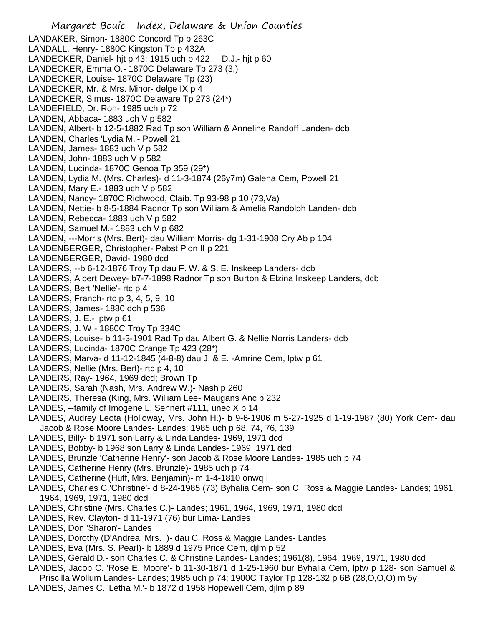Margaret Bouic Index, Delaware & Union Counties LANDAKER, Simon- 1880C Concord Tp p 263C LANDALL, Henry- 1880C Kingston Tp p 432A LANDECKER, Daniel- hjt p 43; 1915 uch p 422 D.J.- hjt p 60 LANDECKER, Emma O.- 1870C Delaware Tp 273 (3,) LANDECKER, Louise- 1870C Delaware Tp (23) LANDECKER, Mr. & Mrs. Minor- delge IX p 4 LANDECKER, Simus- 1870C Delaware Tp 273 (24\*) LANDEFIELD, Dr. Ron- 1985 uch p 72 LANDEN, Abbaca- 1883 uch V p 582 LANDEN, Albert- b 12-5-1882 Rad Tp son William & Anneline Randoff Landen- dcb LANDEN, Charles 'Lydia M.'- Powell 21 LANDEN, James- 1883 uch V p 582 LANDEN, John- 1883 uch V p 582 LANDEN, Lucinda- 1870C Genoa Tp 359 (29\*) LANDEN, Lydia M. (Mrs. Charles)- d 11-3-1874 (26y7m) Galena Cem, Powell 21 LANDEN, Mary E.- 1883 uch  $V$  p 582 LANDEN, Nancy- 1870C Richwood, Claib. Tp 93-98 p 10 (73,Va) LANDEN, Nettie- b 8-5-1884 Radnor Tp son William & Amelia Randolph Landen- dcb LANDEN, Rebecca- 1883 uch V p 582 LANDEN, Samuel M.- 1883 uch V p 682 LANDEN, ---Morris (Mrs. Bert)- dau William Morris- dg 1-31-1908 Cry Ab p 104 LANDENBERGER, Christopher- Pabst Pion II p 221 LANDENBERGER, David- 1980 dcd LANDERS, --b 6-12-1876 Troy Tp dau F. W. & S. E. Inskeep Landers- dcb LANDERS, Albert Dewey- b7-7-1898 Radnor Tp son Burton & Elzina Inskeep Landers, dcb LANDERS, Bert 'Nellie'- rtc p 4 LANDERS, Franch- rtc p 3, 4, 5, 9, 10 LANDERS, James- 1880 dch p 536 LANDERS, J. E.- lptw p 61 LANDERS, J. W.- 1880C Troy Tp 334C LANDERS, Louise- b 11-3-1901 Rad Tp dau Albert G. & Nellie Norris Landers- dcb LANDERS, Lucinda- 1870C Orange Tp 423 (28\*) LANDERS, Marva- d 11-12-1845 (4-8-8) dau J. & E. -Amrine Cem, lptw p 61 LANDERS, Nellie (Mrs. Bert)- rtc p 4, 10 LANDERS, Ray- 1964, 1969 dcd; Brown Tp LANDERS, Sarah (Nash, Mrs. Andrew W.)- Nash p 260 LANDERS, Theresa (King, Mrs. William Lee- Maugans Anc p 232 LANDES, --family of Imogene L. Sehnert #111, unec X p 14 LANDES, Audrey Leota (Holloway, Mrs. John H.)- b 9-6-1906 m 5-27-1925 d 1-19-1987 (80) York Cem- dau Jacob & Rose Moore Landes- Landes; 1985 uch p 68, 74, 76, 139 LANDES, Billy- b 1971 son Larry & Linda Landes- 1969, 1971 dcd LANDES, Bobby- b 1968 son Larry & Linda Landes- 1969, 1971 dcd LANDES, Brunzle 'Catherine Henry'- son Jacob & Rose Moore Landes- 1985 uch p 74 LANDES, Catherine Henry (Mrs. Brunzle)- 1985 uch p 74 LANDES, Catherine (Huff, Mrs. Benjamin)- m 1-4-1810 onwq I LANDES, Charles C.'Christine'- d 8-24-1985 (73) Byhalia Cem- son C. Ross & Maggie Landes- Landes; 1961, 1964, 1969, 1971, 1980 dcd LANDES, Christine (Mrs. Charles C.)- Landes; 1961, 1964, 1969, 1971, 1980 dcd LANDES, Rev. Clayton- d 11-1971 (76) bur Lima- Landes LANDES, Don 'Sharon'- Landes LANDES, Dorothy (D'Andrea, Mrs. )- dau C. Ross & Maggie Landes- Landes LANDES, Eva (Mrs. S. Pearl)- b 1889 d 1975 Price Cem, djlm p 52 LANDES, Gerald D.- son Charles C. & Christine Landes- Landes; 1961(8), 1964, 1969, 1971, 1980 dcd LANDES, Jacob C. 'Rose E. Moore'- b 11-30-1871 d 1-25-1960 bur Byhalia Cem, lptw p 128- son Samuel & Priscilla Wollum Landes- Landes; 1985 uch p 74; 1900C Taylor Tp 128-132 p 6B (28,O,O,O) m 5y

LANDES, James C. 'Letha M.'- b 1872 d 1958 Hopewell Cem, djlm p 89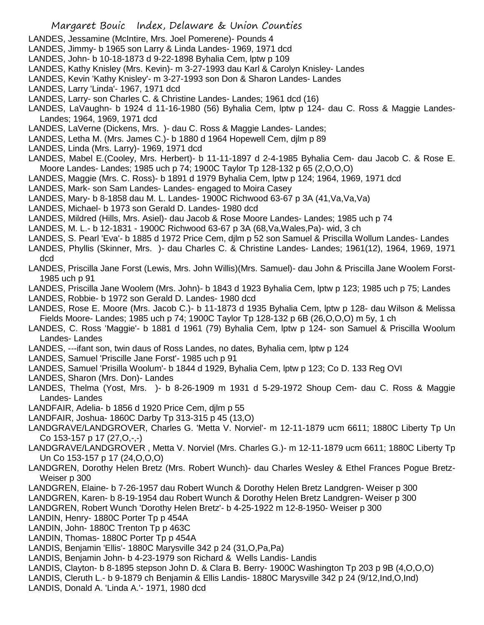- LANDES, Jessamine (McIntire, Mrs. Joel Pomerene)- Pounds 4
- LANDES, Jimmy- b 1965 son Larry & Linda Landes- 1969, 1971 dcd
- LANDES, John- b 10-18-1873 d 9-22-1898 Byhalia Cem, lptw p 109
- LANDES, Kathy Knisley (Mrs. Kevin)- m 3-27-1993 dau Karl & Carolyn Knisley- Landes
- LANDES, Kevin 'Kathy Knisley'- m 3-27-1993 son Don & Sharon Landes- Landes
- LANDES, Larry 'Linda'- 1967, 1971 dcd
- LANDES, Larry- son Charles C. & Christine Landes- Landes; 1961 dcd (16)
- LANDES, LaVaughn- b 1924 d 11-16-1980 (56) Byhalia Cem, lptw p 124- dau C. Ross & Maggie Landes-Landes; 1964, 1969, 1971 dcd
- LANDES, LaVerne (Dickens, Mrs. )- dau C. Ross & Maggie Landes- Landes;
- LANDES, Letha M. (Mrs. James C.)- b 1880 d 1964 Hopewell Cem, djlm p 89
- LANDES, Linda (Mrs. Larry)- 1969, 1971 dcd
- LANDES, Mabel E.(Cooley, Mrs. Herbert)- b 11-11-1897 d 2-4-1985 Byhalia Cem- dau Jacob C. & Rose E. Moore Landes- Landes; 1985 uch p 74; 1900C Taylor Tp 128-132 p 65 (2,O,O,O)
- LANDES, Maggie (Mrs. C. Ross)- b 1891 d 1979 Byhalia Cem, lptw p 124; 1964, 1969, 1971 dcd
- LANDES, Mark- son Sam Landes- Landes- engaged to Moira Casey
- LANDES, Mary- b 8-1858 dau M. L. Landes- 1900C Richwood 63-67 p 3A (41,Va,Va,Va)
- LANDES, Michael- b 1973 son Gerald D. Landes- 1980 dcd
- LANDES, Mildred (Hills, Mrs. Asiel)- dau Jacob & Rose Moore Landes- Landes; 1985 uch p 74
- LANDES, M. L.- b 12-1831 1900C Richwood 63-67 p 3A (68,Va,Wales,Pa)- wid, 3 ch
- LANDES, S. Pearl 'Eva'- b 1885 d 1972 Price Cem, djlm p 52 son Samuel & Priscilla Wollum Landes- Landes
- LANDES, Phyllis (Skinner, Mrs. )- dau Charles C. & Christine Landes- Landes; 1961(12), 1964, 1969, 1971 dcd
- LANDES, Priscilla Jane Forst (Lewis, Mrs. John Willis)(Mrs. Samuel)- dau John & Priscilla Jane Woolem Forst-1985 uch p 91
- LANDES, Priscilla Jane Woolem (Mrs. John)- b 1843 d 1923 Byhalia Cem, lptw p 123; 1985 uch p 75; Landes
- LANDES, Robbie- b 1972 son Gerald D. Landes- 1980 dcd
- LANDES, Rose E. Moore (Mrs. Jacob C.)- b 11-1873 d 1935 Byhalia Cem, lptw p 128- dau Wilson & Melissa Fields Moore- Landes; 1985 uch p 74; 1900C Taylor Tp 128-132 p 6B (26,O,O,O) m 5y, 1 ch
- LANDES, C. Ross 'Maggie'- b 1881 d 1961 (79) Byhalia Cem, lptw p 124- son Samuel & Priscilla Woolum Landes- Landes
- LANDES, ---ifant son, twin daus of Ross Landes, no dates, Byhalia cem, lptw p 124
- LANDES, Samuel 'Priscille Jane Forst'- 1985 uch p 91
- LANDES, Samuel 'Prisilla Woolum'- b 1844 d 1929, Byhalia Cem, lptw p 123; Co D. 133 Reg OVI
- LANDES, Sharon (Mrs. Don)- Landes
- LANDES, Thelma (Yost, Mrs. )- b 8-26-1909 m 1931 d 5-29-1972 Shoup Cem- dau C. Ross & Maggie Landes- Landes
- LANDFAIR, Adelia- b 1856 d 1920 Price Cem, djlm p 55
- LANDFAIR, Joshua- 1860C Darby Tp 313-315 p 45 (13,O)
- LANDGRAVE/LANDGROVER, Charles G. 'Metta V. Norviel'- m 12-11-1879 ucm 6611; 1880C Liberty Tp Un Co 153-157 p 17 (27,O,-,-)
- LANDGRAVE/LANDGROVER , Metta V. Norviel (Mrs. Charles G.)- m 12-11-1879 ucm 6611; 1880C Liberty Tp Un Co 153-157 p 17 (24,O,O,O)
- LANDGREN, Dorothy Helen Bretz (Mrs. Robert Wunch)- dau Charles Wesley & Ethel Frances Pogue Bretz-Weiser p 300
- LANDGREN, Elaine- b 7-26-1957 dau Robert Wunch & Dorothy Helen Bretz Landgren- Weiser p 300
- LANDGREN, Karen- b 8-19-1954 dau Robert Wunch & Dorothy Helen Bretz Landgren- Weiser p 300
- LANDGREN, Robert Wunch 'Dorothy Helen Bretz'- b 4-25-1922 m 12-8-1950- Weiser p 300
- LANDIN, Henry- 1880C Porter Tp p 454A
- LANDIN, John- 1880C Trenton Tp p 463C
- LANDIN, Thomas- 1880C Porter Tp p 454A
- LANDIS, Benjamin 'Ellis'- 1880C Marysville 342 p 24 (31,O,Pa,Pa)
- LANDIS, Benjamin John- b 4-23-1979 son Richard & Wells Landis- Landis
- LANDIS, Clayton- b 8-1895 stepson John D. & Clara B. Berry- 1900C Washington Tp 203 p 9B (4,O,O,O)
- LANDIS, Cleruth L.- b 9-1879 ch Benjamin & Ellis Landis- 1880C Marysville 342 p 24 (9/12,Ind,O,Ind)
- LANDIS, Donald A. 'Linda A.'- 1971, 1980 dcd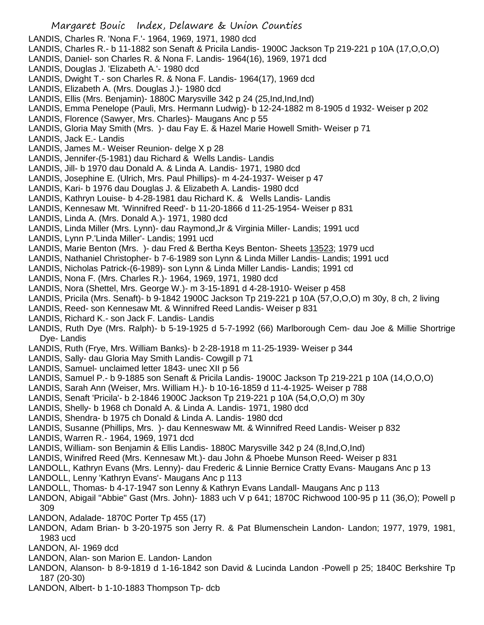- LANDIS, Charles R. 'Nona F.'- 1964, 1969, 1971, 1980 dcd
- LANDIS, Charles R.- b 11-1882 son Senaft & Pricila Landis- 1900C Jackson Tp 219-221 p 10A (17,O,O,O)
- LANDIS, Daniel- son Charles R. & Nona F. Landis- 1964(16), 1969, 1971 dcd
- LANDIS, Douglas J. 'Elizabeth A.'- 1980 dcd
- LANDIS, Dwight T.- son Charles R. & Nona F. Landis- 1964(17), 1969 dcd
- LANDIS, Elizabeth A. (Mrs. Douglas J.)- 1980 dcd
- LANDIS, Ellis (Mrs. Benjamin)- 1880C Marysville 342 p 24 (25,Ind,Ind,Ind)
- LANDIS, Emma Penelope (Pauli, Mrs. Hermann Ludwig)- b 12-24-1882 m 8-1905 d 1932- Weiser p 202
- LANDIS, Florence (Sawyer, Mrs. Charles)- Maugans Anc p 55
- LANDIS, Gloria May Smith (Mrs. )- dau Fay E. & Hazel Marie Howell Smith- Weiser p 71
- LANDIS, Jack E.- Landis
- LANDIS, James M.- Weiser Reunion- delge X p 28
- LANDIS, Jennifer-(5-1981) dau Richard & Wells Landis- Landis
- LANDIS, Jill- b 1970 dau Donald A. & Linda A. Landis- 1971, 1980 dcd
- LANDIS, Josephine E. (Ulrich, Mrs. Paul Phillips)- m 4-24-1937- Weiser p 47
- LANDIS, Kari- b 1976 dau Douglas J. & Elizabeth A. Landis- 1980 dcd
- LANDIS, Kathryn Louise- b 4-28-1981 dau Richard K. & Wells Landis- Landis
- LANDIS, Kennesaw Mt. 'Winnifred Reed'- b 11-20-1866 d 11-25-1954- Weiser p 831
- LANDIS, Linda A. (Mrs. Donald A.)- 1971, 1980 dcd
- LANDIS, Linda Miller (Mrs. Lynn)- dau Raymond,Jr & Virginia Miller- Landis; 1991 ucd
- LANDIS, Lynn P.'Linda Miller'- Landis; 1991 ucd
- LANDIS, Marie Benton (Mrs. )- dau Fred & Bertha Keys Benton- Sheets 13523; 1979 ucd
- LANDIS, Nathaniel Christopher- b 7-6-1989 son Lynn & Linda Miller Landis- Landis; 1991 ucd
- LANDIS, Nicholas Patrick-(6-1989)- son Lynn & Linda Miller Landis- Landis; 1991 cd
- LANDIS, Nona F. (Mrs. Charles R.)- 1964, 1969, 1971, 1980 dcd
- LANDIS, Nora (Shettel, Mrs. George W.)- m 3-15-1891 d 4-28-1910- Weiser p 458
- LANDIS, Pricila (Mrs. Senaft)- b 9-1842 1900C Jackson Tp 219-221 p 10A (57,O,O,O) m 30y, 8 ch, 2 living
- LANDIS, Reed- son Kennesaw Mt. & Winnifred Reed Landis- Weiser p 831
- LANDIS, Richard K.- son Jack F. Landis- Landis
- LANDIS, Ruth Dye (Mrs. Ralph)- b 5-19-1925 d 5-7-1992 (66) Marlborough Cem- dau Joe & Millie Shortrige Dye- Landis
- LANDIS, Ruth (Frye, Mrs. William Banks)- b 2-28-1918 m 11-25-1939- Weiser p 344
- LANDIS, Sally- dau Gloria May Smith Landis- Cowgill p 71
- LANDIS, Samuel- unclaimed letter 1843- unec XII p 56
- LANDIS, Samuel P.- b 9-1885 son Senaft & Pricila Landis- 1900C Jackson Tp 219-221 p 10A (14,O,O,O)
- LANDIS, Sarah Ann (Weiser, Mrs. William H.)- b 10-16-1859 d 11-4-1925- Weiser p 788
- LANDIS, Senaft 'Pricila'- b 2-1846 1900C Jackson Tp 219-221 p 10A (54,O,O,O) m 30y
- LANDIS, Shelly- b 1968 ch Donald A. & Linda A. Landis- 1971, 1980 dcd
- LANDIS, Shendra- b 1975 ch Donald & Linda A. Landis- 1980 dcd
- LANDIS, Susanne (Phillips, Mrs. )- dau Kenneswaw Mt. & Winnifred Reed Landis- Weiser p 832
- LANDIS, Warren R.- 1964, 1969, 1971 dcd
- LANDIS, William- son Benjamin & Ellis Landis- 1880C Marysville 342 p 24 (8,Ind,O,Ind)
- LANDIS, Winifred Reed (Mrs. Kennesaw Mt.)- dau John & Phoebe Munson Reed- Weiser p 831
- LANDOLL, Kathryn Evans (Mrs. Lenny)- dau Frederic & Linnie Bernice Cratty Evans- Maugans Anc p 13
- LANDOLL, Lenny 'Kathryn Evans'- Maugans Anc p 113
- LANDOLL, Thomas- b 4-17-1947 son Lenny & Kathryn Evans Landall- Maugans Anc p 113
- LANDON, Abigail "Abbie" Gast (Mrs. John)- 1883 uch V p 641; 1870C Richwood 100-95 p 11 (36,O); Powell p 309
- LANDON, Adalade- 1870C Porter Tp 455 (17)
- LANDON, Adam Brian- b 3-20-1975 son Jerry R. & Pat Blumenschein Landon- Landon; 1977, 1979, 1981, 1983 ucd
- LANDON, Al- 1969 dcd
- LANDON, Alan- son Marion E. Landon- Landon
- LANDON, Alanson- b 8-9-1819 d 1-16-1842 son David & Lucinda Landon -Powell p 25; 1840C Berkshire Tp 187 (20-30)
- LANDON, Albert- b 1-10-1883 Thompson Tp- dcb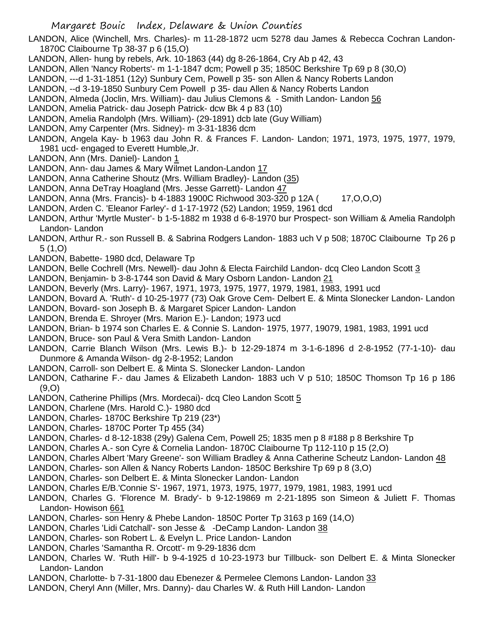LANDON, Alice (Winchell, Mrs. Charles)- m 11-28-1872 ucm 5278 dau James & Rebecca Cochran Landon-1870C Claibourne Tp 38-37 p 6 (15,O)

- LANDON, Allen- hung by rebels, Ark. 10-1863 (44) dg 8-26-1864, Cry Ab p 42, 43
- LANDON, Allen 'Nancy Roberts'- m 1-1-1847 dcm; Powell p 35; 1850C Berkshire Tp 69 p 8 (30,O)
- LANDON, ---d 1-31-1851 (12y) Sunbury Cem, Powell p 35- son Allen & Nancy Roberts Landon
- LANDON, --d 3-19-1850 Sunbury Cem Powell p 35- dau Allen & Nancy Roberts Landon
- LANDON, Almeda (Joclin, Mrs. William)- dau Julius Clemons & Smith Landon- Landon 56
- LANDON, Amelia Patrick- dau Joseph Patrick- dcw Bk 4 p 83 (10)
- LANDON, Amelia Randolph (Mrs. William)- (29-1891) dcb late (Guy William)
- LANDON, Amy Carpenter (Mrs. Sidney)- m 3-31-1836 dcm
- LANDON, Angela Kay- b 1963 dau John R. & Frances F. Landon- Landon; 1971, 1973, 1975, 1977, 1979, 1981 ucd- engaged to Everett Humble,Jr.
- LANDON, Ann (Mrs. Daniel)- Landon 1
- LANDON, Ann- dau James & Mary Wilmet Landon-Landon 17
- LANDON, Anna Catherine Shoutz (Mrs. William Bradley)- Landon (35)
- LANDON, Anna DeTray Hoagland (Mrs. Jesse Garrett)- Landon 47
- LANDON, Anna (Mrs. Francis)- b 4-1883 1900C Richwood 303-320 p 12A (17, O, O, O)
- LANDON, Arden C. 'Eleanor Farley'- d 1-17-1972 (52) Landon; 1959, 1961 dcd
- LANDON, Arthur 'Myrtle Muster'- b 1-5-1882 m 1938 d 6-8-1970 bur Prospect- son William & Amelia Randolph Landon- Landon
- LANDON, Arthur R.- son Russell B. & Sabrina Rodgers Landon- 1883 uch V p 508; 1870C Claibourne Tp 26 p 5 (1,O)
- LANDON, Babette- 1980 dcd, Delaware Tp
- LANDON, Belle Cochrell (Mrs. Newell)- dau John & Electa Fairchild Landon- dcq Cleo Landon Scott 3
- LANDON, Benjamin- b 3-8-1744 son David & Mary Osborn Landon- Landon 21
- LANDON, Beverly (Mrs. Larry)- 1967, 1971, 1973, 1975, 1977, 1979, 1981, 1983, 1991 ucd
- LANDON, Bovard A. 'Ruth'- d 10-25-1977 (73) Oak Grove Cem- Delbert E. & Minta Slonecker Landon- Landon
- LANDON, Bovard- son Joseph B. & Margaret Spicer Landon- Landon
- LANDON, Brenda E. Shroyer (Mrs. Marion E.)- Landon; 1973 ucd
- LANDON, Brian- b 1974 son Charles E. & Connie S. Landon- 1975, 1977, 19079, 1981, 1983, 1991 ucd
- LANDON, Bruce- son Paul & Vera Smith Landon- Landon
- LANDON, Carrie Blanch Wilson (Mrs. Lewis B.)- b 12-29-1874 m 3-1-6-1896 d 2-8-1952 (77-1-10)- dau Dunmore & Amanda Wilson- dg 2-8-1952; Landon
- LANDON, Carroll- son Delbert E. & Minta S. Slonecker Landon- Landon
- LANDON, Catharine F.- dau James & Elizabeth Landon- 1883 uch V p 510; 1850C Thomson Tp 16 p 186 (9,O)
- LANDON, Catherine Phillips (Mrs. Mordecai)- dcq Cleo Landon Scott 5
- LANDON, Charlene (Mrs. Harold C.)- 1980 dcd
- LANDON, Charles- 1870C Berkshire Tp 219 (23\*)
- LANDON, Charles- 1870C Porter Tp 455 (34)
- LANDON, Charles- d 8-12-1838 (29y) Galena Cem, Powell 25; 1835 men p 8 #188 p 8 Berkshire Tp
- LANDON, Charles A.- son Cyre & Cornelia Landon- 1870C Claibourne Tp 112-110 p 15 (2,O)
- LANDON, Charles Albert 'Mary Greene'- son William Bradley & Anna Catherine Scheutz Landon- Landon 48
- LANDON, Charles- son Allen & Nancy Roberts Landon- 1850C Berkshire Tp 69 p 8 (3,O)
- LANDON, Charles- son Delbert E. & Minta Slonecker Landon- Landon
- LANDON, Charles E/B.'Connie S'- 1967, 1971, 1973, 1975, 1977, 1979, 1981, 1983, 1991 ucd
- LANDON, Charles G. 'Florence M. Brady'- b 9-12-19869 m 2-21-1895 son Simeon & Juliett F. Thomas Landon- Howison 661
- LANDON, Charles- son Henry & Phebe Landon- 1850C Porter Tp 3163 p 169 (14,O)
- LANDON, Charles 'Lidi Catchall'- son Jesse & -DeCamp Landon- Landon 38
- LANDON, Charles- son Robert L. & Evelyn L. Price Landon- Landon
- LANDON, Charles 'Samantha R. Orcott'- m 9-29-1836 dcm
- LANDON, Charles W. 'Ruth Hill'- b 9-4-1925 d 10-23-1973 bur Tillbuck- son Delbert E. & Minta Slonecker Landon- Landon
- LANDON, Charlotte- b 7-31-1800 dau Ebenezer & Permelee Clemons Landon- Landon 33
- LANDON, Cheryl Ann (Miller, Mrs. Danny)- dau Charles W. & Ruth Hill Landon- Landon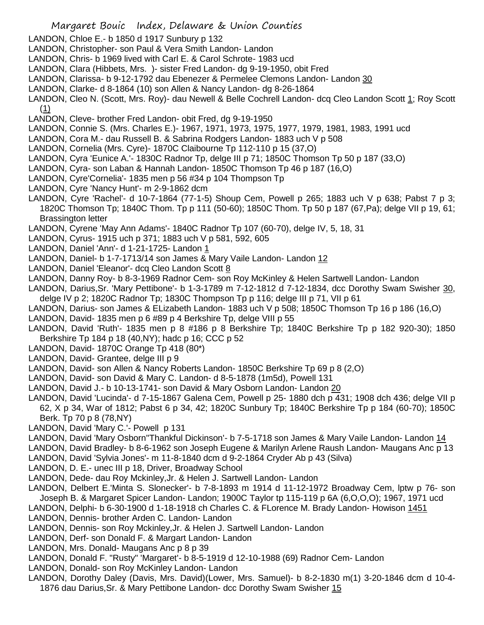LANDON, Chloe E.- b 1850 d 1917 Sunbury p 132

- LANDON, Christopher- son Paul & Vera Smith Landon- Landon
- LANDON, Chris- b 1969 lived with Carl E. & Carol Schrote- 1983 ucd
- LANDON, Clara (Hibbets, Mrs. )- sister Fred Landon- dg 9-19-1950, obit Fred
- LANDON, Clarissa- b 9-12-1792 dau Ebenezer & Permelee Clemons Landon- Landon 30
- LANDON, Clarke- d 8-1864 (10) son Allen & Nancy Landon- dg 8-26-1864

LANDON, Cleo N. (Scott, Mrs. Roy)- dau Newell & Belle Cochrell Landon- dcq Cleo Landon Scott 1; Roy Scott  $(1)$ 

- LANDON, Cleve- brother Fred Landon- obit Fred, dg 9-19-1950
- LANDON, Connie S. (Mrs. Charles E.)- 1967, 1971, 1973, 1975, 1977, 1979, 1981, 1983, 1991 ucd
- LANDON, Cora M.- dau Russell B. & Sabrina Rodgers Landon- 1883 uch V p 508
- LANDON, Cornelia (Mrs. Cyre)- 1870C Claibourne Tp 112-110 p 15 (37,O)
- LANDON, Cyra 'Eunice A.'- 1830C Radnor Tp, delge III p 71; 1850C Thomson Tp 50 p 187 (33,O)
- LANDON, Cyra- son Laban & Hannah Landon- 1850C Thomson Tp 46 p 187 (16,O)
- LANDON, Cyre'Cornelia'- 1835 men p 56 #34 p 104 Thompson Tp
- LANDON, Cyre 'Nancy Hunt'- m 2-9-1862 dcm
- LANDON, Cyre 'Rachel'- d 10-7-1864 (77-1-5) Shoup Cem, Powell p 265; 1883 uch V p 638; Pabst 7 p 3; 1820C Thomson Tp; 1840C Thom. Tp p 111 (50-60); 1850C Thom. Tp 50 p 187 (67,Pa); delge VII p 19, 61; Brassington letter
- LANDON, Cyrene 'May Ann Adams'- 1840C Radnor Tp 107 (60-70), delge IV, 5, 18, 31
- LANDON, Cyrus- 1915 uch p 371; 1883 uch V p 581, 592, 605
- LANDON, Daniel 'Ann'- d 1-21-1725- Landon 1
- LANDON, Daniel- b 1-7-1713/14 son James & Mary Vaile Landon- Landon 12
- LANDON, Daniel 'Eleanor'- dcq Cleo Landon Scott 8
- LANDON, Danny Roy- b 8-3-1969 Radnor Cem- son Roy McKinley & Helen Sartwell Landon- Landon
- LANDON, Darius,Sr. 'Mary Pettibone'- b 1-3-1789 m 7-12-1812 d 7-12-1834, dcc Dorothy Swam Swisher 30, delge IV p 2; 1820C Radnor Tp; 1830C Thompson Tp p 116; delge III p 71, VII p 61
- LANDON, Darius- son James & ELizabeth Landon- 1883 uch V p 508; 1850C Thomson Tp 16 p 186 (16,O)
- LANDON, David- 1835 men p 6 #89 p 4 Berkshire Tp, delge VIII p 55
- LANDON, David 'Ruth'- 1835 men p 8 #186 p 8 Berkshire Tp; 1840C Berkshire Tp p 182 920-30); 1850 Berkshire Tp 184 p 18 (40,NY); hadc p 16; CCC p 52
- LANDON, David- 1870C Orange Tp 418 (80\*)
- LANDON, David- Grantee, delge III p 9
- LANDON, David- son Allen & Nancy Roberts Landon- 1850C Berkshire Tp 69 p 8 (2,O)
- LANDON, David- son David & Mary C. Landon- d 8-5-1878 (1m5d), Powell 131
- LANDON, David J.- b 10-13-1741- son David & Mary Osborn Landon- Landon 20
- LANDON, David 'Lucinda'- d 7-15-1867 Galena Cem, Powell p 25- 1880 dch p 431; 1908 dch 436; delge VII p 62, X p 34, War of 1812; Pabst 6 p 34, 42; 1820C Sunbury Tp; 1840C Berkshire Tp p 184 (60-70); 1850C Berk. Tp 70 p 8 (78,NY)
- LANDON, David 'Mary C.'- Powell p 131
- LANDON, David 'Mary Osborn''Thankful Dickinson'- b 7-5-1718 son James & Mary Vaile Landon- Landon 14
- LANDON, David Bradley- b 8-6-1962 son Joseph Eugene & Marilyn Arlene Raush Landon- Maugans Anc p 13
- LANDON, David 'Sylvia Jones'- m 11-8-1840 dcm d 9-2-1864 Cryder Ab p 43 (Silva)
- LANDON, D. E.- unec III p 18, Driver, Broadway School
- LANDON, Dede- dau Roy Mckinley,Jr. & Helen J. Sartwell Landon- Landon
- LANDON, Delbert E.'Minta S. Slonecker'- b 7-8-1893 m 1914 d 11-12-1972 Broadway Cem, lptw p 76- son Joseph B. & Margaret Spicer Landon- Landon; 1900C Taylor tp 115-119 p 6A (6,O,O,O); 1967, 1971 ucd
- LANDON, Delphi- b 6-30-1900 d 1-18-1918 ch Charles C. & FLorence M. Brady Landon- Howison 1451
- LANDON, Dennis- brother Arden C. Landon- Landon
- LANDON, Dennis- son Roy Mckinley,Jr. & Helen J. Sartwell Landon- Landon
- LANDON, Derf- son Donald F. & Margart Landon- Landon
- LANDON, Mrs. Donald- Maugans Anc p 8 p 39
- LANDON, Donald F. "Rusty" 'Margaret'- b 8-5-1919 d 12-10-1988 (69) Radnor Cem- Landon
- LANDON, Donald- son Roy McKinley Landon- Landon
- LANDON, Dorothy Daley (Davis, Mrs. David)(Lower, Mrs. Samuel)- b 8-2-1830 m(1) 3-20-1846 dcm d 10-4- 1876 dau Darius,Sr. & Mary Pettibone Landon- dcc Dorothy Swam Swisher 15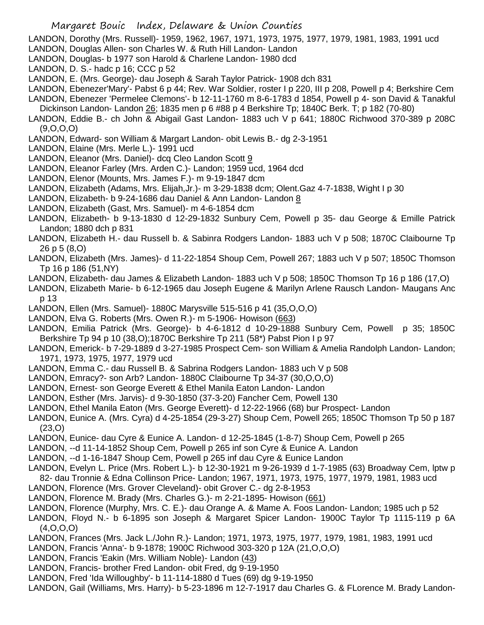LANDON, Dorothy (Mrs. Russell)- 1959, 1962, 1967, 1971, 1973, 1975, 1977, 1979, 1981, 1983, 1991 ucd

- LANDON, Douglas Allen- son Charles W. & Ruth Hill Landon- Landon
- LANDON, Douglas- b 1977 son Harold & Charlene Landon- 1980 dcd
- LANDON, D. S.- hadc p 16; CCC p 52
- LANDON, E. (Mrs. George)- dau Joseph & Sarah Taylor Patrick- 1908 dch 831

LANDON, Ebenezer'Mary'- Pabst 6 p 44; Rev. War Soldier, roster I p 220, III p 208, Powell p 4; Berkshire Cem

- LANDON, Ebenezer 'Permelee Clemons'- b 12-11-1760 m 8-6-1783 d 1854, Powell p 4- son David & Tanakful Dickinson Landon- Landon 26; 1835 men p 6 #88 p 4 Berkshire Tp; 1840C Berk. T; p 182 (70-80)
- LANDON, Eddie B.- ch John & Abigail Gast Landon- 1883 uch V p 641; 1880C Richwood 370-389 p 208C (9,O,O,O)
- LANDON, Edward- son William & Margart Landon- obit Lewis B.- dg 2-3-1951
- LANDON, Elaine (Mrs. Merle L.)- 1991 ucd
- LANDON, Eleanor (Mrs. Daniel)- dcq Cleo Landon Scott 9
- LANDON, Eleanor Farley (Mrs. Arden C.)- Landon; 1959 ucd, 1964 dcd
- LANDON, Elenor (Mounts, Mrs. James F.)- m 9-19-1847 dcm
- LANDON, Elizabeth (Adams, Mrs. Elijah,Jr.)- m 3-29-1838 dcm; Olent.Gaz 4-7-1838, Wight I p 30
- LANDON, Elizabeth- b 9-24-1686 dau Daniel & Ann Landon- Landon 8
- LANDON, Elizabeth (Gast, Mrs. Samuel)- m 4-6-1854 dcm
- LANDON, Elizabeth- b 9-13-1830 d 12-29-1832 Sunbury Cem, Powell p 35- dau George & Emille Patrick Landon; 1880 dch p 831
- LANDON, Elizabeth H.- dau Russell b. & Sabinra Rodgers Landon- 1883 uch V p 508; 1870C Claibourne Tp 26 p 5 (8,O)
- LANDON, Elizabeth (Mrs. James)- d 11-22-1854 Shoup Cem, Powell 267; 1883 uch V p 507; 1850C Thomson Tp 16 p 186 (51,NY)
- LANDON, Elizabeth- dau James & Elizabeth Landon- 1883 uch V p 508; 1850C Thomson Tp 16 p 186 (17,O)
- LANDON, Elizabeth Marie- b 6-12-1965 dau Joseph Eugene & Marilyn Arlene Rausch Landon- Maugans Anc p 13
- LANDON, Ellen (Mrs. Samuel)- 1880C Marysville 515-516 p 41 (35,O,O,O)
- LANDON, Elva G. Roberts (Mrs. Owen R.)- m 5-1906- Howison (663)
- LANDON, Emilia Patrick (Mrs. George)- b 4-6-1812 d 10-29-1888 Sunbury Cem, Powell p 35; 1850C Berkshire Tp 94 p 10 (38,O);1870C Berkshire Tp 211 (58\*) Pabst Pion I p 97
- LANDON, Emerick- b 7-29-1889 d 3-27-1985 Prospect Cem- son William & Amelia Randolph Landon- Landon; 1971, 1973, 1975, 1977, 1979 ucd
- LANDON, Emma C.- dau Russell B. & Sabrina Rodgers Landon- 1883 uch V p 508
- LANDON, Emracy?- son Arb? Landon- 1880C Claibourne Tp 34-37 (30,O,O,O)
- LANDON, Ernest- son George Everett & Ethel Manila Eaton Landon- Landon
- LANDON, Esther (Mrs. Jarvis)- d 9-30-1850 (37-3-20) Fancher Cem, Powell 130
- LANDON, Ethel Manila Eaton (Mrs. George Everett)- d 12-22-1966 (68) bur Prospect- Landon
- LANDON, Eunice A. (Mrs. Cyra) d 4-25-1854 (29-3-27) Shoup Cem, Powell 265; 1850C Thomson Tp 50 p 187 (23,O)
- LANDON, Eunice- dau Cyre & Eunice A. Landon- d 12-25-1845 (1-8-7) Shoup Cem, Powell p 265
- LANDON, --d 11-14-1852 Shoup Cem, Powell p 265 inf son Cyre & Eunice A. Landon
- LANDON, --d 1-16-1847 Shoup Cem, Powell p 265 inf dau Cyre & Eunice Landon
- LANDON, Evelyn L. Price (Mrs. Robert L.)- b 12-30-1921 m 9-26-1939 d 1-7-1985 (63) Broadway Cem, lptw p 82- dau Tronnie & Edna Collinson Price- Landon; 1967, 1971, 1973, 1975, 1977, 1979, 1981, 1983 ucd
- LANDON, Florence (Mrs. Grover Cleveland)- obit Grover C.- dg 2-8-1953
- LANDON, Florence M. Brady (Mrs. Charles G.)- m 2-21-1895- Howison (661)
- LANDON, Florence (Murphy, Mrs. C. E.)- dau Orange A. & Mame A. Foos Landon- Landon; 1985 uch p 52
- LANDON, Floyd N.- b 6-1895 son Joseph & Margaret Spicer Landon- 1900C Taylor Tp 1115-119 p 6A (4,O,O,O)
- LANDON, Frances (Mrs. Jack L./John R.)- Landon; 1971, 1973, 1975, 1977, 1979, 1981, 1983, 1991 ucd
- LANDON, Francis 'Anna'- b 9-1878; 1900C Richwood 303-320 p 12A (21,O,O,O)
- LANDON, Francis 'Eakin (Mrs. William Noble)- Landon (43)
- LANDON, Francis- brother Fred Landon- obit Fred, dg 9-19-1950
- LANDON, Fred 'Ida Willoughby'- b 11-114-1880 d Tues (69) dg 9-19-1950
- LANDON, Gail (Williams, Mrs. Harry)- b 5-23-1896 m 12-7-1917 dau Charles G. & FLorence M. Brady Landon-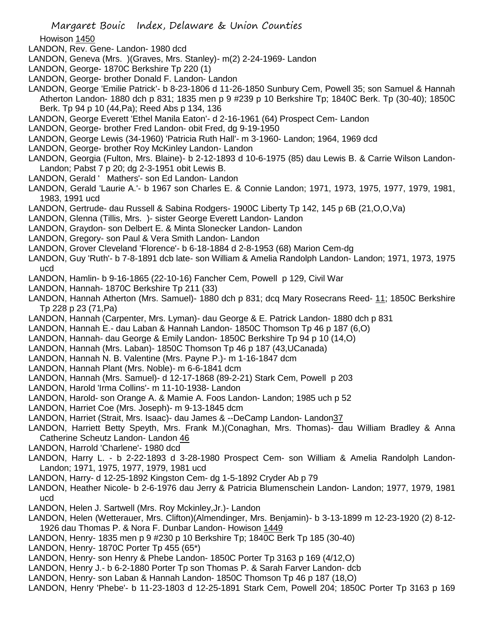Howison 1450

- LANDON, Rev. Gene- Landon- 1980 dcd
- LANDON, Geneva (Mrs. )(Graves, Mrs. Stanley)- m(2) 2-24-1969- Landon
- LANDON, George- 1870C Berkshire Tp 220 (1)
- LANDON, George- brother Donald F. Landon- Landon
- LANDON, George 'Emilie Patrick'- b 8-23-1806 d 11-26-1850 Sunbury Cem, Powell 35; son Samuel & Hannah Atherton Landon- 1880 dch p 831; 1835 men p 9 #239 p 10 Berkshire Tp; 1840C Berk. Tp (30-40); 1850C Berk. Tp 94 p 10 (44,Pa); Reed Abs p 134, 136
- LANDON, George Everett 'Ethel Manila Eaton'- d 2-16-1961 (64) Prospect Cem- Landon
- LANDON, George- brother Fred Landon- obit Fred, dg 9-19-1950
- LANDON, George Lewis (34-1960) 'Patricia Ruth Hall'- m 3-1960- Landon; 1964, 1969 dcd
- LANDON, George- brother Roy McKinley Landon- Landon
- LANDON, Georgia (Fulton, Mrs. Blaine)- b 2-12-1893 d 10-6-1975 (85) dau Lewis B. & Carrie Wilson Landon-Landon; Pabst 7 p 20; dg 2-3-1951 obit Lewis B.
- LANDON, Gerald ' Mathers'- son Ed Landon- Landon
- LANDON, Gerald 'Laurie A.'- b 1967 son Charles E. & Connie Landon; 1971, 1973, 1975, 1977, 1979, 1981, 1983, 1991 ucd
- LANDON, Gertrude- dau Russell & Sabina Rodgers- 1900C Liberty Tp 142, 145 p 6B (21,O,O,Va)
- LANDON, Glenna (Tillis, Mrs. )- sister George Everett Landon- Landon
- LANDON, Graydon- son Delbert E. & Minta Slonecker Landon- Landon
- LANDON, Gregory- son Paul & Vera Smith Landon- Landon
- LANDON, Grover Cleveland 'Florence'- b 6-18-1884 d 2-8-1953 (68) Marion Cem-dg
- LANDON, Guy 'Ruth'- b 7-8-1891 dcb late- son William & Amelia Randolph Landon- Landon; 1971, 1973, 1975 ucd
- LANDON, Hamlin- b 9-16-1865 (22-10-16) Fancher Cem, Powell p 129, Civil War
- LANDON, Hannah- 1870C Berkshire Tp 211 (33)
- LANDON, Hannah Atherton (Mrs. Samuel)- 1880 dch p 831; dcq Mary Rosecrans Reed- 11; 1850C Berkshire Tp 228 p 23 (71,Pa)
- LANDON, Hannah (Carpenter, Mrs. Lyman)- dau George & E. Patrick Landon- 1880 dch p 831
- LANDON, Hannah E.- dau Laban & Hannah Landon- 1850C Thomson Tp 46 p 187 (6,O)
- LANDON, Hannah- dau George & Emily Landon- 1850C Berkshire Tp 94 p 10 (14,O)
- LANDON, Hannah (Mrs. Laban)- 1850C Thomson Tp 46 p 187 (43,UCanada)
- LANDON, Hannah N. B. Valentine (Mrs. Payne P.)- m 1-16-1847 dcm
- LANDON, Hannah Plant (Mrs. Noble)- m 6-6-1841 dcm
- LANDON, Hannah (Mrs. Samuel)- d 12-17-1868 (89-2-21) Stark Cem, Powell p 203
- LANDON, Harold 'Irma Collins'- m 11-10-1938- Landon
- LANDON, Harold- son Orange A. & Mamie A. Foos Landon- Landon; 1985 uch p 52
- LANDON, Harriet Coe (Mrs. Joseph)- m 9-13-1845 dcm
- LANDON, Harriet (Strait, Mrs. Isaac)- dau James & --DeCamp Landon- Landon37
- LANDON, Harriett Betty Speyth, Mrs. Frank M.)(Conaghan, Mrs. Thomas)- dau William Bradley & Anna Catherine Scheutz Landon- Landon 46
- LANDON, Harrold 'Charlene'- 1980 dcd
- LANDON, Harry L. b 2-22-1893 d 3-28-1980 Prospect Cem- son William & Amelia Randolph Landon-Landon; 1971, 1975, 1977, 1979, 1981 ucd
- LANDON, Harry- d 12-25-1892 Kingston Cem- dg 1-5-1892 Cryder Ab p 79
- LANDON, Heather Nicole- b 2-6-1976 dau Jerry & Patricia Blumenschein Landon- Landon; 1977, 1979, 1981 ucd
- LANDON, Helen J. Sartwell (Mrs. Roy Mckinley,Jr.)- Landon
- LANDON, Helen (Wetterauer, Mrs. Clifton)(Almendinger, Mrs. Benjamin)- b 3-13-1899 m 12-23-1920 (2) 8-12- 1926 dau Thomas P. & Nora F. Dunbar Landon- Howison 1449
- LANDON, Henry- 1835 men p 9 #230 p 10 Berkshire Tp; 1840C Berk Tp 185 (30-40)
- LANDON, Henry- 1870C Porter Tp 455 (65\*)
- LANDON, Henry- son Henry & Phebe Landon- 1850C Porter Tp 3163 p 169 (4/12,O)
- LANDON, Henry J.- b 6-2-1880 Porter Tp son Thomas P. & Sarah Farver Landon- dcb
- LANDON, Henry- son Laban & Hannah Landon- 1850C Thomson Tp 46 p 187 (18,O)
- LANDON, Henry 'Phebe'- b 11-23-1803 d 12-25-1891 Stark Cem, Powell 204; 1850C Porter Tp 3163 p 169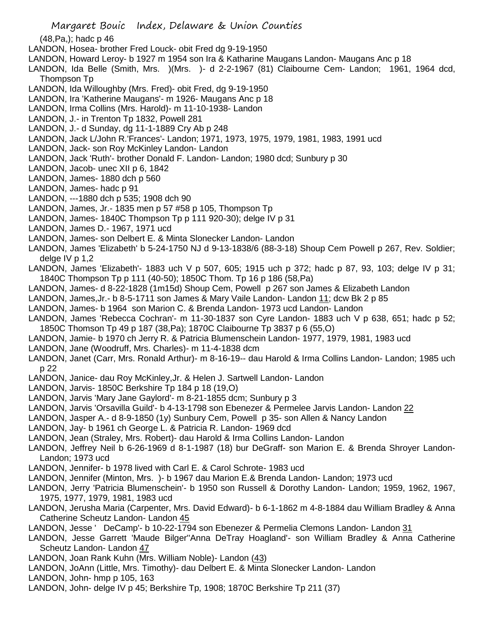(48,Pa,); hadc p 46

- LANDON, Hosea- brother Fred Louck- obit Fred dg 9-19-1950
- LANDON, Howard Leroy- b 1927 m 1954 son Ira & Katharine Maugans Landon- Maugans Anc p 18
- LANDON, Ida Belle (Smith, Mrs. )(Mrs. )- d 2-2-1967 (81) Claibourne Cem- Landon; 1961, 1964 dcd, Thompson Tp
- LANDON, Ida Willoughby (Mrs. Fred)- obit Fred, dg 9-19-1950
- LANDON, Ira 'Katherine Maugans'- m 1926- Maugans Anc p 18
- LANDON, Irma Collins (Mrs. Harold)- m 11-10-1938- Landon
- LANDON, J.- in Trenton Tp 1832, Powell 281
- LANDON, J.- d Sunday, dg 11-1-1889 Cry Ab p 248
- LANDON, Jack L/John R.'Frances'- Landon; 1971, 1973, 1975, 1979, 1981, 1983, 1991 ucd
- LANDON, Jack- son Roy McKinley Landon- Landon
- LANDON, Jack 'Ruth'- brother Donald F. Landon- Landon; 1980 dcd; Sunbury p 30
- LANDON, Jacob- unec XII p 6, 1842
- LANDON, James- 1880 dch p 560
- LANDON, James- hadc p 91
- LANDON, ---1880 dch p 535; 1908 dch 90
- LANDON, James, Jr.- 1835 men p 57 #58 p 105, Thompson Tp
- LANDON, James- 1840C Thompson Tp p 111 920-30); delge IV p 31
- LANDON, James D.- 1967, 1971 ucd
- LANDON, James- son Delbert E. & Minta Slonecker Landon- Landon
- LANDON, James 'Elizabeth' b 5-24-1750 NJ d 9-13-1838/6 (88-3-18) Shoup Cem Powell p 267, Rev. Soldier; delge IV p 1,2
- LANDON, James 'Elizabeth'- 1883 uch V p 507, 605; 1915 uch p 372; hadc p 87, 93, 103; delge IV p 31; 1840C Thompson Tp p 111 (40-50); 1850C Thom. Tp 16 p 186 (58,Pa)
- LANDON, James- d 8-22-1828 (1m15d) Shoup Cem, Powell p 267 son James & Elizabeth Landon
- LANDON, James, Jr. b 8-5-1711 son James & Mary Vaile Landon Landon 11; dcw Bk 2 p 85
- LANDON, James- b 1964 son Marion C. & Brenda Landon- 1973 ucd Landon- Landon
- LANDON, James 'Rebecca Cochran'- m 11-30-1837 son Cyre Landon- 1883 uch V p 638, 651; hadc p 52; 1850C Thomson Tp 49 p 187 (38,Pa); 1870C Claibourne Tp 3837 p 6 (55,O)
- LANDON, Jamie- b 1970 ch Jerry R. & Patricia Blumenschein Landon- 1977, 1979, 1981, 1983 ucd
- LANDON, Jane (Woodruff, Mrs. Charles)- m 11-4-1838 dcm
- LANDON, Janet (Carr, Mrs. Ronald Arthur)- m 8-16-19-- dau Harold & Irma Collins Landon- Landon; 1985 uch p 22
- LANDON, Janice- dau Roy McKinley,Jr. & Helen J. Sartwell Landon- Landon
- LANDON, Jarvis- 1850C Berkshire Tp 184 p 18 (19,O)
- LANDON, Jarvis 'Mary Jane Gaylord'- m 8-21-1855 dcm; Sunbury p 3
- LANDON, Jarvis 'Orsavilla Guild'- b 4-13-1798 son Ebenezer & Permelee Jarvis Landon- Landon 22
- LANDON, Jasper A.- d 8-9-1850 (1y) Sunbury Cem, Powell p 35- son Allen & Nancy Landon
- LANDON, Jay- b 1961 ch George L. & Patricia R. Landon- 1969 dcd
- LANDON, Jean (Straley, Mrs. Robert)- dau Harold & Irma Collins Landon- Landon
- LANDON, Jeffrey Neil b 6-26-1969 d 8-1-1987 (18) bur DeGraff- son Marion E. & Brenda Shroyer Landon-Landon; 1973 ucd
- LANDON, Jennifer- b 1978 lived with Carl E. & Carol Schrote- 1983 ucd
- LANDON, Jennifer (Minton, Mrs. )- b 1967 dau Marion E.& Brenda Landon- Landon; 1973 ucd
- LANDON, Jerry 'Patricia Blumenschein'- b 1950 son Russell & Dorothy Landon- Landon; 1959, 1962, 1967, 1975, 1977, 1979, 1981, 1983 ucd
- LANDON, Jerusha Maria (Carpenter, Mrs. David Edward)- b 6-1-1862 m 4-8-1884 dau William Bradley & Anna Catherine Scheutz Landon- Landon 45
- LANDON, Jesse ' DeCamp'- b 10-22-1794 son Ebenezer & Permelia Clemons Landon- Landon 31
- LANDON, Jesse Garrett 'Maude Bilger''Anna DeTray Hoagland'- son William Bradley & Anna Catherine Scheutz Landon- Landon 47
- LANDON, Joan Rank Kuhn (Mrs. William Noble)- Landon (43)
- LANDON, JoAnn (Little, Mrs. Timothy)- dau Delbert E. & Minta Slonecker Landon- Landon
- LANDON, John- hmp p 105, 163
- LANDON, John- delge IV p 45; Berkshire Tp, 1908; 1870C Berkshire Tp 211 (37)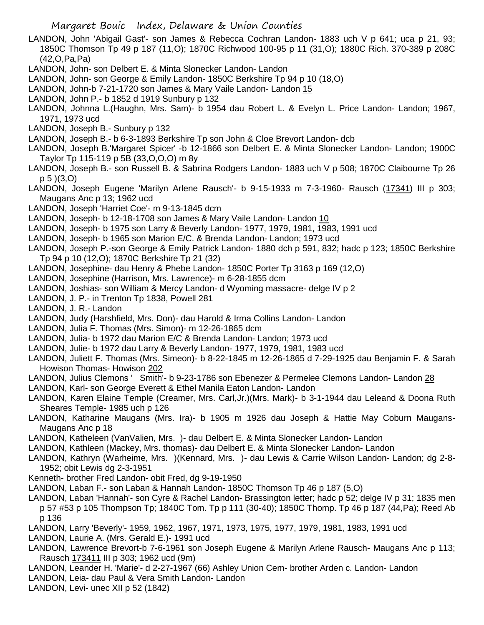LANDON, John 'Abigail Gast'- son James & Rebecca Cochran Landon- 1883 uch V p 641; uca p 21, 93; 1850C Thomson Tp 49 p 187 (11,O); 1870C Richwood 100-95 p 11 (31,O); 1880C Rich. 370-389 p 208C (42,O,Pa,Pa)

- LANDON, John- son Delbert E. & Minta Slonecker Landon- Landon
- LANDON, John- son George & Emily Landon- 1850C Berkshire Tp 94 p 10 (18,O)
- LANDON, John-b 7-21-1720 son James & Mary Vaile Landon- Landon 15
- LANDON, John P.- b 1852 d 1919 Sunbury p 132
- LANDON, Johnna L.(Haughn, Mrs. Sam)- b 1954 dau Robert L. & Evelyn L. Price Landon- Landon; 1967, 1971, 1973 ucd
- LANDON, Joseph B.- Sunbury p 132
- LANDON, Joseph B.- b 6-3-1893 Berkshire Tp son John & Cloe Brevort Landon- dcb
- LANDON, Joseph B.'Margaret Spicer' -b 12-1866 son Delbert E. & Minta Slonecker Landon- Landon; 1900C Taylor Tp 115-119 p 5B (33,O,O,O) m 8y
- LANDON, Joseph B.- son Russell B. & Sabrina Rodgers Landon- 1883 uch V p 508; 1870C Claibourne Tp 26 p 5 )(3,O)
- LANDON, Joseph Eugene 'Marilyn Arlene Rausch'- b 9-15-1933 m 7-3-1960- Rausch (17341) III p 303; Maugans Anc p 13; 1962 ucd
- LANDON, Joseph 'Harriet Coe'- m 9-13-1845 dcm
- LANDON, Joseph- b 12-18-1708 son James & Mary Vaile Landon- Landon 10
- LANDON, Joseph- b 1975 son Larry & Beverly Landon- 1977, 1979, 1981, 1983, 1991 ucd
- LANDON, Joseph- b 1965 son Marion E/C. & Brenda Landon- Landon; 1973 ucd
- LANDON, Joseph P.-son George & Emily Patrick Landon- 1880 dch p 591, 832; hadc p 123; 1850C Berkshire Tp 94 p 10 (12,O); 1870C Berkshire Tp 21 (32)
- LANDON, Josephine- dau Henry & Phebe Landon- 1850C Porter Tp 3163 p 169 (12,O)
- LANDON, Josephine (Harrison, Mrs. Lawrence)- m 6-28-1855 dcm
- LANDON, Joshias- son William & Mercy Landon- d Wyoming massacre- delge IV p 2
- LANDON, J. P.- in Trenton Tp 1838, Powell 281
- LANDON, J. R.- Landon
- LANDON, Judy (Harshfield, Mrs. Don)- dau Harold & Irma Collins Landon- Landon
- LANDON, Julia F. Thomas (Mrs. Simon)- m 12-26-1865 dcm
- LANDON, Julia- b 1972 dau Marion E/C & Brenda Landon- Landon; 1973 ucd
- LANDON, Julie- b 1972 dau Larry & Beverly Landon- 1977, 1979, 1981, 1983 ucd
- LANDON, Juliett F. Thomas (Mrs. Simeon)- b 8-22-1845 m 12-26-1865 d 7-29-1925 dau Benjamin F. & Sarah Howison Thomas- Howison 202
- LANDON, Julius Clemons ' Smith'- b 9-23-1786 son Ebenezer & Permelee Clemons Landon- Landon 28
- LANDON, Karl- son George Everett & Ethel Manila Eaton Landon- Landon
- LANDON, Karen Elaine Temple (Creamer, Mrs. Carl,Jr.)(Mrs. Mark)- b 3-1-1944 dau Leleand & Doona Ruth Sheares Temple- 1985 uch p 126
- LANDON, Katharine Maugans (Mrs. Ira)- b 1905 m 1926 dau Joseph & Hattie May Coburn Maugans-Maugans Anc p 18
- LANDON, Katheleen (VanValien, Mrs. )- dau Delbert E. & Minta Slonecker Landon- Landon
- LANDON, Kathleen (Mackey, Mrs. thomas)- dau Delbert E. & Minta Slonecker Landon- Landon
- LANDON, Kathryn (Warheime, Mrs. )(Kennard, Mrs. )- dau Lewis & Carrie Wilson Landon- Landon; dg 2-8- 1952; obit Lewis dg 2-3-1951
- Kenneth- brother Fred Landon- obit Fred, dg 9-19-1950
- LANDON, Laban F.- son Laban & Hannah Landon- 1850C Thomson Tp 46 p 187 (5,O)
- LANDON, Laban 'Hannah'- son Cyre & Rachel Landon- Brassington letter; hadc p 52; delge IV p 31; 1835 men p 57 #53 p 105 Thompson Tp; 1840C Tom. Tp p 111 (30-40); 1850C Thomp. Tp 46 p 187 (44,Pa); Reed Ab p 136
- LANDON, Larry 'Beverly'- 1959, 1962, 1967, 1971, 1973, 1975, 1977, 1979, 1981, 1983, 1991 ucd
- LANDON, Laurie A. (Mrs. Gerald E.)- 1991 ucd
- LANDON, Lawrence Brevort-b 7-6-1961 son Joseph Eugene & Marilyn Arlene Rausch- Maugans Anc p 113; Rausch 173411 III p 303; 1962 ucd (9m)
- LANDON, Leander H. 'Marie'- d 2-27-1967 (66) Ashley Union Cem- brother Arden c. Landon- Landon
- LANDON, Leia- dau Paul & Vera Smith Landon- Landon
- LANDON, Levi- unec XII p 52 (1842)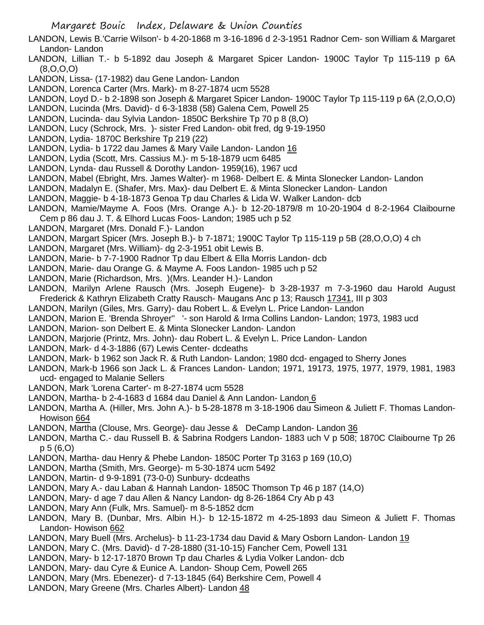- LANDON, Lewis B.'Carrie Wilson'- b 4-20-1868 m 3-16-1896 d 2-3-1951 Radnor Cem- son William & Margaret Landon- Landon
- LANDON, Lillian T.- b 5-1892 dau Joseph & Margaret Spicer Landon- 1900C Taylor Tp 115-119 p 6A (8,O,O,O)
- LANDON, Lissa- (17-1982) dau Gene Landon- Landon
- LANDON, Lorenca Carter (Mrs. Mark)- m 8-27-1874 ucm 5528
- LANDON, Loyd D.- b 2-1898 son Joseph & Margaret Spicer Landon- 1900C Taylor Tp 115-119 p 6A (2,O,O,O)
- LANDON, Lucinda (Mrs. David)- d 6-3-1838 (58) Galena Cem, Powell 25
- LANDON, Lucinda- dau Sylvia Landon- 1850C Berkshire Tp 70 p 8 (8,O)
- LANDON, Lucy (Schrock, Mrs. )- sister Fred Landon- obit fred, dg 9-19-1950
- LANDON, Lydia- 1870C Berkshire Tp 219 (22)
- LANDON, Lydia- b 1722 dau James & Mary Vaile Landon- Landon 16
- LANDON, Lydia (Scott, Mrs. Cassius M.)- m 5-18-1879 ucm 6485
- LANDON, Lynda- dau Russell & Dorothy Landon- 1959(16), 1967 ucd
- LANDON, Mabel (Ebright, Mrs. James Walter)- m 1968- Delbert E. & Minta Slonecker Landon- Landon
- LANDON, Madalyn E. (Shafer, Mrs. Max)- dau Delbert E. & Minta Slonecker Landon- Landon
- LANDON, Maggie- b 4-18-1873 Genoa Tp dau Charles & Lida W. Walker Landon- dcb
- LANDON, Mamie/Mayme A. Foos (Mrs. Orange A.)- b 12-20-1879/8 m 10-20-1904 d 8-2-1964 Claibourne Cem p 86 dau J. T. & Elhord Lucas Foos- Landon; 1985 uch p 52
- LANDON, Margaret (Mrs. Donald F.)- Landon
- LANDON, Margart Spicer (Mrs. Joseph B.)- b 7-1871; 1900C Taylor Tp 115-119 p 5B (28,O,O,O) 4 ch
- LANDON, Margaret (Mrs. William)- dg 2-3-1951 obit Lewis B.
- LANDON, Marie- b 7-7-1900 Radnor Tp dau Elbert & Ella Morris Landon- dcb
- LANDON, Marie- dau Orange G. & Mayme A. Foos Landon- 1985 uch p 52
- LANDON, Marie (Richardson, Mrs. )(Mrs. Leander H.)- Landon
- LANDON, Marilyn Arlene Rausch (Mrs. Joseph Eugene)- b 3-28-1937 m 7-3-1960 dau Harold August Frederick & Kathryn Elizabeth Cratty Rausch- Maugans Anc p 13; Rausch 17341, III p 303
- LANDON, Marilyn (Giles, Mrs. Garry)- dau Robert L. & Evelyn L. Price Landon- Landon
- LANDON, Marion E. 'Brenda Shroyer" '- son Harold & Irma Collins Landon- Landon; 1973, 1983 ucd
- LANDON, Marion- son Delbert E. & Minta Slonecker Landon- Landon
- LANDON, Marjorie (Printz, Mrs. John)- dau Robert L. & Evelyn L. Price Landon- Landon
- LANDON, Mark- d 4-3-1886 (67) Lewis Center- dcdeaths
- LANDON, Mark- b 1962 son Jack R. & Ruth Landon- Landon; 1980 dcd- engaged to Sherry Jones
- LANDON, Mark-b 1966 son Jack L. & Frances Landon- Landon; 1971, 19173, 1975, 1977, 1979, 1981, 1983 ucd- engaged to Malanie Sellers
- LANDON, Mark 'Lorena Carter'- m 8-27-1874 ucm 5528
- LANDON, Martha- b 2-4-1683 d 1684 dau Daniel & Ann Landon- Landon 6
- LANDON, Martha A. (Hiller, Mrs. John A.)- b 5-28-1878 m 3-18-1906 dau Simeon & Juliett F. Thomas Landon-Howison 664
- LANDON, Martha (Clouse, Mrs. George)- dau Jesse & DeCamp Landon- Landon 36
- LANDON, Martha C.- dau Russell B. & Sabrina Rodgers Landon- 1883 uch V p 508; 1870C Claibourne Tp 26 p 5 (6,O)
- LANDON, Martha- dau Henry & Phebe Landon- 1850C Porter Tp 3163 p 169 (10,O)
- LANDON, Martha (Smith, Mrs. George)- m 5-30-1874 ucm 5492
- LANDON, Martin- d 9-9-1891 (73-0-0) Sunbury- dcdeaths
- LANDON, Mary A.- dau Laban & Hannah Landon- 1850C Thomson Tp 46 p 187 (14,O)
- LANDON, Mary- d age 7 dau Allen & Nancy Landon- dg 8-26-1864 Cry Ab p 43
- LANDON, Mary Ann (Fulk, Mrs. Samuel)- m 8-5-1852 dcm
- LANDON, Mary B. (Dunbar, Mrs. Albin H.)- b 12-15-1872 m 4-25-1893 dau Simeon & Juliett F. Thomas Landon- Howison 662
- LANDON, Mary Buell (Mrs. Archelus)- b 11-23-1734 dau David & Mary Osborn Landon- Landon 19
- LANDON, Mary C. (Mrs. David)- d 7-28-1880 (31-10-15) Fancher Cem, Powell 131
- LANDON, Mary- b 12-17-1870 Brown Tp dau Charles & Lydia Volker Landon- dcb
- LANDON, Mary- dau Cyre & Eunice A. Landon- Shoup Cem, Powell 265
- LANDON, Mary (Mrs. Ebenezer)- d 7-13-1845 (64) Berkshire Cem, Powell 4
- LANDON, Mary Greene (Mrs. Charles Albert)- Landon 48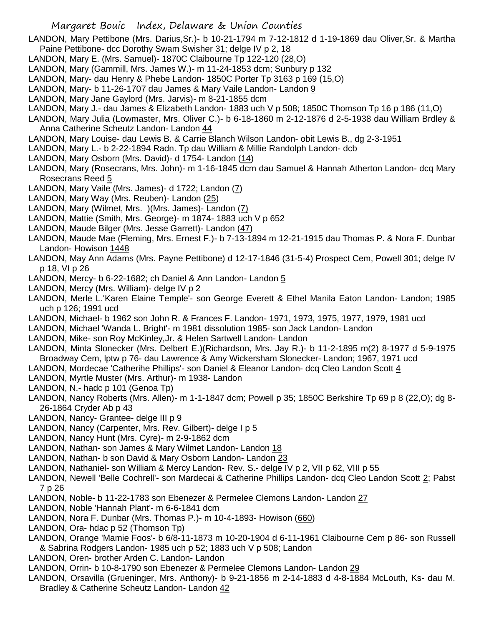- LANDON, Mary Pettibone (Mrs. Darius,Sr.)- b 10-21-1794 m 7-12-1812 d 1-19-1869 dau Oliver,Sr. & Martha Paine Pettibone- dcc Dorothy Swam Swisher 31; delge IV p 2, 18
- LANDON, Mary E. (Mrs. Samuel)- 1870C Claibourne Tp 122-120 (28,O)
- LANDON, Mary (Gammill, Mrs. James W.)- m 11-24-1853 dcm; Sunbury p 132
- LANDON, Mary- dau Henry & Phebe Landon- 1850C Porter Tp 3163 p 169 (15,O)
- LANDON, Mary- b 11-26-1707 dau James & Mary Vaile Landon- Landon 9
- LANDON, Mary Jane Gaylord (Mrs. Jarvis)- m 8-21-1855 dcm
- LANDON, Mary J.- dau James & Elizabeth Landon- 1883 uch V p 508; 1850C Thomson Tp 16 p 186 (11,O)
- LANDON, Mary Julia (Lowmaster, Mrs. Oliver C.)- b 6-18-1860 m 2-12-1876 d 2-5-1938 dau William Brdley & Anna Catherine Scheutz Landon- Landon 44
- LANDON, Mary Louise- dau Lewis B. & Carrie Blanch Wilson Landon- obit Lewis B., dg 2-3-1951
- LANDON, Mary L.- b 2-22-1894 Radn. Tp dau William & Millie Randolph Landon- dcb
- LANDON, Mary Osborn (Mrs. David)- d 1754- Landon (14)
- LANDON, Mary (Rosecrans, Mrs. John)- m 1-16-1845 dcm dau Samuel & Hannah Atherton Landon- dcq Mary Rosecrans Reed 5
- LANDON, Mary Vaile (Mrs. James)- d 1722; Landon (7)
- LANDON, Mary Way (Mrs. Reuben)- Landon (25)
- LANDON, Mary (Wilmet, Mrs. )(Mrs. James)- Landon (7)
- LANDON, Mattie (Smith, Mrs. George)- m 1874- 1883 uch V p 652
- LANDON, Maude Bilger (Mrs. Jesse Garrett)- Landon (47)
- LANDON, Maude Mae (Fleming, Mrs. Ernest F.)- b 7-13-1894 m 12-21-1915 dau Thomas P. & Nora F. Dunbar Landon- Howison 1448
- LANDON, May Ann Adams (Mrs. Payne Pettibone) d 12-17-1846 (31-5-4) Prospect Cem, Powell 301; delge IV p 18, VI p 26
- LANDON, Mercy- b 6-22-1682; ch Daniel & Ann Landon- Landon 5
- LANDON, Mercy (Mrs. William)- delge IV p 2
- LANDON, Merle L.'Karen Elaine Temple'- son George Everett & Ethel Manila Eaton Landon- Landon; 1985 uch p 126; 1991 ucd
- LANDON, Michael- b 1962 son John R. & Frances F. Landon- 1971, 1973, 1975, 1977, 1979, 1981 ucd
- LANDON, Michael 'Wanda L. Bright'- m 1981 dissolution 1985- son Jack Landon- Landon
- LANDON, Mike- son Roy McKinley,Jr. & Helen Sartwell Landon- Landon
- LANDON, Minta Slonecker (Mrs. Delbert E.)(Richardson, Mrs. Jay R.)- b 11-2-1895 m(2) 8-1977 d 5-9-1975 Broadway Cem, lptw p 76- dau Lawrence & Amy Wickersham Slonecker- Landon; 1967, 1971 ucd
- LANDON, Mordecae 'Catherihe Phillips'- son Daniel & Eleanor Landon- dcq Cleo Landon Scott 4
- LANDON, Myrtle Muster (Mrs. Arthur)- m 1938- Landon
- LANDON, N.- hadc p 101 (Genoa Tp)
- LANDON, Nancy Roberts (Mrs. Allen)- m 1-1-1847 dcm; Powell p 35; 1850C Berkshire Tp 69 p 8 (22,O); dg 8- 26-1864 Cryder Ab p 43
- LANDON, Nancy- Grantee- delge III p 9
- LANDON, Nancy (Carpenter, Mrs. Rev. Gilbert)- delge I p 5
- LANDON, Nancy Hunt (Mrs. Cyre)- m 2-9-1862 dcm
- LANDON, Nathan- son James & Mary Wilmet Landon- Landon 18
- LANDON, Nathan- b son David & Mary Osborn Landon- Landon 23
- LANDON, Nathaniel- son William & Mercy Landon- Rev. S.- delge IV p 2, VII p 62, VIII p 55
- LANDON, Newell 'Belle Cochrell'- son Mardecai & Catherine Phillips Landon- dcq Cleo Landon Scott 2; Pabst 7 p 26
- LANDON, Noble- b 11-22-1783 son Ebenezer & Permelee Clemons Landon- Landon 27
- LANDON, Noble 'Hannah Plant'- m 6-6-1841 dcm
- LANDON, Nora F. Dunbar (Mrs. Thomas P.)- m 10-4-1893- Howison (660)
- LANDON, Ora- hdac p 52 (Thomson Tp)
- LANDON, Orange 'Mamie Foos'- b 6/8-11-1873 m 10-20-1904 d 6-11-1961 Claibourne Cem p 86- son Russell & Sabrina Rodgers Landon- 1985 uch p 52; 1883 uch V p 508; Landon
- LANDON, Oren- brother Arden C. Landon- Landon
- LANDON, Orrin- b 10-8-1790 son Ebenezer & Permelee Clemons Landon- Landon 29
- LANDON, Orsavilla (Grueninger, Mrs. Anthony)- b 9-21-1856 m 2-14-1883 d 4-8-1884 McLouth, Ks- dau M. Bradley & Catherine Scheutz Landon- Landon 42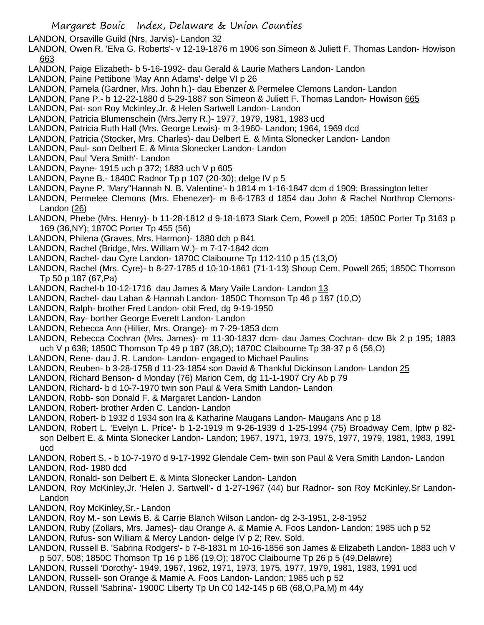LANDON, Orsaville Guild (Nrs, Jarvis)- Landon 32

LANDON, Owen R. 'Elva G. Roberts'- v 12-19-1876 m 1906 son Simeon & Juliett F. Thomas Landon- Howison 663

- LANDON, Paige Elizabeth- b 5-16-1992- dau Gerald & Laurie Mathers Landon- Landon
- LANDON, Paine Pettibone 'May Ann Adams'- delge VI p 26
- LANDON, Pamela (Gardner, Mrs. John h.)- dau Ebenzer & Permelee Clemons Landon- Landon
- LANDON, Pane P.- b 12-22-1880 d 5-29-1887 son Simeon & Juliett F. Thomas Landon- Howison 665
- LANDON, Pat- son Roy Mckinley,Jr. & Helen Sartwell Landon- Landon
- LANDON, Patricia Blumenschein (Mrs.Jerry R.)- 1977, 1979, 1981, 1983 ucd
- LANDON, Patricia Ruth Hall (Mrs. George Lewis)- m 3-1960- Landon; 1964, 1969 dcd
- LANDON, Patricia (Stocker, Mrs. Charles)- dau Delbert E. & Minta Slonecker Landon- Landon
- LANDON, Paul- son Delbert E. & Minta Slonecker Landon- Landon
- LANDON, Paul 'Vera Smith'- Landon
- LANDON, Payne- 1915 uch p 372; 1883 uch V p 605
- LANDON, Payne B.- 1840C Radnor Tp p 107 (20-30); delge IV p 5
- LANDON, Payne P. 'Mary''Hannah N. B. Valentine'- b 1814 m 1-16-1847 dcm d 1909; Brassington letter
- LANDON, Permelee Clemons (Mrs. Ebenezer)- m 8-6-1783 d 1854 dau John & Rachel Northrop Clemons-Landon (26)
- LANDON, Phebe (Mrs. Henry)- b 11-28-1812 d 9-18-1873 Stark Cem, Powell p 205; 1850C Porter Tp 3163 p 169 (36,NY); 1870C Porter Tp 455 (56)
- LANDON, Philena (Graves, Mrs. Harmon)- 1880 dch p 841
- LANDON, Rachel (Bridge, Mrs. William W.)- m 7-17-1842 dcm
- LANDON, Rachel- dau Cyre Landon- 1870C Claibourne Tp 112-110 p 15 (13,O)
- LANDON, Rachel (Mrs. Cyre)- b 8-27-1785 d 10-10-1861 (71-1-13) Shoup Cem, Powell 265; 1850C Thomson Tp 50 p 187 (67,Pa)
- LANDON, Rachel-b 10-12-1716 dau James & Mary Vaile Landon- Landon 13
- LANDON, Rachel- dau Laban & Hannah Landon- 1850C Thomson Tp 46 p 187 (10,O)
- LANDON, Ralph- brother Fred Landon- obit Fred, dg 9-19-1950
- LANDON, Ray- borther George Everett Landon- Landon
- LANDON, Rebecca Ann (Hillier, Mrs. Orange)- m 7-29-1853 dcm
- LANDON, Rebecca Cochran (Mrs. James)- m 11-30-1837 dcm- dau James Cochran- dcw Bk 2 p 195; 1883 uch V p 638; 1850C Thomson Tp 49 p 187 (38,O); 1870C Claibourne Tp 38-37 p 6 (56,O)
- LANDON, Rene- dau J. R. Landon- Landon- engaged to Michael Paulins
- LANDON, Reuben- b 3-28-1758 d 11-23-1854 son David & Thankful Dickinson Landon- Landon 25
- LANDON, Richard Benson- d Monday (76) Marion Cem, dg 11-1-1907 Cry Ab p 79
- LANDON, Richard- b d 10-7-1970 twin son Paul & Vera Smith Landon- Landon
- LANDON, Robb- son Donald F. & Margaret Landon- Landon
- LANDON, Robert- brother Arden C. Landon- Landon
- LANDON, Robert- b 1932 d 1934 son Ira & Katharine Maugans Landon- Maugans Anc p 18
- LANDON, Robert L. 'Evelyn L. Price'- b 1-2-1919 m 9-26-1939 d 1-25-1994 (75) Broadway Cem, lptw p 82 son Delbert E. & Minta Slonecker Landon- Landon; 1967, 1971, 1973, 1975, 1977, 1979, 1981, 1983, 1991 ucd
- LANDON, Robert S. b 10-7-1970 d 9-17-1992 Glendale Cem- twin son Paul & Vera Smith Landon- Landon
- LANDON, Rod- 1980 dcd
- LANDON, Ronald- son Delbert E. & Minta Slonecker Landon- Landon
- LANDON, Roy McKinley,Jr. 'Helen J. Sartwell'- d 1-27-1967 (44) bur Radnor- son Roy McKinley,Sr Landon-Landon
- LANDON, Roy McKinley,Sr.- Landon
- LANDON, Roy M.- son Lewis B. & Carrie Blanch Wilson Landon- dg 2-3-1951, 2-8-1952
- LANDON, Ruby (Zollars, Mrs. James)- dau Orange A. & Mamie A. Foos Landon- Landon; 1985 uch p 52
- LANDON, Rufus- son William & Mercy Landon- delge IV p 2; Rev. Sold.
- LANDON, Russell B. 'Sabrina Rodgers'- b 7-8-1831 m 10-16-1856 son James & Elizabeth Landon- 1883 uch V p 507, 508; 1850C Thomson Tp 16 p 186 (19,O); 1870C Claibourne Tp 26 p 5 (49,Delawre)
- LANDON, Russell 'Dorothy'- 1949, 1967, 1962, 1971, 1973, 1975, 1977, 1979, 1981, 1983, 1991 ucd
- LANDON, Russell- son Orange & Mamie A. Foos Landon- Landon; 1985 uch p 52
- LANDON, Russell 'Sabrina'- 1900C Liberty Tp Un C0 142-145 p 6B (68,O,Pa,M) m 44y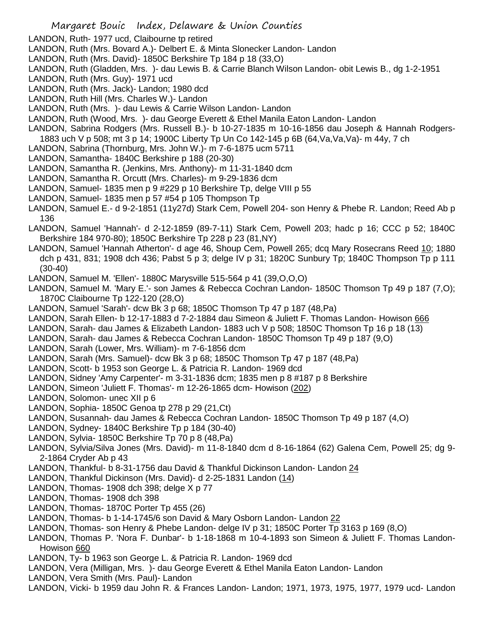- LANDON, Ruth- 1977 ucd, Claibourne tp retired
- LANDON, Ruth (Mrs. Bovard A.)- Delbert E. & Minta Slonecker Landon- Landon
- LANDON, Ruth (Mrs. David)- 1850C Berkshire Tp 184 p 18 (33,O)
- LANDON, Ruth (Gladden, Mrs. )- dau Lewis B. & Carrie Blanch Wilson Landon- obit Lewis B., dg 1-2-1951
- LANDON, Ruth (Mrs. Guy)- 1971 ucd
- LANDON, Ruth (Mrs. Jack)- Landon; 1980 dcd
- LANDON, Ruth Hill (Mrs. Charles W.)- Landon
- LANDON, Ruth (Mrs. )- dau Lewis & Carrie Wilson Landon- Landon
- LANDON, Ruth (Wood, Mrs. )- dau George Everett & Ethel Manila Eaton Landon- Landon
- LANDON, Sabrina Rodgers (Mrs. Russell B.)- b 10-27-1835 m 10-16-1856 dau Joseph & Hannah Rodgers-1883 uch V p 508; mt 3 p 14; 1900C Liberty Tp Un Co 142-145 p 6B (64,Va,Va,Va)- m 44y, 7 ch
- LANDON, Sabrina (Thornburg, Mrs. John W.)- m 7-6-1875 ucm 5711
- LANDON, Samantha- 1840C Berkshire p 188 (20-30)
- LANDON, Samantha R. (Jenkins, Mrs. Anthony)- m 11-31-1840 dcm
- LANDON, Samantha R. Orcutt (Mrs. Charles)- m 9-29-1836 dcm
- LANDON, Samuel- 1835 men p 9 #229 p 10 Berkshire Tp, delge VIII p 55
- LANDON, Samuel- 1835 men p 57 #54 p 105 Thompson Tp
- LANDON, Samuel E.- d 9-2-1851 (11y27d) Stark Cem, Powell 204- son Henry & Phebe R. Landon; Reed Ab p 136
- LANDON, Samuel 'Hannah'- d 2-12-1859 (89-7-11) Stark Cem, Powell 203; hadc p 16; CCC p 52; 1840C Berkshire 184 970-80); 1850C Berkshire Tp 228 p 23 (81,NY)
- LANDON, Samuel 'Hannah Atherton'- d age 46, Shoup Cem, Powell 265; dcq Mary Rosecrans Reed 10; 1880 dch p 431, 831; 1908 dch 436; Pabst 5 p 3; delge IV p 31; 1820C Sunbury Tp; 1840C Thompson Tp p 111 (30-40)
- LANDON, Samuel M. 'Ellen'- 1880C Marysville 515-564 p 41 (39,O,O,O)
- LANDON, Samuel M. 'Mary E.'- son James & Rebecca Cochran Landon- 1850C Thomson Tp 49 p 187 (7,O); 1870C Claibourne Tp 122-120 (28,O)
- LANDON, Samuel 'Sarah'- dcw Bk 3 p 68; 1850C Thomson Tp 47 p 187 (48,Pa)
- LANDON, Sarah Ellen- b 12-17-1883 d 7-2-1884 dau Simeon & Juliett F. Thomas Landon- Howison 666
- LANDON, Sarah- dau James & Elizabeth Landon- 1883 uch V p 508; 1850C Thomson Tp 16 p 18 (13)
- LANDON, Sarah- dau James & Rebecca Cochran Landon- 1850C Thomson Tp 49 p 187 (9,O)
- LANDON, Sarah (Lower, Mrs. William)- m 7-6-1856 dcm
- LANDON, Sarah (Mrs. Samuel)- dcw Bk 3 p 68; 1850C Thomson Tp 47 p 187 (48,Pa)
- LANDON, Scott- b 1953 son George L. & Patricia R. Landon- 1969 dcd
- LANDON, Sidney 'Amy Carpenter'- m 3-31-1836 dcm; 1835 men p 8 #187 p 8 Berkshire
- LANDON, Simeon 'Juliett F. Thomas'- m 12-26-1865 dcm- Howison (202)
- LANDON, Solomon- unec XII p 6
- LANDON, Sophia- 1850C Genoa tp 278 p 29 (21,Ct)
- LANDON, Susannah- dau James & Rebecca Cochran Landon- 1850C Thomson Tp 49 p 187 (4,O)
- LANDON, Sydney- 1840C Berkshire Tp p 184 (30-40)
- LANDON, Sylvia- 1850C Berkshire Tp 70 p 8 (48,Pa)
- LANDON, Sylvia/Silva Jones (Mrs. David)- m 11-8-1840 dcm d 8-16-1864 (62) Galena Cem, Powell 25; dg 9- 2-1864 Cryder Ab p 43
- LANDON, Thankful- b 8-31-1756 dau David & Thankful Dickinson Landon- Landon 24
- LANDON, Thankful Dickinson (Mrs. David)- d 2-25-1831 Landon (14)
- LANDON, Thomas- 1908 dch 398; delge X p 77
- LANDON, Thomas- 1908 dch 398
- LANDON, Thomas- 1870C Porter Tp 455 (26)
- LANDON, Thomas- b 1-14-1745/6 son David & Mary Osborn Landon- Landon 22
- LANDON, Thomas- son Henry & Phebe Landon- delge IV p 31; 1850C Porter Tp 3163 p 169 (8,O)
- LANDON, Thomas P. 'Nora F. Dunbar'- b 1-18-1868 m 10-4-1893 son Simeon & Juliett F. Thomas Landon-Howison 660
- LANDON, Ty- b 1963 son George L. & Patricia R. Landon- 1969 dcd
- LANDON, Vera (Milligan, Mrs. )- dau George Everett & Ethel Manila Eaton Landon- Landon
- LANDON, Vera Smith (Mrs. Paul)- Landon
- LANDON, Vicki- b 1959 dau John R. & Frances Landon- Landon; 1971, 1973, 1975, 1977, 1979 ucd- Landon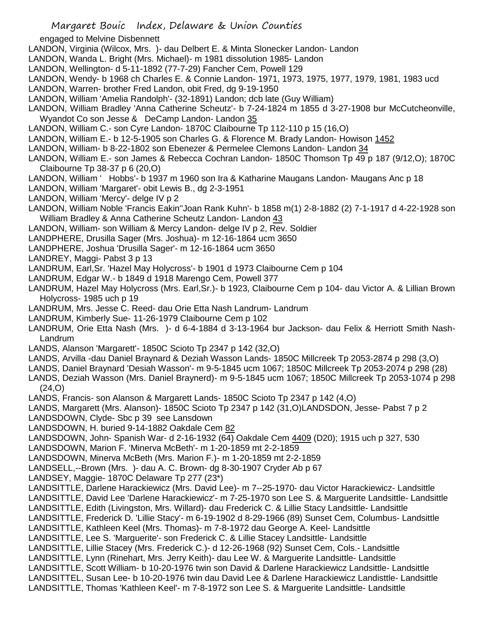engaged to Melvine Disbennett

- LANDON, Virginia (Wilcox, Mrs. )- dau Delbert E. & Minta Slonecker Landon- Landon
- LANDON, Wanda L. Bright (Mrs. Michael)- m 1981 dissolution 1985- Landon
- LANDON, Wellington- d 5-11-1892 (77-7-29) Fancher Cem, Powell 129
- LANDON, Wendy- b 1968 ch Charles E. & Connie Landon- 1971, 1973, 1975, 1977, 1979, 1981, 1983 ucd
- LANDON, Warren- brother Fred Landon, obit Fred, dg 9-19-1950
- LANDON, William 'Amelia Randolph'- (32-1891) Landon; dcb late (Guy William)
- LANDON, William Bradley 'Anna Catherine Scheutz'- b 7-24-1824 m 1855 d 3-27-1908 bur McCutcheonville, Wyandot Co son Jesse & DeCamp Landon- Landon 35
- LANDON, William C.- son Cyre Landon- 1870C Claibourne Tp 112-110 p 15 (16,O)
- LANDON, William E.- b 12-5-1905 son Charles G. & Florence M. Brady Landon- Howison 1452
- LANDON, William- b 8-22-1802 son Ebenezer & Permelee Clemons Landon- Landon 34
- LANDON, William E.- son James & Rebecca Cochran Landon- 1850C Thomson Tp 49 p 187 (9/12,O); 1870C Claibourne Tp 38-37 p 6 (20,O)
- LANDON, William ' Hobbs'- b 1937 m 1960 son Ira & Katharine Maugans Landon- Maugans Anc p 18
- LANDON, William 'Margaret'- obit Lewis B., dg 2-3-1951
- LANDON, William 'Mercy'- delge IV p 2
- LANDON, William Noble 'Francis Eakin''Joan Rank Kuhn'- b 1858 m(1) 2-8-1882 (2) 7-1-1917 d 4-22-1928 son William Bradley & Anna Catherine Scheutz Landon- Landon 43
- LANDON, William- son William & Mercy Landon- delge IV p 2, Rev. Soldier
- LANDPHERE, Drusilla Sager (Mrs. Joshua)- m 12-16-1864 ucm 3650
- LANDPHERE, Joshua 'Drusilla Sager'- m 12-16-1864 ucm 3650
- LANDREY, Maggi- Pabst 3 p 13
- LANDRUM, Earl,Sr. 'Hazel May Holycross'- b 1901 d 1973 Claibourne Cem p 104
- LANDRUM, Edgar W.- b 1849 d 1918 Marengo Cem, Powell 377
- LANDRUM, Hazel May Holycross (Mrs. Earl,Sr.)- b 1923, Claibourne Cem p 104- dau Victor A. & Lillian Brown Holycross- 1985 uch p 19
- LANDRUM, Mrs. Jesse C. Reed- dau Orie Etta Nash Landrum- Landrum
- LANDRUM, Kimberly Sue- 11-26-1979 Claibourne Cem p 102
- LANDRUM, Orie Etta Nash (Mrs. )- d 6-4-1884 d 3-13-1964 bur Jackson- dau Felix & Herriott Smith Nash-Landrum
- LANDS, Alanson 'Margarett'- 1850C Scioto Tp 2347 p 142 (32,O)
- LANDS, Arvilla -dau Daniel Braynard & Deziah Wasson Lands- 1850C Millcreek Tp 2053-2874 p 298 (3,O)
- LANDS, Daniel Braynard 'Desiah Wasson'- m 9-5-1845 ucm 1067; 1850C Millcreek Tp 2053-2074 p 298 (28)
- LANDS, Deziah Wasson (Mrs. Daniel Braynerd)- m 9-5-1845 ucm 1067; 1850C Millcreek Tp 2053-1074 p 298 (24,O)
- LANDS, Francis- son Alanson & Margarett Lands- 1850C Scioto Tp 2347 p 142 (4,O)
- LANDS, Margarett (Mrs. Alanson)- 1850C Scioto Tp 2347 p 142 (31,O)LANDSDON, Jesse- Pabst 7 p 2
- LANDSDOWN, Clyde- Sbc p 39 see Lansdown
- LANDSDOWN, H. buried 9-14-1882 Oakdale Cem 82
- LANDSDOWN, John- Spanish War- d 2-16-1932 (64) Oakdale Cem 4409 (D20); 1915 uch p 327, 530
- LANDSDOWN, Marion F. 'Minerva McBeth'- m 1-20-1859 mt 2-2-1859
- LANDSDOWN, Minerva McBeth (Mrs. Marion F.)- m 1-20-1859 mt 2-2-1859
- LANDSELL,--Brown (Mrs. )- dau A. C. Brown- dg 8-30-1907 Cryder Ab p 67
- LANDSEY, Maggie- 1870C Delaware Tp 277 (23\*)
- LANDSITTLE, Darlene Harackiewicz (Mrs. David Lee)- m 7--25-1970- dau Victor Harackiewicz- Landsittle
- LANDSITTLE, David Lee 'Darlene Harackiewicz'- m 7-25-1970 son Lee S. & Marguerite Landsittle- Landsittle
- LANDSITTLE, Edith (Livingston, Mrs. Willard)- dau Frederick C. & Lillie Stacy Landsittle- Landsittle
- LANDSITTLE, Frederick D. 'Lillie Stacy'- m 6-19-1902 d 8-29-1966 (89) Sunset Cem, Columbus- Landsittle
- LANDSITTLE, Kathleen Keel (Mrs. Thomas)- m 7-8-1972 dau George A. Keel- Landsittle
- LANDSITTLE, Lee S. 'Marguerite'- son Frederick C. & Lillie Stacey Landsittle- Landsittle
- LANDSITTLE, Lillie Stacey (Mrs. Frederick C.)- d 12-26-1968 (92) Sunset Cem, Cols.- Landsittle
- LANDSITTLE, Lynn (Rinehart, Mrs. Jerry Keith)- dau Lee W. & Marguerite Landsittle- Landsittle
- LANDSITTLE, Scott William- b 10-20-1976 twin son David & Darlene Harackiewicz Landsittle- Landsittle
- LANDSITTEL, Susan Lee- b 10-20-1976 twin dau David Lee & Darlene Harackiewicz Landisttle- Landsittle
- LANDSITTLE, Thomas 'Kathleen Keel'- m 7-8-1972 son Lee S. & Marguerite Landsittle- Landsittle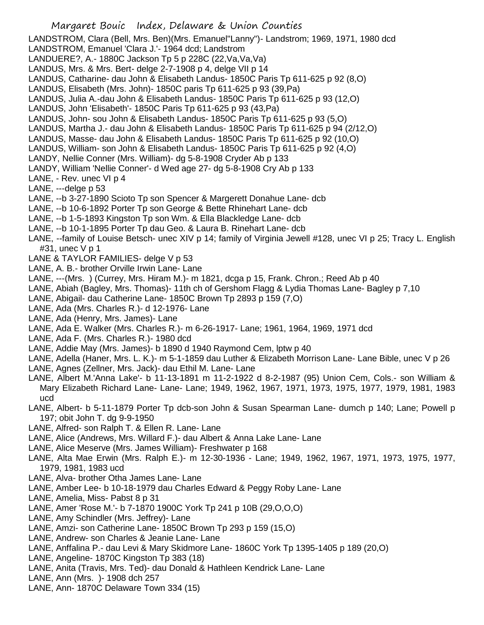LANDSTROM, Clara (Bell, Mrs. Ben)(Mrs. Emanuel"Lanny")- Landstrom; 1969, 1971, 1980 dcd LANDSTROM, Emanuel 'Clara J.'- 1964 dcd; Landstrom

- LANDUERE?, A.- 1880C Jackson Tp 5 p 228C (22,Va,Va,Va)
- LANDUS, Mrs. & Mrs. Bert- delge 2-7-1908 p 4, delge VII p 14
- LANDUS, Catharine- dau John & Elisabeth Landus- 1850C Paris Tp 611-625 p 92 (8,O)
- LANDUS, Elisabeth (Mrs. John)- 1850C paris Tp 611-625 p 93 (39,Pa)
- LANDUS, Julia A.-dau John & Elisabeth Landus- 1850C Paris Tp 611-625 p 93 (12,O)
- LANDUS, John 'Elisabeth'- 1850C Paris Tp 611-625 p 93 (43,Pa)
- LANDUS, John- sou John & Elisabeth Landus- 1850C Paris Tp 611-625 p 93 (5,O)
- LANDUS, Martha J.- dau John & Elisabeth Landus- 1850C Paris Tp 611-625 p 94 (2/12,O)
- LANDUS, Masse- dau John & Elisabeth Landus- 1850C Paris Tp 611-625 p 92 (10,O)
- LANDUS, William- son John & Elisabeth Landus- 1850C Paris Tp 611-625 p 92 (4,O)
- LANDY, Nellie Conner (Mrs. William)- dg 5-8-1908 Cryder Ab p 133
- LANDY, William 'Nellie Conner'- d Wed age 27- dg 5-8-1908 Cry Ab p 133
- LANE, Rev. unec VI p 4
- LANE, ---delge p 53
- LANE, --b 3-27-1890 Scioto Tp son Spencer & Margerett Donahue Lane- dcb
- LANE, --b 10-6-1892 Porter Tp son George & Bette Rhinehart Lane- dcb
- LANE, --b 1-5-1893 Kingston Tp son Wm. & Ella Blackledge Lane- dcb
- LANE, --b 10-1-1895 Porter Tp dau Geo. & Laura B. Rinehart Lane- dcb
- LANE, --family of Louise Betsch- unec XIV p 14; family of Virginia Jewell #128, unec VI p 25; Tracy L. English #31, unec V p 1
- LANE & TAYLOR FAMILIES- delge V p 53
- LANE, A. B.- brother Orville Irwin Lane- Lane
- LANE, ---(Mrs. ) (Currey, Mrs. Hiram M.)- m 1821, dcga p 15, Frank. Chron.; Reed Ab p 40
- LANE, Abiah (Bagley, Mrs. Thomas)- 11th ch of Gershom Flagg & Lydia Thomas Lane- Bagley p 7,10
- LANE, Abigail- dau Catherine Lane- 1850C Brown Tp 2893 p 159 (7,O)
- LANE, Ada (Mrs. Charles R.)- d 12-1976- Lane
- LANE, Ada (Henry, Mrs. James)- Lane
- LANE, Ada E. Walker (Mrs. Charles R.)- m 6-26-1917- Lane; 1961, 1964, 1969, 1971 dcd
- LANE, Ada F. (Mrs. Charles R.)- 1980 dcd
- LANE, Addie May (Mrs. James)- b 1890 d 1940 Raymond Cem, lptw p 40
- LANE, Adella (Haner, Mrs. L. K.)- m 5-1-1859 dau Luther & Elizabeth Morrison Lane- Lane Bible, unec V p 26
- LANE, Agnes (Zellner, Mrs. Jack)- dau Ethil M. Lane- Lane
- LANE, Albert M.'Anna Lake'- b 11-13-1891 m 11-2-1922 d 8-2-1987 (95) Union Cem, Cols.- son William & Mary Elizabeth Richard Lane- Lane- Lane; 1949, 1962, 1967, 1971, 1973, 1975, 1977, 1979, 1981, 1983 ucd
- LANE, Albert- b 5-11-1879 Porter Tp dcb-son John & Susan Spearman Lane- dumch p 140; Lane; Powell p 197; obit John T. dg 9-9-1950
- LANE, Alfred- son Ralph T. & Ellen R. Lane- Lane
- LANE, Alice (Andrews, Mrs. Willard F.)- dau Albert & Anna Lake Lane- Lane
- LANE, Alice Meserve (Mrs. James William)- Freshwater p 168
- LANE, Alta Mae Erwin (Mrs. Ralph E.)- m 12-30-1936 Lane; 1949, 1962, 1967, 1971, 1973, 1975, 1977, 1979, 1981, 1983 ucd
- LANE, Alva- brother Otha James Lane- Lane
- LANE, Amber Lee- b 10-18-1979 dau Charles Edward & Peggy Roby Lane- Lane
- LANE, Amelia, Miss- Pabst 8 p 31
- LANE, Amer 'Rose M.'- b 7-1870 1900C York Tp 241 p 10B (29,O,O,O)
- LANE, Amy Schindler (Mrs. Jeffrey)- Lane
- LANE, Amzi- son Catherine Lane- 1850C Brown Tp 293 p 159 (15,O)
- LANE, Andrew- son Charles & Jeanie Lane- Lane
- LANE, Anffalina P.- dau Levi & Mary Skidmore Lane- 1860C York Tp 1395-1405 p 189 (20,O)
- LANE, Angeline- 1870C Kingston Tp 383 (18)
- LANE, Anita (Travis, Mrs. Ted)- dau Donald & Hathleen Kendrick Lane- Lane
- LANE, Ann (Mrs. )- 1908 dch 257
- LANE, Ann- 1870C Delaware Town 334 (15)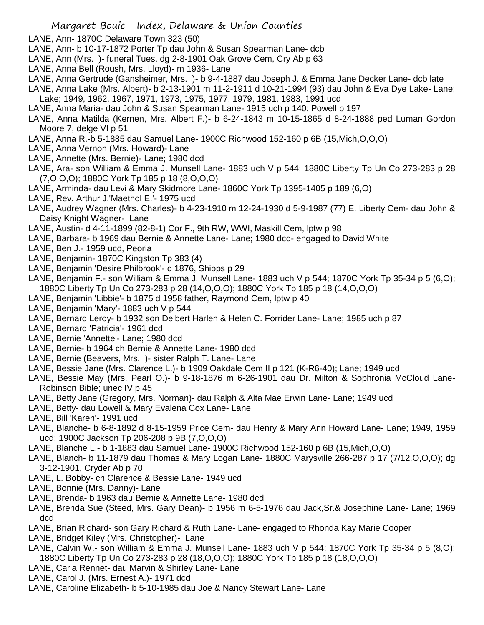- LANE, Ann- 1870C Delaware Town 323 (50)
- LANE, Ann- b 10-17-1872 Porter Tp dau John & Susan Spearman Lane- dcb
- LANE, Ann (Mrs. )- funeral Tues. dg 2-8-1901 Oak Grove Cem, Cry Ab p 63
- LANE, Anna Bell (Roush, Mrs. Lloyd)- m 1936- Lane
- LANE, Anna Gertrude (Gansheimer, Mrs. )- b 9-4-1887 dau Joseph J. & Emma Jane Decker Lane- dcb late
- LANE, Anna Lake (Mrs. Albert)- b 2-13-1901 m 11-2-1911 d 10-21-1994 (93) dau John & Eva Dye Lake- Lane; Lake; 1949, 1962, 1967, 1971, 1973, 1975, 1977, 1979, 1981, 1983, 1991 ucd
- LANE, Anna Maria- dau John & Susan Spearman Lane- 1915 uch p 140; Powell p 197
- LANE, Anna Matilda (Kernen, Mrs. Albert F.)- b 6-24-1843 m 10-15-1865 d 8-24-1888 ped Luman Gordon Moore 7, delge VI p 51
- LANE, Anna R.-b 5-1885 dau Samuel Lane- 1900C Richwood 152-160 p 6B (15,Mich,O,O,O)
- LANE, Anna Vernon (Mrs. Howard)- Lane
- LANE, Annette (Mrs. Bernie)- Lane; 1980 dcd
- LANE, Ara- son William & Emma J. Munsell Lane- 1883 uch V p 544; 1880C Liberty Tp Un Co 273-283 p 28 (7,O,O,O); 1880C York Tp 185 p 18 (8,O,O,O)
- LANE, Arminda- dau Levi & Mary Skidmore Lane- 1860C York Tp 1395-1405 p 189 (6,O)
- LANE, Rev. Arthur J.'Maethol E.'- 1975 ucd
- LANE, Audrey Wagner (Mrs. Charles)- b 4-23-1910 m 12-24-1930 d 5-9-1987 (77) E. Liberty Cem- dau John & Daisy Knight Wagner- Lane
- LANE, Austin- d 4-11-1899 (82-8-1) Cor F., 9th RW, WWI, Maskill Cem, lptw p 98
- LANE, Barbara- b 1969 dau Bernie & Annette Lane- Lane; 1980 dcd- engaged to David White
- LANE, Ben J.- 1959 ucd, Peoria
- LANE, Benjamin- 1870C Kingston Tp 383 (4)
- LANE, Benjamin 'Desire Philbrook'- d 1876, Shipps p 29
- LANE, Benjamin F.- son William & Emma J. Munsell Lane- 1883 uch V p 544; 1870C York Tp 35-34 p 5 (6,O); 1880C Liberty Tp Un Co 273-283 p 28 (14,O,O,O); 1880C York Tp 185 p 18 (14,O,O,O)
- LANE, Benjamin 'Libbie'- b 1875 d 1958 father, Raymond Cem, lptw p 40
- LANE, Benjamin 'Mary'- 1883 uch V p 544
- LANE, Bernard Leroy- b 1932 son Delbert Harlen & Helen C. Forrider Lane- Lane; 1985 uch p 87
- LANE, Bernard 'Patricia'- 1961 dcd
- LANE, Bernie 'Annette'- Lane; 1980 dcd
- LANE, Bernie- b 1964 ch Bernie & Annette Lane- 1980 dcd
- LANE, Bernie (Beavers, Mrs. )- sister Ralph T. Lane- Lane
- LANE, Bessie Jane (Mrs. Clarence L.)- b 1909 Oakdale Cem II p 121 (K-R6-40); Lane; 1949 ucd
- LANE, Bessie May (Mrs. Pearl O.)- b 9-18-1876 m 6-26-1901 dau Dr. Milton & Sophronia McCloud Lane-Robinson Bible; unec IV p 45
- LANE, Betty Jane (Gregory, Mrs. Norman)- dau Ralph & Alta Mae Erwin Lane- Lane; 1949 ucd
- LANE, Betty- dau Lowell & Mary Evalena Cox Lane- Lane
- LANE, Bill 'Karen'- 1991 ucd
- LANE, Blanche- b 6-8-1892 d 8-15-1959 Price Cem- dau Henry & Mary Ann Howard Lane- Lane; 1949, 1959 ucd; 1900C Jackson Tp 206-208 p 9B (7,O,O,O)
- LANE, Blanche L.- b 1-1883 dau Samuel Lane- 1900C Richwood 152-160 p 6B (15,Mich,O,O)
- LANE, Blanch- b 11-1879 dau Thomas & Mary Logan Lane- 1880C Marysville 266-287 p 17 (7/12,O,O,O); dg 3-12-1901, Cryder Ab p 70
- LANE, L. Bobby- ch Clarence & Bessie Lane- 1949 ucd
- LANE, Bonnie (Mrs. Danny)- Lane
- LANE, Brenda- b 1963 dau Bernie & Annette Lane- 1980 dcd
- LANE, Brenda Sue (Steed, Mrs. Gary Dean)- b 1956 m 6-5-1976 dau Jack,Sr.& Josephine Lane- Lane; 1969 dcd
- LANE, Brian Richard- son Gary Richard & Ruth Lane- Lane- engaged to Rhonda Kay Marie Cooper
- LANE, Bridget Kiley (Mrs. Christopher)- Lane
- LANE, Calvin W.- son William & Emma J. Munsell Lane- 1883 uch V p 544; 1870C York Tp 35-34 p 5 (8,O); 1880C Liberty Tp Un Co 273-283 p 28 (18,O,O,O); 1880C York Tp 185 p 18 (18,O,O,O)
- LANE, Carla Rennet- dau Marvin & Shirley Lane- Lane
- LANE, Carol J. (Mrs. Ernest A.)- 1971 dcd
- LANE, Caroline Elizabeth- b 5-10-1985 dau Joe & Nancy Stewart Lane- Lane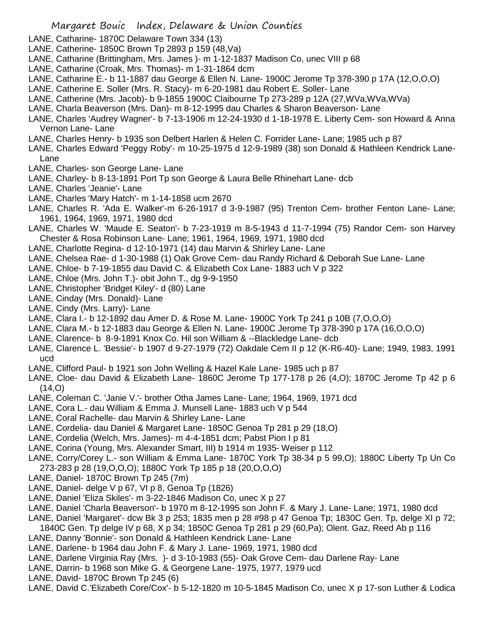- LANE, Catharine- 1870C Delaware Town 334 (13)
- LANE, Catherine- 1850C Brown Tp 2893 p 159 (48,Va)
- LANE, Catharine (Brittingham, Mrs. James )- m 1-12-1837 Madison Co, unec VIII p 68
- LANE, Catharine (Croak, Mrs. Thomas)- m 1-31-1864 dcm
- LANE, Catharine E.- b 11-1887 dau George & Ellen N. Lane- 1900C Jerome Tp 378-390 p 17A (12,O,O,O)
- LANE, Catherine E. Soller (Mrs. R. Stacy)- m 6-20-1981 dau Robert E. Soller- Lane
- LANE, Catherine (Mrs. Jacob)- b 9-1855 1900C Claibourne Tp 273-289 p 12A (27,WVa,WVa,WVa)
- LANE, Charla Beaverson (Mrs. Dan)- m 8-12-1995 dau Charles & Sharon Beaverson- Lane
- LANE, Charles 'Audrey Wagner'- b 7-13-1906 m 12-24-1930 d 1-18-1978 E. Liberty Cem- son Howard & Anna Vernon Lane- Lane
- LANE, Charles Henry- b 1935 son Delbert Harlen & Helen C. Forrider Lane- Lane; 1985 uch p 87
- LANE, Charles Edward 'Peggy Roby'- m 10-25-1975 d 12-9-1989 (38) son Donald & Hathleen Kendrick Lane-Lane
- LANE, Charles- son George Lane- Lane
- LANE, Charley- b 8-13-1891 Port Tp son George & Laura Belle Rhinehart Lane- dcb
- LANE, Charles 'Jeanie'- Lane
- LANE, Charles 'Mary Hatch'- m 1-14-1858 ucm 2670
- LANE, Charles R. 'Ada E. Walker'-m 6-26-1917 d 3-9-1987 (95) Trenton Cem- brother Fenton Lane- Lane; 1961, 1964, 1969, 1971, 1980 dcd
- LANE, Charles W. 'Maude E. Seaton'- b 7-23-1919 m 8-5-1943 d 11-7-1994 (75) Randor Cem- son Harvey Chester & Rosa Robinson Lane- Lane; 1961, 1964, 1969, 1971, 1980 dcd
- LANE, Charlotte Regina- d 12-10-1971 (14) dau Marvin & Shirley Lane- Lane
- LANE, Chelsea Rae- d 1-30-1988 (1) Oak Grove Cem- dau Randy Richard & Deborah Sue Lane- Lane
- LANE, Chloe- b 7-19-1855 dau David C. & Elizabeth Cox Lane- 1883 uch V p 322
- LANE, Chloe (Mrs. John T.)- obit John T., dg 9-9-1950
- LANE, Christopher 'Bridget Kiley'- d (80) Lane
- LANE, Cinday (Mrs. Donald)- Lane
- LANE, Cindy (Mrs. Larry)- Lane
- LANE, Clara I.- b 12-1892 dau Amer D. & Rose M. Lane- 1900C York Tp 241 p 10B (7,O,O,O)
- LANE, Clara M.- b 12-1883 dau George & Ellen N. Lane- 1900C Jerome Tp 378-390 p 17A (16,O,O,O)
- LANE, Clarence- b 8-9-1891 Knox Co. Hil son William & --Blackledge Lane- dcb
- LANE, Clarence L. 'Bessie'- b 1907 d 9-27-1979 (72) Oakdale Cem II p 12 (K-R6-40)- Lane; 1949, 1983, 1991 ucd
- LANE, Clifford Paul- b 1921 son John Welling & Hazel Kale Lane- 1985 uch p 87
- LANE, Cloe- dau David & Elizabeth Lane- 1860C Jerome Tp 177-178 p 26 (4,O); 1870C Jerome Tp 42 p 6  $(14, 0)$
- LANE, Coleman C. 'Janie V.'- brother Otha James Lane- Lane; 1964, 1969, 1971 dcd
- LANE, Cora L.- dau William & Emma J. Munsell Lane- 1883 uch V p 544
- LANE, Coral Rachelle- dau Marvin & Shirley Lane- Lane
- LANE, Cordelia- dau Daniel & Margaret Lane- 1850C Genoa Tp 281 p 29 (18,O)
- LANE, Cordelia (Welch, Mrs. James)- m 4-4-1851 dcm; Pabst Pion I p 81
- LANE, Corina (Young, Mrs. Alexander Smart, III) b 1914 m 1935- Weiser p 112
- LANE, Corry/Corey L.- son William & Emma Lane- 1870C York Tp 38-34 p 5 99,O); 1880C Liberty Tp Un Co 273-283 p 28 (19,O,O,O); 1880C York Tp 185 p 18 (20,O,O,O)
- LANE, Daniel- 1870C Brown Tp 245 (7m)
- LANE, Daniel- delge V p 67, VI p 8, Genoa Tp (1826)
- LANE, Daniel 'Eliza Skiles'- m 3-22-1846 Madison Co, unec X p 27
- LANE, Daniel 'Charla Beaverson'- b 1970 m 8-12-1995 son John F. & Mary J. Lane- Lane; 1971, 1980 dcd
- LANE, Daniel 'Margaret'- dcw Bk 3 p 253; 1835 men p 28 #98 p 47 Genoa Tp; 1830C Gen. Tp, delge XI p 72;
- 1840C Gen. Tp delge IV p 68, X p 34; 1850C Genoa Tp 281 p 29 (60,Pa); Olent. Gaz, Reed Ab p 116
- LANE, Danny 'Bonnie'- son Donald & Hathleen Kendrick Lane- Lane
- LANE, Darlene- b 1964 dau John F. & Mary J. Lane- 1969, 1971, 1980 dcd
- LANE, Darlene Virginia Ray (Mrs. )- d 3-10-1983 (55)- Oak Grove Cem- dau Darlene Ray- Lane
- LANE, Darrin- b 1968 son Mike G. & Georgene Lane- 1975, 1977, 1979 ucd
- LANE, David- 1870C Brown Tp 245 (6)
- LANE, David C.'Elizabeth Core/Cox'- b 5-12-1820 m 10-5-1845 Madison Co, unec X p 17-son Luther & Lodica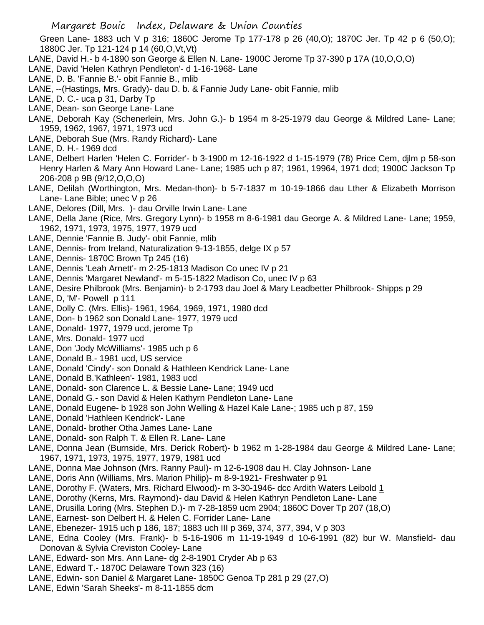Green Lane- 1883 uch V p 316; 1860C Jerome Tp 177-178 p 26 (40,O); 1870C Jer. Tp 42 p 6 (50,O); 1880C Jer. Tp 121-124 p 14 (60,O,Vt,Vt)

- LANE, David H.- b 4-1890 son George & Ellen N. Lane- 1900C Jerome Tp 37-390 p 17A (10,O,O,O)
- LANE, David 'Helen Kathryn Pendleton'- d 1-16-1968- Lane
- LANE, D. B. 'Fannie B.'- obit Fannie B., mlib
- LANE, --(Hastings, Mrs. Grady)- dau D. b. & Fannie Judy Lane- obit Fannie, mlib
- LANE, D. C.- uca p 31, Darby Tp
- LANE, Dean- son George Lane- Lane
- LANE, Deborah Kay (Schenerlein, Mrs. John G.)- b 1954 m 8-25-1979 dau George & Mildred Lane- Lane; 1959, 1962, 1967, 1971, 1973 ucd
- LANE, Deborah Sue (Mrs. Randy Richard)- Lane
- LANE, D. H.- 1969 dcd
- LANE, Delbert Harlen 'Helen C. Forrider'- b 3-1900 m 12-16-1922 d 1-15-1979 (78) Price Cem, djlm p 58-son Henry Harlen & Mary Ann Howard Lane- Lane; 1985 uch p 87; 1961, 19964, 1971 dcd; 1900C Jackson Tp 206-208 p 9B (9/12,O,O,O)
- LANE, Delilah (Worthington, Mrs. Medan-thon)- b 5-7-1837 m 10-19-1866 dau Lther & Elizabeth Morrison Lane- Lane Bible; unec V p 26
- LANE, Delores (Dill, Mrs. )- dau Orville Irwin Lane- Lane
- LANE, Della Jane (Rice, Mrs. Gregory Lynn)- b 1958 m 8-6-1981 dau George A. & Mildred Lane- Lane; 1959, 1962, 1971, 1973, 1975, 1977, 1979 ucd
- LANE, Dennie 'Fannie B. Judy'- obit Fannie, mlib
- LANE, Dennis- from Ireland, Naturalization 9-13-1855, delge IX p 57
- LANE, Dennis- 1870C Brown Tp 245 (16)
- LANE, Dennis 'Leah Arnett'- m 2-25-1813 Madison Co unec IV p 21
- LANE, Dennis 'Margaret Newland'- m 5-15-1822 Madison Co, unec IV p 63
- LANE, Desire Philbrook (Mrs. Benjamin)- b 2-1793 dau Joel & Mary Leadbetter Philbrook- Shipps p 29
- LANE, D, 'M'- Powell p 111
- LANE, Dolly C. (Mrs. Ellis)- 1961, 1964, 1969, 1971, 1980 dcd
- LANE, Don- b 1962 son Donald Lane- 1977, 1979 ucd
- LANE, Donald- 1977, 1979 ucd, jerome Tp
- LANE, Mrs. Donald- 1977 ucd
- LANE, Don 'Jody McWilliams'- 1985 uch p 6
- LANE, Donald B.- 1981 ucd, US service
- LANE, Donald 'Cindy'- son Donald & Hathleen Kendrick Lane- Lane
- LANE, Donald B.'Kathleen'- 1981, 1983 ucd
- LANE, Donald- son Clarence L. & Bessie Lane- Lane; 1949 ucd
- LANE, Donald G.- son David & Helen Kathyrn Pendleton Lane- Lane
- LANE, Donald Eugene- b 1928 son John Welling & Hazel Kale Lane-; 1985 uch p 87, 159
- LANE, Donald 'Hathleen Kendrick'- Lane
- LANE, Donald- brother Otha James Lane- Lane
- LANE, Donald- son Ralph T. & Ellen R. Lane- Lane
- LANE, Donna Jean (Burnside, Mrs. Derick Robert)- b 1962 m 1-28-1984 dau George & Mildred Lane- Lane; 1967, 1971, 1973, 1975, 1977, 1979, 1981 ucd
- LANE, Donna Mae Johnson (Mrs. Ranny Paul)- m 12-6-1908 dau H. Clay Johnson- Lane
- LANE, Doris Ann (Williams, Mrs. Marion Philip)- m 8-9-1921- Freshwater p 91
- LANE, Dorothy F. (Waters, Mrs. Richard Elwood)- m 3-30-1946- dcc Ardith Waters Leibold 1
- LANE, Dorothy (Kerns, Mrs. Raymond)- dau David & Helen Kathryn Pendleton Lane- Lane
- LANE, Drusilla Loring (Mrs. Stephen D.)- m 7-28-1859 ucm 2904; 1860C Dover Tp 207 (18,O)
- LANE, Earnest- son Delbert H. & Helen C. Forrider Lane- Lane
- LANE, Ebenezer- 1915 uch p 186, 187; 1883 uch III p 369, 374, 377, 394, V p 303
- LANE, Edna Cooley (Mrs. Frank)- b 5-16-1906 m 11-19-1949 d 10-6-1991 (82) bur W. Mansfield- dau Donovan & Sylvia Creviston Cooley- Lane
- LANE, Edward- son Mrs. Ann Lane- dg 2-8-1901 Cryder Ab p 63
- LANE, Edward T.- 1870C Delaware Town 323 (16)
- LANE, Edwin- son Daniel & Margaret Lane- 1850C Genoa Tp 281 p 29 (27,O)
- LANE, Edwin 'Sarah Sheeks'- m 8-11-1855 dcm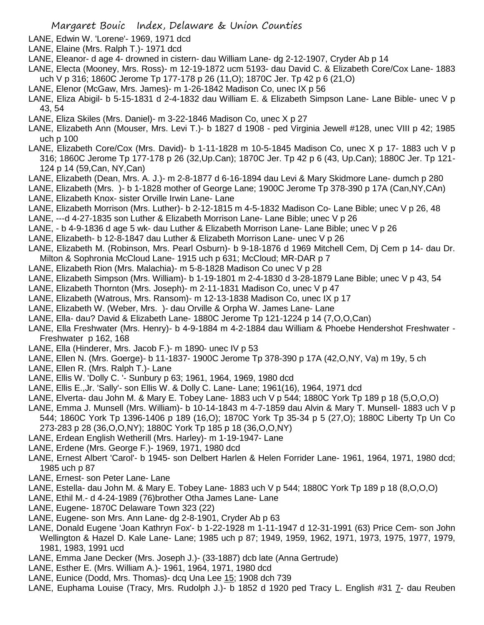- LANE, Edwin W. 'Lorene'- 1969, 1971 dcd
- LANE, Elaine (Mrs. Ralph T.)- 1971 dcd
- LANE, Eleanor- d age 4- drowned in cistern- dau William Lane- dg 2-12-1907, Cryder Ab p 14
- LANE, Electa (Mooney, Mrs. Ross)- m 12-19-1872 ucm 5193- dau David C. & Elizabeth Core/Cox Lane- 1883 uch V p 316; 1860C Jerome Tp 177-178 p 26 (11,O); 1870C Jer. Tp 42 p 6 (21,O)
- LANE, Elenor (McGaw, Mrs. James)- m 1-26-1842 Madison Co, unec IX p 56
- LANE, Eliza Abigil- b 5-15-1831 d 2-4-1832 dau William E. & Elizabeth Simpson Lane- Lane Bible- unec V p 43, 54
- LANE, Eliza Skiles (Mrs. Daniel)- m 3-22-1846 Madison Co, unec X p 27
- LANE, Elizabeth Ann (Mouser, Mrs. Levi T.)- b 1827 d 1908 ped Virginia Jewell #128, unec VIII p 42; 1985 uch p 100
- LANE, Elizabeth Core/Cox (Mrs. David)- b 1-11-1828 m 10-5-1845 Madison Co, unec X p 17- 1883 uch V p 316; 1860C Jerome Tp 177-178 p 26 (32,Up.Can); 1870C Jer. Tp 42 p 6 (43, Up.Can); 1880C Jer. Tp 121- 124 p 14 (59,Can, NY,Can)
- LANE, Elizabeth (Dean, Mrs. A. J.)- m 2-8-1877 d 6-16-1894 dau Levi & Mary Skidmore Lane- dumch p 280
- LANE, Elizabeth (Mrs. )- b 1-1828 mother of George Lane; 1900C Jerome Tp 378-390 p 17A (Can,NY,CAn) LANE, Elizabeth Knox- sister Orville Irwin Lane- Lane
- LANE, Elizabeth Morrison (Mrs. Luther)- b 2-12-1815 m 4-5-1832 Madison Co- Lane Bible; unec V p 26, 48
- LANE, ---d 4-27-1835 son Luther & Elizabeth Morrison Lane- Lane Bible; unec V p 26
- LANE, b 4-9-1836 d age 5 wk- dau Luther & Elizabeth Morrison Lane- Lane Bible; unec V p 26
- LANE, Elizabeth- b 12-8-1847 dau Luther & Elizabeth Morrison Lane- unec V p 26
- LANE, Elizabeth M. (Robinson, Mrs. Pearl Osburn)- b 9-18-1876 d 1969 Mitchell Cem, Dj Cem p 14- dau Dr. Milton & Sophronia McCloud Lane- 1915 uch p 631; McCloud; MR-DAR p 7
- LANE, Elizabeth Rion (Mrs. Malachia)- m 5-8-1828 Madison Co unec V p 28
- LANE, Elizabeth Simpson (Mrs. William)- b 1-19-1801 m 2-4-1830 d 3-28-1879 Lane Bible; unec V p 43, 54
- LANE, Elizabeth Thornton (Mrs. Joseph)- m 2-11-1831 Madison Co, unec V p 47
- LANE, Elizabeth (Watrous, Mrs. Ransom)- m 12-13-1838 Madison Co, unec IX p 17
- LANE, Elizabeth W. (Weber, Mrs. )- dau Orville & Orpha W. James Lane- Lane
- LANE, Ella- dau? David & Elizabeth Lane- 1880C Jerome Tp 121-1224 p 14 (7,O,O,Can)
- LANE, Ella Freshwater (Mrs. Henry)- b 4-9-1884 m 4-2-1884 dau William & Phoebe Hendershot Freshwater Freshwater p 162, 168
- LANE, Ella (Hinderer, Mrs. Jacob F.)- m 1890- unec IV p 53
- LANE, Ellen N. (Mrs. Goerge)- b 11-1837- 1900C Jerome Tp 378-390 p 17A (42,O,NY, Va) m 19y, 5 ch
- LANE, Ellen R. (Mrs. Ralph T.)- Lane
- LANE, Ellis W. 'Dolly C. '- Sunbury p 63; 1961, 1964, 1969, 1980 dcd
- LANE, Ellis E.,Jr. 'Sally'- son Ellis W. & Dolly C. Lane- Lane; 1961(16), 1964, 1971 dcd
- LANE, Elverta- dau John M. & Mary E. Tobey Lane- 1883 uch V p 544; 1880C York Tp 189 p 18 (5,O,O,O)
- LANE, Emma J. Munsell (Mrs. William)- b 10-14-1843 m 4-7-1859 dau Alvin & Mary T. Munsell- 1883 uch V p 544; 1860C York Tp 1396-1406 p 189 (16,O); 1870C York Tp 35-34 p 5 (27,O); 1880C Liberty Tp Un Co 273-283 p 28 (36,O,O,NY); 1880C York Tp 185 p 18 (36,O,O,NY)
- LANE, Erdean English Wetherill (Mrs. Harley)- m 1-19-1947- Lane
- LANE, Erdene (Mrs. George F.)- 1969, 1971, 1980 dcd
- LANE, Ernest Albert 'Carol'- b 1945- son Delbert Harlen & Helen Forrider Lane- 1961, 1964, 1971, 1980 dcd; 1985 uch p 87
- LANE, Ernest- son Peter Lane- Lane
- LANE, Estella- dau John M. & Mary E. Tobey Lane- 1883 uch V p 544; 1880C York Tp 189 p 18 (8,O,O,O)
- LANE, Ethil M.- d 4-24-1989 (76)brother Otha James Lane- Lane
- LANE, Eugene- 1870C Delaware Town 323 (22)
- LANE, Eugene- son Mrs. Ann Lane- dg 2-8-1901, Cryder Ab p 63
- LANE, Donald Eugene 'Joan Kathryn Fox'- b 1-22-1928 m 1-11-1947 d 12-31-1991 (63) Price Cem- son John Wellington & Hazel D. Kale Lane- Lane; 1985 uch p 87; 1949, 1959, 1962, 1971, 1973, 1975, 1977, 1979, 1981, 1983, 1991 ucd
- LANE, Emma Jane Decker (Mrs. Joseph J.)- (33-1887) dcb late (Anna Gertrude)
- LANE, Esther E. (Mrs. William A.)- 1961, 1964, 1971, 1980 dcd
- LANE, Eunice (Dodd, Mrs. Thomas)- dcq Una Lee 15; 1908 dch 739
- LANE, Euphama Louise (Tracy, Mrs. Rudolph J.)- b 1852 d 1920 ped Tracy L. English #31 7- dau Reuben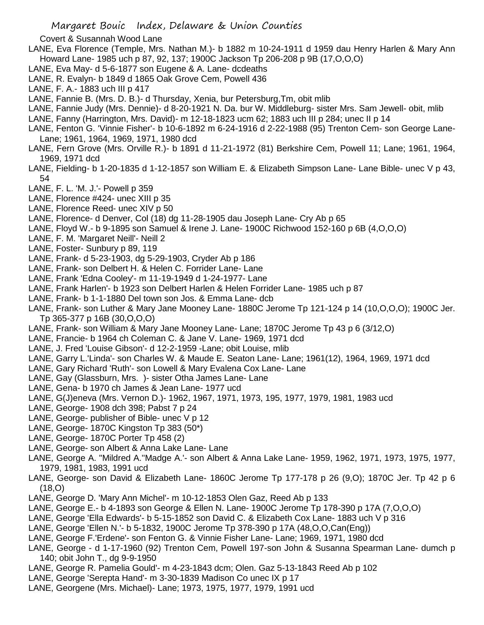Covert & Susannah Wood Lane

- LANE, Eva Florence (Temple, Mrs. Nathan M.)- b 1882 m 10-24-1911 d 1959 dau Henry Harlen & Mary Ann Howard Lane- 1985 uch p 87, 92, 137; 1900C Jackson Tp 206-208 p 9B (17,O,O,O)
- LANE, Eva May- d 5-6-1877 son Eugene & A. Lane- dcdeaths
- LANE, R. Evalyn- b 1849 d 1865 Oak Grove Cem, Powell 436
- LANE, F. A.- 1883 uch III p 417
- LANE, Fannie B. (Mrs. D. B.)- d Thursday, Xenia, bur Petersburg,Tm, obit mlib
- LANE, Fannie Judy (Mrs. Dennie)- d 8-20-1921 N. Da. bur W. Middleburg- sister Mrs. Sam Jewell- obit, mlib
- LANE, Fanny (Harrington, Mrs. David)- m 12-18-1823 ucm 62; 1883 uch III p 284; unec II p 14
- LANE, Fenton G. 'Vinnie Fisher'- b 10-6-1892 m 6-24-1916 d 2-22-1988 (95) Trenton Cem- son George Lane-Lane; 1961, 1964, 1969, 1971, 1980 dcd
- LANE, Fern Grove (Mrs. Orville R.)- b 1891 d 11-21-1972 (81) Berkshire Cem, Powell 11; Lane; 1961, 1964, 1969, 1971 dcd
- LANE, Fielding- b 1-20-1835 d 1-12-1857 son William E. & Elizabeth Simpson Lane- Lane Bible- unec V p 43, 54
- LANE, F. L. 'M. J.'- Powell p 359
- LANE, Florence #424- unec XIII p 35
- LANE, Florence Reed- unec XIV p 50
- LANE, Florence- d Denver, Col (18) dg 11-28-1905 dau Joseph Lane- Cry Ab p 65
- LANE, Floyd W.- b 9-1895 son Samuel & Irene J. Lane- 1900C Richwood 152-160 p 6B (4,O,O,O)
- LANE, F. M. 'Margaret Neill'- Neill 2
- LANE, Foster- Sunbury p 89, 119
- LANE, Frank- d 5-23-1903, dg 5-29-1903, Cryder Ab p 186
- LANE, Frank- son Delbert H. & Helen C. Forrider Lane- Lane
- LANE, Frank 'Edna Cooley'- m 11-19-1949 d 1-24-1977- Lane
- LANE, Frank Harlen'- b 1923 son Delbert Harlen & Helen Forrider Lane- 1985 uch p 87
- LANE, Frank- b 1-1-1880 Del town son Jos. & Emma Lane- dcb
- LANE, Frank- son Luther & Mary Jane Mooney Lane- 1880C Jerome Tp 121-124 p 14 (10,O,O,O); 1900C Jer. Tp 365-377 p 16B (30,O,O,O)
- LANE, Frank- son William & Mary Jane Mooney Lane- Lane; 1870C Jerome Tp 43 p 6 (3/12,O)
- LANE, Francie- b 1964 ch Coleman C. & Jane V. Lane- 1969, 1971 dcd
- LANE, J. Fred 'Louise Gibson'- d 12-2-1959 -Lane; obit Louise, mlib
- LANE, Garry L.'Linda'- son Charles W. & Maude E. Seaton Lane- Lane; 1961(12), 1964, 1969, 1971 dcd
- LANE, Gary Richard 'Ruth'- son Lowell & Mary Evalena Cox Lane- Lane
- LANE, Gay (Glassburn, Mrs. )- sister Otha James Lane- Lane
- LANE, Gena- b 1970 ch James & Jean Lane- 1977 ucd
- LANE, G(J)eneva (Mrs. Vernon D.)- 1962, 1967, 1971, 1973, 195, 1977, 1979, 1981, 1983 ucd
- LANE, George- 1908 dch 398; Pabst 7 p 24
- LANE, George- publisher of Bible- unec V p 12
- LANE, George- 1870C Kingston Tp 383 (50\*)
- LANE, George- 1870C Porter Tp 458 (2)
- LANE, George- son Albert & Anna Lake Lane- Lane
- LANE, George A. "Mildred A.''Madge A.'- son Albert & Anna Lake Lane- 1959, 1962, 1971, 1973, 1975, 1977, 1979, 1981, 1983, 1991 ucd
- LANE, George- son David & Elizabeth Lane- 1860C Jerome Tp 177-178 p 26 (9,O); 1870C Jer. Tp 42 p 6 (18,O)
- LANE, George D. 'Mary Ann Michel'- m 10-12-1853 Olen Gaz, Reed Ab p 133
- LANE, George E.- b 4-1893 son George & Ellen N. Lane- 1900C Jerome Tp 178-390 p 17A (7,O,O,O)
- LANE, George 'Ella Edwards'- b 5-15-1852 son David C. & Elizabeth Cox Lane- 1883 uch V p 316
- LANE, George 'Ellen N.'- b 5-1832, 1900C Jerome Tp 378-390 p 17A (48,O,O,Can(Eng))
- LANE, George F.'Erdene'- son Fenton G. & Vinnie Fisher Lane- Lane; 1969, 1971, 1980 dcd
- LANE, George d 1-17-1960 (92) Trenton Cem, Powell 197-son John & Susanna Spearman Lane- dumch p 140; obit John T., dg 9-9-1950
- LANE, George R. Pamelia Gould'- m 4-23-1843 dcm; Olen. Gaz 5-13-1843 Reed Ab p 102
- LANE, George 'Serepta Hand'- m 3-30-1839 Madison Co unec IX p 17
- LANE, Georgene (Mrs. Michael)- Lane; 1973, 1975, 1977, 1979, 1991 ucd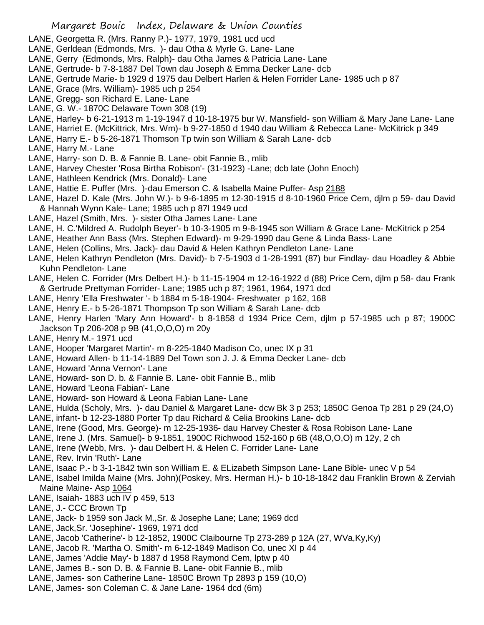- LANE, Georgetta R. (Mrs. Ranny P.)- 1977, 1979, 1981 ucd ucd
- LANE, Gerldean (Edmonds, Mrs. )- dau Otha & Myrle G. Lane- Lane
- LANE, Gerry (Edmonds, Mrs. Ralph)- dau Otha James & Patricia Lane- Lane
- LANE, Gertrude- b 7-8-1887 Del Town dau Joseph & Emma Decker Lane- dcb
- LANE, Gertrude Marie- b 1929 d 1975 dau Delbert Harlen & Helen Forrider Lane- 1985 uch p 87
- LANE, Grace (Mrs. William)- 1985 uch p 254
- LANE, Gregg- son Richard E. Lane- Lane
- LANE, G. W.- 1870C Delaware Town 308 (19)
- LANE, Harley- b 6-21-1913 m 1-19-1947 d 10-18-1975 bur W. Mansfield- son William & Mary Jane Lane- Lane
- LANE, Harriet E. (McKittrick, Mrs. Wm)- b 9-27-1850 d 1940 dau William & Rebecca Lane- McKitrick p 349
- LANE, Harry E.- b 5-26-1871 Thomson Tp twin son William & Sarah Lane- dcb
- LANE, Harry M.- Lane
- LANE, Harry- son D. B. & Fannie B. Lane- obit Fannie B., mlib
- LANE, Harvey Chester 'Rosa Birtha Robison'- (31-1923) -Lane; dcb late (John Enoch)
- LANE, Hathleen Kendrick (Mrs. Donald)- Lane
- LANE, Hattie E. Puffer (Mrs. )-dau Emerson C. & Isabella Maine Puffer- Asp 2188
- LANE, Hazel D. Kale (Mrs. John W.)- b 9-6-1895 m 12-30-1915 d 8-10-1960 Price Cem, djlm p 59- dau David & Hannah Wynn Kale- Lane; 1985 uch p 87l 1949 ucd
- LANE, Hazel (Smith, Mrs. )- sister Otha James Lane- Lane
- LANE, H. C.'Mildred A. Rudolph Beyer'- b 10-3-1905 m 9-8-1945 son William & Grace Lane- McKitrick p 254
- LANE, Heather Ann Bass (Mrs. Stephen Edward)- m 9-29-1990 dau Gene & Linda Bass- Lane
- LANE, Helen (Collins, Mrs. Jack)- dau David & Helen Kathryn Pendleton Lane- Lane
- LANE, Helen Kathryn Pendleton (Mrs. David)- b 7-5-1903 d 1-28-1991 (87) bur Findlay- dau Hoadley & Abbie Kuhn Pendleton- Lane
- LANE, Helen C. Forrider (Mrs Delbert H.)- b 11-15-1904 m 12-16-1922 d (88) Price Cem, djlm p 58- dau Frank & Gertrude Prettyman Forrider- Lane; 1985 uch p 87; 1961, 1964, 1971 dcd
- LANE, Henry 'Ella Freshwater '- b 1884 m 5-18-1904- Freshwater p 162, 168
- LANE, Henry E.- b 5-26-1871 Thompson Tp son William & Sarah Lane- dcb
- LANE, Henry Harlen 'Mary Ann Howard'- b 8-1858 d 1934 Price Cem, djlm p 57-1985 uch p 87; 1900C Jackson Tp 206-208 p 9B (41,O,O,O) m 20y
- LANE, Henry M.- 1971 ucd
- LANE, Hooper 'Margaret Martin'- m 8-225-1840 Madison Co, unec IX p 31
- LANE, Howard Allen- b 11-14-1889 Del Town son J. J. & Emma Decker Lane- dcb
- LANE, Howard 'Anna Vernon'- Lane
- LANE, Howard- son D. b. & Fannie B. Lane- obit Fannie B., mlib
- LANE, Howard 'Leona Fabian'- Lane
- LANE, Howard- son Howard & Leona Fabian Lane- Lane
- LANE, Hulda (Scholy, Mrs. )- dau Daniel & Margaret Lane- dcw Bk 3 p 253; 1850C Genoa Tp 281 p 29 (24,O)
- LANE, infant- b 12-23-1880 Porter Tp dau Richard & Celia Brookins Lane- dcb
- LANE, Irene (Good, Mrs. George)- m 12-25-1936- dau Harvey Chester & Rosa Robison Lane- Lane
- LANE, Irene J. (Mrs. Samuel)- b 9-1851, 1900C Richwood 152-160 p 6B (48,O,O,O) m 12y, 2 ch
- LANE, Irene (Webb, Mrs. )- dau Delbert H. & Helen C. Forrider Lane- Lane
- LANE, Rev. Irvin 'Ruth'- Lane
- LANE, Isaac P.- b 3-1-1842 twin son William E. & ELizabeth Simpson Lane- Lane Bible- unec V p 54
- LANE, Isabel Imilda Maine (Mrs. John)(Poskey, Mrs. Herman H.)- b 10-18-1842 dau Franklin Brown & Zerviah Maine Maine- Asp 1064
- LANE, Isaiah- 1883 uch IV p 459, 513
- LANE, J.- CCC Brown Tp
- LANE, Jack- b 1959 son Jack M.,Sr. & Josephe Lane; Lane; 1969 dcd
- LANE, Jack,Sr. 'Josephine'- 1969, 1971 dcd
- LANE, Jacob 'Catherine'- b 12-1852, 1900C Claibourne Tp 273-289 p 12A (27, WVa,Ky,Ky)
- LANE, Jacob R. 'Martha O. Smith'- m 6-12-1849 Madison Co, unec XI p 44
- LANE, James 'Addie May'- b 1887 d 1958 Raymond Cem, lptw p 40
- LANE, James B.- son D. B. & Fannie B. Lane- obit Fannie B., mlib
- LANE, James- son Catherine Lane- 1850C Brown Tp 2893 p 159 (10,O)
- LANE, James- son Coleman C. & Jane Lane- 1964 dcd (6m)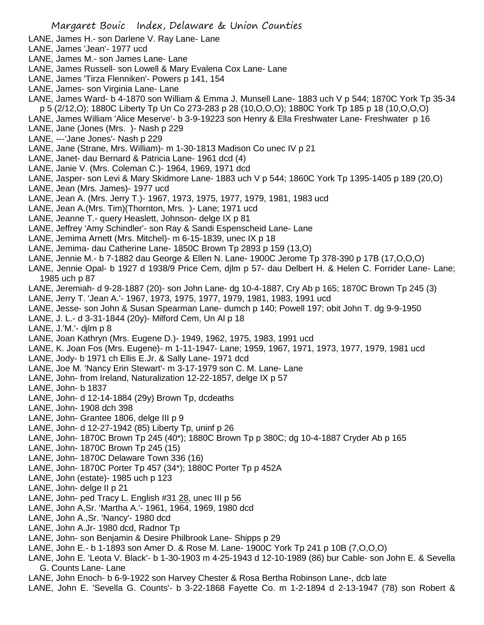- LANE, James H.- son Darlene V. Ray Lane- Lane
- LANE, James 'Jean'- 1977 ucd
- LANE, James M.- son James Lane- Lane
- LANE, James Russell- son Lowell & Mary Evalena Cox Lane- Lane
- LANE, James 'Tirza Flenniken'- Powers p 141, 154
- LANE, James- son Virginia Lane- Lane
- LANE, James Ward- b 4-1870 son William & Emma J. Munsell Lane- 1883 uch V p 544; 1870C York Tp 35-34 p 5 (2/12,O); 1880C Liberty Tp Un Co 273-283 p 28 (10,O,O,O); 1880C York Tp 185 p 18 (10,O,O,O)
- LANE, James William 'Alice Meserve'- b 3-9-19223 son Henry & Ella Freshwater Lane- Freshwater p 16
- LANE, Jane (Jones (Mrs. )- Nash p 229
- LANE, ---'Jane Jones'- Nash p 229
- LANE, Jane (Strane, Mrs. William)- m 1-30-1813 Madison Co unec IV p 21
- LANE, Janet- dau Bernard & Patricia Lane- 1961 dcd (4)
- LANE, Janie V. (Mrs. Coleman C.)- 1964, 1969, 1971 dcd
- LANE, Jasper- son Levi & Mary Skidmore Lane- 1883 uch V p 544; 1860C York Tp 1395-1405 p 189 (20,O)
- LANE, Jean (Mrs. James)- 1977 ucd
- LANE, Jean A. (Mrs. Jerry T.)- 1967, 1973, 1975, 1977, 1979, 1981, 1983 ucd
- LANE, Jean A.(Mrs. Tim)(Thornton, Mrs. )- Lane; 1971 ucd
- LANE, Jeanne T.- query Heaslett, Johnson- delge IX p 81
- LANE, Jeffrey 'Amy Schindler'- son Ray & Sandi Espenscheid Lane- Lane
- LANE, Jemima Arnett (Mrs. Mitchel)- m 6-15-1839, unec IX p 18
- LANE, Jemima- dau Catherine Lane- 1850C Brown Tp 2893 p 159 (13,O)
- LANE, Jennie M.- b 7-1882 dau George & Ellen N. Lane- 1900C Jerome Tp 378-390 p 17B (17,O,O,O)
- LANE, Jennie Opal- b 1927 d 1938/9 Price Cem, djlm p 57- dau Delbert H. & Helen C. Forrider Lane- Lane; 1985 uch p 87
- LANE, Jeremiah- d 9-28-1887 (20)- son John Lane- dg 10-4-1887, Cry Ab p 165; 1870C Brown Tp 245 (3)
- LANE, Jerry T. 'Jean A.'- 1967, 1973, 1975, 1977, 1979, 1981, 1983, 1991 ucd
- LANE, Jesse- son John & Susan Spearman Lane- dumch p 140; Powell 197; obit John T. dg 9-9-1950
- LANE, J. L.- d 3-31-1844 (20y)- Milford Cem, Un Al p 18
- LANE, J.'M.'- djlm p 8
- LANE, Joan Kathryn (Mrs. Eugene D.)- 1949, 1962, 1975, 1983, 1991 ucd
- LANE, K. Joan Fos (Mrs. Eugene)- m 1-11-1947- Lane; 1959, 1967, 1971, 1973, 1977, 1979, 1981 ucd
- LANE, Jody- b 1971 ch Ellis E.Jr. & Sally Lane- 1971 dcd
- LANE, Joe M. 'Nancy Erin Stewart'- m 3-17-1979 son C. M. Lane- Lane
- LANE, John- from Ireland, Naturalization 12-22-1857, delge IX p 57
- LANE, John- b 1837
- LANE, John- d 12-14-1884 (29y) Brown Tp, dcdeaths
- LANE, John- 1908 dch 398
- LANE, John- Grantee 1806, delge III p 9
- LANE, John- d 12-27-1942 (85) Liberty Tp, uninf p 26
- LANE, John- 1870C Brown Tp 245 (40\*); 1880C Brown Tp p 380C; dg 10-4-1887 Cryder Ab p 165
- LANE, John- 1870C Brown Tp 245 (15)
- LANE, John- 1870C Delaware Town 336 (16)
- LANE, John- 1870C Porter Tp 457 (34\*); 1880C Porter Tp p 452A
- LANE, John (estate)- 1985 uch p 123
- LANE, John- delge II p 21
- LANE, John- ped Tracy L. English #31 28, unec III p 56
- LANE, John A,Sr. 'Martha A.'- 1961, 1964, 1969, 1980 dcd
- LANE, John A.,Sr. 'Nancy'- 1980 dcd
- LANE, John A.Jr- 1980 dcd, Radnor Tp
- LANE, John- son Benjamin & Desire Philbrook Lane- Shipps p 29
- LANE, John E.- b 1-1893 son Amer D. & Rose M. Lane- 1900C York Tp 241 p 10B (7,O,O,O)
- LANE, John E. 'Leota V. Black'- b 1-30-1903 m 4-25-1943 d 12-10-1989 (86) bur Cable- son John E. & Sevella G. Counts Lane- Lane
- LANE, John Enoch- b 6-9-1922 son Harvey Chester & Rosa Bertha Robinson Lane-, dcb late
- LANE, John E. 'Sevella G. Counts'- b 3-22-1868 Fayette Co. m 1-2-1894 d 2-13-1947 (78) son Robert &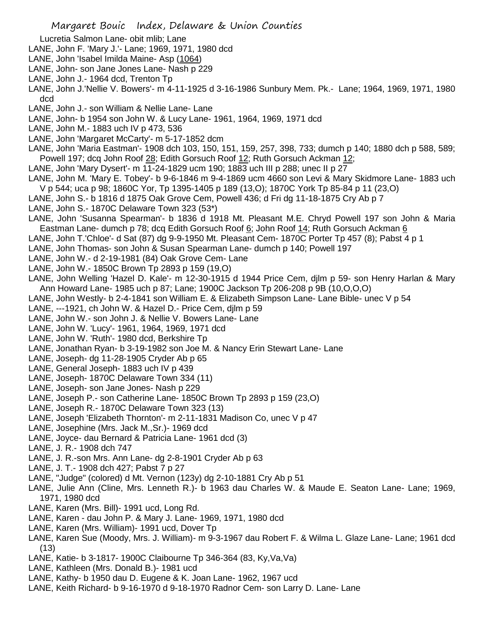Lucretia Salmon Lane- obit mlib; Lane

- LANE, John F. 'Mary J.'- Lane; 1969, 1971, 1980 dcd
- LANE, John 'Isabel Imilda Maine- Asp (1064)
- LANE, John- son Jane Jones Lane- Nash p 229
- LANE, John J.- 1964 dcd, Trenton Tp
- LANE, John J.'Nellie V. Bowers'- m 4-11-1925 d 3-16-1986 Sunbury Mem. Pk.- Lane; 1964, 1969, 1971, 1980 dcd
- LANE, John J.- son William & Nellie Lane- Lane
- LANE, John- b 1954 son John W. & Lucy Lane- 1961, 1964, 1969, 1971 dcd
- LANE, John M.- 1883 uch IV p 473, 536
- LANE, John 'Margaret McCarty'- m 5-17-1852 dcm
- LANE, John 'Maria Eastman'- 1908 dch 103, 150, 151, 159, 257, 398, 733; dumch p 140; 1880 dch p 588, 589; Powell 197; dcq John Roof 28; Edith Gorsuch Roof 12; Ruth Gorsuch Ackman 12;
- LANE, John 'Mary Dysert'- m 11-24-1829 ucm 190; 1883 uch III p 288; unec II p 27
- LANE, John M. 'Mary E. Tobey'- b 9-6-1846 m 9-4-1869 ucm 4660 son Levi & Mary Skidmore Lane- 1883 uch V p 544; uca p 98; 1860C Yor, Tp 1395-1405 p 189 (13,O); 1870C York Tp 85-84 p 11 (23,O)
- LANE, John S.- b 1816 d 1875 Oak Grove Cem, Powell 436; d Fri dg 11-18-1875 Cry Ab p 7
- LANE, John S.- 1870C Delaware Town 323 (53\*)
- LANE, John 'Susanna Spearman'- b 1836 d 1918 Mt. Pleasant M.E. Chryd Powell 197 son John & Maria Eastman Lane- dumch p 78; dcq Edith Gorsuch Roof 6; John Roof 14; Ruth Gorsuch Ackman 6
- LANE, John T.'Chloe'- d Sat (87) dg 9-9-1950 Mt. Pleasant Cem- 1870C Porter Tp 457 (8); Pabst 4 p 1
- LANE, John Thomas- son John & Susan Spearman Lane- dumch p 140; Powell 197
- LANE, John W.- d 2-19-1981 (84) Oak Grove Cem- Lane
- LANE, John W.- 1850C Brown Tp 2893 p 159 (19,O)
- LANE, John Welling 'Hazel D. Kale'- m 12-30-1915 d 1944 Price Cem, djlm p 59- son Henry Harlan & Mary Ann Howard Lane- 1985 uch p 87; Lane; 1900C Jackson Tp 206-208 p 9B (10,O,O,O)
- LANE, John Westly- b 2-4-1841 son William E. & Elizabeth Simpson Lane- Lane Bible- unec V p 54
- LANE, ---1921, ch John W. & Hazel D.- Price Cem, djlm p 59
- LANE, John W.- son John J. & Nellie V. Bowers Lane- Lane
- LANE, John W. 'Lucy'- 1961, 1964, 1969, 1971 dcd
- LANE, John W. 'Ruth'- 1980 dcd, Berkshire Tp
- LANE, Jonathan Ryan- b 3-19-1982 son Joe M. & Nancy Erin Stewart Lane- Lane
- LANE, Joseph- dg 11-28-1905 Cryder Ab p 65
- LANE, General Joseph- 1883 uch IV p 439
- LANE, Joseph- 1870C Delaware Town 334 (11)
- LANE, Joseph- son Jane Jones- Nash p 229
- LANE, Joseph P.- son Catherine Lane- 1850C Brown Tp 2893 p 159 (23,O)
- LANE, Joseph R.- 1870C Delaware Town 323 (13)
- LANE, Joseph 'Elizabeth Thornton'- m 2-11-1831 Madison Co, unec V p 47
- LANE, Josephine (Mrs. Jack M.,Sr.)- 1969 dcd
- LANE, Joyce- dau Bernard & Patricia Lane- 1961 dcd (3)
- LANE, J. R.- 1908 dch 747
- LANE, J. R.-son Mrs. Ann Lane- dg 2-8-1901 Cryder Ab p 63
- LANE, J. T.- 1908 dch 427; Pabst 7 p 27
- LANE, "Judge" (colored) d Mt. Vernon (123y) dg 2-10-1881 Cry Ab p 51
- LANE, Julie Ann (Cline, Mrs. Lenneth R.)- b 1963 dau Charles W. & Maude E. Seaton Lane- Lane; 1969, 1971, 1980 dcd
- LANE, Karen (Mrs. Bill)- 1991 ucd, Long Rd.
- LANE, Karen dau John P. & Mary J. Lane- 1969, 1971, 1980 dcd
- LANE, Karen (Mrs. William)- 1991 ucd, Dover Tp
- LANE, Karen Sue (Moody, Mrs. J. William)- m 9-3-1967 dau Robert F. & Wilma L. Glaze Lane- Lane; 1961 dcd (13)
- LANE, Katie- b 3-1817- 1900C Claibourne Tp 346-364 (83, Ky,Va,Va)
- LANE, Kathleen (Mrs. Donald B.)- 1981 ucd
- LANE, Kathy- b 1950 dau D. Eugene & K. Joan Lane- 1962, 1967 ucd
- LANE, Keith Richard- b 9-16-1970 d 9-18-1970 Radnor Cem- son Larry D. Lane- Lane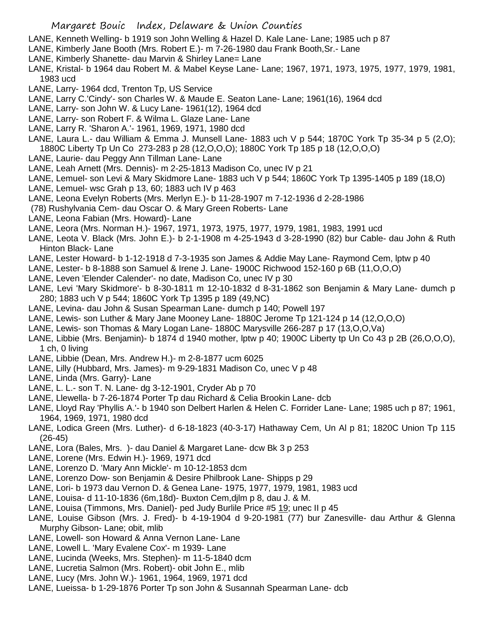- LANE, Kenneth Welling- b 1919 son John Welling & Hazel D. Kale Lane- Lane; 1985 uch p 87
- LANE, Kimberly Jane Booth (Mrs. Robert E.)- m 7-26-1980 dau Frank Booth,Sr.- Lane
- LANE, Kimberly Shanette- dau Marvin & Shirley Lane= Lane
- LANE, Kristal- b 1964 dau Robert M. & Mabel Keyse Lane- Lane; 1967, 1971, 1973, 1975, 1977, 1979, 1981, 1983 ucd
- LANE, Larry- 1964 dcd, Trenton Tp, US Service
- LANE, Larry C.'Cindy'- son Charles W. & Maude E. Seaton Lane- Lane; 1961(16), 1964 dcd
- LANE, Larry- son John W. & Lucy Lane- 1961(12), 1964 dcd
- LANE, Larry- son Robert F. & Wilma L. Glaze Lane- Lane
- LANE, Larry R. 'Sharon A.'- 1961, 1969, 1971, 1980 dcd
- LANE, Laura L.- dau William & Emma J. Munsell Lane- 1883 uch V p 544; 1870C York Tp 35-34 p 5 (2,0); 1880C Liberty Tp Un Co 273-283 p 28 (12,O,O,O); 1880C York Tp 185 p 18 (12,O,O,O)
- LANE, Laurie- dau Peggy Ann Tillman Lane- Lane
- LANE, Leah Arnett (Mrs. Dennis)- m 2-25-1813 Madison Co, unec IV p 21
- LANE, Lemuel- son Levi & Mary Skidmore Lane- 1883 uch V p 544; 1860C York Tp 1395-1405 p 189 (18,O)
- LANE, Lemuel- wsc Grah p 13, 60; 1883 uch IV p 463
- LANE, Leona Evelyn Roberts (Mrs. Merlyn E.)- b 11-28-1907 m 7-12-1936 d 2-28-1986
- (78) Rushylvania Cem- dau Oscar O. & Mary Green Roberts- Lane
- LANE, Leona Fabian (Mrs. Howard)- Lane

LANE, Leora (Mrs. Norman H.)- 1967, 1971, 1973, 1975, 1977, 1979, 1981, 1983, 1991 ucd

- LANE, Leota V. Black (Mrs. John E.)- b 2-1-1908 m 4-25-1943 d 3-28-1990 (82) bur Cable- dau John & Ruth Hinton Black- Lane
- LANE, Lester Howard- b 1-12-1918 d 7-3-1935 son James & Addie May Lane- Raymond Cem, lptw p 40
- LANE, Lester- b 8-1888 son Samuel & Irene J. Lane- 1900C Richwood 152-160 p 6B (11,O,O,O)
- LANE, Leven 'Elender Calender'- no date, Madison Co, unec IV p 30
- LANE, Levi 'Mary Skidmore'- b 8-30-1811 m 12-10-1832 d 8-31-1862 son Benjamin & Mary Lane- dumch p 280; 1883 uch V p 544; 1860C York Tp 1395 p 189 (49,NC)
- LANE, Levina- dau John & Susan Spearman Lane- dumch p 140; Powell 197
- LANE, Lewis- son Luther & Mary Jane Mooney Lane- 1880C Jerome Tp 121-124 p 14 (12,O,O,O)
- LANE, Lewis- son Thomas & Mary Logan Lane- 1880C Marysville 266-287 p 17 (13,O,O,Va)
- LANE, Libbie (Mrs. Benjamin)- b 1874 d 1940 mother, lptw p 40; 1900C Liberty tp Un Co 43 p 2B (26,O,O,O), 1 ch, 0 living
- LANE, Libbie (Dean, Mrs. Andrew H.)- m 2-8-1877 ucm 6025
- LANE, Lilly (Hubbard, Mrs. James)- m 9-29-1831 Madison Co, unec V p 48
- LANE, Linda (Mrs. Garry)- Lane
- LANE, L. L.- son T. N. Lane- dg 3-12-1901, Cryder Ab p 70
- LANE, Llewella- b 7-26-1874 Porter Tp dau Richard & Celia Brookin Lane- dcb
- LANE, Lloyd Ray 'Phyllis A.'- b 1940 son Delbert Harlen & Helen C. Forrider Lane- Lane; 1985 uch p 87; 1961, 1964, 1969, 1971, 1980 dcd
- LANE, Lodica Green (Mrs. Luther)- d 6-18-1823 (40-3-17) Hathaway Cem, Un Al p 81; 1820C Union Tp 115 (26-45)
- LANE, Lora (Bales, Mrs. )- dau Daniel & Margaret Lane- dcw Bk 3 p 253
- LANE, Lorene (Mrs. Edwin H.)- 1969, 1971 dcd
- LANE, Lorenzo D. 'Mary Ann Mickle'- m 10-12-1853 dcm
- LANE, Lorenzo Dow- son Benjamin & Desire Philbrook Lane- Shipps p 29
- LANE, Lori- b 1973 dau Vernon D. & Genea Lane- 1975, 1977, 1979, 1981, 1983 ucd
- LANE, Louisa- d 11-10-1836 (6m,18d)- Buxton Cem,djlm p 8, dau J. & M.
- LANE, Louisa (Timmons, Mrs. Daniel)- ped Judy Burlile Price #5 19; unec II p 45
- LANE, Louise Gibson (Mrs. J. Fred)- b 4-19-1904 d 9-20-1981 (77) bur Zanesville- dau Arthur & Glenna Murphy Gibson- Lane; obit, mlib
- LANE, Lowell- son Howard & Anna Vernon Lane- Lane
- LANE, Lowell L. 'Mary Evalene Cox'- m 1939- Lane
- LANE, Lucinda (Weeks, Mrs. Stephen)- m 11-5-1840 dcm
- LANE, Lucretia Salmon (Mrs. Robert)- obit John E., mlib
- LANE, Lucy (Mrs. John W.)- 1961, 1964, 1969, 1971 dcd
- LANE, Lueissa- b 1-29-1876 Porter Tp son John & Susannah Spearman Lane- dcb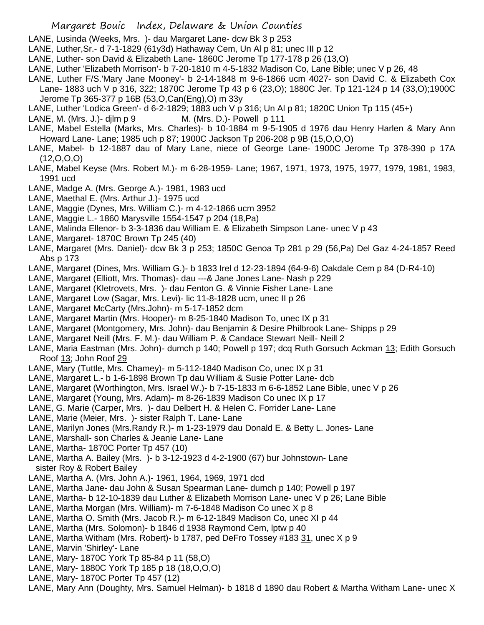- LANE, Lusinda (Weeks, Mrs. )- dau Margaret Lane- dcw Bk 3 p 253
- LANE, Luther,Sr.- d 7-1-1829 (61y3d) Hathaway Cem, Un Al p 81; unec III p 12
- LANE, Luther- son David & Elizabeth Lane- 1860C Jerome Tp 177-178 p 26 (13,O)
- LANE, Luther 'Elizabeth Morrison'- b 7-20-1810 m 4-5-1832 Madison Co, Lane Bible; unec V p 26, 48
- LANE, Luther F/S.'Mary Jane Mooney'- b 2-14-1848 m 9-6-1866 ucm 4027- son David C. & Elizabeth Cox Lane- 1883 uch V p 316, 322; 1870C Jerome Tp 43 p 6 (23,O); 1880C Jer. Tp 121-124 p 14 (33,O);1900C Jerome Tp 365-377 p 16B (53,O,Can(Eng),O) m 33y
- LANE, Luther 'Lodica Green'- d 6-2-1829; 1883 uch V p 316; Un Al p 81; 1820C Union Tp 115 (45+)
- LANE, M. (Mrs. J.)- djlm p 9 M. (Mrs. D.)- Powell p 111
- LANE, Mabel Estella (Marks, Mrs. Charles)- b 10-1884 m 9-5-1905 d 1976 dau Henry Harlen & Mary Ann Howard Lane- Lane; 1985 uch p 87; 1900C Jackson Tp 206-208 p 9B (15,O,O,O)
- LANE, Mabel- b 12-1887 dau of Mary Lane, niece of George Lane- 1900C Jerome Tp 378-390 p 17A (12,O,O,O)
- LANE, Mabel Keyse (Mrs. Robert M.)- m 6-28-1959- Lane; 1967, 1971, 1973, 1975, 1977, 1979, 1981, 1983, 1991 ucd
- LANE, Madge A. (Mrs. George A.)- 1981, 1983 ucd
- LANE, Maethal E. (Mrs. Arthur J.)- 1975 ucd
- LANE, Maggie (Dynes, Mrs. William C.)- m 4-12-1866 ucm 3952
- LANE, Maggie L.- 1860 Marysville 1554-1547 p 204 (18,Pa)
- LANE, Malinda Ellenor- b 3-3-1836 dau William E. & Elizabeth Simpson Lane- unec V p 43
- LANE, Margaret- 1870C Brown Tp 245 (40)
- LANE, Margaret (Mrs. Daniel)- dcw Bk 3 p 253; 1850C Genoa Tp 281 p 29 (56,Pa) Del Gaz 4-24-1857 Reed Abs p 173
- LANE, Margaret (Dines, Mrs. William G.)- b 1833 Irel d 12-23-1894 (64-9-6) Oakdale Cem p 84 (D-R4-10)
- LANE, Margaret (Elliott, Mrs. Thomas)- dau ---& Jane Jones Lane- Nash p 229
- LANE, Margaret (Kletrovets, Mrs. )- dau Fenton G. & Vinnie Fisher Lane- Lane
- LANE, Margaret Low (Sagar, Mrs. Levi)- lic 11-8-1828 ucm, unec II p 26
- LANE, Margaret McCarty (Mrs.John)- m 5-17-1852 dcm
- LANE, Margaret Martin (Mrs. Hooper)- m 8-25-1840 Madison To, unec IX p 31
- LANE, Margaret (Montgomery, Mrs. John)- dau Benjamin & Desire Philbrook Lane- Shipps p 29
- LANE, Margaret Neill (Mrs. F. M.)- dau William P. & Candace Stewart Neill- Neill 2
- LANE, Maria Eastman (Mrs. John)- dumch p 140; Powell p 197; dcq Ruth Gorsuch Ackman 13; Edith Gorsuch Roof 13; John Roof 29
- LANE, Mary (Tuttle, Mrs. Chamey)- m 5-112-1840 Madison Co, unec IX p 31
- LANE, Margaret L.- b 1-6-1898 Brown Tp dau William & Susie Potter Lane- dcb
- LANE, Margaret (Worthington, Mrs. Israel W.)- b 7-15-1833 m 6-6-1852 Lane Bible, unec V p 26
- LANE, Margaret (Young, Mrs. Adam)- m 8-26-1839 Madison Co unec IX p 17
- LANE, G. Marie (Carper, Mrs. )- dau Delbert H. & Helen C. Forrider Lane- Lane
- LANE, Marie (Meier, Mrs. )- sister Ralph T. Lane- Lane
- LANE, Marilyn Jones (Mrs.Randy R.)- m 1-23-1979 dau Donald E. & Betty L. Jones- Lane
- LANE, Marshall- son Charles & Jeanie Lane- Lane
- LANE, Martha- 1870C Porter Tp 457 (10)
- LANE, Martha A. Bailey (Mrs. )- b 3-12-1923 d 4-2-1900 (67) bur Johnstown- Lane sister Roy & Robert Bailey
- LANE, Martha A. (Mrs. John A.)- 1961, 1964, 1969, 1971 dcd
- LANE, Martha Jane- dau John & Susan Spearman Lane- dumch p 140; Powell p 197
- LANE, Martha- b 12-10-1839 dau Luther & Elizabeth Morrison Lane- unec V p 26; Lane Bible
- LANE, Martha Morgan (Mrs. William)- m 7-6-1848 Madison Co unec X p 8
- LANE, Martha O. Smith (Mrs. Jacob R.)- m 6-12-1849 Madison Co, unec XI p 44
- LANE, Martha (Mrs. Solomon)- b 1846 d 1938 Raymond Cem, lptw p 40
- LANE, Martha Witham (Mrs. Robert)- b 1787, ped DeFro Tossey #183 31, unec X p 9
- LANE, Marvin 'Shirley'- Lane
- LANE, Mary- 1870C York Tp 85-84 p 11 (58,O)
- LANE, Mary- 1880C York Tp 185 p 18 (18,O,O,O)
- LANE, Mary- 1870C Porter Tp 457 (12)
- LANE, Mary Ann (Doughty, Mrs. Samuel Helman)- b 1818 d 1890 dau Robert & Martha Witham Lane- unec X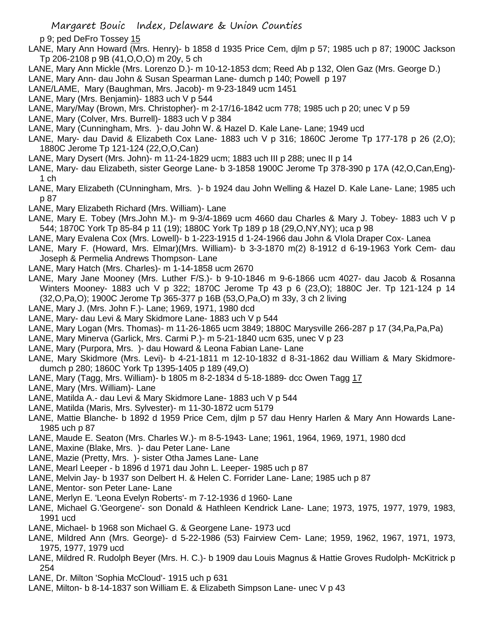- p 9; ped DeFro Tossey 15
- LANE, Mary Ann Howard (Mrs. Henry)- b 1858 d 1935 Price Cem, djlm p 57; 1985 uch p 87; 1900C Jackson Tp 206-2108 p 9B (41,O,O,O) m 20y, 5 ch
- LANE, Mary Ann Mickle (Mrs. Lorenzo D.)- m 10-12-1853 dcm; Reed Ab p 132, Olen Gaz (Mrs. George D.)
- LANE, Mary Ann- dau John & Susan Spearman Lane- dumch p 140; Powell p 197
- LANE/LAME, Mary (Baughman, Mrs. Jacob)- m 9-23-1849 ucm 1451
- LANE, Mary (Mrs. Benjamin)- 1883 uch V p 544
- LANE, Mary/May (Brown, Mrs. Christopher)- m 2-17/16-1842 ucm 778; 1985 uch p 20; unec V p 59
- LANE, Mary (Colver, Mrs. Burrell)- 1883 uch V p 384
- LANE, Mary (Cunningham, Mrs. )- dau John W. & Hazel D. Kale Lane- Lane; 1949 ucd
- LANE, Mary- dau David & Elizabeth Cox Lane- 1883 uch V p 316; 1860C Jerome Tp 177-178 p 26 (2,0); 1880C Jerome Tp 121-124 (22,O,O,Can)
- LANE, Mary Dysert (Mrs. John)- m 11-24-1829 ucm; 1883 uch III p 288; unec II p 14
- LANE, Mary- dau Elizabeth, sister George Lane- b 3-1858 1900C Jerome Tp 378-390 p 17A (42,O,Can,Eng)- 1 ch
- LANE, Mary Elizabeth (CUnningham, Mrs. )- b 1924 dau John Welling & Hazel D. Kale Lane- Lane; 1985 uch p 87
- LANE, Mary Elizabeth Richard (Mrs. William)- Lane
- LANE, Mary E. Tobey (Mrs.John M.)- m 9-3/4-1869 ucm 4660 dau Charles & Mary J. Tobey- 1883 uch V p 544; 1870C York Tp 85-84 p 11 (19); 1880C York Tp 189 p 18 (29,O,NY,NY); uca p 98
- LANE, Mary Evalena Cox (Mrs. Lowell)- b 1-223-1915 d 1-24-1966 dau John & VIola Draper Cox- Lanea
- LANE, Mary F. (Howard, Mrs. Elmar)(Mrs. William)- b 3-3-1870 m(2) 8-1912 d 6-19-1963 York Cem- dau Joseph & Permelia Andrews Thompson- Lane
- LANE, Mary Hatch (Mrs. Charles)- m 1-14-1858 ucm 2670
- LANE, Mary Jane Mooney (Mrs. Luther F/S.)- b 9-10-1846 m 9-6-1866 ucm 4027- dau Jacob & Rosanna Winters Mooney- 1883 uch V p 322; 1870C Jerome Tp 43 p 6 (23,O); 1880C Jer. Tp 121-124 p 14 (32,O,Pa,O); 1900C Jerome Tp 365-377 p 16B (53,O,Pa,O) m 33y, 3 ch 2 living
- LANE, Mary J. (Mrs. John F.)- Lane; 1969, 1971, 1980 dcd
- LANE, Mary- dau Levi & Mary Skidmore Lane- 1883 uch V p 544
- LANE, Mary Logan (Mrs. Thomas)- m 11-26-1865 ucm 3849; 1880C Marysville 266-287 p 17 (34,Pa,Pa,Pa)
- LANE, Mary Minerva (Garlick, Mrs. Carmi P.)- m 5-21-1840 ucm 635, unec V p 23
- LANE, Mary (Purpora, Mrs. )- dau Howard & Leona Fabian Lane- Lane
- LANE, Mary Skidmore (Mrs. Levi)- b 4-21-1811 m 12-10-1832 d 8-31-1862 dau William & Mary Skidmoredumch p 280; 1860C York Tp 1395-1405 p 189 (49,O)
- LANE, Mary (Tagg, Mrs. William)- b 1805 m 8-2-1834 d 5-18-1889- dcc Owen Tagg 17
- LANE, Mary (Mrs. William)- Lane
- LANE, Matilda A.- dau Levi & Mary Skidmore Lane- 1883 uch V p 544
- LANE, Matilda (Maris, Mrs. Sylvester)- m 11-30-1872 ucm 5179
- LANE, Mattie Blanche- b 1892 d 1959 Price Cem, djlm p 57 dau Henry Harlen & Mary Ann Howards Lane-1985 uch p 87
- LANE, Maude E. Seaton (Mrs. Charles W.)- m 8-5-1943- Lane; 1961, 1964, 1969, 1971, 1980 dcd
- LANE, Maxine (Blake, Mrs. )- dau Peter Lane- Lane
- LANE, Mazie (Pretty, Mrs. )- sister Otha James Lane- Lane
- LANE, Mearl Leeper b 1896 d 1971 dau John L. Leeper- 1985 uch p 87
- LANE, Melvin Jay- b 1937 son Delbert H. & Helen C. Forrider Lane- Lane; 1985 uch p 87
- LANE, Mentor- son Peter Lane- Lane
- LANE, Merlyn E. 'Leona Evelyn Roberts'- m 7-12-1936 d 1960- Lane
- LANE, Michael G.'Georgene'- son Donald & Hathleen Kendrick Lane- Lane; 1973, 1975, 1977, 1979, 1983, 1991 ucd
- LANE, Michael- b 1968 son Michael G. & Georgene Lane- 1973 ucd
- LANE, Mildred Ann (Mrs. George)- d 5-22-1986 (53) Fairview Cem- Lane; 1959, 1962, 1967, 1971, 1973, 1975, 1977, 1979 ucd
- LANE, Mildred R. Rudolph Beyer (Mrs. H. C.)- b 1909 dau Louis Magnus & Hattie Groves Rudolph- McKitrick p 254
- LANE, Dr. Milton 'Sophia McCloud'- 1915 uch p 631
- LANE, Milton- b 8-14-1837 son William E. & Elizabeth Simpson Lane- unec V p 43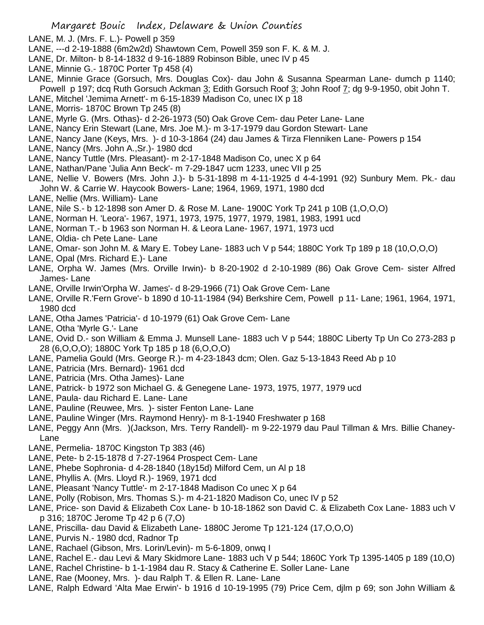- LANE, M. J. (Mrs. F. L.)- Powell p 359
- LANE, ---d 2-19-1888 (6m2w2d) Shawtown Cem, Powell 359 son F. K. & M. J.
- LANE, Dr. Milton- b 8-14-1832 d 9-16-1889 Robinson Bible, unec IV p 45
- LANE, Minnie G.- 1870C Porter Tp 458 (4)
- LANE, Minnie Grace (Gorsuch, Mrs. Douglas Cox)- dau John & Susanna Spearman Lane- dumch p 1140; Powell p 197; dcq Ruth Gorsuch Ackman 3; Edith Gorsuch Roof 3; John Roof 7; dg 9-9-1950, obit John T.
- LANE, Mitchel 'Jemima Arnett'- m 6-15-1839 Madison Co, unec IX p 18
- LANE, Morris- 1870C Brown Tp 245 (8)
- LANE, Myrle G. (Mrs. Othas)- d 2-26-1973 (50) Oak Grove Cem- dau Peter Lane- Lane
- LANE, Nancy Erin Stewart (Lane, Mrs. Joe M.)- m 3-17-1979 dau Gordon Stewart- Lane
- LANE, Nancy Jane (Keys, Mrs. )- d 10-3-1864 (24) dau James & Tirza Flenniken Lane- Powers p 154
- LANE, Nancy (Mrs. John A.,Sr.)- 1980 dcd
- LANE, Nancy Tuttle (Mrs. Pleasant)- m 2-17-1848 Madison Co, unec X p 64
- LANE, Nathan/Pane 'Julia Ann Beck'- m 7-29-1847 ucm 1233, unec VII p 25
- LANE, Nellie V. Bowers (Mrs. John J.)- b 5-31-1898 m 4-11-1925 d 4-4-1991 (92) Sunbury Mem. Pk.- dau John W. & Carrie W. Haycook Bowers- Lane; 1964, 1969, 1971, 1980 dcd
- LANE, Nellie (Mrs. William)- Lane
- LANE, Nile S.- b 12-1898 son Amer D. & Rose M. Lane- 1900C York Tp 241 p 10B (1,O,O,O)
- LANE, Norman H. 'Leora'- 1967, 1971, 1973, 1975, 1977, 1979, 1981, 1983, 1991 ucd
- LANE, Norman T.- b 1963 son Norman H. & Leora Lane- 1967, 1971, 1973 ucd
- LANE, Oldia- ch Pete Lane- Lane
- LANE, Omar- son John M. & Mary E. Tobey Lane- 1883 uch V p 544; 1880C York Tp 189 p 18 (10,O,O,O)
- LANE, Opal (Mrs. Richard E.)- Lane
- LANE, Orpha W. James (Mrs. Orville Irwin)- b 8-20-1902 d 2-10-1989 (86) Oak Grove Cem- sister Alfred James- Lane
- LANE, Orville Irwin'Orpha W. James'- d 8-29-1966 (71) Oak Grove Cem- Lane
- LANE, Orville R.'Fern Grove'- b 1890 d 10-11-1984 (94) Berkshire Cem, Powell p 11- Lane; 1961, 1964, 1971, 1980 dcd
- LANE, Otha James 'Patricia'- d 10-1979 (61) Oak Grove Cem- Lane
- LANE, Otha 'Myrle G.'- Lane
- LANE, Ovid D.- son William & Emma J. Munsell Lane- 1883 uch V p 544; 1880C Liberty Tp Un Co 273-283 p 28 (6,O,O,O); 1880C York Tp 185 p 18 (6,O,O,O)
- LANE, Pamelia Gould (Mrs. George R.)- m 4-23-1843 dcm; Olen. Gaz 5-13-1843 Reed Ab p 10
- LANE, Patricia (Mrs. Bernard)- 1961 dcd
- LANE, Patricia (Mrs. Otha James)- Lane
- LANE, Patrick- b 1972 son Michael G. & Genegene Lane- 1973, 1975, 1977, 1979 ucd
- LANE, Paula- dau Richard E. Lane- Lane
- LANE, Pauline (Reuwee, Mrs. )- sister Fenton Lane- Lane
- LANE, Pauline Winger (Mrs. Raymond Henry)- m 8-1-1940 Freshwater p 168
- LANE, Peggy Ann (Mrs. )(Jackson, Mrs. Terry Randell)- m 9-22-1979 dau Paul Tillman & Mrs. Billie Chaney-Lane
- LANE, Permelia- 1870C Kingston Tp 383 (46)
- LANE, Pete- b 2-15-1878 d 7-27-1964 Prospect Cem- Lane
- LANE, Phebe Sophronia- d 4-28-1840 (18y15d) Milford Cem, un Al p 18
- LANE, Phyllis A. (Mrs. Lloyd R.)- 1969, 1971 dcd
- LANE, Pleasant 'Nancy Tuttle'- m 2-17-1848 Madison Co unec X p 64
- LANE, Polly (Robison, Mrs. Thomas S.)- m 4-21-1820 Madison Co, unec IV p 52
- LANE, Price- son David & Elizabeth Cox Lane- b 10-18-1862 son David C. & Elizabeth Cox Lane- 1883 uch V p 316; 1870C Jerome Tp 42 p 6 (7,O)
- LANE, Priscilla- dau David & Elizabeth Lane- 1880C Jerome Tp 121-124 (17,O,O,O)
- LANE, Purvis N.- 1980 dcd, Radnor Tp
- LANE, Rachael (Gibson, Mrs. Lorin/Levin)- m 5-6-1809, onwq I
- LANE, Rachel E.- dau Levi & Mary Skidmore Lane- 1883 uch V p 544; 1860C York Tp 1395-1405 p 189 (10,O)
- LANE, Rachel Christine- b 1-1-1984 dau R. Stacy & Catherine E. Soller Lane- Lane
- LANE, Rae (Mooney, Mrs. )- dau Ralph T. & Ellen R. Lane- Lane
- LANE, Ralph Edward 'Alta Mae Erwin'- b 1916 d 10-19-1995 (79) Price Cem, djlm p 69; son John William &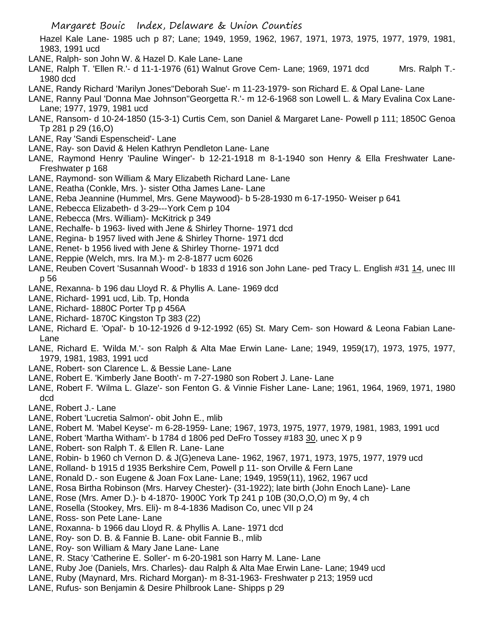Hazel Kale Lane- 1985 uch p 87; Lane; 1949, 1959, 1962, 1967, 1971, 1973, 1975, 1977, 1979, 1981, 1983, 1991 ucd

- LANE, Ralph- son John W. & Hazel D. Kale Lane- Lane
- LANE, Ralph T. 'Ellen R.'- d 11-1-1976 (61) Walnut Grove Cem- Lane; 1969, 1971 dcd Mrs. Ralph T.- 1980 dcd
- LANE, Randy Richard 'Marilyn Jones''Deborah Sue'- m 11-23-1979- son Richard E. & Opal Lane- Lane
- LANE, Ranny Paul 'Donna Mae Johnson''Georgetta R.'- m 12-6-1968 son Lowell L. & Mary Evalina Cox Lane-Lane; 1977, 1979, 1981 ucd
- LANE, Ransom- d 10-24-1850 (15-3-1) Curtis Cem, son Daniel & Margaret Lane- Powell p 111; 1850C Genoa Tp 281 p 29 (16,O)
- LANE, Ray 'Sandi Espenscheid'- Lane
- LANE, Ray- son David & Helen Kathryn Pendleton Lane- Lane
- LANE, Raymond Henry 'Pauline Winger'- b 12-21-1918 m 8-1-1940 son Henry & Ella Freshwater Lane-Freshwater p 168
- LANE, Raymond- son William & Mary Elizabeth Richard Lane- Lane
- LANE, Reatha (Conkle, Mrs. )- sister Otha James Lane- Lane
- LANE, Reba Jeannine (Hummel, Mrs. Gene Maywood)- b 5-28-1930 m 6-17-1950- Weiser p 641
- LANE, Rebecca Elizabeth- d 3-29---York Cem p 104
- LANE, Rebecca (Mrs. William)- McKitrick p 349
- LANE, Rechalfe- b 1963- lived with Jene & Shirley Thorne- 1971 dcd
- LANE, Regina- b 1957 lived with Jene & Shirley Thorne- 1971 dcd
- LANE, Renet- b 1956 lived with Jene & Shirley Thorne- 1971 dcd
- LANE, Reppie (Welch, mrs. Ira M.)- m 2-8-1877 ucm 6026
- LANE, Reuben Covert 'Susannah Wood'- b 1833 d 1916 son John Lane- ped Tracy L. English #31 14, unec III p 56
- LANE, Rexanna- b 196 dau Lloyd R. & Phyllis A. Lane- 1969 dcd
- LANE, Richard- 1991 ucd, Lib. Tp, Honda
- LANE, Richard- 1880C Porter Tp p 456A
- LANE, Richard- 1870C Kingston Tp 383 (22)
- LANE, Richard E. 'Opal'- b 10-12-1926 d 9-12-1992 (65) St. Mary Cem- son Howard & Leona Fabian Lane-Lane
- LANE, Richard E. 'Wilda M.'- son Ralph & Alta Mae Erwin Lane- Lane; 1949, 1959(17), 1973, 1975, 1977, 1979, 1981, 1983, 1991 ucd
- LANE, Robert- son Clarence L. & Bessie Lane- Lane
- LANE, Robert E. 'Kimberly Jane Booth'- m 7-27-1980 son Robert J. Lane- Lane
- LANE, Robert F. 'Wilma L. Glaze'- son Fenton G. & Vinnie Fisher Lane- Lane; 1961, 1964, 1969, 1971, 1980 dcd
- LANE, Robert J.- Lane
- LANE, Robert 'Lucretia Salmon'- obit John E., mlib
- LANE, Robert M. 'Mabel Keyse'- m 6-28-1959- Lane; 1967, 1973, 1975, 1977, 1979, 1981, 1983, 1991 ucd
- LANE, Robert 'Martha Witham'- b 1784 d 1806 ped DeFro Tossey #183 30, unec X p 9
- LANE, Robert- son Ralph T. & Ellen R. Lane- Lane
- LANE, Robin- b 1960 ch Vernon D. & J(G)eneva Lane- 1962, 1967, 1971, 1973, 1975, 1977, 1979 ucd
- LANE, Rolland- b 1915 d 1935 Berkshire Cem, Powell p 11- son Orville & Fern Lane
- LANE, Ronald D.- son Eugene & Joan Fox Lane- Lane; 1949, 1959(11), 1962, 1967 ucd
- LANE, Rosa Birtha Robinson (Mrs. Harvey Chester)- (31-1922); late birth (John Enoch Lane)- Lane
- LANE, Rose (Mrs. Amer D.)- b 4-1870- 1900C York Tp 241 p 10B (30,O,O,O) m 9y, 4 ch
- LANE, Rosella (Stookey, Mrs. Eli)- m 8-4-1836 Madison Co, unec VII p 24
- LANE, Ross- son Pete Lane- Lane
- LANE, Roxanna- b 1966 dau Lloyd R. & Phyllis A. Lane- 1971 dcd
- LANE, Roy- son D. B. & Fannie B. Lane- obit Fannie B., mlib
- LANE, Roy- son William & Mary Jane Lane- Lane
- LANE, R. Stacy 'Catherine E. Soller'- m 6-20-1981 son Harry M. Lane- Lane
- LANE, Ruby Joe (Daniels, Mrs. Charles)- dau Ralph & Alta Mae Erwin Lane- Lane; 1949 ucd
- LANE, Ruby (Maynard, Mrs. Richard Morgan)- m 8-31-1963- Freshwater p 213; 1959 ucd
- LANE, Rufus- son Benjamin & Desire Philbrook Lane- Shipps p 29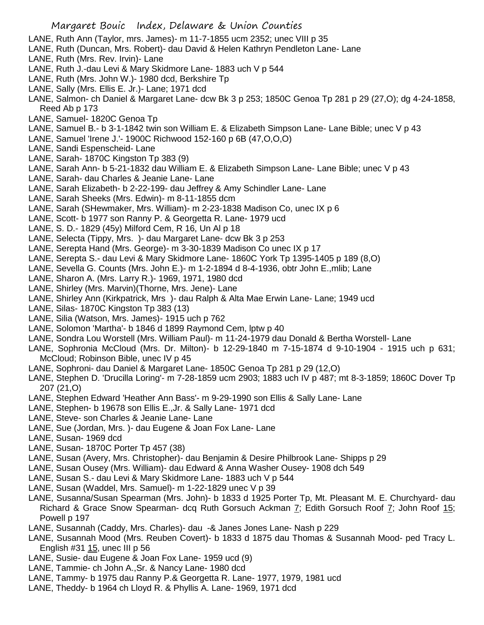- LANE, Ruth Ann (Taylor, mrs. James)- m 11-7-1855 ucm 2352; unec VIII p 35
- LANE, Ruth (Duncan, Mrs. Robert)- dau David & Helen Kathryn Pendleton Lane- Lane
- LANE, Ruth (Mrs. Rev. Irvin)- Lane
- LANE, Ruth J.-dau Levi & Mary Skidmore Lane- 1883 uch V p 544
- LANE, Ruth (Mrs. John W.)- 1980 dcd, Berkshire Tp
- LANE, Sally (Mrs. Ellis E. Jr.)- Lane; 1971 dcd
- LANE, Salmon- ch Daniel & Margaret Lane- dcw Bk 3 p 253; 1850C Genoa Tp 281 p 29 (27,O); dg 4-24-1858, Reed Ab p 173
- LANE, Samuel- 1820C Genoa Tp
- LANE, Samuel B.- b 3-1-1842 twin son William E. & Elizabeth Simpson Lane- Lane Bible; unec V p 43
- LANE, Samuel 'Irene J.'- 1900C Richwood 152-160 p 6B (47,O,O,O)
- LANE, Sandi Espenscheid- Lane
- LANE, Sarah- 1870C Kingston Tp 383 (9)
- LANE, Sarah Ann- b 5-21-1832 dau William E. & Elizabeth Simpson Lane- Lane Bible; unec V p 43
- LANE, Sarah- dau Charles & Jeanie Lane- Lane
- LANE, Sarah Elizabeth- b 2-22-199- dau Jeffrey & Amy Schindler Lane- Lane
- LANE, Sarah Sheeks (Mrs. Edwin)- m 8-11-1855 dcm
- LANE, Sarah (SHewmaker, Mrs. William)- m 2-23-1838 Madison Co, unec IX p 6
- LANE, Scott- b 1977 son Ranny P. & Georgetta R. Lane- 1979 ucd
- LANE, S. D.- 1829 (45y) Milford Cem, R 16, Un Al p 18
- LANE, Selecta (Tippy, Mrs. )- dau Margaret Lane- dcw Bk 3 p 253
- LANE, Serepta Hand (Mrs. George)- m 3-30-1839 Madison Co unec IX p 17
- LANE, Serepta S.- dau Levi & Mary Skidmore Lane- 1860C York Tp 1395-1405 p 189 (8,O)
- LANE, Sevella G. Counts (Mrs. John E.)- m 1-2-1894 d 8-4-1936, obtr John E.,mlib; Lane
- LANE, Sharon A. (Mrs. Larry R.)- 1969, 1971, 1980 dcd
- LANE, Shirley (Mrs. Marvin)(Thorne, Mrs. Jene)- Lane
- LANE, Shirley Ann (Kirkpatrick, Mrs )- dau Ralph & Alta Mae Erwin Lane- Lane; 1949 ucd
- LANE, Silas- 1870C Kingston Tp 383 (13)
- LANE, Silia (Watson, Mrs. James)- 1915 uch p 762
- LANE, Solomon 'Martha'- b 1846 d 1899 Raymond Cem, lptw p 40
- LANE, Sondra Lou Worstell (Mrs. William Paul)- m 11-24-1979 dau Donald & Bertha Worstell- Lane
- LANE, Sophronia McCloud (Mrs. Dr. Milton)- b 12-29-1840 m 7-15-1874 d 9-10-1904 1915 uch p 631; McCloud; Robinson Bible, unec IV p 45
- LANE, Sophroni- dau Daniel & Margaret Lane- 1850C Genoa Tp 281 p 29 (12,O)
- LANE, Stephen D. 'Drucilla Loring'- m 7-28-1859 ucm 2903; 1883 uch IV p 487; mt 8-3-1859; 1860C Dover Tp 207 (21,O)
- LANE, Stephen Edward 'Heather Ann Bass'- m 9-29-1990 son Ellis & Sally Lane- Lane
- LANE, Stephen- b 19678 son Ellis E.,Jr. & Sally Lane- 1971 dcd
- LANE, Steve- son Charles & Jeanie Lane- Lane
- LANE, Sue (Jordan, Mrs. )- dau Eugene & Joan Fox Lane- Lane
- LANE, Susan- 1969 dcd
- LANE, Susan- 1870C Porter Tp 457 (38)
- LANE, Susan (Avery, Mrs. Christopher)- dau Benjamin & Desire Philbrook Lane- Shipps p 29
- LANE, Susan Ousey (Mrs. William)- dau Edward & Anna Washer Ousey- 1908 dch 549
- LANE, Susan S.- dau Levi & Mary Skidmore Lane- 1883 uch V p 544
- LANE, Susan (Waddel, Mrs. Samuel)- m 1-22-1829 unec V p 39
- LANE, Susanna/Susan Spearman (Mrs. John)- b 1833 d 1925 Porter Tp, Mt. Pleasant M. E. Churchyard- dau Richard & Grace Snow Spearman- dcq Ruth Gorsuch Ackman 7; Edith Gorsuch Roof 7; John Roof 15; Powell p 197
- LANE, Susannah (Caddy, Mrs. Charles)- dau -& Janes Jones Lane- Nash p 229
- LANE, Susannah Mood (Mrs. Reuben Covert)- b 1833 d 1875 dau Thomas & Susannah Mood- ped Tracy L. English #31 15, unec III p 56
- LANE, Susie- dau Eugene & Joan Fox Lane- 1959 ucd (9)
- LANE, Tammie- ch John A.,Sr. & Nancy Lane- 1980 dcd
- LANE, Tammy- b 1975 dau Ranny P.& Georgetta R. Lane- 1977, 1979, 1981 ucd
- LANE, Theddy- b 1964 ch Lloyd R. & Phyllis A. Lane- 1969, 1971 dcd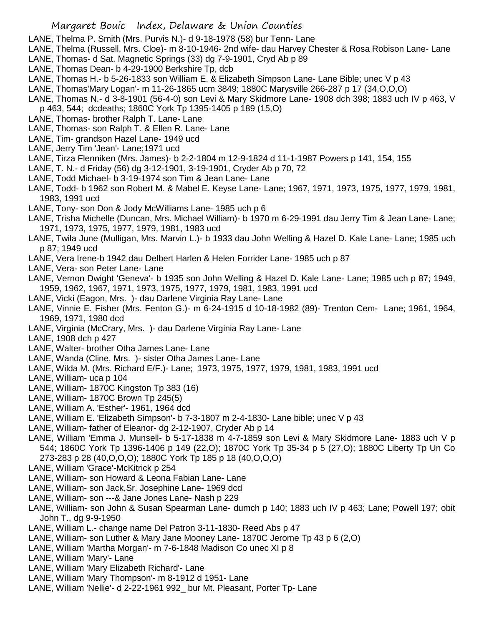LANE, Thelma P. Smith (Mrs. Purvis N.)- d 9-18-1978 (58) bur Tenn- Lane

- LANE, Thelma (Russell, Mrs. Cloe)- m 8-10-1946- 2nd wife- dau Harvey Chester & Rosa Robison Lane- Lane
- LANE, Thomas- d Sat. Magnetic Springs (33) dg 7-9-1901, Cryd Ab p 89
- LANE, Thomas Dean- b 4-29-1900 Berkshire Tp, dcb
- LANE, Thomas H.- b 5-26-1833 son William E. & Elizabeth Simpson Lane- Lane Bible; unec V p 43

LANE, Thomas'Mary Logan'- m 11-26-1865 ucm 3849; 1880C Marysville 266-287 p 17 (34,O,O,O)

- LANE, Thomas N.- d 3-8-1901 (56-4-0) son Levi & Mary Skidmore Lane- 1908 dch 398; 1883 uch IV p 463, V p 463, 544; dcdeaths; 1860C York Tp 1395-1405 p 189 (15,O)
- LANE, Thomas- brother Ralph T. Lane- Lane
- LANE, Thomas- son Ralph T. & Ellen R. Lane- Lane
- LANE, Tim- grandson Hazel Lane- 1949 ucd
- LANE, Jerry Tim 'Jean'- Lane;1971 ucd
- LANE, Tirza Flenniken (Mrs. James)- b 2-2-1804 m 12-9-1824 d 11-1-1987 Powers p 141, 154, 155
- LANE, T. N.- d Friday (56) dg 3-12-1901, 3-19-1901, Cryder Ab p 70, 72
- LANE, Todd Michael- b 3-19-1974 son Tim & Jean Lane- Lane
- LANE, Todd- b 1962 son Robert M. & Mabel E. Keyse Lane- Lane; 1967, 1971, 1973, 1975, 1977, 1979, 1981, 1983, 1991 ucd
- LANE, Tony- son Don & Jody McWilliams Lane- 1985 uch p 6
- LANE, Trisha Michelle (Duncan, Mrs. Michael William)- b 1970 m 6-29-1991 dau Jerry Tim & Jean Lane- Lane; 1971, 1973, 1975, 1977, 1979, 1981, 1983 ucd
- LANE, Twila June (Mulligan, Mrs. Marvin L.)- b 1933 dau John Welling & Hazel D. Kale Lane- Lane; 1985 uch p 87; 1949 ucd
- LANE, Vera Irene-b 1942 dau Delbert Harlen & Helen Forrider Lane- 1985 uch p 87
- LANE, Vera- son Peter Lane- Lane
- LANE, Vernon Dwight 'Geneva'- b 1935 son John Welling & Hazel D. Kale Lane- Lane; 1985 uch p 87; 1949, 1959, 1962, 1967, 1971, 1973, 1975, 1977, 1979, 1981, 1983, 1991 ucd
- LANE, Vicki (Eagon, Mrs. )- dau Darlene Virginia Ray Lane- Lane
- LANE, Vinnie E. Fisher (Mrs. Fenton G.)- m 6-24-1915 d 10-18-1982 (89)- Trenton Cem- Lane; 1961, 1964, 1969, 1971, 1980 dcd
- LANE, Virginia (McCrary, Mrs. )- dau Darlene Virginia Ray Lane- Lane
- LANE, 1908 dch p 427
- LANE, Walter- brother Otha James Lane- Lane
- LANE, Wanda (Cline, Mrs. )- sister Otha James Lane- Lane
- LANE, Wilda M. (Mrs. Richard E/F.)- Lane; 1973, 1975, 1977, 1979, 1981, 1983, 1991 ucd
- LANE, William- uca p 104
- LANE, William- 1870C Kingston Tp 383 (16)
- LANE, William- 1870C Brown Tp 245(5)
- LANE, William A. 'Esther'- 1961, 1964 dcd
- LANE, William E. 'Elizabeth Simpson'- b 7-3-1807 m 2-4-1830- Lane bible; unec V p 43
- LANE, William- father of Eleanor- dg 2-12-1907, Cryder Ab p 14
- LANE, William 'Emma J. Munsell- b 5-17-1838 m 4-7-1859 son Levi & Mary Skidmore Lane- 1883 uch V p 544; 1860C York Tp 1396-1406 p 149 (22,O); 1870C York Tp 35-34 p 5 (27,O); 1880C Liberty Tp Un Co 273-283 p 28 (40,O,O,O); 1880C York Tp 185 p 18 (40,O,O,O)
- LANE, William 'Grace'-McKitrick p 254
- LANE, William- son Howard & Leona Fabian Lane- Lane
- LANE, William- son Jack,Sr. Josephine Lane- 1969 dcd
- LANE, William- son ---& Jane Jones Lane- Nash p 229
- LANE, William- son John & Susan Spearman Lane- dumch p 140; 1883 uch IV p 463; Lane; Powell 197; obit John T., dg 9-9-1950
- LANE, William L.- change name Del Patron 3-11-1830- Reed Abs p 47
- LANE, William- son Luther & Mary Jane Mooney Lane- 1870C Jerome Tp 43 p 6 (2,O)
- LANE, William 'Martha Morgan'- m 7-6-1848 Madison Co unec XI p 8
- LANE, William 'Mary'- Lane
- LANE, William 'Mary Elizabeth Richard'- Lane
- LANE, William 'Mary Thompson'- m 8-1912 d 1951- Lane
- LANE, William 'Nellie'- d 2-22-1961 992\_ bur Mt. Pleasant, Porter Tp- Lane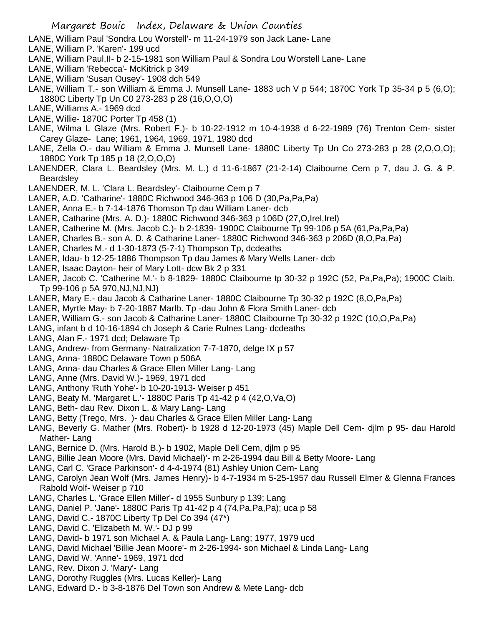- LANE, William Paul 'Sondra Lou Worstell'- m 11-24-1979 son Jack Lane- Lane
- LANE, William P. 'Karen'- 199 ucd
- LANE, William Paul,II- b 2-15-1981 son William Paul & Sondra Lou Worstell Lane- Lane
- LANE, William 'Rebecca'- McKitrick p 349
- LANE, William 'Susan Ousey'- 1908 dch 549
- LANE, William T.- son William & Emma J. Munsell Lane- 1883 uch V p 544; 1870C York Tp 35-34 p 5 (6,O); 1880C Liberty Tp Un C0 273-283 p 28 (16,O,O,O)
- LANE, Williams A.- 1969 dcd
- LANE, Willie- 1870C Porter Tp 458 (1)
- LANE, Wilma L Glaze (Mrs. Robert F.)- b 10-22-1912 m 10-4-1938 d 6-22-1989 (76) Trenton Cem- sister Carey Glaze- Lane; 1961, 1964, 1969, 1971, 1980 dcd
- LANE, Zella O.- dau William & Emma J. Munsell Lane- 1880C Liberty Tp Un Co 273-283 p 28 (2,O,O,O); 1880C York Tp 185 p 18 (2,O,O,O)
- LANENDER, Clara L. Beardsley (Mrs. M. L.) d 11-6-1867 (21-2-14) Claibourne Cem p 7, dau J. G. & P. Beardsley
- LANENDER, M. L. 'Clara L. Beardsley'- Claibourne Cem p 7
- LANER, A.D. 'Catharine'- 1880C Richwood 346-363 p 106 D (30,Pa,Pa,Pa)
- LANER, Anna E.- b 7-14-1876 Thomson Tp dau William Laner- dcb
- LANER, Catharine (Mrs. A. D.)- 1880C Richwood 346-363 p 106D (27,O,Irel,Irel)
- LANER, Catherine M. (Mrs. Jacob C.)- b 2-1839- 1900C Claibourne Tp 99-106 p 5A (61,Pa,Pa,Pa)
- LANER, Charles B.- son A. D. & Catharine Laner- 1880C Richwood 346-363 p 206D (8,O,Pa,Pa)
- LANER, Charles M.- d 1-30-1873 (5-7-1) Thompson Tp, dcdeaths
- LANER, Idau- b 12-25-1886 Thompson Tp dau James & Mary Wells Laner- dcb
- LANER, Isaac Dayton- heir of Mary Lott- dcw Bk 2 p 331
- LANER, Jacob C. 'Catherine M.'- b 8-1829- 1880C Claibourne tp 30-32 p 192C (52, Pa,Pa,Pa); 1900C Claib. Tp 99-106 p 5A 970,NJ,NJ,NJ)
- LANER, Mary E.- dau Jacob & Catharine Laner- 1880C Claibourne Tp 30-32 p 192C (8,O,Pa,Pa)
- LANER, Myrtle May- b 7-20-1887 Marlb. Tp -dau John & Flora Smith Laner- dcb
- LANER, William G.- son Jacob & Catharine Laner- 1880C Claibourne Tp 30-32 p 192C (10,O,Pa,Pa)
- LANG, infant b d 10-16-1894 ch Joseph & Carie Rulnes Lang- dcdeaths
- LANG, Alan F.- 1971 dcd; Delaware Tp
- LANG, Andrew- from Germany- Natralization 7-7-1870, delge IX p 57
- LANG, Anna- 1880C Delaware Town p 506A
- LANG, Anna- dau Charles & Grace Ellen Miller Lang- Lang
- LANG, Anne (Mrs. David W.)- 1969, 1971 dcd
- LANG, Anthony 'Ruth Yohe'- b 10-20-1913- Weiser p 451
- LANG, Beaty M. 'Margaret L.'- 1880C Paris Tp 41-42 p 4 (42,O,Va,O)
- LANG, Beth- dau Rev. Dixon L. & Mary Lang- Lang
- LANG, Betty (Trego, Mrs. )- dau Charles & Grace Ellen Miller Lang- Lang
- LANG, Beverly G. Mather (Mrs. Robert)- b 1928 d 12-20-1973 (45) Maple Dell Cem- djlm p 95- dau Harold Mather- Lang
- LANG, Bernice D. (Mrs. Harold B.)- b 1902, Maple Dell Cem, djlm p 95
- LANG, Billie Jean Moore (Mrs. David Michael)'- m 2-26-1994 dau Bill & Betty Moore- Lang
- LANG, Carl C. 'Grace Parkinson'- d 4-4-1974 (81) Ashley Union Cem- Lang
- LANG, Carolyn Jean Wolf (Mrs. James Henry)- b 4-7-1934 m 5-25-1957 dau Russell Elmer & Glenna Frances Rabold Wolf- Weiser p 710
- LANG, Charles L. 'Grace Ellen Miller'- d 1955 Sunbury p 139; Lang
- LANG, Daniel P. 'Jane'- 1880C Paris Tp 41-42 p 4 (74,Pa,Pa,Pa); uca p 58
- LANG, David C.- 1870C Liberty Tp Del Co 394 (47\*)
- LANG, David C. 'Elizabeth M. W.'- DJ p 99
- LANG, David- b 1971 son Michael A. & Paula Lang- Lang; 1977, 1979 ucd
- LANG, David Michael 'Billie Jean Moore'- m 2-26-1994- son Michael & Linda Lang- Lang
- LANG, David W. 'Anne'- 1969, 1971 dcd
- LANG, Rev. Dixon J. 'Mary'- Lang
- LANG, Dorothy Ruggles (Mrs. Lucas Keller)- Lang
- LANG, Edward D.- b 3-8-1876 Del Town son Andrew & Mete Lang- dcb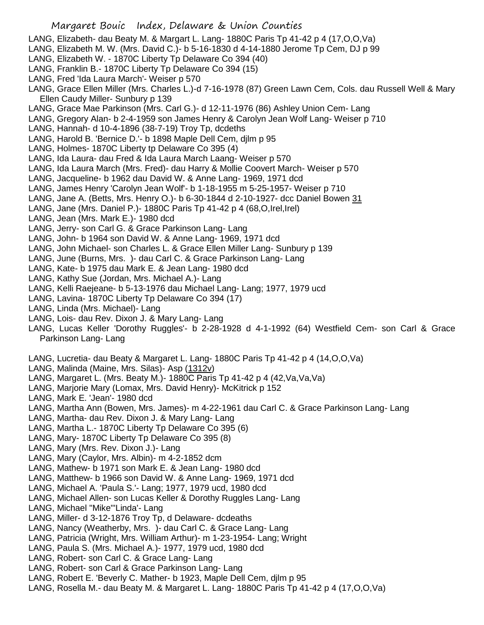- LANG, Elizabeth- dau Beaty M. & Margart L. Lang- 1880C Paris Tp 41-42 p 4 (17,O,O,Va)
- LANG, Elizabeth M. W. (Mrs. David C.)- b 5-16-1830 d 4-14-1880 Jerome Tp Cem, DJ p 99
- LANG, Elizabeth W. 1870C Liberty Tp Delaware Co 394 (40)
- LANG, Franklin B.- 1870C Liberty Tp Delaware Co 394 (15)
- LANG, Fred 'Ida Laura March'- Weiser p 570
- LANG, Grace Ellen Miller (Mrs. Charles L.)-d 7-16-1978 (87) Green Lawn Cem, Cols. dau Russell Well & Mary Ellen Caudy Miller- Sunbury p 139
- LANG, Grace Mae Parkinson (Mrs. Carl G.)- d 12-11-1976 (86) Ashley Union Cem- Lang
- LANG, Gregory Alan- b 2-4-1959 son James Henry & Carolyn Jean Wolf Lang- Weiser p 710
- LANG, Hannah- d 10-4-1896 (38-7-19) Troy Tp, dcdeths
- LANG, Harold B. 'Bernice D.'- b 1898 Maple Dell Cem, djlm p 95
- LANG, Holmes- 1870C Liberty tp Delaware Co 395 (4)
- LANG, Ida Laura- dau Fred & Ida Laura March Laang- Weiser p 570
- LANG, Ida Laura March (Mrs. Fred)- dau Harry & Mollie Coovert March- Weiser p 570
- LANG, Jacqueline- b 1962 dau David W. & Anne Lang- 1969, 1971 dcd
- LANG, James Henry 'Carolyn Jean Wolf'- b 1-18-1955 m 5-25-1957- Weiser p 710
- LANG, Jane A. (Betts, Mrs. Henry O.)- b 6-30-1844 d 2-10-1927- dcc Daniel Bowen 31
- LANG, Jane (Mrs. Daniel P.)- 1880C Paris Tp 41-42 p 4 (68,O,Irel,Irel)
- LANG, Jean (Mrs. Mark E.)- 1980 dcd
- LANG, Jerry- son Carl G. & Grace Parkinson Lang- Lang
- LANG, John- b 1964 son David W. & Anne Lang- 1969, 1971 dcd
- LANG, John Michael- son Charles L. & Grace Ellen Miller Lang- Sunbury p 139
- LANG, June (Burns, Mrs. )- dau Carl C. & Grace Parkinson Lang- Lang
- LANG, Kate- b 1975 dau Mark E. & Jean Lang- 1980 dcd
- LANG, Kathy Sue (Jordan, Mrs. Michael A.)- Lang
- LANG, Kelli Raejeane- b 5-13-1976 dau Michael Lang- Lang; 1977, 1979 ucd
- LANG, Lavina- 1870C Liberty Tp Delaware Co 394 (17)
- LANG, Linda (Mrs. Michael)- Lang
- LANG, Lois- dau Rev. Dixon J. & Mary Lang- Lang
- LANG, Lucas Keller 'Dorothy Ruggles'- b 2-28-1928 d 4-1-1992 (64) Westfield Cem- son Carl & Grace Parkinson Lang- Lang
- LANG, Lucretia- dau Beaty & Margaret L. Lang- 1880C Paris Tp 41-42 p 4 (14,O,O,Va)
- LANG, Malinda (Maine, Mrs. Silas)- Asp (1312v)
- LANG, Margaret L. (Mrs. Beaty M.)- 1880C Paris Tp 41-42 p 4 (42,Va,Va,Va)
- LANG, Marjorie Mary (Lomax, Mrs. David Henry)- McKitrick p 152
- LANG, Mark E. 'Jean'- 1980 dcd
- LANG, Martha Ann (Bowen, Mrs. James)- m 4-22-1961 dau Carl C. & Grace Parkinson Lang- Lang
- LANG, Martha- dau Rev. Dixon J. & Mary Lang- Lang
- LANG, Martha L.- 1870C Liberty Tp Delaware Co 395 (6)
- LANG, Mary- 1870C Liberty Tp Delaware Co 395 (8)
- LANG, Mary (Mrs. Rev. Dixon J.)- Lang
- LANG, Mary (Caylor, Mrs. Albin)- m 4-2-1852 dcm
- LANG, Mathew- b 1971 son Mark E. & Jean Lang- 1980 dcd
- LANG, Matthew- b 1966 son David W. & Anne Lang- 1969, 1971 dcd
- LANG, Michael A. 'Paula S.'- Lang; 1977, 1979 ucd, 1980 dcd
- LANG, Michael Allen- son Lucas Keller & Dorothy Ruggles Lang- Lang
- LANG, Michael "Mike"'Linda'- Lang
- LANG, Miller- d 3-12-1876 Troy Tp, d Delaware- dcdeaths
- LANG, Nancy (Weatherby, Mrs. )- dau Carl C. & Grace Lang- Lang
- LANG, Patricia (Wright, Mrs. William Arthur)- m 1-23-1954- Lang; Wright
- LANG, Paula S. (Mrs. Michael A.)- 1977, 1979 ucd, 1980 dcd
- LANG, Robert- son Carl C. & Grace Lang- Lang
- LANG, Robert- son Carl & Grace Parkinson Lang- Lang
- LANG, Robert E. 'Beverly C. Mather- b 1923, Maple Dell Cem, djlm p 95
- LANG, Rosella M.- dau Beaty M. & Margaret L. Lang- 1880C Paris Tp 41-42 p 4 (17,O,O,Va)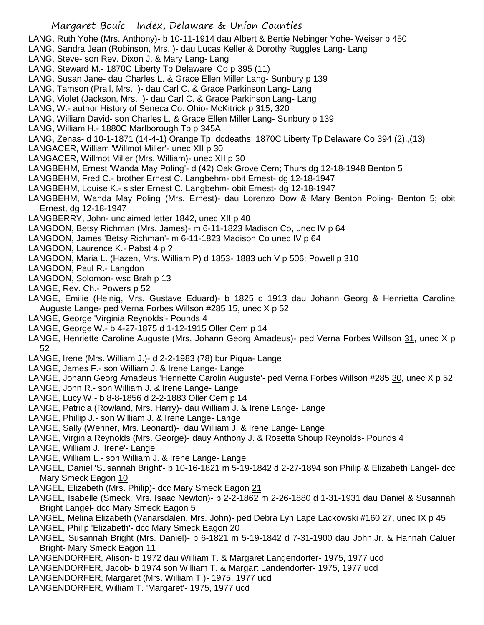LANG, Ruth Yohe (Mrs. Anthony)- b 10-11-1914 dau Albert & Bertie Nebinger Yohe- Weiser p 450

- LANG, Sandra Jean (Robinson, Mrs. )- dau Lucas Keller & Dorothy Ruggles Lang- Lang
- LANG, Steve- son Rev. Dixon J. & Mary Lang- Lang
- LANG, Steward M.- 1870C Liberty Tp Delaware Co p 395 (11)
- LANG, Susan Jane- dau Charles L. & Grace Ellen Miller Lang- Sunbury p 139
- LANG, Tamson (Prall, Mrs. )- dau Carl C. & Grace Parkinson Lang- Lang
- LANG, Violet (Jackson, Mrs. )- dau Carl C. & Grace Parkinson Lang- Lang
- LANG, W.- author History of Seneca Co. Ohio- McKitrick p 315, 320
- LANG, William David- son Charles L. & Grace Ellen Miller Lang- Sunbury p 139
- LANG, William H.- 1880C Marlborough Tp p 345A

LANG, Zenas- d 10-1-1871 (14-4-1) Orange Tp, dcdeaths; 1870C Liberty Tp Delaware Co 394 (2),,(13)

- LANGACER, William 'Willmot Miller'- unec XII p 30
- LANGACER, Willmot Miller (Mrs. William)- unec XII p 30
- LANGBEHM, Ernest 'Wanda May Poling'- d (42) Oak Grove Cem; Thurs dg 12-18-1948 Benton 5
- LANGBEHM, Fred C.- brother Ernest C. Langbehm- obit Ernest- dg 12-18-1947
- LANGBEHM, Louise K.- sister Ernest C. Langbehm- obit Ernest- dg 12-18-1947
- LANGBEHM, Wanda May Poling (Mrs. Ernest)- dau Lorenzo Dow & Mary Benton Poling- Benton 5; obit Ernest, dg 12-18-1947
- LANGBERRY, John- unclaimed letter 1842, unec XII p 40
- LANGDON, Betsy Richman (Mrs. James)- m 6-11-1823 Madison Co, unec IV p 64
- LANGDON, James 'Betsy Richman'- m 6-11-1823 Madison Co unec IV p 64
- LANGDON, Laurence K.- Pabst 4 p ?
- LANGDON, Maria L. (Hazen, Mrs. William P) d 1853- 1883 uch V p 506; Powell p 310
- LANGDON, Paul R.- Langdon
- LANGDON, Solomon- wsc Brah p 13
- LANGE, Rev. Ch.- Powers p 52
- LANGE, Emilie (Heinig, Mrs. Gustave Eduard)- b 1825 d 1913 dau Johann Georg & Henrietta Caroline Auguste Lange- ped Verna Forbes Willson #285 15, unec X p 52
- LANGE, George 'Virginia Reynolds'- Pounds 4
- LANGE, George W.- b 4-27-1875 d 1-12-1915 Oller Cem p 14
- LANGE, Henriette Caroline Auguste (Mrs. Johann Georg Amadeus)- ped Verna Forbes Willson 31, unec X p 52
- LANGE, Irene (Mrs. William J.)- d 2-2-1983 (78) bur Piqua- Lange
- LANGE, James F.- son William J. & Irene Lange- Lange
- LANGE, Johann Georg Amadeus 'Henriette Carolin Auguste'- ped Verna Forbes Willson #285 30, unec X p 52
- LANGE, John R.- son William J. & Irene Lange- Lange
- LANGE, Lucy W.- b 8-8-1856 d 2-2-1883 Oller Cem p 14
- LANGE, Patricia (Rowland, Mrs. Harry)- dau William J. & Irene Lange- Lange
- LANGE, Phillip J.- son William J. & Irene Lange- Lange
- LANGE, Sally (Wehner, Mrs. Leonard)- dau William J. & Irene Lange- Lange
- LANGE, Virginia Reynolds (Mrs. George)- dauy Anthony J. & Rosetta Shoup Reynolds- Pounds 4
- LANGE, William J. 'Irene'- Lange
- LANGE, William L.- son William J. & Irene Lange- Lange
- LANGEL, Daniel 'Susannah Bright'- b 10-16-1821 m 5-19-1842 d 2-27-1894 son Philip & Elizabeth Langel- dcc Mary Smeck Eagon 10
- LANGEL, Elizabeth (Mrs. Philip)- dcc Mary Smeck Eagon 21
- LANGEL, Isabelle (Smeck, Mrs. Isaac Newton)- b 2-2-1862 m 2-26-1880 d 1-31-1931 dau Daniel & Susannah Bright Langel- dcc Mary Smeck Eagon 5
- LANGEL, Melina Elizabeth (Vanarsdalen, Mrs. John)- ped Debra Lyn Lape Lackowski #160 27, unec IX p 45
- LANGEL, Philip 'Elizabeth'- dcc Mary Smeck Eagon 20
- LANGEL, Susannah Bright (Mrs. Daniel)- b 6-1821 m 5-19-1842 d 7-31-1900 dau John,Jr. & Hannah Caluer Bright- Mary Smeck Eagon 11
- LANGENDORFER, Alison- b 1972 dau William T. & Margaret Langendorfer- 1975, 1977 ucd
- LANGENDORFER, Jacob- b 1974 son William T. & Margart Landendorfer- 1975, 1977 ucd
- LANGENDORFER, Margaret (Mrs. William T.)- 1975, 1977 ucd
- LANGENDORFER, William T. 'Margaret'- 1975, 1977 ucd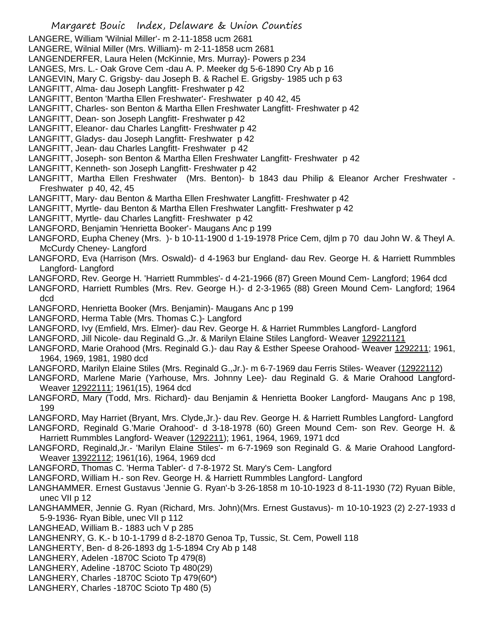LANGERE, William 'Wilnial Miller'- m 2-11-1858 ucm 2681

LANGERE, Wilnial Miller (Mrs. William)- m 2-11-1858 ucm 2681

LANGENDERFER, Laura Helen (McKinnie, Mrs. Murray)- Powers p 234

LANGES, Mrs. L.- Oak Grove Cem -dau A. P. Meeker dg 5-6-1890 Cry Ab p 16

LANGEVIN, Mary C. Grigsby- dau Joseph B. & Rachel E. Grigsby- 1985 uch p 63

LANGFITT, Alma- dau Joseph Langfitt- Freshwater p 42

- LANGFITT, Benton 'Martha Ellen Freshwater'- Freshwater p 40 42, 45
- LANGFITT, Charles- son Benton & Martha Ellen Freshwater Langfitt- Freshwater p 42
- LANGFITT, Dean- son Joseph Langfitt- Freshwater p 42
- LANGFITT, Eleanor- dau Charles Langfitt- Freshwater p 42
- LANGFITT, Gladys- dau Joseph Langfitt- Freshwater p 42
- LANGFITT, Jean- dau Charles Langfitt- Freshwater p 42
- LANGFITT, Joseph- son Benton & Martha Ellen Freshwater Langfitt- Freshwater p 42
- LANGFITT, Kenneth- son Joseph Langfitt- Freshwater p 42
- LANGFITT, Martha Ellen Freshwater (Mrs. Benton)- b 1843 dau Philip & Eleanor Archer Freshwater Freshwater p 40, 42, 45
- LANGFITT, Mary- dau Benton & Martha Ellen Freshwater Langfitt- Freshwater p 42
- LANGFITT, Myrtle- dau Benton & Martha Ellen Freshwater Langfitt- Freshwater p 42
- LANGFITT, Myrtle- dau Charles Langfitt- Freshwater p 42
- LANGFORD, Benjamin 'Henrietta Booker'- Maugans Anc p 199
- LANGFORD, Eupha Cheney (Mrs. )- b 10-11-1900 d 1-19-1978 Price Cem, djlm p 70 dau John W. & Theyl A. McCurdy Cheney- Langford
- LANGFORD, Eva (Harrison (Mrs. Oswald)- d 4-1963 bur England- dau Rev. George H. & Harriett Rummbles Langford- Langford
- LANGFORD, Rev. George H. 'Harriett Rummbles'- d 4-21-1966 (87) Green Mound Cem- Langford; 1964 dcd
- LANGFORD, Harriett Rumbles (Mrs. Rev. George H.)- d 2-3-1965 (88) Green Mound Cem- Langford; 1964 dcd
- LANGFORD, Henrietta Booker (Mrs. Benjamin)- Maugans Anc p 199
- LANGFORD, Herma Table (Mrs. Thomas C.)- Langford
- LANGFORD, Ivy (Emfield, Mrs. Elmer)- dau Rev. George H. & Harriet Rummbles Langford- Langford
- LANGFORD, Jill Nicole- dau Reginald G.,Jr. & Marilyn Elaine Stiles Langford- Weaver 129221121
- LANGFORD, Marie Orahood (Mrs. Reginald G.)- dau Ray & Esther Speese Orahood- Weaver 1292211; 1961, 1964, 1969, 1981, 1980 dcd
- LANGFORD, Marilyn Elaine Stiles (Mrs. Reginald G.,Jr.)- m 6-7-1969 dau Ferris Stiles- Weaver (12922112)
- LANGFORD, Marlene Marie (Yarhouse, Mrs. Johnny Lee)- dau Reginald G. & Marie Orahood Langford-Weaver 12922111; 1961(15), 1964 dcd
- LANGFORD, Mary (Todd, Mrs. Richard)- dau Benjamin & Henrietta Booker Langford- Maugans Anc p 198, 199
- LANGFORD, May Harriet (Bryant, Mrs. Clyde,Jr.)- dau Rev. George H. & Harriett Rumbles Langford- Langford
- LANGFORD, Reginald G.'Marie Orahood'- d 3-18-1978 (60) Green Mound Cem- son Rev. George H. & Harriett Rummbles Langford- Weaver (1292211); 1961, 1964, 1969, 1971 dcd
- LANGFORD, Reginald,Jr.- 'Marilyn Elaine Stiles'- m 6-7-1969 son Reginald G. & Marie Orahood Langford-Weaver 13922112; 1961(16), 1964, 1969 dcd
- LANGFORD, Thomas C. 'Herma Tabler'- d 7-8-1972 St. Mary's Cem- Langford
- LANGFORD, William H.- son Rev. George H. & Harriett Rummbles Langford- Langford
- LANGHAMMER. Ernest Gustavus 'Jennie G. Ryan'-b 3-26-1858 m 10-10-1923 d 8-11-1930 (72) Ryuan Bible, unec VII p 12
- LANGHAMMER, Jennie G. Ryan (Richard, Mrs. John)(Mrs. Ernest Gustavus)- m 10-10-1923 (2) 2-27-1933 d 5-9-1936- Ryan Bible, unec VII p 112
- LANGHEAD, William B.- 1883 uch V p 285
- LANGHENRY, G. K.- b 10-1-1799 d 8-2-1870 Genoa Tp, Tussic, St. Cem, Powell 118
- LANGHERTY, Ben- d 8-26-1893 dg 1-5-1894 Cry Ab p 148
- LANGHERY, Adelen -1870C Scioto Tp 479(8)
- LANGHERY, Adeline -1870C Scioto Tp 480(29)
- LANGHERY, Charles -1870C Scioto Tp 479(60\*)
- LANGHERY, Charles -1870C Scioto Tp 480 (5)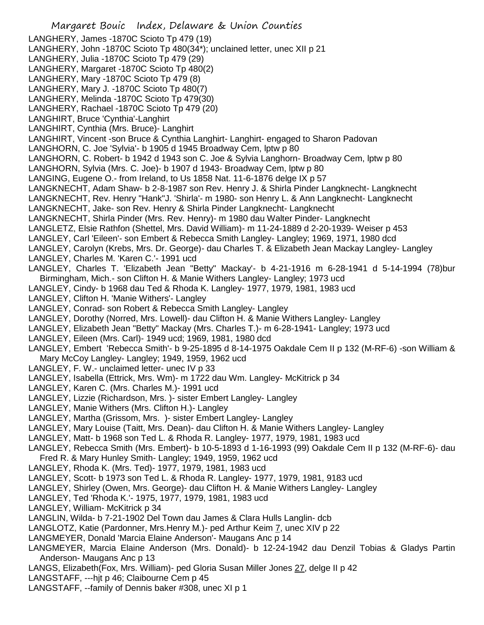Margaret Bouic Index, Delaware & Union Counties LANGHERY, James -1870C Scioto Tp 479 (19) LANGHERY, John -1870C Scioto Tp 480(34\*); unclained letter, unec XII p 21 LANGHERY, Julia -1870C Scioto Tp 479 (29) LANGHERY, Margaret -1870C Scioto Tp 480(2) LANGHERY, Mary -1870C Scioto Tp 479 (8) LANGHERY, Mary J. -1870C Scioto Tp 480(7) LANGHERY, Melinda -1870C Scioto Tp 479(30) LANGHERY, Rachael -1870C Scioto Tp 479 (20) LANGHIRT, Bruce 'Cynthia'-Langhirt LANGHIRT, Cynthia (Mrs. Bruce)- Langhirt LANGHIRT, Vincent -son Bruce & Cynthia Langhirt- Langhirt- engaged to Sharon Padovan LANGHORN, C. Joe 'Sylvia'- b 1905 d 1945 Broadway Cem, lptw p 80 LANGHORN, C. Robert- b 1942 d 1943 son C. Joe & Sylvia Langhorn- Broadway Cem, lptw p 80 LANGHORN, Sylvia (Mrs. C. Joe)- b 1907 d 1943- Broadway Cem, lptw p 80 LANGING, Eugene O.- from Ireland, to Us 1858 Nat. 11-6-1876 delge IX p 57 LANGKNECHT, Adam Shaw- b 2-8-1987 son Rev. Henry J. & Shirla Pinder Langknecht- Langknecht LANGKNECHT, Rev. Henry "Hank"J. 'Shirla'- m 1980- son Henry L. & Ann Langknecht- Langknecht LANGKNECHT, Jake- son Rev. Henry & Shirla Pinder Langknecht- Langknecht LANGKNECHT, Shirla Pinder (Mrs. Rev. Henry)- m 1980 dau Walter Pinder- Langknecht LANGLETZ, Elsie Rathfon (Shettel, Mrs. David William)- m 11-24-1889 d 2-20-1939- Weiser p 453 LANGLEY, Carl 'Eileen'- son Embert & Rebecca Smith Langley- Langley; 1969, 1971, 1980 dcd LANGLEY, Carolyn (Krebs, Mrs. Dr. George)- dau Charles T. & Elizabeth Jean Mackay Langley- Langley LANGLEY, Charles M. 'Karen C.'- 1991 ucd LANGLEY, Charles T. 'Elizabeth Jean "Betty" Mackay'- b 4-21-1916 m 6-28-1941 d 5-14-1994 (78)bur Birmingham, Mich.- son Clifton H. & Manie Withers Langley- Langley; 1973 ucd LANGLEY, Cindy- b 1968 dau Ted & Rhoda K. Langley- 1977, 1979, 1981, 1983 ucd LANGLEY, Clifton H. 'Manie Withers'- Langley LANGLEY, Conrad- son Robert & Rebecca Smith Langley- Langley LANGLEY, Dorothy (Norred, Mrs. Lowell)- dau Clifton H. & Manie Withers Langley- Langley LANGLEY, Elizabeth Jean "Betty" Mackay (Mrs. Charles T.)- m 6-28-1941- Langley; 1973 ucd LANGLEY, Eileen (Mrs. Carl)- 1949 ucd; 1969, 1981, 1980 dcd LANGLEY, Embert 'Rebecca Smith'- b 9-25-1895 d 8-14-1975 Oakdale Cem II p 132 (M-RF-6) -son William & Mary McCoy Langley- Langley; 1949, 1959, 1962 ucd LANGLEY, F. W.- unclaimed letter- unec IV p 33 LANGLEY, Isabella (Ettrick, Mrs. Wm)- m 1722 dau Wm. Langley- McKitrick p 34 LANGLEY, Karen C. (Mrs. Charles M.)- 1991 ucd LANGLEY, Lizzie (Richardson, Mrs. )- sister Embert Langley- Langley LANGLEY, Manie Withers (Mrs. Clifton H.)- Langley LANGLEY, Martha (Grissom, Mrs. )- sister Embert Langley- Langley LANGLEY, Mary Louise (Taitt, Mrs. Dean)- dau Clifton H. & Manie Withers Langley- Langley LANGLEY, Matt- b 1968 son Ted L. & Rhoda R. Langley- 1977, 1979, 1981, 1983 ucd LANGLEY, Rebecca Smith (Mrs. Embert)- b 10-5-1893 d 1-16-1993 (99) Oakdale Cem II p 132 (M-RF-6)- dau Fred R. & Mary Hunley Smith- Langley; 1949, 1959, 1962 ucd LANGLEY, Rhoda K. (Mrs. Ted)- 1977, 1979, 1981, 1983 ucd LANGLEY, Scott- b 1973 son Ted L. & Rhoda R. Langley- 1977, 1979, 1981, 9183 ucd LANGLEY, Shirley (Owen, Mrs. George)- dau Clifton H. & Manie Withers Langley- Langley LANGLEY, Ted 'Rhoda K.'- 1975, 1977, 1979, 1981, 1983 ucd LANGLEY, William- McKitrick p 34 LANGLIN, Wilda- b 7-21-1902 Del Town dau James & Clara Hulls Langlin- dcb LANGLOTZ, Katie (Pardonner, Mrs.Henry M.)- ped Arthur Keim 7, unec XIV p 22 LANGMEYER, Donald 'Marcia Elaine Anderson'- Maugans Anc p 14 LANGMEYER, Marcia Elaine Anderson (Mrs. Donald)- b 12-24-1942 dau Denzil Tobias & Gladys Partin Anderson- Maugans Anc p 13 LANGS, Elizabeth(Fox, Mrs. William)- ped Gloria Susan Miller Jones 27, delge II p 42 LANGSTAFF, ---hjt p 46; Claibourne Cem p 45

LANGSTAFF, --family of Dennis baker #308, unec XI p 1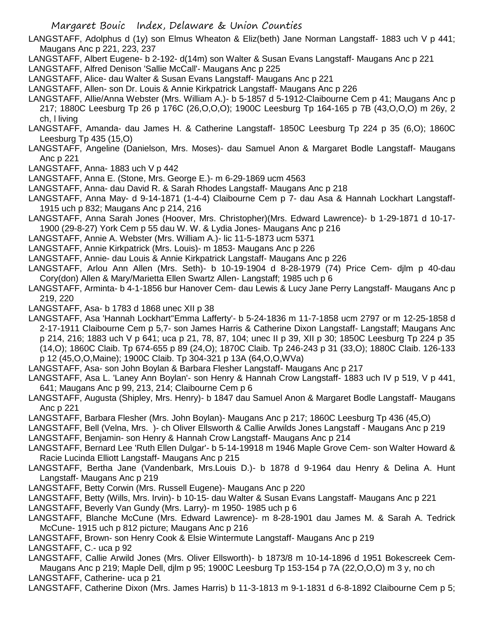LANGSTAFF, Adolphus d (1y) son Elmus Wheaton & Eliz(beth) Jane Norman Langstaff- 1883 uch V p 441; Maugans Anc p 221, 223, 237

- LANGSTAFF, Albert Eugene- b 2-192- d(14m) son Walter & Susan Evans Langstaff- Maugans Anc p 221
- LANGSTAFF, Alfred Denison 'Sallie McCall'- Maugans Anc p 225
- LANGSTAFF, Alice- dau Walter & Susan Evans Langstaff- Maugans Anc p 221
- LANGSTAFF, Allen- son Dr. Louis & Annie Kirkpatrick Langstaff- Maugans Anc p 226
- LANGSTAFF, Allie/Anna Webster (Mrs. William A.)- b 5-1857 d 5-1912-Claibourne Cem p 41; Maugans Anc p 217; 1880C Leesburg Tp 26 p 176C (26,O,O,O); 1900C Leesburg Tp 164-165 p 7B (43,O,O,O) m 26y, 2 ch, l living
- LANGSTAFF, Amanda- dau James H. & Catherine Langstaff- 1850C Leesburg Tp 224 p 35 (6,O); 1860C Leesburg Tp 435 (15,O)
- LANGSTAFF, Angeline (Danielson, Mrs. Moses)- dau Samuel Anon & Margaret Bodle Langstaff- Maugans Anc p 221
- LANGSTAFF, Anna- 1883 uch V p 442
- LANGSTAFF, Anna E. (Stone, Mrs. George E.)- m 6-29-1869 ucm 4563
- LANGSTAFF, Anna- dau David R. & Sarah Rhodes Langstaff- Maugans Anc p 218
- LANGSTAFF, Anna May- d 9-14-1871 (1-4-4) Claibourne Cem p 7- dau Asa & Hannah Lockhart Langstaff-1915 uch p 832; Maugans Anc p 214, 216
- LANGSTAFF, Anna Sarah Jones (Hoover, Mrs. Christopher)(Mrs. Edward Lawrence)- b 1-29-1871 d 10-17- 1900 (29-8-27) York Cem p 55 dau W. W. & Lydia Jones- Maugans Anc p 216
- LANGSTAFF, Annie A. Webster (Mrs. William A.)- lic 11-5-1873 ucm 5371
- LANGSTAFF, Annie Kirkpatrick (Mrs. Louis)- m 1853- Maugans Anc p 226
- LANGSTAFF, Annie- dau Louis & Annie Kirkpatrick Langstaff- Maugans Anc p 226
- LANGSTAFF, Arlou Ann Allen (Mrs. Seth)- b 10-19-1904 d 8-28-1979 (74) Price Cem- djlm p 40-dau Cory(don) Allen & Mary/Marietta Ellen Swartz Allen- Langstaff; 1985 uch p 6
- LANGSTAFF, Arminta- b 4-1-1856 bur Hanover Cem- dau Lewis & Lucy Jane Perry Langstaff- Maugans Anc p 219, 220
- LANGSTAFF, Asa- b 1783 d 1868 unec XII p 38
- LANGSTAFF, Asa 'Hannah Lockhart''Emma Lafferty'- b 5-24-1836 m 11-7-1858 ucm 2797 or m 12-25-1858 d 2-17-1911 Claibourne Cem p 5,7- son James Harris & Catherine Dixon Langstaff- Langstaff; Maugans Anc p 214, 216; 1883 uch V p 641; uca p 21, 78, 87, 104; unec II p 39, XII p 30; 1850C Leesburg Tp 224 p 35 (14,O); 1860C Claib. Tp 674-655 p 89 (24,O); 1870C Claib. Tp 246-243 p 31 (33,O); 1880C Claib. 126-133 p 12 (45,O,O,Maine); 1900C Claib. Tp 304-321 p 13A (64,O,O,WVa)
- LANGSTAFF, Asa- son John Boylan & Barbara Flesher Langstaff- Maugans Anc p 217
- LANGSTAFF, Asa L. 'Laney Ann Boylan'- son Henry & Hannah Crow Langstaff- 1883 uch IV p 519, V p 441, 641; Maugans Anc p 99, 213, 214; Claibourne Cem p 6
- LANGSTAFF, Augusta (Shipley, Mrs. Henry)- b 1847 dau Samuel Anon & Margaret Bodle Langstaff- Maugans Anc p 221
- LANGSTAFF, Barbara Flesher (Mrs. John Boylan)- Maugans Anc p 217; 1860C Leesburg Tp 436 (45,O)
- LANGSTAFF, Bell (Velna, Mrs. )- ch Oliver Ellsworth & Callie Arwilds Jones Langstaff Maugans Anc p 219
- LANGSTAFF, Benjamin- son Henry & Hannah Crow Langstaff- Maugans Anc p 214
- LANGSTAFF, Bernard Lee 'Ruth Ellen Dulgar'- b 5-14-19918 m 1946 Maple Grove Cem- son Walter Howard & Racie Lucinda Elliott Langstaff- Maugans Anc p 215
- LANGSTAFF, Bertha Jane (Vandenbark, Mrs.Louis D.)- b 1878 d 9-1964 dau Henry & Delina A. Hunt Langstaff- Maugans Anc p 219
- LANGSTAFF, Betty Corwin (Mrs. Russell Eugene)- Maugans Anc p 220
- LANGSTAFF, Betty (Wills, Mrs. Irvin)- b 10-15- dau Walter & Susan Evans Langstaff- Maugans Anc p 221
- LANGSTAFF, Beverly Van Gundy (Mrs. Larry)- m 1950- 1985 uch p 6
- LANGSTAFF, Blanche McCune (Mrs. Edward Lawrence)- m 8-28-1901 dau James M. & Sarah A. Tedrick McCune- 1915 uch p 812 picture; Maugans Anc p 216
- LANGSTAFF, Brown- son Henry Cook & Elsie Wintermute Langstaff- Maugans Anc p 219
- LANGSTAFF, C.- uca p 92
- LANGSTAFF, Callie Arwild Jones (Mrs. Oliver Ellsworth)- b 1873/8 m 10-14-1896 d 1951 Bokescreek Cem-Maugans Anc p 219; Maple Dell, djlm p 95; 1900C Leesburg Tp 153-154 p 7A (22,O,O,O) m 3 y, no ch LANGSTAFF, Catherine- uca p 21
- LANGSTAFF, Catherine Dixon (Mrs. James Harris) b 11-3-1813 m 9-1-1831 d 6-8-1892 Claibourne Cem p 5;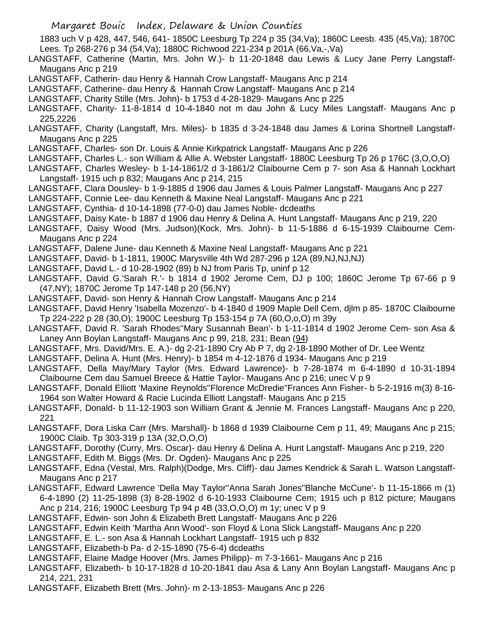Margaret Bouic Index, Delaware & Union Counties 1883 uch V p 428, 447, 546, 641- 1850C Leesburg Tp 224 p 35 (34,Va); 1860C Leesb. 435 (45,Va); 1870C Lees. Tp 268-276 p 34 (54,Va); 1880C Richwood 221-234 p 201A (66,Va,-,Va) LANGSTAFF, Catherine (Martin, Mrs. John W.)- b 11-20-1848 dau Lewis & Lucy Jane Perry Langstaff-Maugans Anc p 219 LANGSTAFF, Catherin- dau Henry & Hannah Crow Langstaff- Maugans Anc p 214 LANGSTAFF, Catherine- dau Henry & Hannah Crow Langstaff- Maugans Anc p 214 LANGSTAFF, Charity Stille (Mrs. John)- b 1753 d 4-28-1829- Maugans Anc p 225 LANGSTAFF, Charity- 11-8-1814 d 10-4-1840 not m dau John & Lucy Miles Langstaff- Maugans Anc p 225,2226 LANGSTAFF, Charity (Langstaff, Mrs. Miles)- b 1835 d 3-24-1848 dau James & Lorina Shortnell Langstaff-Maugans Anc p 225 LANGSTAFF, Charles- son Dr. Louis & Annie Kirkpatrick Langstaff- Maugans Anc p 226 LANGSTAFF, Charles L.- son William & Allie A. Webster Langstaff- 1880C Leesburg Tp 26 p 176C (3,O,O,O) LANGSTAFF, Charles Wesley- b 1-14-1861/2 d 3-1861/2 Claibourne Cem p 7- son Asa & Hannah Lockhart Langstaff- 1915 uch p 832; Maugans Anc p 214, 215 LANGSTAFF, Clara Dousley- b 1-9-1885 d 1906 dau James & Louis Palmer Langstaff- Maugans Anc p 227 LANGSTAFF, Connie Lee- dau Kenneth & Maxine Neal Langstaff- Maugans Anc p 221 LANGSTAFF, Cynthia- d 10-14-1898 (77-0-0) dau James Noble- dcdeaths LANGSTAFF, Daisy Kate- b 1887 d 1906 dau Henry & Delina A. Hunt Langstaff- Maugans Anc p 219, 220 LANGSTAFF, Daisy Wood (Mrs. Judson)(Kock, Mrs. John)- b 11-5-1886 d 6-15-1939 Claibourne Cem-Maugans Anc p 224 LANGSTAFF, Dalene June- dau Kenneth & Maxine Neal Langstaff- Maugans Anc p 221 LANGSTAFF, David- b 1-1811, 1900C Marysville 4th Wd 287-296 p 12A (89,NJ,NJ,NJ) LANGSTAFF, David L.- d 10-28-1902 (89) b NJ from Paris Tp, uninf p 12 LANGSTAFF, David G.'Sarah R.'- b 1814 d 1902 Jerome Cem, DJ p 100; 1860C Jerome Tp 67-66 p 9 (47,NY); 1870C Jerome Tp 147-148 p 20 (56,NY) LANGSTAFF, David- son Henry & Hannah Crow Langstaff- Maugans Anc p 214 LANGSTAFF, David Henry 'Isabella Mozenzo'- b 4-1840 d 1909 Maple Dell Cem, djlm p 85- 1870C Claibourne Tp 224-222 p 28 (30,O); 1900C Leesburg Tp 153-154 p 7A (60,O,o,O) m 39y LANGSTAFF, David R. 'Sarah Rhodes''Mary Susannah Bean'- b 1-11-1814 d 1902 Jerome Cem- son Asa & Laney Ann Boylan Langstaff- Maugans Anc p 99, 218, 231; Bean (94) LANGSTAFF, Mrs. David/Mrs. E. A.)- dg 2-21-1890 Cry Ab P 7, dg 2-18-1890 Mother of Dr. Lee Wentz LANGSTAFF, Delina A. Hunt (Mrs. Henry)- b 1854 m 4-12-1876 d 1934- Maugans Anc p 219 LANGSTAFF, Della May/Mary Taylor (Mrs. Edward Lawrence)- b 7-28-1874 m 6-4-1890 d 10-31-1894 Claibourne Cem dau Samuel Breece & Hattie Taylor- Maugans Anc p 216; unec V p 9 LANGSTAFF, Donald Elliott 'Maxine Reynolds''Florence McDredie''Frances Ann Fisher- b 5-2-1916 m(3) 8-16- 1964 son Walter Howard & Racie Lucinda Elliott Langstaff- Maugans Anc p 215 LANGSTAFF, Donald- b 11-12-1903 son William Grant & Jennie M. Frances Langstaff- Maugans Anc p 220, 221 LANGSTAFF, Dora Liska Carr (Mrs. Marshall)- b 1868 d 1939 Claibourne Cem p 11, 49; Maugans Anc p 215; 1900C Claib. Tp 303-319 p 13A (32,O,O,O) LANGSTAFF, Dorothy (Curry, Mrs. Oscar)- dau Henry & Delina A. Hunt Langstaff- Maugans Anc p 219, 220 LANGSTAFF, Edith M. Biggs (Mrs. Dr. Ogden)- Maugans Anc p 225 LANGSTAFF, Edna (Vestal, Mrs. Ralph)(Dodge, Mrs. Cliff)- dau James Kendrick & Sarah L. Watson Langstaff-Maugans Anc p 217 LANGSTAFF, Edward Lawrence 'Della May Taylor''Anna Sarah Jones''Blanche McCune'- b 11-15-1866 m (1) 6-4-1890 (2) 11-25-1898 (3) 8-28-1902 d 6-10-1933 Claibourne Cem; 1915 uch p 812 picture; Maugans Anc p 214, 216; 1900C Leesburg Tp 94 p 4B (33,O,O,O) m 1y; unec V p 9 LANGSTAFF, Edwin- son John & Elizabeth Brett Langstaff- Maugans Anc p 226

LANGSTAFF, Edwin Keith 'Martha Ann Wood'- son Floyd & Lona Slick Langstaff- Maugans Anc p 220

- LANGSTAFF, E. L.- son Asa & Hannah Lockhart Langstaff- 1915 uch p 832
- LANGSTAFF, Elizabeth-b Pa- d 2-15-1890 (75-6-4) dcdeaths
- LANGSTAFF, Elaine Madge Hoover (Mrs. James Philipp)- m 7-3-1661- Maugans Anc p 216

LANGSTAFF, Elizabeth- b 10-17-1828 d 10-20-1841 dau Asa & Lany Ann Boylan Langstaff- Maugans Anc p 214, 221, 231

LANGSTAFF, Elizabeth Brett (Mrs. John)- m 2-13-1853- Maugans Anc p 226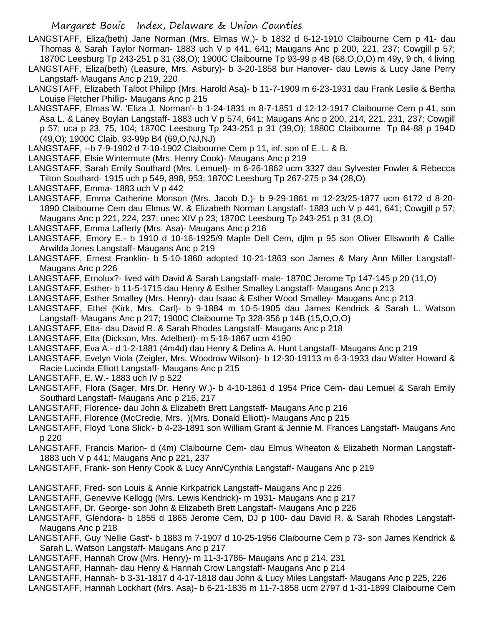- LANGSTAFF, Eliza(beth) Jane Norman (Mrs. Elmas W.)- b 1832 d 6-12-1910 Claibourne Cem p 41- dau Thomas & Sarah Taylor Norman- 1883 uch V p 441, 641; Maugans Anc p 200, 221, 237; Cowgill p 57; 1870C Leesburg Tp 243-251 p 31 (38,O); 1900C Claibourne Tp 93-99 p 4B (68,O,O,O) m 49y, 9 ch, 4 living
- LANGSTAFF, Eliza(beth) (Leasure, Mrs. Asbury)- b 3-20-1858 bur Hanover- dau Lewis & Lucy Jane Perry Langstaff- Maugans Anc p 219, 220
- LANGSTAFF, Elizabeth Talbot Philipp (Mrs. Harold Asa)- b 11-7-1909 m 6-23-1931 dau Frank Leslie & Bertha Louise Fletcher Phillip- Maugans Anc p 215
- LANGSTAFF, Elmas W. 'Eliza J. Norman'- b 1-24-1831 m 8-7-1851 d 12-12-1917 Claibourne Cem p 41, son Asa L. & Laney Boylan Langstaff- 1883 uch V p 574, 641; Maugans Anc p 200, 214, 221, 231, 237; Cowgill p 57; uca p 23, 75, 104; 1870C Leesburg Tp 243-251 p 31 (39,O); 1880C Claibourne Tp 84-88 p 194D (49,O); 1900C Claib. 93-99p B4 (69,O,NJ,NJ)
- LANGSTAFF, --b 7-9-1902 d 7-10-1902 Claibourne Cem p 11, inf. son of E. L. & B.
- LANGSTAFF, Elsie Wintermute (Mrs. Henry Cook)- Maugans Anc p 219
- LANGSTAFF, Sarah Emily Southard (Mrs. Lemuel)- m 6-26-1862 ucm 3327 dau Sylvester Fowler & Rebecca Tilton Southard- 1915 uch p 549, 898, 953; 1870C Leesburg Tp 267-275 p 34 (28,O)
- LANGSTAFF, Emma- 1883 uch V p 442
- LANGSTAFF, Emma Catherine Monson (Mrs. Jacob D.)- b 9-29-1861 m 12-23/25-1877 ucm 6172 d 8-20- 1890 Claibourne Cem dau Elmus W. & Elizabeth Norman Langstaff- 1883 uch V p 441, 641; Cowgill p 57; Maugans Anc p 221, 224, 237; unec XIV p 23; 1870C Leesburg Tp 243-251 p 31 (8,O)
- LANGSTAFF, Emma Lafferty (Mrs. Asa)- Maugans Anc p 216
- LANGSTAFF, Emory E.- b 1910 d 10-16-1925/9 Maple Dell Cem, djlm p 95 son Oliver Ellsworth & Callie Arwilda Jones Langstaff- Maugans Anc p 219
- LANGSTAFF, Ernest Franklin- b 5-10-1860 adopted 10-21-1863 son James & Mary Ann Miller Langstaff-Maugans Anc p 226
- LANGSTAFF, Ernolux?- lived with David & Sarah Langstaff- male- 1870C Jerome Tp 147-145 p 20 (11,O)
- LANGSTAFF, Esther- b 11-5-1715 dau Henry & Esther Smalley Langstaff- Maugans Anc p 213
- LANGSTAFF, Esther Smalley (Mrs. Henry)- dau Isaac & Esther Wood Smalley- Maugans Anc p 213
- LANGSTAFF, Ethel (Kirk, Mrs. Carl)- b 9-1884 m 10-5-1905 dau James Kendrick & Sarah L. Watson Langstaff- Maugans Anc p 217; 1900C Claibourne Tp 328-356 p 14B (15,O,O,O)
- LANGSTAFF, Etta- dau David R. & Sarah Rhodes Langstaff- Maugans Anc p 218
- LANGSTAFF, Etta (Dickson, Mrs. Adelbert)- m 5-18-1867 ucm 4190
- LANGSTAFF, Eva A.- d 1-2-1881 (4m4d) dau Henry & Delina A. Hunt Langstaff- Maugans Anc p 219
- LANGSTAFF, Evelyn Viola (Zeigler, Mrs. Woodrow Wilson)- b 12-30-19113 m 6-3-1933 dau Walter Howard & Racie Lucinda Elliott Langstaff- Maugans Anc p 215
- LANGSTAFF, E. W.- 1883 uch IV p 522
- LANGSTAFF, Flora (Sager, Mrs.Dr. Henry W.)- b 4-10-1861 d 1954 Price Cem- dau Lemuel & Sarah Emily Southard Langstaff- Maugans Anc p 216, 217
- LANGSTAFF, Florence- dau John & Elizabeth Brett Langstaff- Maugans Anc p 216
- LANGSTAFF, Florence (McCredie, Mrs. )(Mrs. Donald Elliott)- Maugans Anc p 215
- LANGSTAFF, Floyd 'Lona Slick'- b 4-23-1891 son William Grant & Jennie M. Frances Langstaff- Maugans Anc p 220
- LANGSTAFF, Francis Marion- d (4m) Claibourne Cem- dau Elmus Wheaton & Elizabeth Norman Langstaff-1883 uch V p 441; Maugans Anc p 221, 237
- LANGSTAFF, Frank- son Henry Cook & Lucy Ann/Cynthia Langstaff- Maugans Anc p 219
- LANGSTAFF, Fred- son Louis & Annie Kirkpatrick Langstaff- Maugans Anc p 226
- LANGSTAFF, Genevive Kellogg (Mrs. Lewis Kendrick)- m 1931- Maugans Anc p 217
- LANGSTAFF, Dr. George- son John & Elizabeth Brett Langstaff- Maugans Anc p 226
- LANGSTAFF, Glendora- b 1855 d 1865 Jerome Cem, DJ p 100- dau David R. & Sarah Rhodes Langstaff-Maugans Anc p 218
- LANGSTAFF, Guy 'Nellie Gast'- b 1883 m 7-1907 d 10-25-1956 Claibourne Cem p 73- son James Kendrick & Sarah L. Watson Langstaff- Maugans Anc p 217
- LANGSTAFF, Hannah Crow (Mrs. Henry)- m 11-3-1786- Maugans Anc p 214, 231
- LANGSTAFF, Hannah- dau Henry & Hannah Crow Langstaff- Maugans Anc p 214
- LANGSTAFF, Hannah- b 3-31-1817 d 4-17-1818 dau John & Lucy Miles Langstaff- Maugans Anc p 225, 226
- LANGSTAFF, Hannah Lockhart (Mrs. Asa)- b 6-21-1835 m 11-7-1858 ucm 2797 d 1-31-1899 Claibourne Cem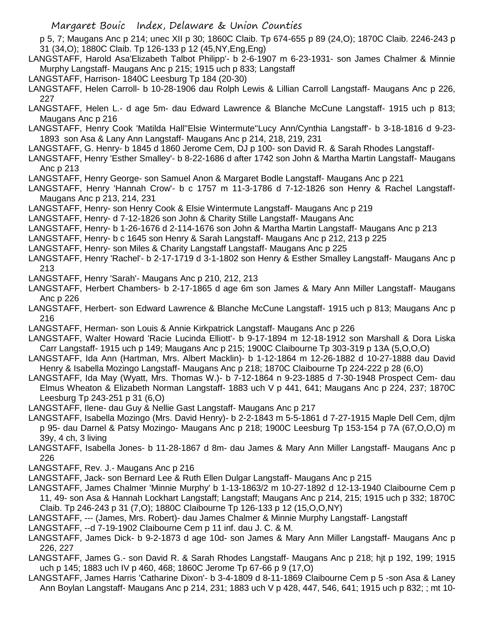p 5, 7; Maugans Anc p 214; unec XII p 30; 1860C Claib. Tp 674-655 p 89 (24,O); 1870C Claib. 2246-243 p 31 (34,O); 1880C Claib. Tp 126-133 p 12 (45,NY,Eng,Eng)

- LANGSTAFF, Harold Asa'Elizabeth Talbot Philipp'- b 2-6-1907 m 6-23-1931- son James Chalmer & Minnie Murphy Langstaff- Maugans Anc p 215; 1915 uch p 833; Langstaff
- LANGSTAFF, Harrison- 1840C Leesburg Tp 184 (20-30)

LANGSTAFF, Helen Carroll- b 10-28-1906 dau Rolph Lewis & Lillian Carroll Langstaff- Maugans Anc p 226, 227

- LANGSTAFF, Helen L.- d age 5m- dau Edward Lawrence & Blanche McCune Langstaff- 1915 uch p 813; Maugans Anc p 216
- LANGSTAFF, Henry Cook 'Matilda Hall''Elsie Wintermute''Lucy Ann/Cynthia Langstaff'- b 3-18-1816 d 9-23- 1893 son Asa & Lany Ann Langstaff- Maugans Anc p 214, 218, 219, 231
- LANGSTAFF, G. Henry- b 1845 d 1860 Jerome Cem, DJ p 100- son David R. & Sarah Rhodes Langstaff-
- LANGSTAFF, Henry 'Esther Smalley'- b 8-22-1686 d after 1742 son John & Martha Martin Langstaff- Maugans Anc p 213
- LANGSTAFF, Henry George- son Samuel Anon & Margaret Bodle Langstaff- Maugans Anc p 221
- LANGSTAFF, Henry 'Hannah Crow'- b c 1757 m 11-3-1786 d 7-12-1826 son Henry & Rachel Langstaff-Maugans Anc p 213, 214, 231
- LANGSTAFF, Henry- son Henry Cook & Elsie Wintermute Langstaff- Maugans Anc p 219
- LANGSTAFF, Henry- d 7-12-1826 son John & Charity Stille Langstaff- Maugans Anc
- LANGSTAFF, Henry- b 1-26-1676 d 2-114-1676 son John & Martha Martin Langstaff- Maugans Anc p 213
- LANGSTAFF, Henry- b c 1645 son Henry & Sarah Langstaff- Maugans Anc p 212, 213 p 225
- LANGSTAFF, Henry- son Miles & Charity Langstaff Langstaff- Maugans Anc p 225
- LANGSTAFF, Henry 'Rachel'- b 2-17-1719 d 3-1-1802 son Henry & Esther Smalley Langstaff- Maugans Anc p 213
- LANGSTAFF, Henry 'Sarah'- Maugans Anc p 210, 212, 213
- LANGSTAFF, Herbert Chambers- b 2-17-1865 d age 6m son James & Mary Ann Miller Langstaff- Maugans Anc p 226
- LANGSTAFF, Herbert- son Edward Lawrence & Blanche McCune Langstaff- 1915 uch p 813; Maugans Anc p 216
- LANGSTAFF, Herman- son Louis & Annie Kirkpatrick Langstaff- Maugans Anc p 226
- LANGSTAFF, Walter Howard 'Racie Lucinda Elliott'- b 9-17-1894 m 12-18-1912 son Marshall & Dora Liska Carr Langstaff- 1915 uch p 149; Maugans Anc p 215; 1900C Claibourne Tp 303-319 p 13A (5,O,O,O)
- LANGSTAFF, Ida Ann (Hartman, Mrs. Albert Macklin)- b 1-12-1864 m 12-26-1882 d 10-27-1888 dau David Henry & Isabella Mozingo Langstaff- Maugans Anc p 218; 1870C Claibourne Tp 224-222 p 28 (6,O)
- LANGSTAFF, Ida May (Wyatt, Mrs. Thomas W.)- b 7-12-1864 n 9-23-1885 d 7-30-1948 Prospect Cem- dau Elmus Wheaton & Elizabeth Norman Langstaff- 1883 uch V p 441, 641; Maugans Anc p 224, 237; 1870C Leesburg Tp 243-251 p 31 (6,O)
- LANGSTAFF, Ilene- dau Guy & Nellie Gast Langstaff- Maugans Anc p 217
- LANGSTAFF, Isabella Mozingo (Mrs. David Henry)- b 2-2-1843 m 5-5-1861 d 7-27-1915 Maple Dell Cem, djlm p 95- dau Darnel & Patsy Mozingo- Maugans Anc p 218; 1900C Leesburg Tp 153-154 p 7A (67,O,O,O) m 39y, 4 ch, 3 living
- LANGSTAFF, Isabella Jones- b 11-28-1867 d 8m- dau James & Mary Ann Miller Langstaff- Maugans Anc p 226
- LANGSTAFF, Rev. J.- Maugans Anc p 216
- LANGSTAFF, Jack- son Bernard Lee & Ruth Ellen Dulgar Langstaff- Maugans Anc p 215
- LANGSTAFF, James Chalmer 'Minnie Murphy' b 1-13-1863/2 m 10-27-1892 d 12-13-1940 Claibourne Cem p 11, 49- son Asa & Hannah Lockhart Langstaff; Langstaff; Maugans Anc p 214, 215; 1915 uch p 332; 1870C Claib. Tp 246-243 p 31 (7,O); 1880C Claibourne Tp 126-133 p 12 (15,O,O,NY)
- LANGSTAFF, --- (James, Mrs. Robert)- dau James Chalmer & Minnie Murphy Langstaff- Langstaff
- LANGSTAFF, --d 7-19-1902 Claibourne Cem p 11 inf. dau J. C. & M.
- LANGSTAFF, James Dick- b 9-2-1873 d age 10d- son James & Mary Ann Miller Langstaff- Maugans Anc p 226, 227
- LANGSTAFF, James G.- son David R. & Sarah Rhodes Langstaff- Maugans Anc p 218; hjt p 192, 199; 1915 uch p 145; 1883 uch IV p 460, 468; 1860C Jerome Tp 67-66 p 9 (17,O)
- LANGSTAFF, James Harris 'Catharine Dixon'- b 3-4-1809 d 8-11-1869 Claibourne Cem p 5 -son Asa & Laney Ann Boylan Langstaff- Maugans Anc p 214, 231; 1883 uch V p 428, 447, 546, 641; 1915 uch p 832; ; mt 10-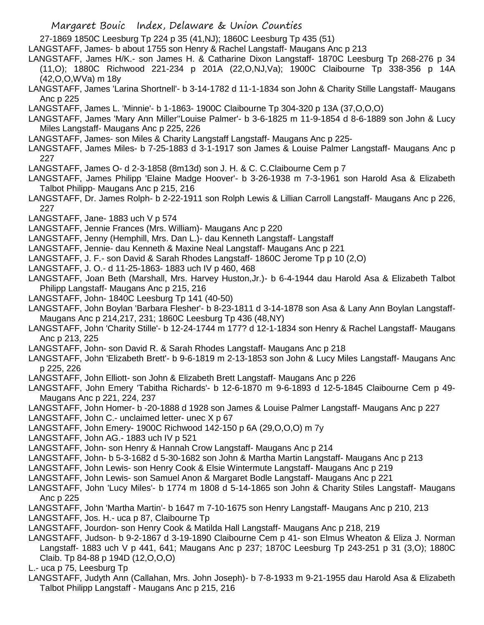27-1869 1850C Leesburg Tp 224 p 35 (41,NJ); 1860C Leesburg Tp 435 (51)

LANGSTAFF, James- b about 1755 son Henry & Rachel Langstaff- Maugans Anc p 213

- LANGSTAFF, James H/K.- son James H. & Catharine Dixon Langstaff- 1870C Leesburg Tp 268-276 p 34 (11,O); 1880C Richwood 221-234 p 201A (22,O,NJ,Va); 1900C Claibourne Tp 338-356 p 14A (42,O,O,WVa) m 18y
- LANGSTAFF, James 'Larina Shortnell'- b 3-14-1782 d 11-1-1834 son John & Charity Stille Langstaff- Maugans Anc p 225

LANGSTAFF, James L. 'Minnie'- b 1-1863- 1900C Claibourne Tp 304-320 p 13A (37,O,O,O)

LANGSTAFF, James 'Mary Ann Miller''Louise Palmer'- b 3-6-1825 m 11-9-1854 d 8-6-1889 son John & Lucy Miles Langstaff- Maugans Anc p 225, 226

LANGSTAFF, James- son Miles & Charity Langstaff Langstaff- Maugans Anc p 225-

LANGSTAFF, James Miles- b 7-25-1883 d 3-1-1917 son James & Louise Palmer Langstaff- Maugans Anc p 227

LANGSTAFF, James O- d 2-3-1858 (8m13d) son J. H. & C. C.Claibourne Cem p 7

- LANGSTAFF, James Philipp 'Elaine Madge Hoover'- b 3-26-1938 m 7-3-1961 son Harold Asa & Elizabeth Talbot Philipp- Maugans Anc p 215, 216
- LANGSTAFF, Dr. James Rolph- b 2-22-1911 son Rolph Lewis & Lillian Carroll Langstaff- Maugans Anc p 226, 227

LANGSTAFF, Jane- 1883 uch V p 574

LANGSTAFF, Jennie Frances (Mrs. William)- Maugans Anc p 220

LANGSTAFF, Jenny (Hemphill, Mrs. Dan L.)- dau Kenneth Langstaff- Langstaff

LANGSTAFF, Jennie- dau Kenneth & Maxine Neal Langstaff- Maugans Anc p 221

- LANGSTAFF, J. F.- son David & Sarah Rhodes Langstaff- 1860C Jerome Tp p 10 (2,O)
- LANGSTAFF, J. O.- d 11-25-1863- 1883 uch IV p 460, 468

LANGSTAFF, Joan Beth (Marshall, Mrs. Harvey Huston,Jr.)- b 6-4-1944 dau Harold Asa & Elizabeth Talbot Philipp Langstaff- Maugans Anc p 215, 216

LANGSTAFF, John- 1840C Leesburg Tp 141 (40-50)

LANGSTAFF, John Boylan 'Barbara Flesher'- b 8-23-1811 d 3-14-1878 son Asa & Lany Ann Boylan Langstaff-Maugans Anc p 214,217, 231; 1860C Leesburg Tp 436 (48,NY)

LANGSTAFF, John 'Charity Stille'- b 12-24-1744 m 177? d 12-1-1834 son Henry & Rachel Langstaff- Maugans Anc p 213, 225

LANGSTAFF, John- son David R. & Sarah Rhodes Langstaff- Maugans Anc p 218

LANGSTAFF, John 'Elizabeth Brett'- b 9-6-1819 m 2-13-1853 son John & Lucy Miles Langstaff- Maugans Anc p 225, 226

LANGSTAFF, John Elliott- son John & Elizabeth Brett Langstaff- Maugans Anc p 226

LANGSTAFF, John Emery 'Tabitha Richards'- b 12-6-1870 m 9-6-1893 d 12-5-1845 Claibourne Cem p 49- Maugans Anc p 221, 224, 237

LANGSTAFF, John Homer- b -20-1888 d 1928 son James & Louise Palmer Langstaff- Maugans Anc p 227

LANGSTAFF, John C.- unclaimed letter- unec X p 67

LANGSTAFF, John Emery- 1900C Richwood 142-150 p 6A (29,O,O,O) m 7y

LANGSTAFF, John AG.- 1883 uch IV p 521

LANGSTAFF, John- son Henry & Hannah Crow Langstaff- Maugans Anc p 214

- LANGSTAFF, John- b 5-3-1682 d 5-30-1682 son John & Martha Martin Langstaff- Maugans Anc p 213
- LANGSTAFF, John Lewis- son Henry Cook & Elsie Wintermute Langstaff- Maugans Anc p 219
- LANGSTAFF, John Lewis- son Samuel Anon & Margaret Bodle Langstaff- Maugans Anc p 221
- LANGSTAFF, John 'Lucy Miles'- b 1774 m 1808 d 5-14-1865 son John & Charity Stiles Langstaff- Maugans Anc p 225
- LANGSTAFF, John 'Martha Martin'- b 1647 m 7-10-1675 son Henry Langstaff- Maugans Anc p 210, 213
- LANGSTAFF, Jos. H.- uca p 87, Claibourne Tp

LANGSTAFF, Jourdon- son Henry Cook & Matilda Hall Langstaff- Maugans Anc p 218, 219

LANGSTAFF, Judson- b 9-2-1867 d 3-19-1890 Claibourne Cem p 41- son Elmus Wheaton & Eliza J. Norman Langstaff- 1883 uch V p 441, 641; Maugans Anc p 237; 1870C Leesburg Tp 243-251 p 31 (3,O); 1880C Claib. Tp 84-88 p 194D (12,O,O,O)

L.- uca p 75, Leesburg Tp

LANGSTAFF, Judyth Ann (Callahan, Mrs. John Joseph)- b 7-8-1933 m 9-21-1955 dau Harold Asa & Elizabeth Talbot Philipp Langstaff - Maugans Anc p 215, 216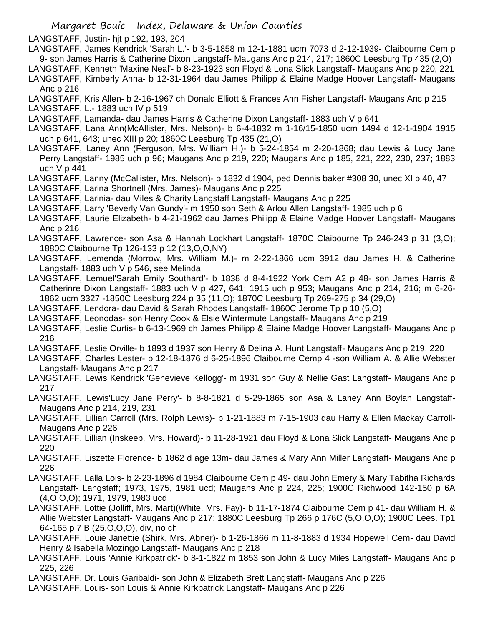LANGSTAFF, Justin- hjt p 192, 193, 204

LANGSTAFF, James Kendrick 'Sarah L.'- b 3-5-1858 m 12-1-1881 ucm 7073 d 2-12-1939- Claibourne Cem p 9- son James Harris & Catherine Dixon Langstaff- Maugans Anc p 214, 217; 1860C Leesburg Tp 435 (2,O)

LANGSTAFF, Kenneth 'Maxine Neal'- b 8-23-1923 son Floyd & Lona Slick Langstaff- Maugans Anc p 220, 221 LANGSTAFF, Kimberly Anna- b 12-31-1964 dau James Philipp & Elaine Madge Hoover Langstaff- Maugans

Anc p 216

LANGSTAFF, Kris Allen- b 2-16-1967 ch Donald Elliott & Frances Ann Fisher Langstaff- Maugans Anc p 215

LANGSTAFF, L.- 1883 uch IV p 519

LANGSTAFF, Lamanda- dau James Harris & Catherine Dixon Langstaff- 1883 uch V p 641

LANGSTAFF, Lana Ann(McAllister, Mrs. Nelson)- b 6-4-1832 m 1-16/15-1850 ucm 1494 d 12-1-1904 1915 uch p 641, 643; unec XIII p 20; 1860C Leesburg Tp 435 (21,O)

LANGSTAFF, Laney Ann (Ferguson, Mrs. William H.)- b 5-24-1854 m 2-20-1868; dau Lewis & Lucy Jane Perry Langstaff- 1985 uch p 96; Maugans Anc p 219, 220; Maugans Anc p 185, 221, 222, 230, 237; 1883 uch V p 441

LANGSTAFF, Lanny (McCallister, Mrs. Nelson)- b 1832 d 1904, ped Dennis baker #308 30, unec XI p 40, 47

LANGSTAFF, Larina Shortnell (Mrs. James)- Maugans Anc p 225

LANGSTAFF, Larinia- dau Miles & Charity Langstaff Langstaff- Maugans Anc p 225

LANGSTAFF, Larry 'Beverly Van Gundy'- m 1950 son Seth & Arlou Allen Langstaff- 1985 uch p 6

LANGSTAFF, Laurie Elizabeth- b 4-21-1962 dau James Philipp & Elaine Madge Hoover Langstaff- Maugans Anc p 216

LANGSTAFF, Lawrence- son Asa & Hannah Lockhart Langstaff- 1870C Claibourne Tp 246-243 p 31 (3,O); 1880C Claibourne Tp 126-133 p 12 (13,O,O,NY)

- LANGSTAFF, Lemenda (Morrow, Mrs. William M.)- m 2-22-1866 ucm 3912 dau James H. & Catherine Langstaff- 1883 uch V p 546, see Melinda
- LANGSTAFF, Lemuel'Sarah Emily Southard'- b 1838 d 8-4-1922 York Cem A2 p 48- son James Harris & Catherinre Dixon Langstaff- 1883 uch V p 427, 641; 1915 uch p 953; Maugans Anc p 214, 216; m 6-26- 1862 ucm 3327 -1850C Leesburg 224 p 35 (11,O); 1870C Leesburg Tp 269-275 p 34 (29,O)

LANGSTAFF, Lendora- dau David & Sarah Rhodes Langstaff- 1860C Jerome Tp p 10 (5,O)

LANGSTAFF, Leonodas- son Henry Cook & Elsie Wintermute Langstaff- Maugans Anc p 219

LANGSTAFF, Leslie Curtis- b 6-13-1969 ch James Philipp & Elaine Madge Hoover Langstaff- Maugans Anc p 216

LANGSTAFF, Leslie Orville- b 1893 d 1937 son Henry & Delina A. Hunt Langstaff- Maugans Anc p 219, 220

LANGSTAFF, Charles Lester- b 12-18-1876 d 6-25-1896 Claibourne Cemp 4 -son William A. & Allie Webster Langstaff- Maugans Anc p 217

- LANGSTAFF, Lewis Kendrick 'Genevieve Kellogg'- m 1931 son Guy & Nellie Gast Langstaff- Maugans Anc p 217
- LANGSTAFF, Lewis'Lucy Jane Perry'- b 8-8-1821 d 5-29-1865 son Asa & Laney Ann Boylan Langstaff-Maugans Anc p 214, 219, 231
- LANGSTAFF, Lillian Carroll (Mrs. Rolph Lewis)- b 1-21-1883 m 7-15-1903 dau Harry & Ellen Mackay Carroll-Maugans Anc p 226

LANGSTAFF, Lillian (Inskeep, Mrs. Howard)- b 11-28-1921 dau Floyd & Lona Slick Langstaff- Maugans Anc p 220

- LANGSTAFF, Liszette Florence- b 1862 d age 13m- dau James & Mary Ann Miller Langstaff- Maugans Anc p 226
- LANGSTAFF, Lalla Lois- b 2-23-1896 d 1984 Claibourne Cem p 49- dau John Emery & Mary Tabitha Richards Langstaff- Langstaff; 1973, 1975, 1981 ucd; Maugans Anc p 224, 225; 1900C Richwood 142-150 p 6A (4,O,O,O); 1971, 1979, 1983 ucd
- LANGSTAFF, Lottie (Jolliff, Mrs. Mart)(White, Mrs. Fay)- b 11-17-1874 Claibourne Cem p 41- dau William H. & Allie Webster Langstaff- Maugans Anc p 217; 1880C Leesburg Tp 266 p 176C (5,O,O,O); 1900C Lees. Tp1 64-165 p 7 B (25,O,O,O), div, no ch
- LANGSTAFF, Louie Janettie (Shirk, Mrs. Abner)- b 1-26-1866 m 11-8-1883 d 1934 Hopewell Cem- dau David Henry & Isabella Mozingo Langstaff- Maugans Anc p 218

LANGSTAFF, Louis 'Annie Kirkpatrick'- b 8-1-1822 m 1853 son John & Lucy Miles Langstaff- Maugans Anc p 225, 226

LANGSTAFF, Dr. Louis Garibaldi- son John & Elizabeth Brett Langstaff- Maugans Anc p 226

LANGSTAFF, Louis- son Louis & Annie Kirkpatrick Langstaff- Maugans Anc p 226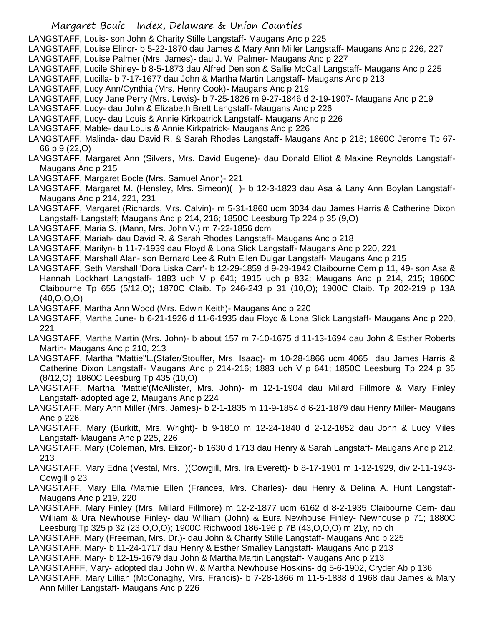LANGSTAFF, Louis- son John & Charity Stille Langstaff- Maugans Anc p 225

LANGSTAFF, Louise Elinor- b 5-22-1870 dau James & Mary Ann Miller Langstaff- Maugans Anc p 226, 227

LANGSTAFF, Louise Palmer (Mrs. James)- dau J. W. Palmer- Maugans Anc p 227

LANGSTAFF, Lucile Shirley- b 8-5-1873 dau Alfred Denison & Sallie McCall Langstaff- Maugans Anc p 225 LANGSTAFF, Lucilla- b 7-17-1677 dau John & Martha Martin Langstaff- Maugans Anc p 213

LANGSTAFF, Lucy Ann/Cynthia (Mrs. Henry Cook)- Maugans Anc p 219

LANGSTAFF, Lucy Jane Perry (Mrs. Lewis)- b 7-25-1826 m 9-27-1846 d 2-19-1907- Maugans Anc p 219

LANGSTAFF, Lucy- dau John & Elizabeth Brett Langstaff- Maugans Anc p 226

LANGSTAFF, Lucy- dau Louis & Annie Kirkpatrick Langstaff- Maugans Anc p 226

LANGSTAFF, Mable- dau Louis & Annie Kirkpatrick- Maugans Anc p 226

LANGSTAFF, Malinda- dau David R. & Sarah Rhodes Langstaff- Maugans Anc p 218; 1860C Jerome Tp 67- 66 p 9 (22,O)

LANGSTAFF, Margaret Ann (Silvers, Mrs. David Eugene)- dau Donald Elliot & Maxine Reynolds Langstaff-Maugans Anc p 215

LANGSTAFF, Margaret Bocle (Mrs. Samuel Anon)- 221

LANGSTAFF, Margaret M. (Hensley, Mrs. Simeon)( )- b 12-3-1823 dau Asa & Lany Ann Boylan Langstaff-Maugans Anc p 214, 221, 231

LANGSTAFF, Margaret (Richards, Mrs. Calvin)- m 5-31-1860 ucm 3034 dau James Harris & Catherine Dixon Langstaff- Langstaff; Maugans Anc p 214, 216; 1850C Leesburg Tp 224 p 35 (9,O)

LANGSTAFF, Maria S. (Mann, Mrs. John V.) m 7-22-1856 dcm

LANGSTAFF, Mariah- dau David R. & Sarah Rhodes Langstaff- Maugans Anc p 218

LANGSTAFF, Marilyn- b 11-7-1939 dau Floyd & Lona Slick Langstaff- Maugans Anc p 220, 221

LANGSTAFF, Marshall Alan- son Bernard Lee & Ruth Ellen Dulgar Langstaff- Maugans Anc p 215

LANGSTAFF, Seth Marshall 'Dora Liska Carr'- b 12-29-1859 d 9-29-1942 Claibourne Cem p 11, 49- son Asa & Hannah Lockhart Langstaff- 1883 uch V p 641; 1915 uch p 832; Maugans Anc p 214, 215; 1860C Claibourne Tp 655 (5/12,O); 1870C Claib. Tp 246-243 p 31 (10,O); 1900C Claib. Tp 202-219 p 13A (40,O,O,O)

LANGSTAFF, Martha Ann Wood (Mrs. Edwin Keith)- Maugans Anc p 220

LANGSTAFF, Martha June- b 6-21-1926 d 11-6-1935 dau Floyd & Lona Slick Langstaff- Maugans Anc p 220, 221

LANGSTAFF, Martha Martin (Mrs. John)- b about 157 m 7-10-1675 d 11-13-1694 dau John & Esther Roberts Martin- Maugans Anc p 210, 213

LANGSTAFF, Martha "Mattie"L.(Stafer/Stouffer, Mrs. Isaac)- m 10-28-1866 ucm 4065 dau James Harris & Catherine Dixon Langstaff- Maugans Anc p 214-216; 1883 uch V p 641; 1850C Leesburg Tp 224 p 35 (8/12,O); 1860C Leesburg Tp 435 (10,O)

LANGSTAFF, Martha "Mattie'(McAllister, Mrs. John)- m 12-1-1904 dau Millard Fillmore & Mary Finley Langstaff- adopted age 2, Maugans Anc p 224

LANGSTAFF, Mary Ann Miller (Mrs. James)- b 2-1-1835 m 11-9-1854 d 6-21-1879 dau Henry Miller- Maugans Anc p 226

LANGSTAFF, Mary (Burkitt, Mrs. Wright)- b 9-1810 m 12-24-1840 d 2-12-1852 dau John & Lucy Miles Langstaff- Maugans Anc p 225, 226

LANGSTAFF, Mary (Coleman, Mrs. Elizor)- b 1630 d 1713 dau Henry & Sarah Langstaff- Maugans Anc p 212, 213

LANGSTAFF, Mary Edna (Vestal, Mrs. )(Cowgill, Mrs. Ira Everett)- b 8-17-1901 m 1-12-1929, div 2-11-1943- Cowgill p 23

LANGSTAFF, Mary Ella /Mamie Ellen (Frances, Mrs. Charles)- dau Henry & Delina A. Hunt Langstaff-Maugans Anc p 219, 220

LANGSTAFF, Mary Finley (Mrs. Millard Fillmore) m 12-2-1877 ucm 6162 d 8-2-1935 Claibourne Cem- dau William & Ura Newhouse Finley- dau William (John) & Eura Newhouse Finley- Newhouse p 71; 1880C Leesburg Tp 325 p 32 (23,O,O,O); 1900C Richwood 186-196 p 7B (43,O,O,O) m 21y, no ch

LANGSTAFF, Mary (Freeman, Mrs. Dr.)- dau John & Charity Stille Langstaff- Maugans Anc p 225

LANGSTAFF, Mary- b 11-24-1717 dau Henry & Esther Smalley Langstaff- Maugans Anc p 213

LANGSTAFF, Mary- b 12-15-1679 dau John & Martha Martin Langstaff- Maugans Anc p 213

LANGSTAFFF, Mary- adopted dau John W. & Martha Newhouse Hoskins- dg 5-6-1902, Cryder Ab p 136

LANGSTAFF, Mary Lillian (McConaghy, Mrs. Francis)- b 7-28-1866 m 11-5-1888 d 1968 dau James & Mary Ann Miller Langstaff- Maugans Anc p 226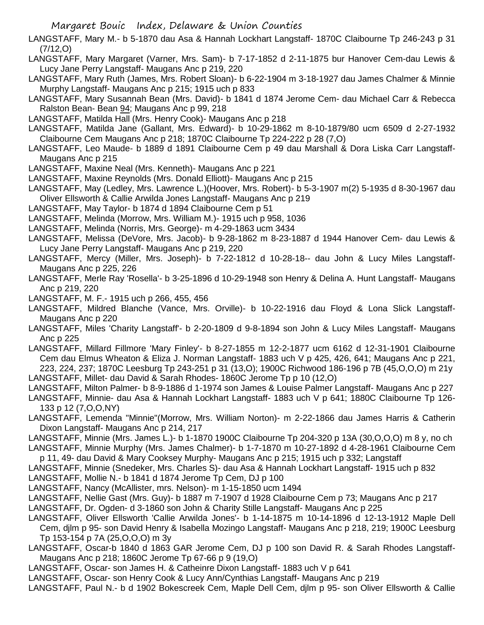LANGSTAFF, Mary M.- b 5-1870 dau Asa & Hannah Lockhart Langstaff- 1870C Claibourne Tp 246-243 p 31 (7/12,O)

LANGSTAFF, Mary Margaret (Varner, Mrs. Sam)- b 7-17-1852 d 2-11-1875 bur Hanover Cem-dau Lewis & Lucy Jane Perry Langstaff- Maugans Anc p 219, 220

LANGSTAFF, Mary Ruth (James, Mrs. Robert Sloan)- b 6-22-1904 m 3-18-1927 dau James Chalmer & Minnie Murphy Langstaff- Maugans Anc p 215; 1915 uch p 833

LANGSTAFF, Mary Susannah Bean (Mrs. David)- b 1841 d 1874 Jerome Cem- dau Michael Carr & Rebecca Ralston Bean- Bean 94; Maugans Anc p 99, 218

LANGSTAFF, Matilda Hall (Mrs. Henry Cook)- Maugans Anc p 218

LANGSTAFF, Matilda Jane (Gallant, Mrs. Edward)- b 10-29-1862 m 8-10-1879/80 ucm 6509 d 2-27-1932 Claibourne Cem Maugans Anc p 218; 1870C Claibourne Tp 224-222 p 28 (7,O)

LANGSTAFF, Leo Maude- b 1889 d 1891 Claibourne Cem p 49 dau Marshall & Dora Liska Carr Langstaff-Maugans Anc p 215

LANGSTAFF, Maxine Neal (Mrs. Kenneth)- Maugans Anc p 221

LANGSTAFF, Maxine Reynolds (Mrs. Donald Elliott)- Maugans Anc p 215

LANGSTAFF, May (Ledley, Mrs. Lawrence L.)(Hoover, Mrs. Robert)- b 5-3-1907 m(2) 5-1935 d 8-30-1967 dau Oliver Ellsworth & Callie Arwilda Jones Langstaff- Maugans Anc p 219

LANGSTAFF, May Taylor- b 1874 d 1894 Claibourne Cem p 51

LANGSTAFF, Melinda (Morrow, Mrs. William M.)- 1915 uch p 958, 1036

LANGSTAFF, Melinda (Norris, Mrs. George)- m 4-29-1863 ucm 3434

LANGSTAFF, Melissa (DeVore, Mrs. Jacob)- b 9-28-1862 m 8-23-1887 d 1944 Hanover Cem- dau Lewis & Lucy Jane Perry Langstaff- Maugans Anc p 219, 220

LANGSTAFF, Mercy (Miller, Mrs. Joseph)- b 7-22-1812 d 10-28-18-- dau John & Lucy Miles Langstaff-Maugans Anc p 225, 226

- LANGSTAFF, Merle Ray 'Rosella'- b 3-25-1896 d 10-29-1948 son Henry & Delina A. Hunt Langstaff- Maugans Anc p 219, 220
- LANGSTAFF, M. F.- 1915 uch p 266, 455, 456

LANGSTAFF, Mildred Blanche (Vance, Mrs. Orville)- b 10-22-1916 dau Floyd & Lona Slick Langstaff-Maugans Anc p 220

LANGSTAFF, Miles 'Charity Langstaff'- b 2-20-1809 d 9-8-1894 son John & Lucy Miles Langstaff- Maugans Anc p 225

LANGSTAFF, Millard Fillmore 'Mary Finley'- b 8-27-1855 m 12-2-1877 ucm 6162 d 12-31-1901 Claibourne Cem dau Elmus Wheaton & Eliza J. Norman Langstaff- 1883 uch V p 425, 426, 641; Maugans Anc p 221, 223, 224, 237; 1870C Leesburg Tp 243-251 p 31 (13,O); 1900C Richwood 186-196 p 7B (45,O,O,O) m 21y LANGSTAFF, Millet- dau David & Sarah Rhodes- 1860C Jerome Tp p 10 (12,O)

LANGSTAFF, Milton Palmer- b 8-9-1886 d 1-1974 son James & Louise Palmer Langstaff- Maugans Anc p 227

LANGSTAFF, Minnie- dau Asa & Hannah Lockhart Langstaff- 1883 uch V p 641; 1880C Claibourne Tp 126- 133 p 12 (7,O,O,NY)

LANGSTAFF, Lemenda "Minnie"(Morrow, Mrs. William Norton)- m 2-22-1866 dau James Harris & Catherin Dixon Langstaff- Maugans Anc p 214, 217

LANGSTAFF, Minnie (Mrs. James L.)- b 1-1870 1900C Claibourne Tp 204-320 p 13A (30,O,O,O) m 8 y, no ch

LANGSTAFF, Minnie Murphy (Mrs. James Chalmer)- b 1-7-1870 m 10-27-1892 d 4-28-1961 Claibourne Cem p 11, 49- dau David & Mary Cooksey Murphy- Maugans Anc p 215; 1915 uch p 332; Langstaff

LANGSTAFF, Minnie (Snedeker, Mrs. Charles S)- dau Asa & Hannah Lockhart Langstaff- 1915 uch p 832

LANGSTAFF, Mollie N.- b 1841 d 1874 Jerome Tp Cem, DJ p 100

LANGSTAFF, Nancy (McAllister, mrs. Nelson)- m 1-15-1850 ucm 1494

LANGSTAFF, Nellie Gast (Mrs. Guy)- b 1887 m 7-1907 d 1928 Claibourne Cem p 73; Maugans Anc p 217

LANGSTAFF, Dr. Ogden- d 3-1860 son John & Charity Stille Langstaff- Maugans Anc p 225

LANGSTAFF, Oliver Ellsworth 'Callie Arwilda Jones'- b 1-14-1875 m 10-14-1896 d 12-13-1912 Maple Dell

Cem, djlm p 95- son David Henry & Isabella Mozingo Langstaff- Maugans Anc p 218, 219; 1900C Leesburg Tp 153-154 p 7A (25,O,O,O) m 3y

LANGSTAFF, Oscar-b 1840 d 1863 GAR Jerome Cem, DJ p 100 son David R. & Sarah Rhodes Langstaff-Maugans Anc p 218; 1860C Jerome Tp 67-66 p 9 (19,O)

LANGSTAFF, Oscar- son James H. & Catheinre Dixon Langstaff- 1883 uch V p 641

LANGSTAFF, Oscar- son Henry Cook & Lucy Ann/Cynthias Langstaff- Maugans Anc p 219

LANGSTAFF, Paul N.- b d 1902 Bokescreek Cem, Maple Dell Cem, djlm p 95- son Oliver Ellsworth & Callie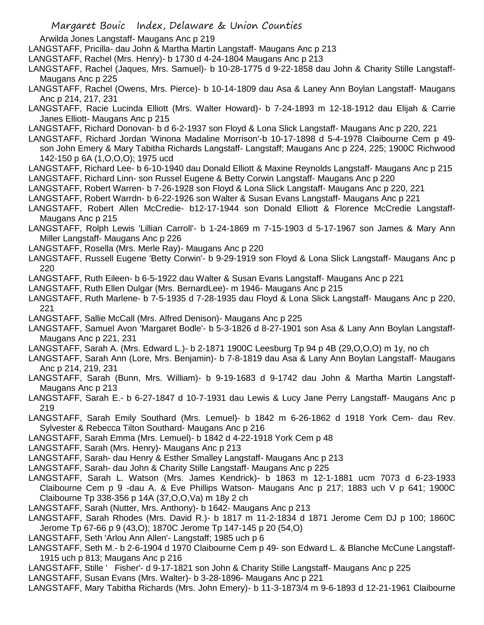Arwilda Jones Langstaff- Maugans Anc p 219

LANGSTAFF, Pricilla- dau John & Martha Martin Langstaff- Maugans Anc p 213

- LANGSTAFF, Rachel (Mrs. Henry)- b 1730 d 4-24-1804 Maugans Anc p 213
- LANGSTAFF, Rachel (Jaques, Mrs. Samuel)- b 10-28-1775 d 9-22-1858 dau John & Charity Stille Langstaff-Maugans Anc p 225
- LANGSTAFF, Rachel (Owens, Mrs. Pierce)- b 10-14-1809 dau Asa & Laney Ann Boylan Langstaff- Maugans Anc p 214, 217, 231
- LANGSTAFF, Racie Lucinda Elliott (Mrs. Walter Howard)- b 7-24-1893 m 12-18-1912 dau Elijah & Carrie Janes Elliott- Maugans Anc p 215
- LANGSTAFF, Richard Donovan- b d 6-2-1937 son Floyd & Lona Slick Langstaff- Maugans Anc p 220, 221
- LANGSTAFF, Richard Jordan 'Winona Madaline Morrison'-b 10-17-1898 d 5-4-1978 Claibourne Cem p 49 son John Emery & Mary Tabitha Richards Langstaff- Langstaff; Maugans Anc p 224, 225; 1900C Richwood 142-150 p 6A (1,O,O,O); 1975 ucd
- LANGSTAFF, Richard Lee- b 6-10-1940 dau Donald Elliott & Maxine Reynolds Langstaff- Maugans Anc p 215
- LANGSTAFF, Richard Linn- son Russel Eugene & Betty Corwin Langstaff- Maugans Anc p 220
- LANGSTAFF, Robert Warren- b 7-26-1928 son Floyd & Lona Slick Langstaff- Maugans Anc p 220, 221
- LANGSTAFF, Robert Warrdn- b 6-22-1926 son Walter & Susan Evans Langstaff- Maugans Anc p 221
- LANGSTAFF, Robert Allen McCredie- b12-17-1944 son Donald Elliott & Florence McCredie Langstaff-Maugans Anc p 215
- LANGSTAFF, Rolph Lewis 'Lillian Carroll'- b 1-24-1869 m 7-15-1903 d 5-17-1967 son James & Mary Ann Miller Langstaff- Maugans Anc p 226
- LANGSTAFF, Rosella (Mrs. Merle Ray)- Maugans Anc p 220
- LANGSTAFF, Russell Eugene 'Betty Corwin'- b 9-29-1919 son Floyd & Lona Slick Langstaff- Maugans Anc p 220
- LANGSTAFF, Ruth Eileen- b 6-5-1922 dau Walter & Susan Evans Langstaff- Maugans Anc p 221
- LANGSTAFF, Ruth Ellen Dulgar (Mrs. BernardLee)- m 1946- Maugans Anc p 215
- LANGSTAFF, Ruth Marlene- b 7-5-1935 d 7-28-1935 dau Floyd & Lona Slick Langstaff- Maugans Anc p 220, 221
- LANGSTAFF, Sallie McCall (Mrs. Alfred Denison)- Maugans Anc p 225
- LANGSTAFF, Samuel Avon 'Margaret Bodle'- b 5-3-1826 d 8-27-1901 son Asa & Lany Ann Boylan Langstaff-Maugans Anc p 221, 231
- LANGSTAFF, Sarah A. (Mrs. Edward L.)- b 2-1871 1900C Leesburg Tp 94 p 4B (29,O,O,O) m 1y, no ch
- LANGSTAFF, Sarah Ann (Lore, Mrs. Benjamin)- b 7-8-1819 dau Asa & Lany Ann Boylan Langstaff- Maugans Anc p 214, 219, 231
- LANGSTAFF, Sarah (Bunn, Mrs. William)- b 9-19-1683 d 9-1742 dau John & Martha Martin Langstaff-Maugans Anc p 213
- LANGSTAFF, Sarah E.- b 6-27-1847 d 10-7-1931 dau Lewis & Lucy Jane Perry Langstaff- Maugans Anc p 219
- LANGSTAFF, Sarah Emily Southard (Mrs. Lemuel)- b 1842 m 6-26-1862 d 1918 York Cem- dau Rev. Sylvester & Rebecca Tilton Southard- Maugans Anc p 216
- LANGSTAFF, Sarah Emma (Mrs. Lemuel)- b 1842 d 4-22-1918 York Cem p 48
- LANGSTAFF, Sarah (Mrs. Henry)- Maugans Anc p 213
- LANGSTAFF, Sarah- dau Henry & Esther Smalley Langstaff- Maugans Anc p 213
- LANGSTAFF, Sarah- dau John & Charity Stille Langstaff- Maugans Anc p 225
- LANGSTAFF, Sarah L. Watson (Mrs. James Kendrick)- b 1863 m 12-1-1881 ucm 7073 d 6-23-1933 Claibourne Cem p 9 -dau A. & Eve Phillips Watson- Maugans Anc p 217; 1883 uch V p 641; 1900C Claibourne Tp 338-356 p 14A (37,O,O,Va) m 18y 2 ch
- LANGSTAFF, Sarah (Nutter, Mrs. Anthony)- b 1642- Maugans Anc p 213
- LANGSTAFF, Sarah Rhodes (Mrs. David R.)- b 1817 m 11-2-1834 d 1871 Jerome Cem DJ p 100; 1860C Jerome Tp 67-66 p 9 (43,O); 1870C Jerome Tp 147-145 p 20 (54,O)
- LANGSTAFF, Seth 'Arlou Ann Allen'- Langstaff; 1985 uch p 6
- LANGSTAFF, Seth M.- b 2-6-1904 d 1970 Claibourne Cem p 49- son Edward L. & Blanche McCune Langstaff-1915 uch p 813; Maugans Anc p 216
- LANGSTAFF, Stille ' Fisher'- d 9-17-1821 son John & Charity Stille Langstaff- Maugans Anc p 225
- LANGSTAFF, Susan Evans (Mrs. Walter)- b 3-28-1896- Maugans Anc p 221
- LANGSTAFF, Mary Tabitha Richards (Mrs. John Emery)- b 11-3-1873/4 m 9-6-1893 d 12-21-1961 Claibourne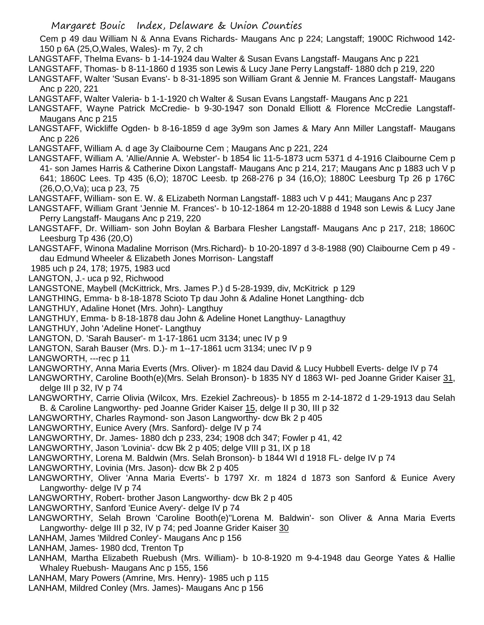Cem p 49 dau William N & Anna Evans Richards- Maugans Anc p 224; Langstaff; 1900C Richwood 142- 150 p 6A (25,O,Wales, Wales)- m 7y, 2 ch

LANGSTAFF, Thelma Evans- b 1-14-1924 dau Walter & Susan Evans Langstaff- Maugans Anc p 221

LANGSTAFF, Thomas- b 8-11-1860 d 1935 son Lewis & Lucy Jane Perry Langstaff- 1880 dch p 219, 220

- LANGSTAFF, Walter 'Susan Evans'- b 8-31-1895 son William Grant & Jennie M. Frances Langstaff- Maugans Anc p 220, 221
- LANGSTAFF, Walter Valeria- b 1-1-1920 ch Walter & Susan Evans Langstaff- Maugans Anc p 221
- LANGSTAFF, Wayne Patrick McCredie- b 9-30-1947 son Donald Elliott & Florence McCredie Langstaff-Maugans Anc p 215
- LANGSTAFF, Wickliffe Ogden- b 8-16-1859 d age 3y9m son James & Mary Ann Miller Langstaff- Maugans Anc p 226
- LANGSTAFF, William A. d age 3y Claibourne Cem ; Maugans Anc p 221, 224
- LANGSTAFF, William A. 'Allie/Annie A. Webster'- b 1854 lic 11-5-1873 ucm 5371 d 4-1916 Claibourne Cem p 41- son James Harris & Catherine Dixon Langstaff- Maugans Anc p 214, 217; Maugans Anc p 1883 uch V p 641; 1860C Lees. Tp 435 (6,O); 1870C Leesb. tp 268-276 p 34 (16,O); 1880C Leesburg Tp 26 p 176C (26,O,O,Va); uca p 23, 75
- LANGSTAFF, William- son E. W. & ELizabeth Norman Langstaff- 1883 uch V p 441; Maugans Anc p 237
- LANGSTAFF, William Grant 'Jennie M. Frances'- b 10-12-1864 m 12-20-1888 d 1948 son Lewis & Lucy Jane Perry Langstaff- Maugans Anc p 219, 220
- LANGSTAFF, Dr. William- son John Boylan & Barbara Flesher Langstaff- Maugans Anc p 217, 218; 1860C Leesburg Tp 436 (20,O)
- LANGSTAFF, Winona Madaline Morrison (Mrs.Richard)- b 10-20-1897 d 3-8-1988 (90) Claibourne Cem p 49 dau Edmund Wheeler & Elizabeth Jones Morrison- Langstaff
- 1985 uch p 24, 178; 1975, 1983 ucd
- LANGTON, J.- uca p 92, Richwood
- LANGSTONE, Maybell (McKittrick, Mrs. James P.) d 5-28-1939, div, McKitrick p 129
- LANGTHING, Emma- b 8-18-1878 Scioto Tp dau John & Adaline Honet Langthing- dcb
- LANGTHUY, Adaline Honet (Mrs. John)- Langthuy
- LANGTHUY, Emma- b 8-18-1878 dau John & Adeline Honet Langthuy- Lanagthuy
- LANGTHUY, John 'Adeline Honet'- Langthuy
- LANGTON, D. 'Sarah Bauser'- m 1-17-1861 ucm 3134; unec IV p 9
- LANGTON, Sarah Bauser (Mrs. D.)- m 1--17-1861 ucm 3134; unec IV p 9
- LANGWORTH, ---rec p 11
- LANGWORTHY, Anna Maria Everts (Mrs. Oliver)- m 1824 dau David & Lucy Hubbell Everts- delge IV p 74
- LANGWORTHY, Caroline Booth(e)(Mrs. Selah Bronson)- b 1835 NY d 1863 WI- ped Joanne Grider Kaiser 31, delge III p 32, IV p 74
- LANGWORTHY, Carrie Olivia (Wilcox, Mrs. Ezekiel Zachreous)- b 1855 m 2-14-1872 d 1-29-1913 dau Selah B. & Caroline Langworthy- ped Joanne Grider Kaiser 15, delge II p 30, III p 32
- LANGWORTHY, Charles Raymond- son Jason Langworthy- dcw Bk 2 p 405
- LANGWORTHY, Eunice Avery (Mrs. Sanford)- delge IV p 74
- LANGWORTHY, Dr. James- 1880 dch p 233, 234; 1908 dch 347; Fowler p 41, 42
- LANGWORTHY, Jason 'Lovinia'- dcw Bk 2 p 405; delge VIII p 31, IX p 18
- LANGWORTHY, Lorena M. Baldwin (Mrs. Selah Bronson)- b 1844 WI d 1918 FL- delge IV p 74
- LANGWORTHY, Lovinia (Mrs. Jason)- dcw Bk 2 p 405
- LANGWORTHY, Oliver 'Anna Maria Everts'- b 1797 Xr. m 1824 d 1873 son Sanford & Eunice Avery Langworthy- delge IV p 74
- LANGWORTHY, Robert- brother Jason Langworthy- dcw Bk 2 p 405
- LANGWORTHY, Sanford 'Eunice Avery'- delge IV p 74
- LANGWORTHY, Selah Brown 'Caroline Booth(e)''Lorena M. Baldwin'- son Oliver & Anna Maria Everts Langworthy- delge III p 32, IV p 74; ped Joanne Grider Kaiser 30
- LANHAM, James 'Mildred Conley'- Maugans Anc p 156
- LANHAM, James- 1980 dcd, Trenton Tp
- LANHAM, Martha Elizabeth Ruebush (Mrs. William)- b 10-8-1920 m 9-4-1948 dau George Yates & Hallie Whaley Ruebush- Maugans Anc p 155, 156
- LANHAM, Mary Powers (Amrine, Mrs. Henry)- 1985 uch p 115
- LANHAM, Mildred Conley (Mrs. James)- Maugans Anc p 156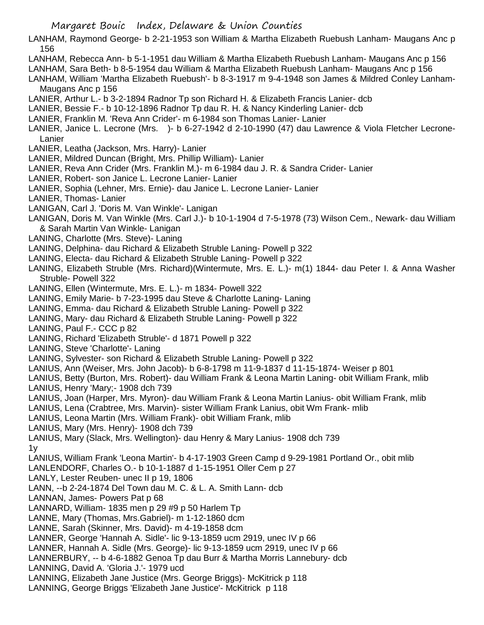LANHAM, Raymond George- b 2-21-1953 son William & Martha Elizabeth Ruebush Lanham- Maugans Anc p 156

- LANHAM, Rebecca Ann- b 5-1-1951 dau William & Martha Elizabeth Ruebush Lanham- Maugans Anc p 156
- LANHAM, Sara Beth- b 8-5-1954 dau William & Martha Elizabeth Ruebush Lanham- Maugans Anc p 156
- LANHAM, William 'Martha Elizabeth Ruebush'- b 8-3-1917 m 9-4-1948 son James & Mildred Conley Lanham-Maugans Anc p 156
- LANIER, Arthur L.- b 3-2-1894 Radnor Tp son Richard H. & Elizabeth Francis Lanier- dcb
- LANIER, Bessie F.- b 10-12-1896 Radnor Tp dau R. H. & Nancy Kinderling Lanier- dcb
- LANIER, Franklin M. 'Reva Ann Crider'- m 6-1984 son Thomas Lanier- Lanier
- LANIER, Janice L. Lecrone (Mrs. )- b 6-27-1942 d 2-10-1990 (47) dau Lawrence & Viola Fletcher Lecrone-Lanier
- LANIER, Leatha (Jackson, Mrs. Harry)- Lanier
- LANIER, Mildred Duncan (Bright, Mrs. Phillip William)- Lanier
- LANIER, Reva Ann Crider (Mrs. Franklin M.)- m 6-1984 dau J. R. & Sandra Crider- Lanier
- LANIER, Robert- son Janice L. Lecrone Lanier- Lanier
- LANIER, Sophia (Lehner, Mrs. Ernie)- dau Janice L. Lecrone Lanier- Lanier
- LANIER, Thomas- Lanier
- LANIGAN, Carl J. 'Doris M. Van Winkle'- Lanigan
- LANIGAN, Doris M. Van Winkle (Mrs. Carl J.)- b 10-1-1904 d 7-5-1978 (73) Wilson Cem., Newark- dau William & Sarah Martin Van Winkle- Lanigan
- LANING, Charlotte (Mrs. Steve)- Laning
- LANING, Delphina- dau Richard & Elizabeth Struble Laning- Powell p 322
- LANING, Electa- dau Richard & Elizabeth Struble Laning- Powell p 322
- LANING, Elizabeth Struble (Mrs. Richard)(Wintermute, Mrs. E. L.)- m(1) 1844- dau Peter I. & Anna Washer Struble- Powell 322
- LANING, Ellen (Wintermute, Mrs. E. L.)- m 1834- Powell 322
- LANING, Emily Marie- b 7-23-1995 dau Steve & Charlotte Laning- Laning
- LANING, Emma- dau Richard & Elizabeth Struble Laning- Powell p 322
- LANING, Mary- dau Richard & Elizabeth Struble Laning- Powell p 322
- LANING, Paul F.- CCC p 82
- LANING, Richard 'Elizabeth Struble'- d 1871 Powell p 322
- LANING, Steve 'Charlotte'- Laning
- LANING, Sylvester- son Richard & Elizabeth Struble Laning- Powell p 322
- LANIUS, Ann (Weiser, Mrs. John Jacob)- b 6-8-1798 m 11-9-1837 d 11-15-1874- Weiser p 801
- LANIUS, Betty (Burton, Mrs. Robert)- dau William Frank & Leona Martin Laning- obit William Frank, mlib
- LANIUS, Henry 'Mary;- 1908 dch 739
- LANIUS, Joan (Harper, Mrs. Myron)- dau William Frank & Leona Martin Lanius- obit William Frank, mlib
- LANIUS, Lena (Crabtree, Mrs. Marvin)- sister William Frank Lanius, obit Wm Frank- mlib
- LANIUS, Leona Martin (Mrs. William Frank)- obit William Frank, mlib
- LANIUS, Mary (Mrs. Henry)- 1908 dch 739
- LANIUS, Mary (Slack, Mrs. Wellington)- dau Henry & Mary Lanius- 1908 dch 739 1y
- LANIUS, William Frank 'Leona Martin'- b 4-17-1903 Green Camp d 9-29-1981 Portland Or., obit mlib
- LANLENDORF, Charles O.- b 10-1-1887 d 1-15-1951 Oller Cem p 27
- LANLY, Lester Reuben- unec II p 19, 1806
- LANN, --b 2-24-1874 Del Town dau M. C. & L. A. Smith Lann- dcb
- LANNAN, James- Powers Pat p 68
- LANNARD, William- 1835 men p 29 #9 p 50 Harlem Tp
- LANNE, Mary (Thomas, Mrs.Gabriel)- m 1-12-1860 dcm
- LANNE, Sarah (Skinner, Mrs. David)- m 4-19-1858 dcm
- LANNER, George 'Hannah A. Sidle'- lic 9-13-1859 ucm 2919, unec IV p 66
- LANNER, Hannah A. Sidle (Mrs. George)- lic 9-13-1859 ucm 2919, unec IV p 66
- LANNERBURY, -- b 4-6-1882 Genoa Tp dau Burr & Martha Morris Lannebury- dcb
- LANNING, David A. 'Gloria J.'- 1979 ucd
- LANNING, Elizabeth Jane Justice (Mrs. George Briggs)- McKitrick p 118
- LANNING, George Briggs 'Elizabeth Jane Justice'- McKitrick p 118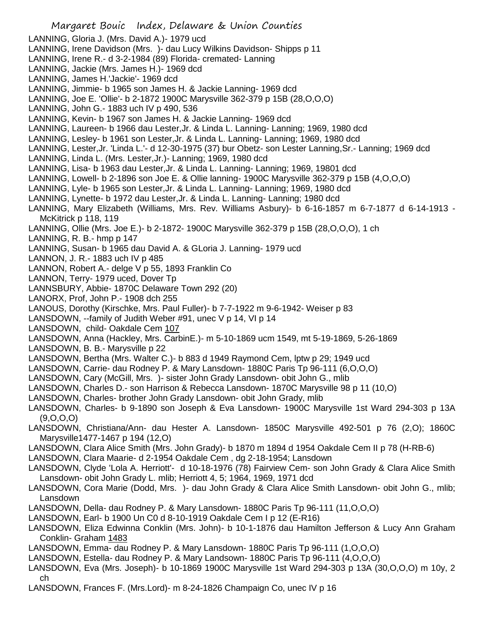- LANNING, Gloria J. (Mrs. David A.)- 1979 ucd LANNING, Irene Davidson (Mrs. )- dau Lucy Wilkins Davidson- Shipps p 11 LANNING, Irene R.- d 3-2-1984 (89) Florida- cremated- Lanning LANNING, Jackie (Mrs. James H.)- 1969 dcd LANNING, James H.'Jackie'- 1969 dcd LANNING, Jimmie- b 1965 son James H. & Jackie Lanning- 1969 dcd LANNING, Joe E. 'Ollie'- b 2-1872 1900C Marysville 362-379 p 15B (28,O,O,O) LANNING, John G.- 1883 uch IV p 490, 536 LANNING, Kevin- b 1967 son James H. & Jackie Lanning- 1969 dcd LANNING, Laureen- b 1966 dau Lester,Jr. & Linda L. Lanning- Lanning; 1969, 1980 dcd LANNING, Lesley- b 1961 son Lester,Jr. & Linda L. Lanning- Lanning; 1969, 1980 dcd LANNING, Lester,Jr. 'Linda L.'- d 12-30-1975 (37) bur Obetz- son Lester Lanning,Sr.- Lanning; 1969 dcd LANNING, Linda L. (Mrs. Lester,Jr.)- Lanning; 1969, 1980 dcd LANNING, Lisa- b 1963 dau Lester,Jr. & Linda L. Lanning- Lanning; 1969, 19801 dcd LANNING, Lowell- b 2-1896 son Joe E. & Ollie lanning- 1900C Marysville 362-379 p 15B (4,O,O,O) LANNING, Lyle- b 1965 son Lester,Jr. & Linda L. Lanning- Lanning; 1969, 1980 dcd LANNING, Lynette- b 1972 dau Lester,Jr. & Linda L. Lanning- Lanning; 1980 dcd LANNING, Mary Elizabeth (Williams, Mrs. Rev. Williams Asbury)- b 6-16-1857 m 6-7-1877 d 6-14-1913 - McKitrick p 118, 119 LANNING, Ollie (Mrs. Joe E.)- b 2-1872- 1900C Marysville 362-379 p 15B (28,O,O,O), 1 ch LANNING, R. B.- hmp p 147 LANNING, Susan- b 1965 dau David A. & GLoria J. Lanning- 1979 ucd LANNON, J. R.- 1883 uch IV p 485 LANNON, Robert A.- delge V p 55, 1893 Franklin Co LANNON, Terry- 1979 uced, Dover Tp LANNSBURY, Abbie- 1870C Delaware Town 292 (20) LANORX, Prof, John P.- 1908 dch 255 LANOUS, Dorothy (Kirschke, Mrs. Paul Fuller)- b 7-7-1922 m 9-6-1942- Weiser p 83 LANSDOWN, --family of Judith Weber #91, unec V p 14, VI p 14 LANSDOWN, child- Oakdale Cem 107 LANSDOWN, Anna (Hackley, Mrs. CarbinE.)- m 5-10-1869 ucm 1549, mt 5-19-1869, 5-26-1869 LANSDOWN, B. B.- Marysville p 22 LANSDOWN, Bertha (Mrs. Walter C.)- b 883 d 1949 Raymond Cem, lptw p 29; 1949 ucd LANSDOWN, Carrie- dau Rodney P. & Mary Lansdown- 1880C Paris Tp 96-111 (6,O,O,O) LANSDOWN, Cary (McGill, Mrs. )- sister John Grady Lansdown- obit John G., mlib LANSDOWN, Charles D.- son Harrison & Rebecca Lansdown- 1870C Marysville 98 p 11 (10,O) LANSDOWN, Charles- brother John Grady Lansdown- obit John Grady, mlib LANSDOWN, Charles- b 9-1890 son Joseph & Eva Lansdown- 1900C Marysville 1st Ward 294-303 p 13A (9,O,O,O) LANSDOWN, Christiana/Ann- dau Hester A. Lansdown- 1850C Marysville 492-501 p 76 (2,O); 1860C Marysville1477-1467 p 194 (12,O) LANSDOWN, Clara Alice Smith (Mrs. John Grady)- b 1870 m 1894 d 1954 Oakdale Cem II p 78 (H-RB-6) LANSDOWN, Clara Maarie- d 2-1954 Oakdale Cem , dg 2-18-1954; Lansdown LANSDOWN, Clyde 'Lola A. Herriott'- d 10-18-1976 (78) Fairview Cem- son John Grady & Clara Alice Smith Lansdown- obit John Grady L. mlib; Herriott 4, 5; 1964, 1969, 1971 dcd LANSDOWN, Cora Marie (Dodd, Mrs. )- dau John Grady & Clara Alice Smith Lansdown- obit John G., mlib; Lansdown LANSDOWN, Della- dau Rodney P. & Mary Lansdown- 1880C Paris Tp 96-111 (11,O,O,O) LANSDOWN, Earl- b 1900 Un C0 d 8-10-1919 Oakdale Cem I p 12 (E-R16) LANSDOWN, Eliza Edwinna Conklin (Mrs. John)- b 10-1-1876 dau Hamilton Jefferson & Lucy Ann Graham Conklin- Graham 1483 LANSDOWN, Emma- dau Rodney P. & Mary Lansdown- 1880C Paris Tp 96-111 (1,O,O,O) LANSDOWN, Estella- dau Rodney P. & Mary Landsown- 1880C Paris Tp 96-111 (4,O,O,O) LANSDOWN, Eva (Mrs. Joseph)- b 10-1869 1900C Marysville 1st Ward 294-303 p 13A (30,O,O,O) m 10y, 2 ch
- LANSDOWN, Frances F. (Mrs.Lord)- m 8-24-1826 Champaign Co, unec IV p 16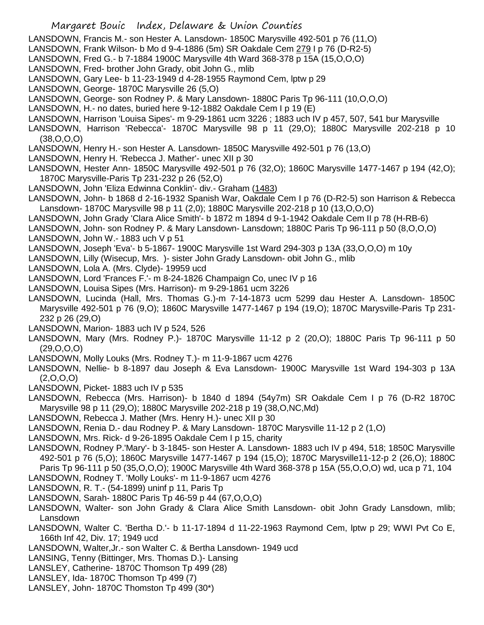- Margaret Bouic Index, Delaware & Union Counties LANSDOWN, Francis M.- son Hester A. Lansdown- 1850C Marysville 492-501 p 76 (11,O) LANSDOWN, Frank Wilson- b Mo d 9-4-1886 (5m) SR Oakdale Cem 279 I p 76 (D-R2-5) LANSDOWN, Fred G.- b 7-1884 1900C Marysville 4th Ward 368-378 p 15A (15,O,O,O) LANSDOWN, Fred- brother John Grady, obit John G., mlib LANSDOWN, Gary Lee- b 11-23-1949 d 4-28-1955 Raymond Cem, lptw p 29 LANSDOWN, George- 1870C Marysville 26 (5,O) LANSDOWN, George- son Rodney P. & Mary Lansdown- 1880C Paris Tp 96-111 (10,O,O,O) LANSDOWN, H.- no dates, buried here 9-12-1882 Oakdale Cem I p 19 (E) LANSDOWN, Harrison 'Louisa Sipes'- m 9-29-1861 ucm 3226 ; 1883 uch IV p 457, 507, 541 bur Marysville LANSDOWN, Harrison 'Rebecca'- 1870C Marysville 98 p 11 (29,O); 1880C Marysville 202-218 p 10 (38,O,O,O) LANSDOWN, Henry H.- son Hester A. Lansdown- 1850C Marysville 492-501 p 76 (13,O) LANSDOWN, Henry H. 'Rebecca J. Mather'- unec XII p 30 LANSDOWN, Hester Ann- 1850C Marysville 492-501 p 76 (32,O); 1860C Marysville 1477-1467 p 194 (42,O); 1870C Marysville-Paris Tp 231-232 p 26 (52,O) LANSDOWN, John 'Eliza Edwinna Conklin'- div.- Graham (1483) LANSDOWN, John- b 1868 d 2-16-1932 Spanish War, Oakdale Cem I p 76 (D-R2-5) son Harrison & Rebecca Lansdown- 1870C Marysville 98 p 11 (2,0); 1880C Marysville 202-218 p 10 (13,O,O,O) LANSDOWN, John Grady 'Clara Alice Smith'- b 1872 m 1894 d 9-1-1942 Oakdale Cem II p 78 (H-RB-6) LANSDOWN, John- son Rodney P. & Mary Lansdown- Lansdown; 1880C Paris Tp 96-111 p 50 (8,O,O,O) LANSDOWN, John W.- 1883 uch V p 51 LANSDOWN, Joseph 'Eva'- b 5-1867- 1900C Marysville 1st Ward 294-303 p 13A (33,O,O,O) m 10y LANSDOWN, Lilly (Wisecup, Mrs. )- sister John Grady Lansdown- obit John G., mlib LANSDOWN, Lola A. (Mrs. Clyde)- 19959 ucd LANSDOWN, Lord 'Frances F.'- m 8-24-1826 Champaign Co, unec IV p 16 LANSDOWN, Louisa Sipes (Mrs. Harrison)- m 9-29-1861 ucm 3226 LANSDOWN, Lucinda (Hall, Mrs. Thomas G.)-m 7-14-1873 ucm 5299 dau Hester A. Lansdown- 1850C Marysville 492-501 p 76 (9,O); 1860C Marysville 1477-1467 p 194 (19,O); 1870C Marysville-Paris Tp 231- 232 p 26 (29,O) LANSDOWN, Marion- 1883 uch IV p 524, 526 LANSDOWN, Mary (Mrs. Rodney P.)- 1870C Marysville 11-12 p 2 (20,O); 1880C Paris Tp 96-111 p 50 (29,O,O,O) LANSDOWN, Molly Louks (Mrs. Rodney T.)- m 11-9-1867 ucm 4276 LANSDOWN, Nellie- b 8-1897 dau Joseph & Eva Lansdown- 1900C Marysville 1st Ward 194-303 p 13A (2,O,O,O) LANSDOWN, Picket- 1883 uch IV p 535 LANSDOWN, Rebecca (Mrs. Harrison)- b 1840 d 1894 (54y7m) SR Oakdale Cem I p 76 (D-R2 1870C Marysville 98 p 11 (29,O); 1880C Marysville 202-218 p 19 (38,O,NC,Md) LANSDOWN, Rebecca J. Mather (Mrs. Henry H.)- unec XII p 30 LANSDOWN, Renia D.- dau Rodney P. & Mary Lansdown- 1870C Marysville 11-12 p 2 (1,O) LANSDOWN, Mrs. Rick- d 9-26-1895 Oakdale Cem I p 15, charity LANSDOWN, Rodney P.'Mary'- b 3-1845- son Hester A. Lansdown- 1883 uch IV p 494, 518; 1850C Marysville 492-501 p 76 (5,O); 1860C Marysville 1477-1467 p 194 (15,O); 1870C Marysville11-12-p 2 (26,O); 1880C Paris Tp 96-111 p 50 (35,O,O,O); 1900C Marysville 4th Ward 368-378 p 15A (55,O,O,O) wd, uca p 71, 104 LANSDOWN, Rodney T. 'Molly Louks'- m 11-9-1867 ucm 4276
- LANSDOWN, R. T.- (54-1899) uninf p 11, Paris Tp
- LANSDOWN, Sarah- 1880C Paris Tp 46-59 p 44 (67,O,O,O)
- LANSDOWN, Walter- son John Grady & Clara Alice Smith Lansdown- obit John Grady Lansdown, mlib; Lansdown
- LANSDOWN, Walter C. 'Bertha D.'- b 11-17-1894 d 11-22-1963 Raymond Cem, lptw p 29; WWI Pvt Co E, 166th Inf 42, Div. 17; 1949 ucd
- LANSDOWN, Walter,Jr.- son Walter C. & Bertha Lansdown- 1949 ucd
- LANSING, Tenny (Bittinger, Mrs. Thomas D.)- Lansing
- LANSLEY, Catherine- 1870C Thomson Tp 499 (28)
- LANSLEY, Ida- 1870C Thomson Tp 499 (7)
- LANSLEY, John- 1870C Thomston Tp 499 (30\*)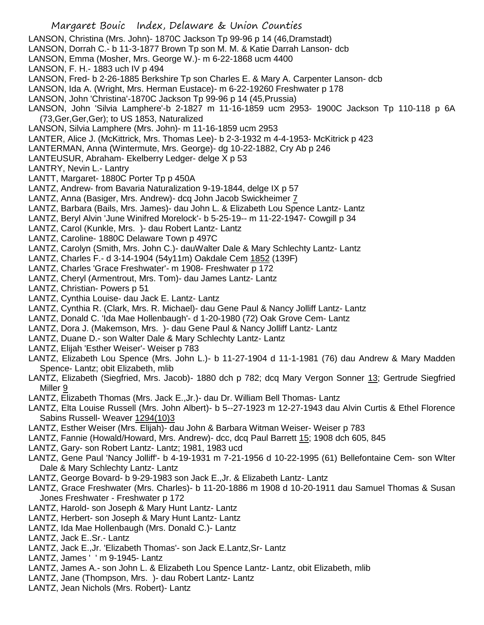LANSON, Christina (Mrs. John)- 1870C Jackson Tp 99-96 p 14 (46,Dramstadt)

- LANSON, Dorrah C.- b 11-3-1877 Brown Tp son M. M. & Katie Darrah Lanson- dcb
- LANSON, Emma (Mosher, Mrs. George W.)- m 6-22-1868 ucm 4400
- LANSON, F. H.- 1883 uch IV p 494
- LANSON, Fred- b 2-26-1885 Berkshire Tp son Charles E. & Mary A. Carpenter Lanson- dcb
- LANSON, Ida A. (Wright, Mrs. Herman Eustace)- m 6-22-19260 Freshwater p 178
- LANSON, John 'Christina'-1870C Jackson Tp 99-96 p 14 (45,Prussia)
- LANSON, John 'Silvia Lamphere'-b 2-1827 m 11-16-1859 ucm 2953- 1900C Jackson Tp 110-118 p 6A (73,Ger,Ger,Ger); to US 1853, Naturalized
- LANSON, Silvia Lamphere (Mrs. John)- m 11-16-1859 ucm 2953
- LANTER, Alice J. (McKittrick, Mrs. Thomas Lee)- b 2-3-1932 m 4-4-1953- McKitrick p 423
- LANTERMAN, Anna (Wintermute, Mrs. George)- dg 10-22-1882, Cry Ab p 246
- LANTEUSUR, Abraham- Ekelberry Ledger- delge X p 53
- LANTRY, Nevin L.- Lantry
- LANTT, Margaret- 1880C Porter Tp p 450A
- LANTZ, Andrew- from Bavaria Naturalization 9-19-1844, delge IX p 57
- LANTZ, Anna (Basiger, Mrs. Andrew)- dcq John Jacob Swickheimer 7
- LANTZ, Barbara (Bails, Mrs. James)- dau John L. & Elizabeth Lou Spence Lantz- Lantz
- LANTZ, Beryl Alvin 'June Winifred Morelock'- b 5-25-19-- m 11-22-1947- Cowgill p 34
- LANTZ, Carol (Kunkle, Mrs. )- dau Robert Lantz- Lantz
- LANTZ, Caroline- 1880C Delaware Town p 497C
- LANTZ, Carolyn (Smith, Mrs. John C.)- dauWalter Dale & Mary Schlechty Lantz- Lantz
- LANTZ, Charles F.- d 3-14-1904 (54y11m) Oakdale Cem 1852 (139F)
- LANTZ, Charles 'Grace Freshwater'- m 1908- Freshwater p 172
- LANTZ, Cheryl (Armentrout, Mrs. Tom)- dau James Lantz- Lantz
- LANTZ, Christian- Powers p 51
- LANTZ, Cynthia Louise- dau Jack E. Lantz- Lantz
- LANTZ, Cynthia R. (Clark, Mrs. R. Michael)- dau Gene Paul & Nancy Jolliff Lantz- Lantz
- LANTZ, Donald C. 'Ida Mae Hollenbaugh'- d 1-20-1980 (72) Oak Grove Cem- Lantz
- LANTZ, Dora J. (Makemson, Mrs. )- dau Gene Paul & Nancy Jolliff Lantz- Lantz
- LANTZ, Duane D.- son Walter Dale & Mary Schlechty Lantz- Lantz
- LANTZ, Elijah 'Esther Weiser'- Weiser p 783
- LANTZ, Elizabeth Lou Spence (Mrs. John L.)- b 11-27-1904 d 11-1-1981 (76) dau Andrew & Mary Madden Spence- Lantz; obit Elizabeth, mlib
- LANTZ, Elizabeth (Siegfried, Mrs. Jacob)- 1880 dch p 782; dcq Mary Vergon Sonner 13; Gertrude Siegfried Miller 9
- LANTZ, Elizabeth Thomas (Mrs. Jack E.,Jr.)- dau Dr. William Bell Thomas- Lantz
- LANTZ, Elta Louise Russell (Mrs. John Albert)- b 5--27-1923 m 12-27-1943 dau Alvin Curtis & Ethel Florence Sabins Russell- Weaver 1294(10)3
- LANTZ, Esther Weiser (Mrs. Elijah)- dau John & Barbara Witman Weiser- Weiser p 783
- LANTZ, Fannie (Howald/Howard, Mrs. Andrew)- dcc, dcq Paul Barrett 15; 1908 dch 605, 845
- LANTZ, Gary- son Robert Lantz- Lantz; 1981, 1983 ucd
- LANTZ, Gene Paul 'Nancy Jolliff'- b 4-19-1931 m 7-21-1956 d 10-22-1995 (61) Bellefontaine Cem- son Wlter Dale & Mary Schlechty Lantz- Lantz
- LANTZ, George Bovard- b 9-29-1983 son Jack E.,Jr. & Elizabeth Lantz- Lantz
- LANTZ, Grace Freshwater (Mrs. Charles)- b 11-20-1886 m 1908 d 10-20-1911 dau Samuel Thomas & Susan Jones Freshwater - Freshwater p 172
- LANTZ, Harold- son Joseph & Mary Hunt Lantz- Lantz
- LANTZ, Herbert- son Joseph & Mary Hunt Lantz- Lantz
- LANTZ, Ida Mae Hollenbaugh (Mrs. Donald C.)- Lantz
- LANTZ, Jack E..Sr.- Lantz
- LANTZ, Jack E.,Jr. 'Elizabeth Thomas'- son Jack E.Lantz,Sr- Lantz
- LANTZ, James ' ' m 9-1945- Lantz
- LANTZ, James A.- son John L. & Elizabeth Lou Spence Lantz- Lantz, obit Elizabeth, mlib
- LANTZ, Jane (Thompson, Mrs. )- dau Robert Lantz- Lantz
- LANTZ, Jean Nichols (Mrs. Robert)- Lantz